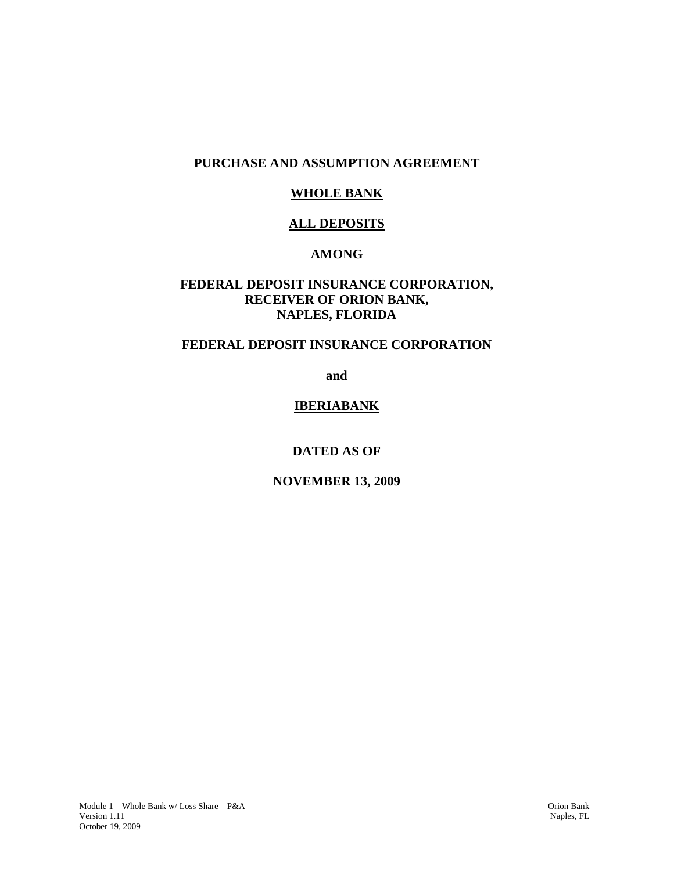#### **PURCHASE AND ASSUMPTION AGREEMENT**

## **WHOLE BANK**

## **ALL DEPOSITS**

## **AMONG**

## **FEDERAL DEPOSIT INSURANCE CORPORATION, RECEIVER OF ORION BANK, NAPLES, FLORIDA**

#### **FEDERAL DEPOSIT INSURANCE CORPORATION**

**and** 

## **IBERIABANK**

**DATED AS OF**

## **NOVEMBER 13, 2009**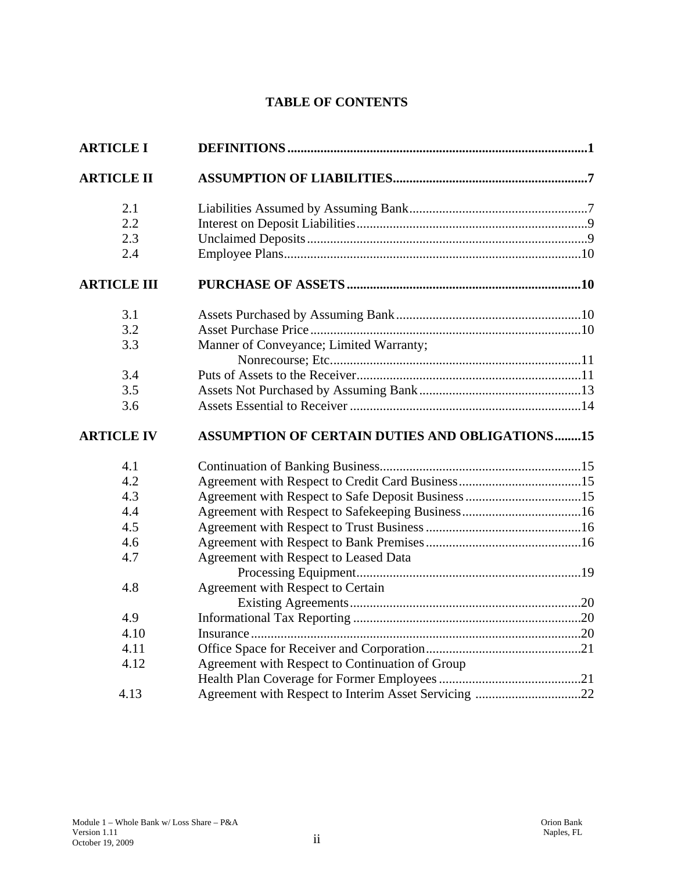# **TABLE OF CONTENTS**

| <b>ARTICLE I</b>   |                                                       |  |
|--------------------|-------------------------------------------------------|--|
| <b>ARTICLE II</b>  |                                                       |  |
| 2.1                |                                                       |  |
| 2.2                |                                                       |  |
| 2.3                |                                                       |  |
| 2.4                |                                                       |  |
| <b>ARTICLE III</b> |                                                       |  |
| 3.1                |                                                       |  |
| 3.2                |                                                       |  |
| 3.3                | Manner of Conveyance; Limited Warranty;               |  |
|                    |                                                       |  |
| 3.4                |                                                       |  |
| 3.5                |                                                       |  |
| 3.6                |                                                       |  |
| <b>ARTICLE IV</b>  | <b>ASSUMPTION OF CERTAIN DUTIES AND OBLIGATIONS15</b> |  |
| 4.1                |                                                       |  |
|                    |                                                       |  |
| 4.2                |                                                       |  |
| 4.3                |                                                       |  |
| 4.4                |                                                       |  |
| 4.5                |                                                       |  |
| 4.6                |                                                       |  |
| 4.7                | Agreement with Respect to Leased Data                 |  |
|                    |                                                       |  |
| 4.8                | Agreement with Respect to Certain                     |  |
|                    |                                                       |  |
| 4.9                |                                                       |  |
| 4.10               |                                                       |  |
| 4.11               |                                                       |  |
| 4.12               | Agreement with Respect to Continuation of Group       |  |
|                    | Agreement with Respect to Interim Asset Servicing 22  |  |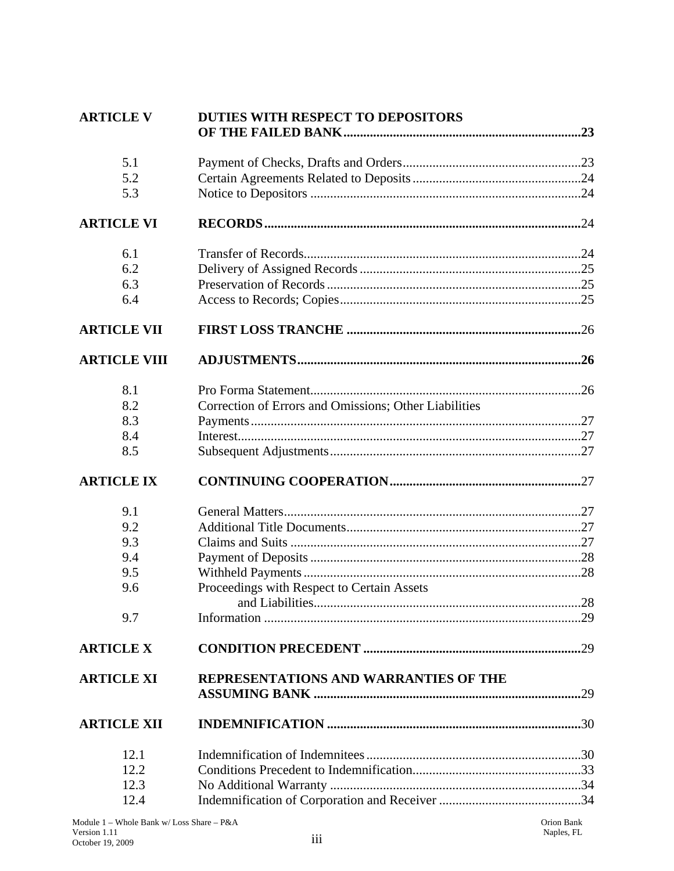| <b>ARTICLE V</b>    | DUTIES WITH RESPECT TO DEPOSITORS                     |  |  |
|---------------------|-------------------------------------------------------|--|--|
|                     |                                                       |  |  |
| 5.1                 |                                                       |  |  |
| 5.2                 |                                                       |  |  |
| 5.3                 |                                                       |  |  |
|                     |                                                       |  |  |
| <b>ARTICLE VI</b>   |                                                       |  |  |
| 6.1                 |                                                       |  |  |
| 6.2                 |                                                       |  |  |
| 6.3                 |                                                       |  |  |
| 6.4                 |                                                       |  |  |
| <b>ARTICLE VII</b>  |                                                       |  |  |
| <b>ARTICLE VIII</b> |                                                       |  |  |
| 8.1                 |                                                       |  |  |
| 8.2                 | Correction of Errors and Omissions; Other Liabilities |  |  |
| 8.3                 |                                                       |  |  |
| 8.4                 |                                                       |  |  |
| 8.5                 |                                                       |  |  |
| <b>ARTICLE IX</b>   |                                                       |  |  |
| 9.1                 |                                                       |  |  |
| 9.2                 |                                                       |  |  |
| 9.3                 |                                                       |  |  |
| 9.4                 |                                                       |  |  |
| 9.5                 |                                                       |  |  |
| 9.6                 | Proceedings with Respect to Certain Assets            |  |  |
|                     |                                                       |  |  |
| 9.7                 |                                                       |  |  |
| <b>ARTICLE X</b>    |                                                       |  |  |
| <b>ARTICLE XI</b>   | REPRESENTATIONS AND WARRANTIES OF THE                 |  |  |
|                     |                                                       |  |  |
| <b>ARTICLE XII</b>  |                                                       |  |  |
| 12.1                |                                                       |  |  |
| 12.2                |                                                       |  |  |
| 12.3                |                                                       |  |  |
| 12.4                |                                                       |  |  |
|                     |                                                       |  |  |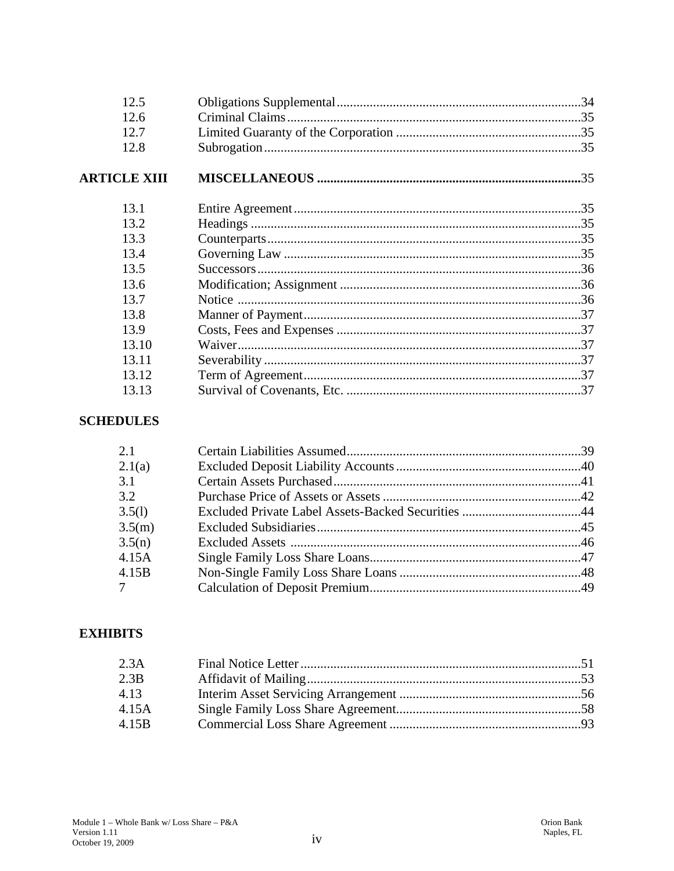| 12.5                |  |
|---------------------|--|
| 12.6                |  |
| 12.7                |  |
| 12.8                |  |
| <b>ARTICLE XIII</b> |  |
| 13.1                |  |
| 13.2                |  |
| 13.3                |  |
| 13.4                |  |
| 13.5                |  |
| 13.6                |  |
| 13.7                |  |
| 13.8                |  |
| 13.9                |  |
| 13.10               |  |
| 13.11               |  |
| 13.12               |  |
| 13.13               |  |

# **SCHEDULES**

| 2.1             |  |
|-----------------|--|
| 2.1(a)          |  |
| 3.1             |  |
| 3.2             |  |
| 3.5(l)          |  |
| 3.5(m)          |  |
| 3.5(n)          |  |
| 4.15A           |  |
| 4.15B           |  |
| $7\overline{ }$ |  |
|                 |  |

# **EXHIBITS**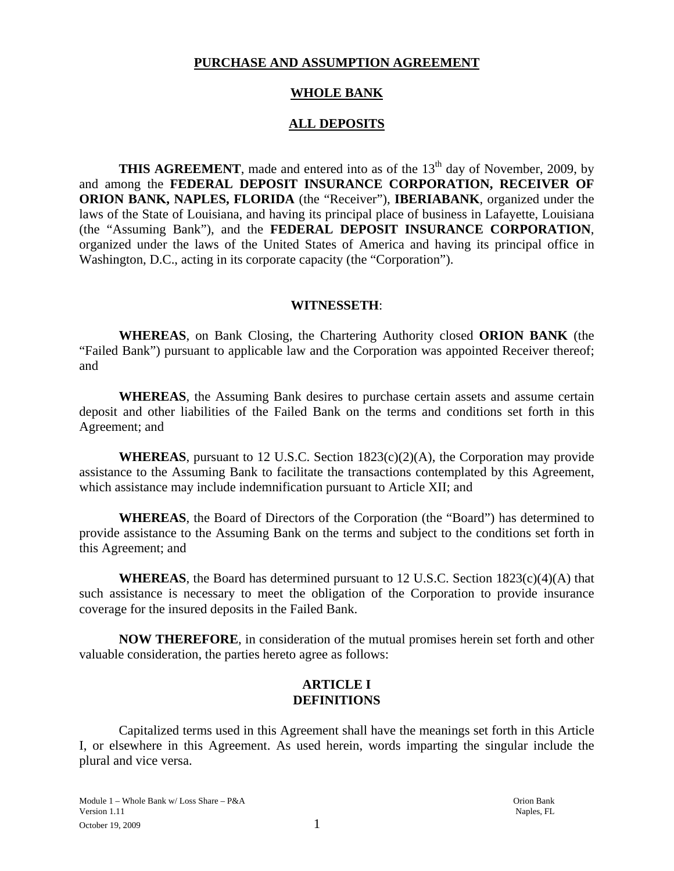#### **PURCHASE AND ASSUMPTION AGREEMENT**

## **WHOLE BANK**

## **ALL DEPOSITS**

**THIS AGREEMENT**, made and entered into as of the  $13<sup>th</sup>$  day of November, 2009, by and among the **FEDERAL DEPOSIT INSURANCE CORPORATION, RECEIVER OF ORION BANK, NAPLES, FLORIDA** (the "Receiver"), **IBERIABANK**, organized under the laws of the State of Louisiana, and having its principal place of business in Lafayette, Louisiana (the "Assuming Bank"), and the **FEDERAL DEPOSIT INSURANCE CORPORATION**, organized under the laws of the United States of America and having its principal office in Washington, D.C., acting in its corporate capacity (the "Corporation").

#### **WITNESSETH**:

**WHEREAS**, on Bank Closing, the Chartering Authority closed **ORION BANK** (the "Failed Bank") pursuant to applicable law and the Corporation was appointed Receiver thereof; and

**WHEREAS**, the Assuming Bank desires to purchase certain assets and assume certain deposit and other liabilities of the Failed Bank on the terms and conditions set forth in this Agreement; and

**WHEREAS**, pursuant to 12 U.S.C. Section 1823(c)(2)(A), the Corporation may provide assistance to the Assuming Bank to facilitate the transactions contemplated by this Agreement, which assistance may include indemnification pursuant to Article XII; and

**WHEREAS**, the Board of Directors of the Corporation (the "Board") has determined to provide assistance to the Assuming Bank on the terms and subject to the conditions set forth in this Agreement; and

**WHEREAS**, the Board has determined pursuant to 12 U.S.C. Section 1823(c)(4)(A) that such assistance is necessary to meet the obligation of the Corporation to provide insurance coverage for the insured deposits in the Failed Bank.

 **NOW THEREFORE**, in consideration of the mutual promises herein set forth and other valuable consideration, the parties hereto agree as follows:

#### **ARTICLE I DEFINITIONS**

<span id="page-4-0"></span>Capitalized terms used in this Agreement shall have the meanings set forth in this Article I, or elsewhere in this Agreement. As used herein, words imparting the singular include the plural and vice versa.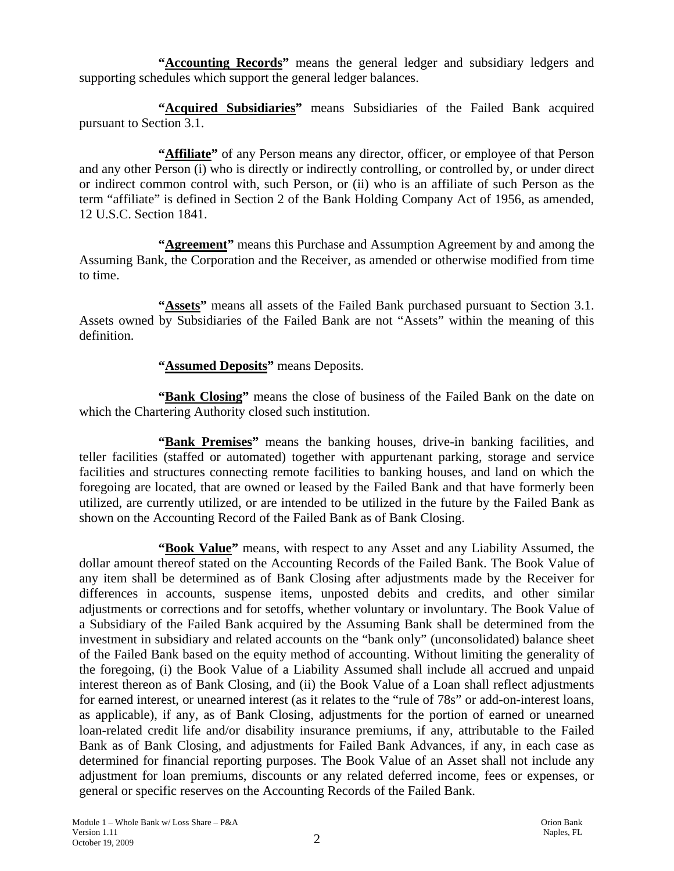<span id="page-5-0"></span> **"Accounting Records"** means the general ledger and subsidiary ledgers and supporting schedules which support the general ledger balances.

**"Acquired Subsidiaries"** means Subsidiaries of the Failed Bank acquired pursuant to Section 3.1.

**"Affiliate"** of any Person means any director, officer, or employee of that Person and any other Person (i) who is directly or indirectly controlling, or controlled by, or under direct or indirect common control with, such Person, or (ii) who is an affiliate of such Person as the term "affiliate" is defined in Section 2 of the Bank Holding Company Act of 1956, as amended, 12 U.S.C. Section 1841.

**"Agreement"** means this Purchase and Assumption Agreement by and among the Assuming Bank, the Corporation and the Receiver, as amended or otherwise modified from time to time.

**"Assets"** means all assets of the Failed Bank purchased pursuant to Section 3.1. Assets owned by Subsidiaries of the Failed Bank are not "Assets" within the meaning of this definition.

**"Assumed Deposits"** means Deposits.

**"Bank Closing"** means the close of business of the Failed Bank on the date on which the Chartering Authority closed such institution.

**"Bank Premises"** means the banking houses, drive-in banking facilities, and teller facilities (staffed or automated) together with appurtenant parking, storage and service facilities and structures connecting remote facilities to banking houses, and land on which the foregoing are located, that are owned or leased by the Failed Bank and that have formerly been utilized, are currently utilized, or are intended to be utilized in the future by the Failed Bank as shown on the Accounting Record of the Failed Bank as of Bank Closing.

**"Book Value"** means, with respect to any Asset and any Liability Assumed, the dollar amount thereof stated on the Accounting Records of the Failed Bank. The Book Value of any item shall be determined as of Bank Closing after adjustments made by the Receiver for differences in accounts, suspense items, unposted debits and credits, and other similar adjustments or corrections and for setoffs, whether voluntary or involuntary. The Book Value of a Subsidiary of the Failed Bank acquired by the Assuming Bank shall be determined from the investment in subsidiary and related accounts on the "bank only" (unconsolidated) balance sheet of the Failed Bank based on the equity method of accounting. Without limiting the generality of the foregoing, (i) the Book Value of a Liability Assumed shall include all accrued and unpaid interest thereon as of Bank Closing, and (ii) the Book Value of a Loan shall reflect adjustments for earned interest, or unearned interest (as it relates to the "rule of 78s" or add-on-interest loans, as applicable), if any, as of Bank Closing, adjustments for the portion of earned or unearned loan-related credit life and/or disability insurance premiums, if any, attributable to the Failed Bank as of Bank Closing, and adjustments for Failed Bank Advances, if any, in each case as determined for financial reporting purposes. The Book Value of an Asset shall not include any adjustment for loan premiums, discounts or any related deferred income, fees or expenses, or general or specific reserves on the Accounting Records of the Failed Bank.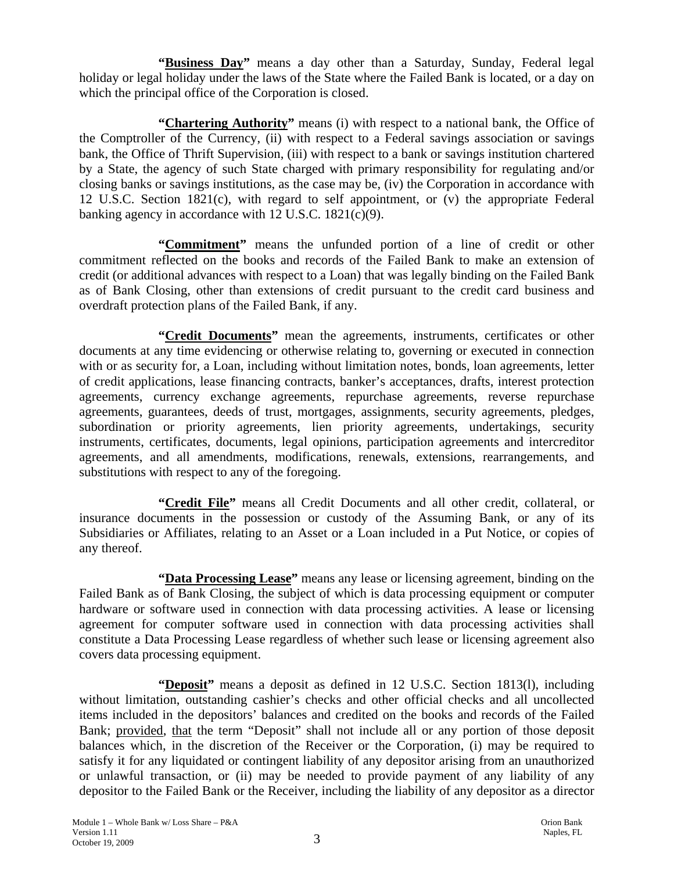<span id="page-6-0"></span>"Business Day" means a day other than a Saturday, Sunday, Federal legal holiday or legal holiday under the laws of the State where the Failed Bank is located, or a day on which the principal office of the Corporation is closed.

**"Chartering Authority"** means (i) with respect to a national bank, the Office of the Comptroller of the Currency, (ii) with respect to a Federal savings association or savings bank, the Office of Thrift Supervision, (iii) with respect to a bank or savings institution chartered by a State, the agency of such State charged with primary responsibility for regulating and/or closing banks or savings institutions, as the case may be, (iv) the Corporation in accordance with 12 U.S.C. Section 1821(c), with regard to self appointment, or (v) the appropriate Federal banking agency in accordance with 12 U.S.C. 1821(c)(9).

**"Commitment"** means the unfunded portion of a line of credit or other commitment reflected on the books and records of the Failed Bank to make an extension of credit (or additional advances with respect to a Loan) that was legally binding on the Failed Bank as of Bank Closing, other than extensions of credit pursuant to the credit card business and overdraft protection plans of the Failed Bank, if any.

**"Credit Documents"** mean the agreements, instruments, certificates or other documents at any time evidencing or otherwise relating to, governing or executed in connection with or as security for, a Loan, including without limitation notes, bonds, loan agreements, letter of credit applications, lease financing contracts, banker's acceptances, drafts, interest protection agreements, currency exchange agreements, repurchase agreements, reverse repurchase agreements, guarantees, deeds of trust, mortgages, assignments, security agreements, pledges, subordination or priority agreements, lien priority agreements, undertakings, security instruments, certificates, documents, legal opinions, participation agreements and intercreditor agreements, and all amendments, modifications, renewals, extensions, rearrangements, and substitutions with respect to any of the foregoing.

**"Credit File"** means all Credit Documents and all other credit, collateral, or insurance documents in the possession or custody of the Assuming Bank, or any of its Subsidiaries or Affiliates, relating to an Asset or a Loan included in a Put Notice, or copies of any thereof.

**"Data Processing Lease"** means any lease or licensing agreement, binding on the Failed Bank as of Bank Closing, the subject of which is data processing equipment or computer hardware or software used in connection with data processing activities. A lease or licensing agreement for computer software used in connection with data processing activities shall constitute a Data Processing Lease regardless of whether such lease or licensing agreement also covers data processing equipment.

**"Deposit"** means a deposit as defined in 12 U.S.C. Section 1813(l), including without limitation, outstanding cashier's checks and other official checks and all uncollected items included in the depositors' balances and credited on the books and records of the Failed Bank; provided, that the term "Deposit" shall not include all or any portion of those deposit balances which, in the discretion of the Receiver or the Corporation, (i) may be required to satisfy it for any liquidated or contingent liability of any depositor arising from an unauthorized or unlawful transaction, or (ii) may be needed to provide payment of any liability of any depositor to the Failed Bank or the Receiver, including the liability of any depositor as a director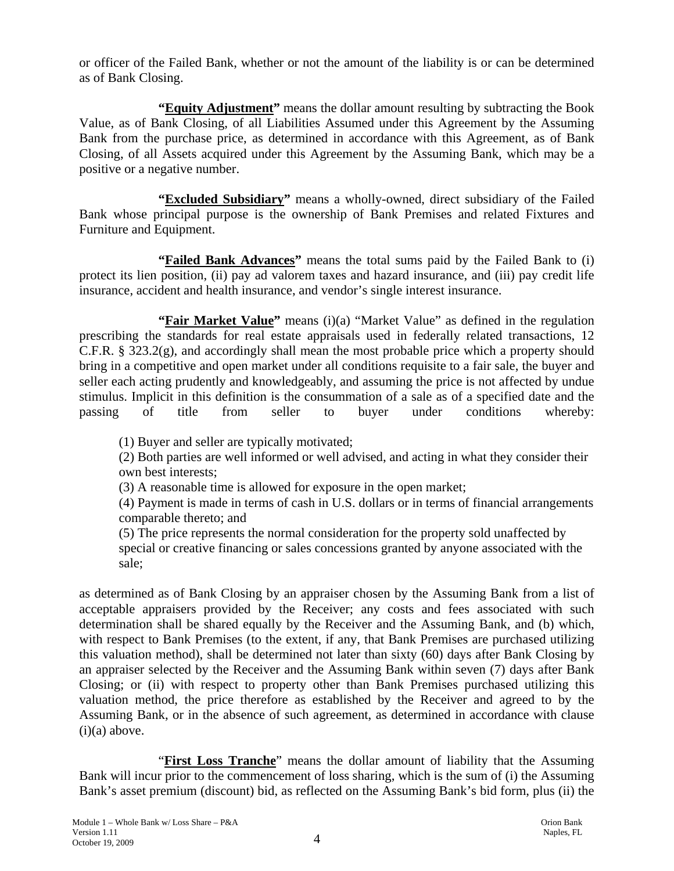<span id="page-7-0"></span>or officer of the Failed Bank, whether or not the amount of the liability is or can be determined as of Bank Closing.

**"Equity Adjustment"** means the dollar amount resulting by subtracting the Book Value, as of Bank Closing, of all Liabilities Assumed under this Agreement by the Assuming Bank from the purchase price, as determined in accordance with this Agreement, as of Bank Closing, of all Assets acquired under this Agreement by the Assuming Bank, which may be a positive or a negative number.

**"Excluded Subsidiary"** means a wholly-owned, direct subsidiary of the Failed Bank whose principal purpose is the ownership of Bank Premises and related Fixtures and Furniture and Equipment.

**"Failed Bank Advances"** means the total sums paid by the Failed Bank to (i) protect its lien position, (ii) pay ad valorem taxes and hazard insurance, and (iii) pay credit life insurance, accident and health insurance, and vendor's single interest insurance.

**"Fair Market Value"** means (i)(a) "Market Value" as defined in the regulation prescribing the standards for real estate appraisals used in federally related transactions, 12 C.F.R. § 323.2(g), and accordingly shall mean the most probable price which a property should bring in a competitive and open market under all conditions requisite to a fair sale, the buyer and seller each acting prudently and knowledgeably, and assuming the price is not affected by undue stimulus. Implicit in this definition is the consummation of a sale as of a specified date and the passing of title from seller to buyer under conditions whereby:

(1) Buyer and seller are typically motivated;

(2) Both parties are well informed or well advised, and acting in what they consider their own best interests;

(3) A reasonable time is allowed for exposure in the open market;

(4) Payment is made in terms of cash in U.S. dollars or in terms of financial arrangements comparable thereto; and

(5) The price represents the normal consideration for the property sold unaffected by special or creative financing or sales concessions granted by anyone associated with the sale;

as determined as of Bank Closing by an appraiser chosen by the Assuming Bank from a list of acceptable appraisers provided by the Receiver; any costs and fees associated with such determination shall be shared equally by the Receiver and the Assuming Bank, and (b) which, with respect to Bank Premises (to the extent, if any, that Bank Premises are purchased utilizing this valuation method), shall be determined not later than sixty (60) days after Bank Closing by an appraiser selected by the Receiver and the Assuming Bank within seven (7) days after Bank Closing; or (ii) with respect to property other than Bank Premises purchased utilizing this valuation method, the price therefore as established by the Receiver and agreed to by the Assuming Bank, or in the absence of such agreement, as determined in accordance with clause  $(i)(a)$  above.

"**First Loss Tranche**" means the dollar amount of liability that the Assuming Bank will incur prior to the commencement of loss sharing, which is the sum of (i) the Assuming Bank's asset premium (discount) bid, as reflected on the Assuming Bank's bid form, plus (ii) the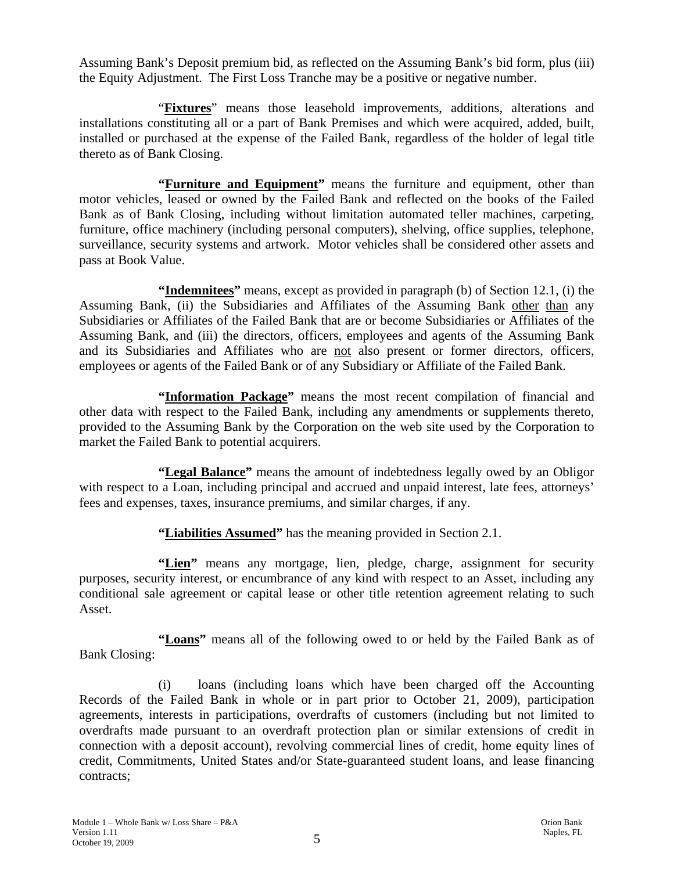Assuming Bank's Deposit premium bid, as reflected on the Assuming Bank's bid form, plus (iii) the Equity Adjustment. The First Loss Tranche may be a positive or negative number.

"**Fixtures**" means those leasehold improvements, additions, alterations and installations constituting all or a part of Bank Premises and which were acquired, added, built, installed or purchased at the expense of the Failed Bank, regardless of the holder of legal title thereto as of Bank Closing.

**"Furniture and Equipment"** means the furniture and equipment, other than motor vehicles, leased or owned by the Failed Bank and reflected on the books of the Failed Bank as of Bank Closing, including without limitation automated teller machines, carpeting, furniture, office machinery (including personal computers), shelving, office supplies, telephone, surveillance, security systems and artwork. Motor vehicles shall be considered other assets and pass at Book Value.

**"Indemnitees"** means, except as provided in paragraph (b) of Section 12.1, (i) the Assuming Bank, (ii) the Subsidiaries and Affiliates of the Assuming Bank other than any Subsidiaries or Affiliates of the Failed Bank that are or become Subsidiaries or Affiliates of the Assuming Bank, and (iii) the directors, officers, employees and agents of the Assuming Bank and its Subsidiaries and Affiliates who are not also present or former directors, officers, employees or agents of the Failed Bank or of any Subsidiary or Affiliate of the Failed Bank.

**"Information Package"** means the most recent compilation of financial and other data with respect to the Failed Bank, including any amendments or supplements thereto, provided to the Assuming Bank by the Corporation on the web site used by the Corporation to market the Failed Bank to potential acquirers.

**"Legal Balance"** means the amount of indebtedness legally owed by an Obligor with respect to a Loan, including principal and accrued and unpaid interest, late fees, attorneys' fees and expenses, taxes, insurance premiums, and similar charges, if any.

 **"Liabilities Assumed"** has the meaning provided in Section 2.1.

**"Lien"** means any mortgage, lien, pledge, charge, assignment for security purposes, security interest, or encumbrance of any kind with respect to an Asset, including any conditional sale agreement or capital lease or other title retention agreement relating to such Asset.

**"Loans"** means all of the following owed to or held by the Failed Bank as of Bank Closing:

(i) loans (including loans which have been charged off the Accounting Records of the Failed Bank in whole or in part prior to October 21, 2009), participation agreements, interests in participations, overdrafts of customers (including but not limited to overdrafts made pursuant to an overdraft protection plan or similar extensions of credit in connection with a deposit account), revolving commercial lines of credit, home equity lines of credit, Commitments, United States and/or State-guaranteed student loans, and lease financing contracts;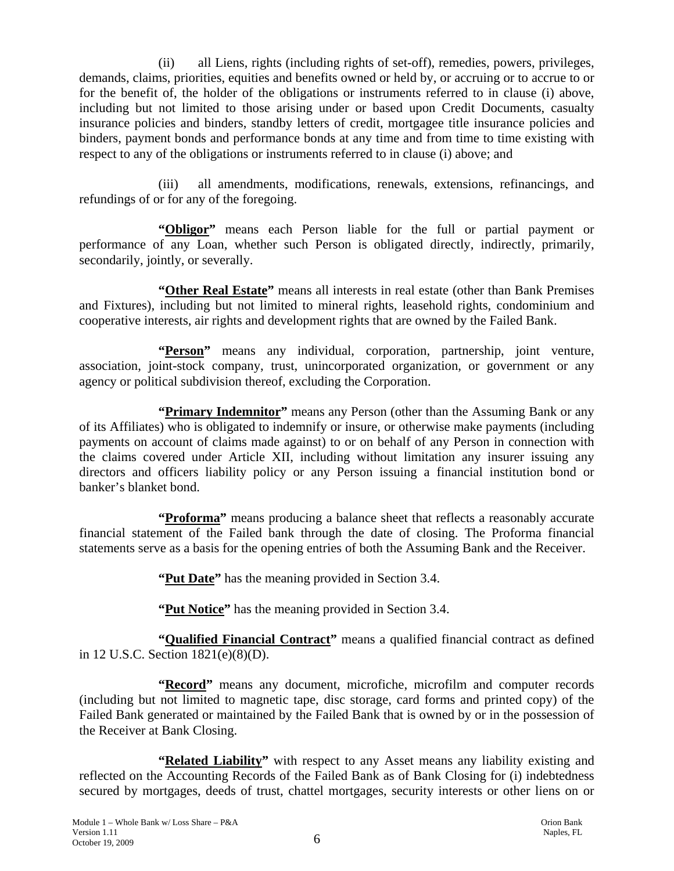(ii) all Liens, rights (including rights of set-off), remedies, powers, privileges, demands, claims, priorities, equities and benefits owned or held by, or accruing or to accrue to or for the benefit of, the holder of the obligations or instruments referred to in clause (i) above, including but not limited to those arising under or based upon Credit Documents, casualty insurance policies and binders, standby letters of credit, mortgagee title insurance policies and binders, payment bonds and performance bonds at any time and from time to time existing with respect to any of the obligations or instruments referred to in clause (i) above; and

(iii) all amendments, modifications, renewals, extensions, refinancings, and refundings of or for any of the foregoing.

**"Obligor"** means each Person liable for the full or partial payment or performance of any Loan, whether such Person is obligated directly, indirectly, primarily, secondarily, jointly, or severally.

**"Other Real Estate"** means all interests in real estate (other than Bank Premises and Fixtures), including but not limited to mineral rights, leasehold rights, condominium and cooperative interests, air rights and development rights that are owned by the Failed Bank.

**"Person"** means any individual, corporation, partnership, joint venture, association, joint-stock company, trust, unincorporated organization, or government or any agency or political subdivision thereof, excluding the Corporation.

**"Primary Indemnitor"** means any Person (other than the Assuming Bank or any of its Affiliates) who is obligated to indemnify or insure, or otherwise make payments (including payments on account of claims made against) to or on behalf of any Person in connection with the claims covered under Article XII, including without limitation any insurer issuing any directors and officers liability policy or any Person issuing a financial institution bond or banker's blanket bond.

**"Proforma"** means producing a balance sheet that reflects a reasonably accurate financial statement of the Failed bank through the date of closing. The Proforma financial statements serve as a basis for the opening entries of both the Assuming Bank and the Receiver.

**"Put Date"** has the meaning provided in Section 3.4.

**"Put Notice"** has the meaning provided in Section 3.4.

**"Qualified Financial Contract"** means a qualified financial contract as defined in 12 U.S.C. Section 1821(e)(8)(D).

**"Record"** means any document, microfiche, microfilm and computer records (including but not limited to magnetic tape, disc storage, card forms and printed copy) of the Failed Bank generated or maintained by the Failed Bank that is owned by or in the possession of the Receiver at Bank Closing.

**"Related Liability"** with respect to any Asset means any liability existing and reflected on the Accounting Records of the Failed Bank as of Bank Closing for (i) indebtedness secured by mortgages, deeds of trust, chattel mortgages, security interests or other liens on or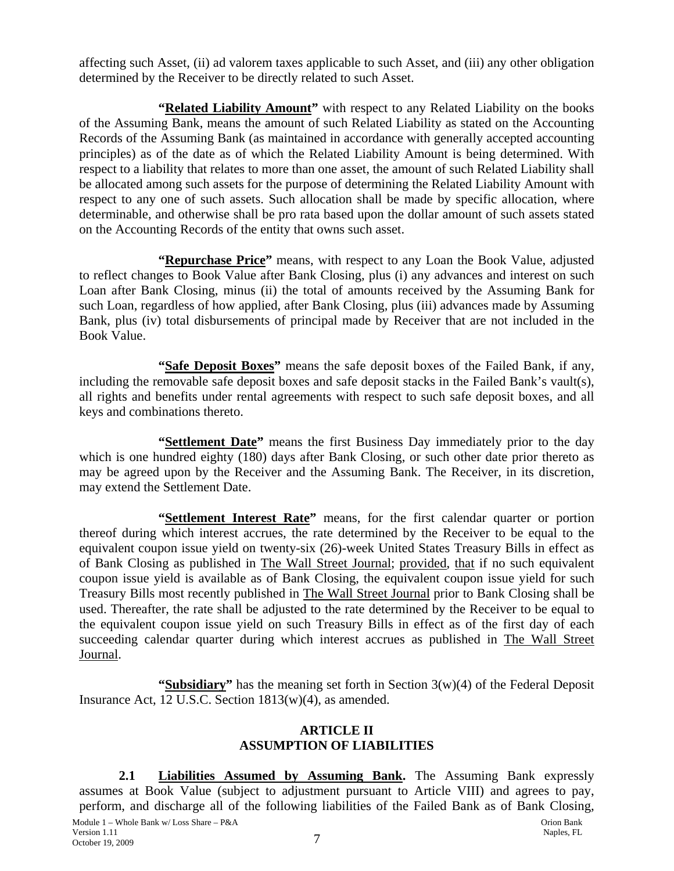affecting such Asset, (ii) ad valorem taxes applicable to such Asset, and (iii) any other obligation determined by the Receiver to be directly related to such Asset.

**"Related Liability Amount"** with respect to any Related Liability on the books of the Assuming Bank, means the amount of such Related Liability as stated on the Accounting Records of the Assuming Bank (as maintained in accordance with generally accepted accounting principles) as of the date as of which the Related Liability Amount is being determined. With respect to a liability that relates to more than one asset, the amount of such Related Liability shall be allocated among such assets for the purpose of determining the Related Liability Amount with respect to any one of such assets. Such allocation shall be made by specific allocation, where determinable, and otherwise shall be pro rata based upon the dollar amount of such assets stated on the Accounting Records of the entity that owns such asset.

 **"Repurchase Price"** means, with respect to any Loan the Book Value, adjusted to reflect changes to Book Value after Bank Closing, plus (i) any advances and interest on such Loan after Bank Closing, minus (ii) the total of amounts received by the Assuming Bank for such Loan, regardless of how applied, after Bank Closing, plus (iii) advances made by Assuming Bank, plus (iv) total disbursements of principal made by Receiver that are not included in the Book Value.

**"Safe Deposit Boxes"** means the safe deposit boxes of the Failed Bank, if any, including the removable safe deposit boxes and safe deposit stacks in the Failed Bank's vault(s), all rights and benefits under rental agreements with respect to such safe deposit boxes, and all keys and combinations thereto.

**"Settlement Date"** means the first Business Day immediately prior to the day which is one hundred eighty (180) days after Bank Closing, or such other date prior thereto as may be agreed upon by the Receiver and the Assuming Bank. The Receiver, in its discretion, may extend the Settlement Date.

"Settlement Interest Rate" means, for the first calendar quarter or portion thereof during which interest accrues, the rate determined by the Receiver to be equal to the equivalent coupon issue yield on twenty-six (26)-week United States Treasury Bills in effect as of Bank Closing as published in The Wall Street Journal; provided, that if no such equivalent coupon issue yield is available as of Bank Closing, the equivalent coupon issue yield for such Treasury Bills most recently published in The Wall Street Journal prior to Bank Closing shall be used. Thereafter, the rate shall be adjusted to the rate determined by the Receiver to be equal to the equivalent coupon issue yield on such Treasury Bills in effect as of the first day of each succeeding calendar quarter during which interest accrues as published in The Wall Street Journal.

**"Subsidiary"** has the meaning set forth in Section 3(w)(4) of the Federal Deposit Insurance Act, 12 U.S.C. Section 1813(w)(4), as amended.

#### **ARTICLE II ASSUMPTION OF LIABILITIES**

<span id="page-10-1"></span><span id="page-10-0"></span> **2.1 Liabilities Assumed by Assuming Bank.** The Assuming Bank expressly assumes at Book Value (subject to adjustment pursuant to Article VIII) and agrees to pay, perform, and discharge all of the following liabilities of the Failed Bank as of Bank Closing,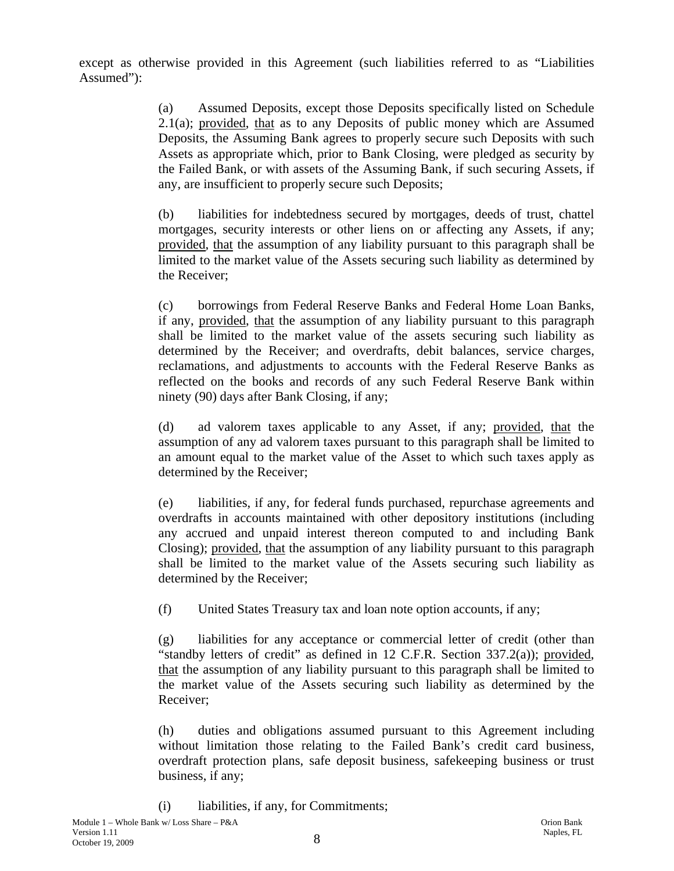except as otherwise provided in this Agreement (such liabilities referred to as "Liabilities Assumed"):

> (a) Assumed Deposits, except those Deposits specifically listed on Schedule 2.1(a); provided, that as to any Deposits of public money which are Assumed Deposits, the Assuming Bank agrees to properly secure such Deposits with such Assets as appropriate which, prior to Bank Closing, were pledged as security by the Failed Bank, or with assets of the Assuming Bank, if such securing Assets, if any, are insufficient to properly secure such Deposits;

> (b) liabilities for indebtedness secured by mortgages, deeds of trust, chattel mortgages, security interests or other liens on or affecting any Assets, if any; provided, that the assumption of any liability pursuant to this paragraph shall be limited to the market value of the Assets securing such liability as determined by the Receiver;

> (c) borrowings from Federal Reserve Banks and Federal Home Loan Banks, if any, provided, that the assumption of any liability pursuant to this paragraph shall be limited to the market value of the assets securing such liability as determined by the Receiver; and overdrafts, debit balances, service charges, reclamations, and adjustments to accounts with the Federal Reserve Banks as reflected on the books and records of any such Federal Reserve Bank within ninety (90) days after Bank Closing, if any;

> (d) ad valorem taxes applicable to any Asset, if any; provided, that the assumption of any ad valorem taxes pursuant to this paragraph shall be limited to an amount equal to the market value of the Asset to which such taxes apply as determined by the Receiver;

> (e) liabilities, if any, for federal funds purchased, repurchase agreements and overdrafts in accounts maintained with other depository institutions (including any accrued and unpaid interest thereon computed to and including Bank Closing); provided, that the assumption of any liability pursuant to this paragraph shall be limited to the market value of the Assets securing such liability as determined by the Receiver;

(f) United States Treasury tax and loan note option accounts, if any;

(g) liabilities for any acceptance or commercial letter of credit (other than "standby letters of credit" as defined in 12 C.F.R. Section 337.2(a)); provided, that the assumption of any liability pursuant to this paragraph shall be limited to the market value of the Assets securing such liability as determined by the Receiver;

(h) duties and obligations assumed pursuant to this Agreement including without limitation those relating to the Failed Bank's credit card business, overdraft protection plans, safe deposit business, safekeeping business or trust business, if any;

(i) liabilities, if any, for Commitments;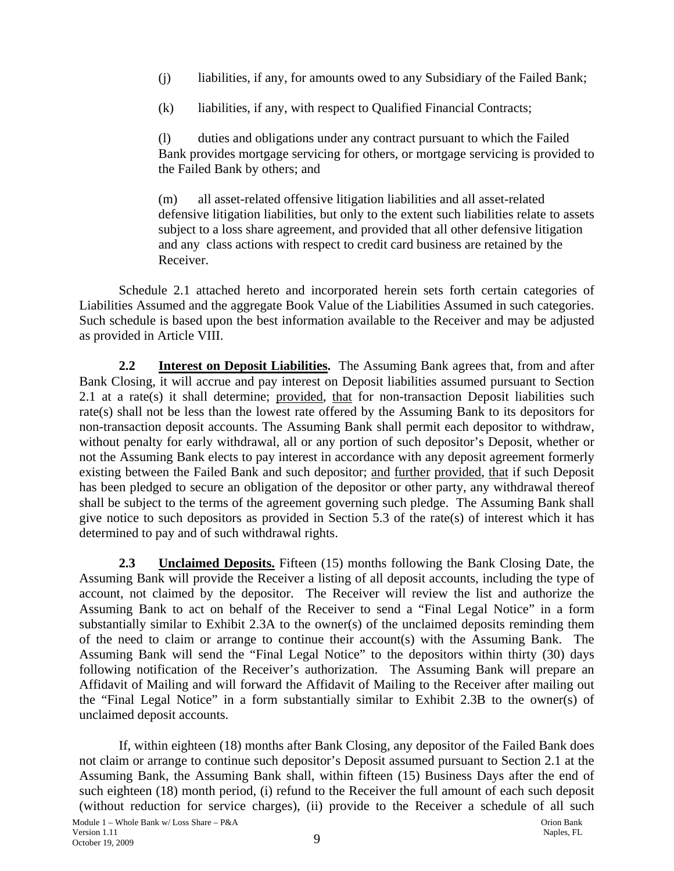- (j) liabilities, if any, for amounts owed to any Subsidiary of the Failed Bank;
- (k) liabilities, if any, with respect to Qualified Financial Contracts;

(l) duties and obligations under any contract pursuant to which the Failed Bank provides mortgage servicing for others, or mortgage servicing is provided to the Failed Bank by others; and

(m) all asset-related offensive litigation liabilities and all asset-related defensive litigation liabilities, but only to the extent such liabilities relate to assets subject to a loss share agreement, and provided that all other defensive litigation and any class actions with respect to credit card business are retained by the Receiver.

Schedule 2.1 attached hereto and incorporated herein sets forth certain categories of Liabilities Assumed and the aggregate Book Value of the Liabilities Assumed in such categories. Such schedule is based upon the best information available to the Receiver and may be adjusted as provided in Article VIII.

<span id="page-12-0"></span>**2.2 Interest on Deposit Liabilities.** The Assuming Bank agrees that, from and after Bank Closing, it will accrue and pay interest on Deposit liabilities assumed pursuant to Section 2.1 at a rate(s) it shall determine; provided, that for non-transaction Deposit liabilities such rate(s) shall not be less than the lowest rate offered by the Assuming Bank to its depositors for non-transaction deposit accounts. The Assuming Bank shall permit each depositor to withdraw, without penalty for early withdrawal, all or any portion of such depositor's Deposit, whether or not the Assuming Bank elects to pay interest in accordance with any deposit agreement formerly existing between the Failed Bank and such depositor; and further provided, that if such Deposit has been pledged to secure an obligation of the depositor or other party, any withdrawal thereof shall be subject to the terms of the agreement governing such pledge. The Assuming Bank shall give notice to such depositors as provided in Section 5.3 of the rate(s) of interest which it has determined to pay and of such withdrawal rights.

<span id="page-12-1"></span>**2.3 Unclaimed Deposits.** Fifteen (15) months following the Bank Closing Date, the Assuming Bank will provide the Receiver a listing of all deposit accounts, including the type of account, not claimed by the depositor. The Receiver will review the list and authorize the Assuming Bank to act on behalf of the Receiver to send a "Final Legal Notice" in a form substantially similar to Exhibit 2.3A to the owner(s) of the unclaimed deposits reminding them of the need to claim or arrange to continue their account(s) with the Assuming Bank. The Assuming Bank will send the "Final Legal Notice" to the depositors within thirty (30) days following notification of the Receiver's authorization. The Assuming Bank will prepare an Affidavit of Mailing and will forward the Affidavit of Mailing to the Receiver after mailing out the "Final Legal Notice" in a form substantially similar to Exhibit 2.3B to the owner(s) of unclaimed deposit accounts.

If, within eighteen (18) months after Bank Closing, any depositor of the Failed Bank does not claim or arrange to continue such depositor's Deposit assumed pursuant to Section 2.1 at the Assuming Bank, the Assuming Bank shall, within fifteen (15) Business Days after the end of such eighteen (18) month period, (i) refund to the Receiver the full amount of each such deposit (without reduction for service charges), (ii) provide to the Receiver a schedule of all such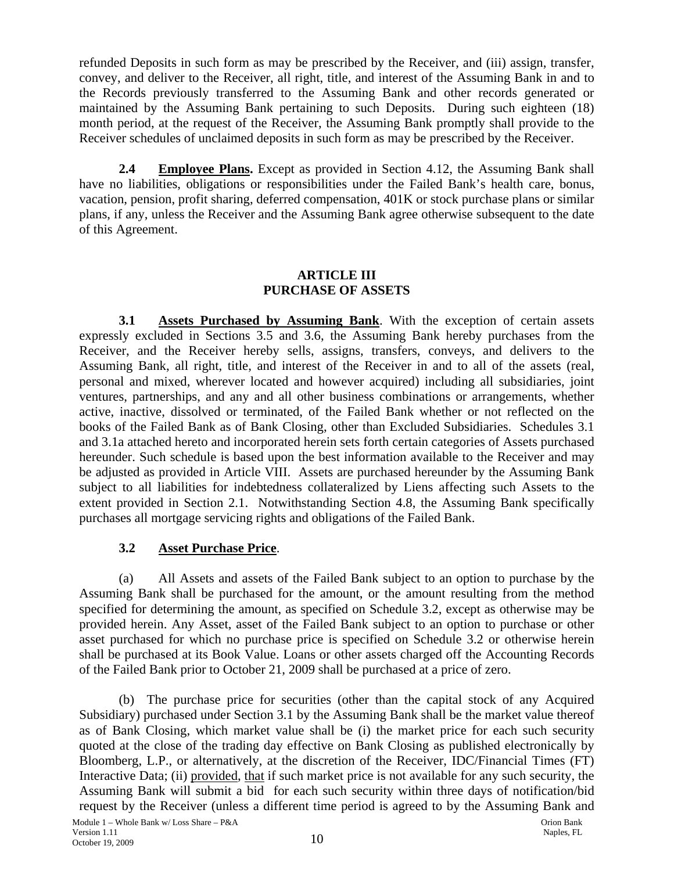refunded Deposits in such form as may be prescribed by the Receiver, and (iii) assign, transfer, convey, and deliver to the Receiver, all right, title, and interest of the Assuming Bank in and to the Records previously transferred to the Assuming Bank and other records generated or maintained by the Assuming Bank pertaining to such Deposits. During such eighteen (18) month period, at the request of the Receiver, the Assuming Bank promptly shall provide to the Receiver schedules of unclaimed deposits in such form as may be prescribed by the Receiver.

<span id="page-13-0"></span>**2.4 Employee Plans.** Except as provided in Section 4.12, the Assuming Bank shall have no liabilities, obligations or responsibilities under the Failed Bank's health care, bonus, vacation, pension, profit sharing, deferred compensation, 401K or stock purchase plans or similar plans, if any, unless the Receiver and the Assuming Bank agree otherwise subsequent to the date of this Agreement.

## **ARTICLE III PURCHASE OF ASSETS**

<span id="page-13-2"></span><span id="page-13-1"></span> **3.1 Assets Purchased by Assuming Bank**. With the exception of certain assets expressly excluded in Sections 3.5 and 3.6, the Assuming Bank hereby purchases from the Receiver, and the Receiver hereby sells, assigns, transfers, conveys, and delivers to the Assuming Bank, all right, title, and interest of the Receiver in and to all of the assets (real, personal and mixed, wherever located and however acquired) including all subsidiaries, joint ventures, partnerships, and any and all other business combinations or arrangements, whether active, inactive, dissolved or terminated, of the Failed Bank whether or not reflected on the books of the Failed Bank as of Bank Closing, other than Excluded Subsidiaries. Schedules 3.1 and 3.1a attached hereto and incorporated herein sets forth certain categories of Assets purchased hereunder. Such schedule is based upon the best information available to the Receiver and may be adjusted as provided in Article VIII. Assets are purchased hereunder by the Assuming Bank subject to all liabilities for indebtedness collateralized by Liens affecting such Assets to the extent provided in Section 2.1. Notwithstanding Section 4.8, the Assuming Bank specifically purchases all mortgage servicing rights and obligations of the Failed Bank.

# **3.2 Asset Purchase Price**.

<span id="page-13-3"></span>(a) All Assets and assets of the Failed Bank subject to an option to purchase by the Assuming Bank shall be purchased for the amount, or the amount resulting from the method specified for determining the amount, as specified on Schedule 3.2, except as otherwise may be provided herein. Any Asset, asset of the Failed Bank subject to an option to purchase or other asset purchased for which no purchase price is specified on Schedule 3.2 or otherwise herein shall be purchased at its Book Value. Loans or other assets charged off the Accounting Records of the Failed Bank prior to October 21, 2009 shall be purchased at a price of zero.

(b) The purchase price for securities (other than the capital stock of any Acquired Subsidiary) purchased under Section 3.1 by the Assuming Bank shall be the market value thereof as of Bank Closing, which market value shall be (i) the market price for each such security quoted at the close of the trading day effective on Bank Closing as published electronically by Bloomberg, L.P., or alternatively, at the discretion of the Receiver, IDC/Financial Times (FT) Interactive Data; (ii) provided, that if such market price is not available for any such security, the Assuming Bank will submit a bid for each such security within three days of notification/bid request by the Receiver (unless a different time period is agreed to by the Assuming Bank and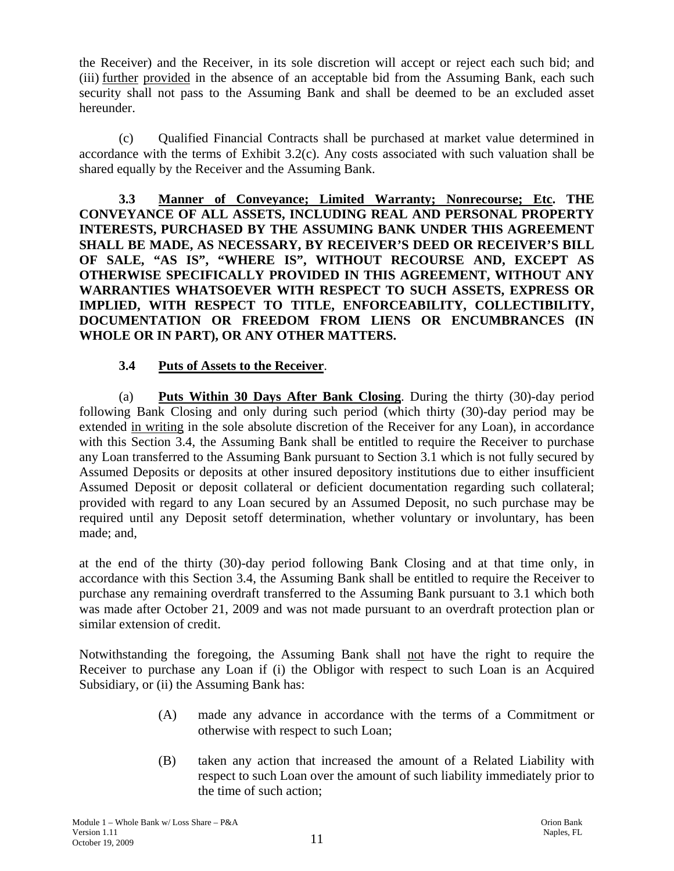the Receiver) and the Receiver, in its sole discretion will accept or reject each such bid; and (iii) further provided in the absence of an acceptable bid from the Assuming Bank, each such security shall not pass to the Assuming Bank and shall be deemed to be an excluded asset hereunder.

(c) Qualified Financial Contracts shall be purchased at market value determined in accordance with the terms of Exhibit 3.2(c). Any costs associated with such valuation shall be shared equally by the Receiver and the Assuming Bank.

<span id="page-14-0"></span>**3.3 Manner of Conveyance; Limited Warranty; Nonrecourse; Etc. THE CONVEYANCE OF ALL ASSETS, INCLUDING REAL AND PERSONAL PROPERTY INTERESTS, PURCHASED BY THE ASSUMING BANK UNDER THIS AGREEMENT SHALL BE MADE, AS NECESSARY, BY RECEIVER'S DEED OR RECEIVER'S BILL OF SALE, "AS IS", "WHERE IS", WITHOUT RECOURSE AND, EXCEPT AS OTHERWISE SPECIFICALLY PROVIDED IN THIS AGREEMENT, WITHOUT ANY WARRANTIES WHATSOEVER WITH RESPECT TO SUCH ASSETS, EXPRESS OR IMPLIED, WITH RESPECT TO TITLE, ENFORCEABILITY, COLLECTIBILITY, DOCUMENTATION OR FREEDOM FROM LIENS OR ENCUMBRANCES (IN WHOLE OR IN PART), OR ANY OTHER MATTERS.** 

## **3.4 Puts of Assets to the Receiver**.

<span id="page-14-1"></span>(a) **Puts Within 30 Days After Bank Closing**. During the thirty (30)-day period following Bank Closing and only during such period (which thirty (30)-day period may be extended in writing in the sole absolute discretion of the Receiver for any Loan), in accordance with this Section 3.4, the Assuming Bank shall be entitled to require the Receiver to purchase any Loan transferred to the Assuming Bank pursuant to Section 3.1 which is not fully secured by Assumed Deposits or deposits at other insured depository institutions due to either insufficient Assumed Deposit or deposit collateral or deficient documentation regarding such collateral; provided with regard to any Loan secured by an Assumed Deposit, no such purchase may be required until any Deposit setoff determination, whether voluntary or involuntary, has been made; and,

at the end of the thirty (30)-day period following Bank Closing and at that time only, in accordance with this Section 3.4, the Assuming Bank shall be entitled to require the Receiver to purchase any remaining overdraft transferred to the Assuming Bank pursuant to 3.1 which both was made after October 21, 2009 and was not made pursuant to an overdraft protection plan or similar extension of credit.

Notwithstanding the foregoing, the Assuming Bank shall not have the right to require the Receiver to purchase any Loan if (i) the Obligor with respect to such Loan is an Acquired Subsidiary, or (ii) the Assuming Bank has:

- (A) made any advance in accordance with the terms of a Commitment or otherwise with respect to such Loan;
- (B) taken any action that increased the amount of a Related Liability with respect to such Loan over the amount of such liability immediately prior to the time of such action;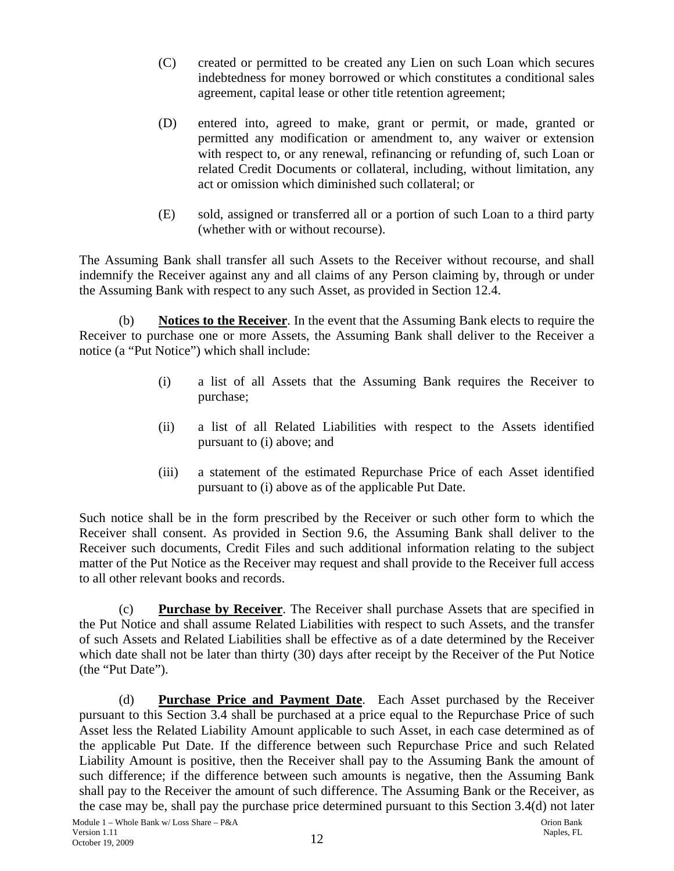- (C) created or permitted to be created any Lien on such Loan which secures indebtedness for money borrowed or which constitutes a conditional sales agreement, capital lease or other title retention agreement;
- (D) entered into, agreed to make, grant or permit, or made, granted or permitted any modification or amendment to, any waiver or extension with respect to, or any renewal, refinancing or refunding of, such Loan or related Credit Documents or collateral, including, without limitation, any act or omission which diminished such collateral; or
- (E) sold, assigned or transferred all or a portion of such Loan to a third party (whether with or without recourse).

The Assuming Bank shall transfer all such Assets to the Receiver without recourse, and shall indemnify the Receiver against any and all claims of any Person claiming by, through or under the Assuming Bank with respect to any such Asset, as provided in Section 12.4.

(b) **Notices to the Receiver**. In the event that the Assuming Bank elects to require the Receiver to purchase one or more Assets, the Assuming Bank shall deliver to the Receiver a notice (a "Put Notice") which shall include:

- (i) a list of all Assets that the Assuming Bank requires the Receiver to purchase;
- (ii) a list of all Related Liabilities with respect to the Assets identified pursuant to (i) above; and
- (iii) a statement of the estimated Repurchase Price of each Asset identified pursuant to (i) above as of the applicable Put Date.

Such notice shall be in the form prescribed by the Receiver or such other form to which the Receiver shall consent. As provided in Section 9.6, the Assuming Bank shall deliver to the Receiver such documents, Credit Files and such additional information relating to the subject matter of the Put Notice as the Receiver may request and shall provide to the Receiver full access to all other relevant books and records.

(c) **Purchase by Receiver**. The Receiver shall purchase Assets that are specified in the Put Notice and shall assume Related Liabilities with respect to such Assets, and the transfer of such Assets and Related Liabilities shall be effective as of a date determined by the Receiver which date shall not be later than thirty (30) days after receipt by the Receiver of the Put Notice (the "Put Date").

(d) **Purchase Price and Payment Date**. Each Asset purchased by the Receiver pursuant to this Section 3.4 shall be purchased at a price equal to the Repurchase Price of such Asset less the Related Liability Amount applicable to such Asset, in each case determined as of the applicable Put Date. If the difference between such Repurchase Price and such Related Liability Amount is positive, then the Receiver shall pay to the Assuming Bank the amount of such difference; if the difference between such amounts is negative, then the Assuming Bank shall pay to the Receiver the amount of such difference. The Assuming Bank or the Receiver, as the case may be, shall pay the purchase price determined pursuant to this Section 3.4(d) not later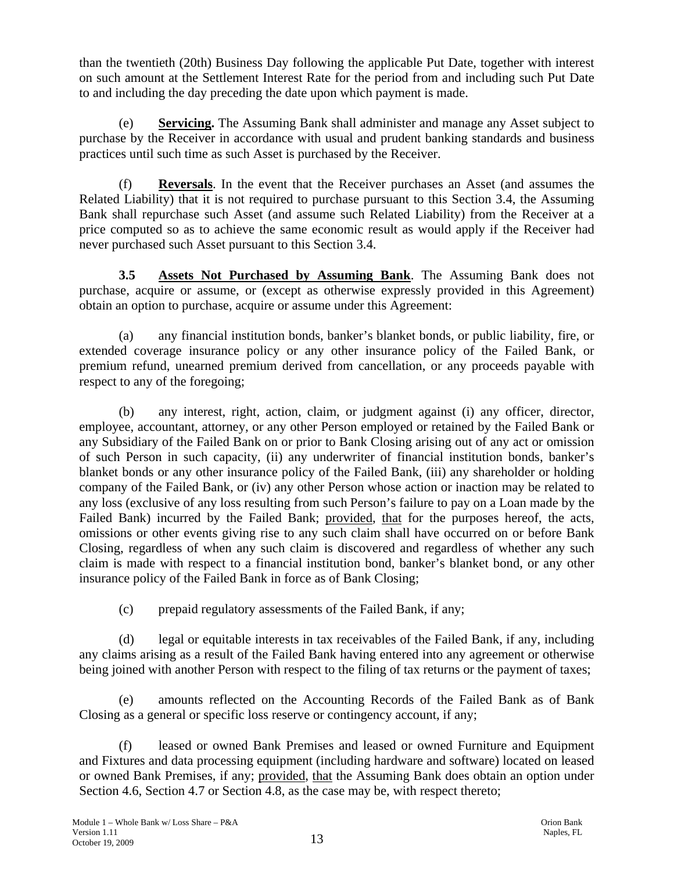than the twentieth (20th) Business Day following the applicable Put Date, together with interest on such amount at the Settlement Interest Rate for the period from and including such Put Date to and including the day preceding the date upon which payment is made.

(e) **Servicing.** The Assuming Bank shall administer and manage any Asset subject to purchase by the Receiver in accordance with usual and prudent banking standards and business practices until such time as such Asset is purchased by the Receiver.

(f) **Reversals**. In the event that the Receiver purchases an Asset (and assumes the Related Liability) that it is not required to purchase pursuant to this Section 3.4, the Assuming Bank shall repurchase such Asset (and assume such Related Liability) from the Receiver at a price computed so as to achieve the same economic result as would apply if the Receiver had never purchased such Asset pursuant to this Section 3.4.

<span id="page-16-0"></span>**3.5 Assets Not Purchased by Assuming Bank**. The Assuming Bank does not purchase, acquire or assume, or (except as otherwise expressly provided in this Agreement) obtain an option to purchase, acquire or assume under this Agreement:

(a) any financial institution bonds, banker's blanket bonds, or public liability, fire, or extended coverage insurance policy or any other insurance policy of the Failed Bank, or premium refund, unearned premium derived from cancellation, or any proceeds payable with respect to any of the foregoing;

(b) any interest, right, action, claim, or judgment against (i) any officer, director, employee, accountant, attorney, or any other Person employed or retained by the Failed Bank or any Subsidiary of the Failed Bank on or prior to Bank Closing arising out of any act or omission of such Person in such capacity, (ii) any underwriter of financial institution bonds, banker's blanket bonds or any other insurance policy of the Failed Bank, (iii) any shareholder or holding company of the Failed Bank, or (iv) any other Person whose action or inaction may be related to any loss (exclusive of any loss resulting from such Person's failure to pay on a Loan made by the Failed Bank) incurred by the Failed Bank; provided, that for the purposes hereof, the acts, omissions or other events giving rise to any such claim shall have occurred on or before Bank Closing, regardless of when any such claim is discovered and regardless of whether any such claim is made with respect to a financial institution bond, banker's blanket bond, or any other insurance policy of the Failed Bank in force as of Bank Closing;

(c) prepaid regulatory assessments of the Failed Bank, if any;

(d) legal or equitable interests in tax receivables of the Failed Bank, if any, including any claims arising as a result of the Failed Bank having entered into any agreement or otherwise being joined with another Person with respect to the filing of tax returns or the payment of taxes;

(e) amounts reflected on the Accounting Records of the Failed Bank as of Bank Closing as a general or specific loss reserve or contingency account, if any;

(f) leased or owned Bank Premises and leased or owned Furniture and Equipment and Fixtures and data processing equipment (including hardware and software) located on leased or owned Bank Premises, if any; provided, that the Assuming Bank does obtain an option under Section 4.6, Section 4.7 or Section 4.8, as the case may be, with respect thereto;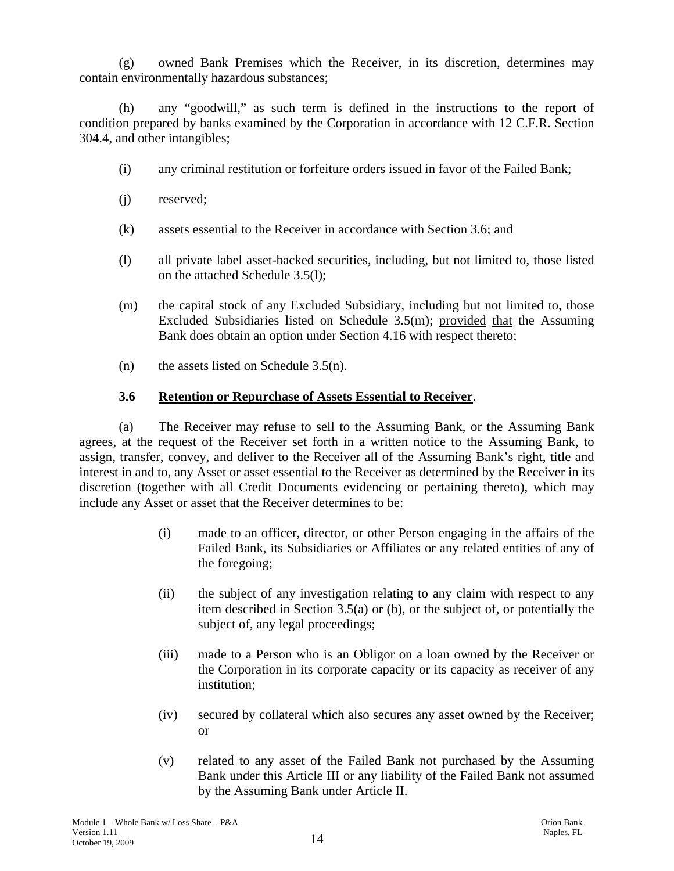(g) owned Bank Premises which the Receiver, in its discretion, determines may contain environmentally hazardous substances;

(h) any "goodwill," as such term is defined in the instructions to the report of condition prepared by banks examined by the Corporation in accordance with 12 C.F.R. Section 304.4, and other intangibles;

- (i) any criminal restitution or forfeiture orders issued in favor of the Failed Bank;
- (j) reserved;
- (k) assets essential to the Receiver in accordance with Section 3.6; and
- (l) all private label asset-backed securities, including, but not limited to, those listed on the attached Schedule 3.5(l);
- (m) the capital stock of any Excluded Subsidiary, including but not limited to, those Excluded Subsidiaries listed on Schedule 3.5(m); provided that the Assuming Bank does obtain an option under Section 4.16 with respect thereto;
- (n) the assets listed on Schedule  $3.5(n)$ .

## **3.6 Retention or Repurchase of Assets Essential to Receiver**.

<span id="page-17-0"></span>(a) The Receiver may refuse to sell to the Assuming Bank, or the Assuming Bank agrees, at the request of the Receiver set forth in a written notice to the Assuming Bank, to assign, transfer, convey, and deliver to the Receiver all of the Assuming Bank's right, title and interest in and to, any Asset or asset essential to the Receiver as determined by the Receiver in its discretion (together with all Credit Documents evidencing or pertaining thereto), which may include any Asset or asset that the Receiver determines to be:

- (i) made to an officer, director, or other Person engaging in the affairs of the Failed Bank, its Subsidiaries or Affiliates or any related entities of any of the foregoing;
- (ii) the subject of any investigation relating to any claim with respect to any item described in Section 3.5(a) or (b), or the subject of, or potentially the subject of, any legal proceedings;
- (iii) made to a Person who is an Obligor on a loan owned by the Receiver or the Corporation in its corporate capacity or its capacity as receiver of any institution;
- (iv) secured by collateral which also secures any asset owned by the Receiver; or
- (v) related to any asset of the Failed Bank not purchased by the Assuming Bank under this Article III or any liability of the Failed Bank not assumed by the Assuming Bank under Article II.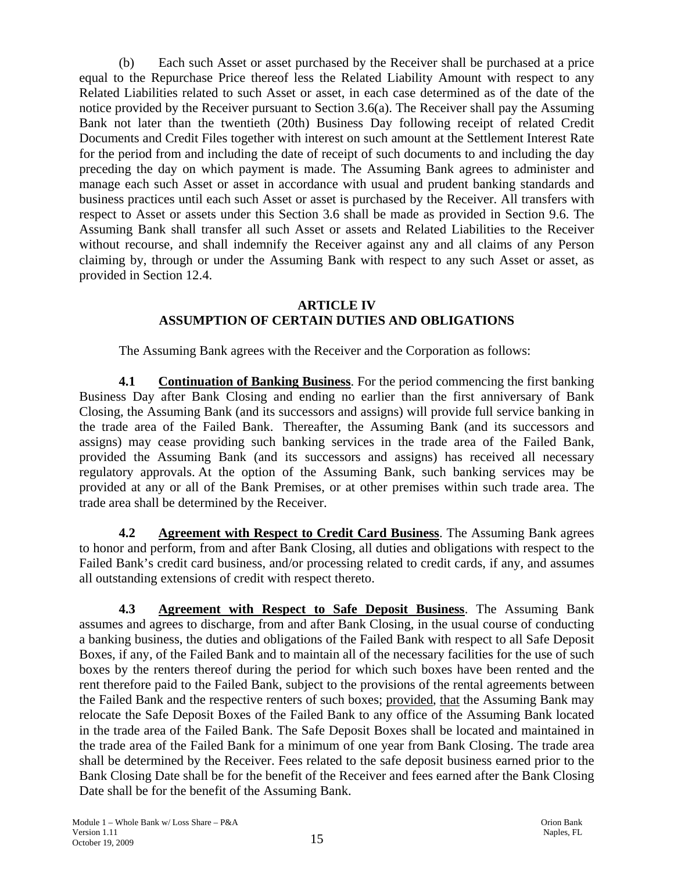(b) Each such Asset or asset purchased by the Receiver shall be purchased at a price equal to the Repurchase Price thereof less the Related Liability Amount with respect to any Related Liabilities related to such Asset or asset, in each case determined as of the date of the notice provided by the Receiver pursuant to Section 3.6(a). The Receiver shall pay the Assuming Bank not later than the twentieth (20th) Business Day following receipt of related Credit Documents and Credit Files together with interest on such amount at the Settlement Interest Rate for the period from and including the date of receipt of such documents to and including the day preceding the day on which payment is made. The Assuming Bank agrees to administer and manage each such Asset or asset in accordance with usual and prudent banking standards and business practices until each such Asset or asset is purchased by the Receiver. All transfers with respect to Asset or assets under this Section 3.6 shall be made as provided in Section 9.6. The Assuming Bank shall transfer all such Asset or assets and Related Liabilities to the Receiver without recourse, and shall indemnify the Receiver against any and all claims of any Person claiming by, through or under the Assuming Bank with respect to any such Asset or asset, as provided in Section 12.4.

#### **ARTICLE IV ASSUMPTION OF CERTAIN DUTIES AND OBLIGATIONS**

The Assuming Bank agrees with the Receiver and the Corporation as follows:

<span id="page-18-1"></span><span id="page-18-0"></span>**4.1 Continuation of Banking Business**. For the period commencing the first banking Business Day after Bank Closing and ending no earlier than the first anniversary of Bank Closing, the Assuming Bank (and its successors and assigns) will provide full service banking in the trade area of the Failed Bank. Thereafter, the Assuming Bank (and its successors and assigns) may cease providing such banking services in the trade area of the Failed Bank, provided the Assuming Bank (and its successors and assigns) has received all necessary regulatory approvals. At the option of the Assuming Bank, such banking services may be provided at any or all of the Bank Premises, or at other premises within such trade area. The trade area shall be determined by the Receiver.

**4.2 Agreement with Respect to Credit Card Business**. The Assuming Bank agrees to honor and perform, from and after Bank Closing, all duties and obligations with respect to the Failed Bank's credit card business, and/or processing related to credit cards, if any, and assumes all outstanding extensions of credit with respect thereto.

**4.3 Agreement with Respect to Safe Deposit Business**. The Assuming Bank assumes and agrees to discharge, from and after Bank Closing, in the usual course of conducting a banking business, the duties and obligations of the Failed Bank with respect to all Safe Deposit Boxes, if any, of the Failed Bank and to maintain all of the necessary facilities for the use of such boxes by the renters thereof during the period for which such boxes have been rented and the rent therefore paid to the Failed Bank, subject to the provisions of the rental agreements between the Failed Bank and the respective renters of such boxes; provided, that the Assuming Bank may relocate the Safe Deposit Boxes of the Failed Bank to any office of the Assuming Bank located in the trade area of the Failed Bank. The Safe Deposit Boxes shall be located and maintained in the trade area of the Failed Bank for a minimum of one year from Bank Closing. The trade area shall be determined by the Receiver. Fees related to the safe deposit business earned prior to the Bank Closing Date shall be for the benefit of the Receiver and fees earned after the Bank Closing Date shall be for the benefit of the Assuming Bank.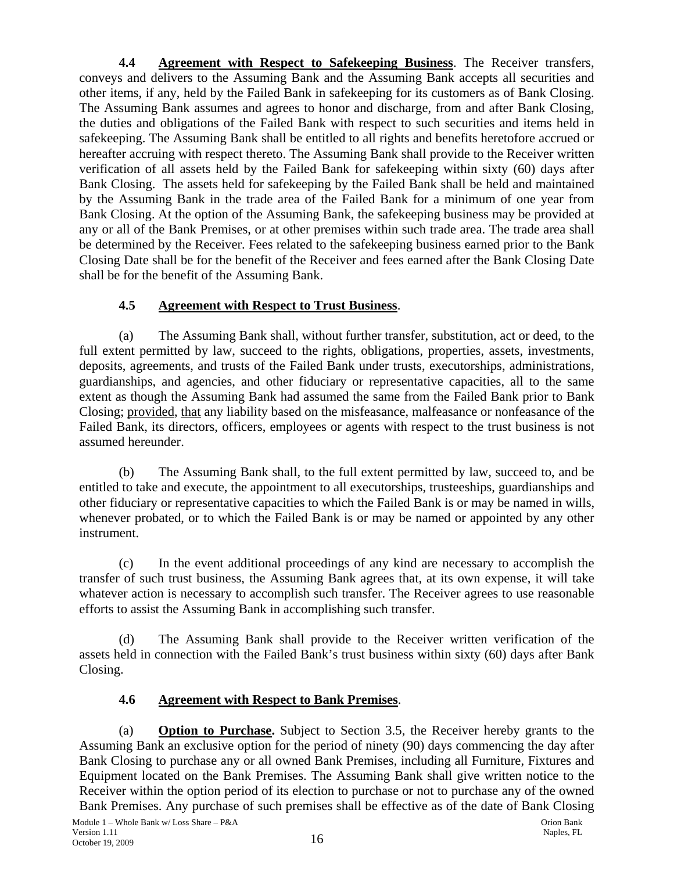**4.4 Agreement with Respect to Safekeeping Business**. The Receiver transfers, conveys and delivers to the Assuming Bank and the Assuming Bank accepts all securities and other items, if any, held by the Failed Bank in safekeeping for its customers as of Bank Closing. The Assuming Bank assumes and agrees to honor and discharge, from and after Bank Closing, the duties and obligations of the Failed Bank with respect to such securities and items held in safekeeping. The Assuming Bank shall be entitled to all rights and benefits heretofore accrued or hereafter accruing with respect thereto. The Assuming Bank shall provide to the Receiver written verification of all assets held by the Failed Bank for safekeeping within sixty (60) days after Bank Closing. The assets held for safekeeping by the Failed Bank shall be held and maintained by the Assuming Bank in the trade area of the Failed Bank for a minimum of one year from Bank Closing. At the option of the Assuming Bank, the safekeeping business may be provided at any or all of the Bank Premises, or at other premises within such trade area. The trade area shall be determined by the Receiver. Fees related to the safekeeping business earned prior to the Bank Closing Date shall be for the benefit of the Receiver and fees earned after the Bank Closing Date shall be for the benefit of the Assuming Bank.

# **4.5 Agreement with Respect to Trust Business**.

<span id="page-19-0"></span>(a) The Assuming Bank shall, without further transfer, substitution, act or deed, to the full extent permitted by law, succeed to the rights, obligations, properties, assets, investments, deposits, agreements, and trusts of the Failed Bank under trusts, executorships, administrations, guardianships, and agencies, and other fiduciary or representative capacities, all to the same extent as though the Assuming Bank had assumed the same from the Failed Bank prior to Bank Closing; provided, that any liability based on the misfeasance, malfeasance or nonfeasance of the Failed Bank, its directors, officers, employees or agents with respect to the trust business is not assumed hereunder.

(b) The Assuming Bank shall, to the full extent permitted by law, succeed to, and be entitled to take and execute, the appointment to all executorships, trusteeships, guardianships and other fiduciary or representative capacities to which the Failed Bank is or may be named in wills, whenever probated, or to which the Failed Bank is or may be named or appointed by any other instrument.

(c) In the event additional proceedings of any kind are necessary to accomplish the transfer of such trust business, the Assuming Bank agrees that, at its own expense, it will take whatever action is necessary to accomplish such transfer. The Receiver agrees to use reasonable efforts to assist the Assuming Bank in accomplishing such transfer.

(d) The Assuming Bank shall provide to the Receiver written verification of the assets held in connection with the Failed Bank's trust business within sixty (60) days after Bank Closing.

# **4.6 Agreement with Respect to Bank Premises**.

<span id="page-19-1"></span>(a) **Option to Purchase.** Subject to Section 3.5, the Receiver hereby grants to the Assuming Bank an exclusive option for the period of ninety (90) days commencing the day after Bank Closing to purchase any or all owned Bank Premises, including all Furniture, Fixtures and Equipment located on the Bank Premises. The Assuming Bank shall give written notice to the Receiver within the option period of its election to purchase or not to purchase any of the owned Bank Premises. Any purchase of such premises shall be effective as of the date of Bank Closing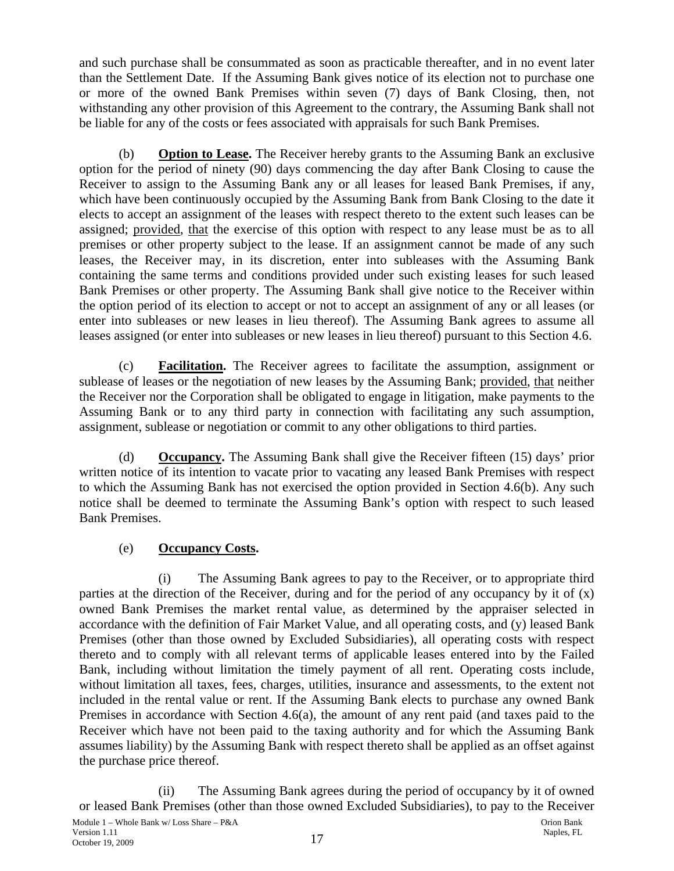and such purchase shall be consummated as soon as practicable thereafter, and in no event later than the Settlement Date. If the Assuming Bank gives notice of its election not to purchase one or more of the owned Bank Premises within seven (7) days of Bank Closing, then, not withstanding any other provision of this Agreement to the contrary, the Assuming Bank shall not be liable for any of the costs or fees associated with appraisals for such Bank Premises.

(b) **Option to Lease.** The Receiver hereby grants to the Assuming Bank an exclusive option for the period of ninety (90) days commencing the day after Bank Closing to cause the Receiver to assign to the Assuming Bank any or all leases for leased Bank Premises, if any, which have been continuously occupied by the Assuming Bank from Bank Closing to the date it elects to accept an assignment of the leases with respect thereto to the extent such leases can be assigned; provided, that the exercise of this option with respect to any lease must be as to all premises or other property subject to the lease. If an assignment cannot be made of any such leases, the Receiver may, in its discretion, enter into subleases with the Assuming Bank containing the same terms and conditions provided under such existing leases for such leased Bank Premises or other property. The Assuming Bank shall give notice to the Receiver within the option period of its election to accept or not to accept an assignment of any or all leases (or enter into subleases or new leases in lieu thereof). The Assuming Bank agrees to assume all leases assigned (or enter into subleases or new leases in lieu thereof) pursuant to this Section 4.6.

(c) **Facilitation.** The Receiver agrees to facilitate the assumption, assignment or sublease of leases or the negotiation of new leases by the Assuming Bank; provided, that neither the Receiver nor the Corporation shall be obligated to engage in litigation, make payments to the Assuming Bank or to any third party in connection with facilitating any such assumption, assignment, sublease or negotiation or commit to any other obligations to third parties.

(d) **Occupancy.** The Assuming Bank shall give the Receiver fifteen (15) days' prior written notice of its intention to vacate prior to vacating any leased Bank Premises with respect to which the Assuming Bank has not exercised the option provided in Section 4.6(b). Any such notice shall be deemed to terminate the Assuming Bank's option with respect to such leased Bank Premises.

# (e) **Occupancy Costs.**

(i) The Assuming Bank agrees to pay to the Receiver, or to appropriate third parties at the direction of the Receiver, during and for the period of any occupancy by it of (x) owned Bank Premises the market rental value, as determined by the appraiser selected in accordance with the definition of Fair Market Value, and all operating costs, and (y) leased Bank Premises (other than those owned by Excluded Subsidiaries), all operating costs with respect thereto and to comply with all relevant terms of applicable leases entered into by the Failed Bank, including without limitation the timely payment of all rent. Operating costs include, without limitation all taxes, fees, charges, utilities, insurance and assessments, to the extent not included in the rental value or rent. If the Assuming Bank elects to purchase any owned Bank Premises in accordance with Section 4.6(a), the amount of any rent paid (and taxes paid to the Receiver which have not been paid to the taxing authority and for which the Assuming Bank assumes liability) by the Assuming Bank with respect thereto shall be applied as an offset against the purchase price thereof.

(ii) The Assuming Bank agrees during the period of occupancy by it of owned or leased Bank Premises (other than those owned Excluded Subsidiaries), to pay to the Receiver Module 1 – Whole Bank w/ Loss Share – P&A Orion Bank Version 1.11 Naples, FL Version 1.11<br>October 19, 2009 17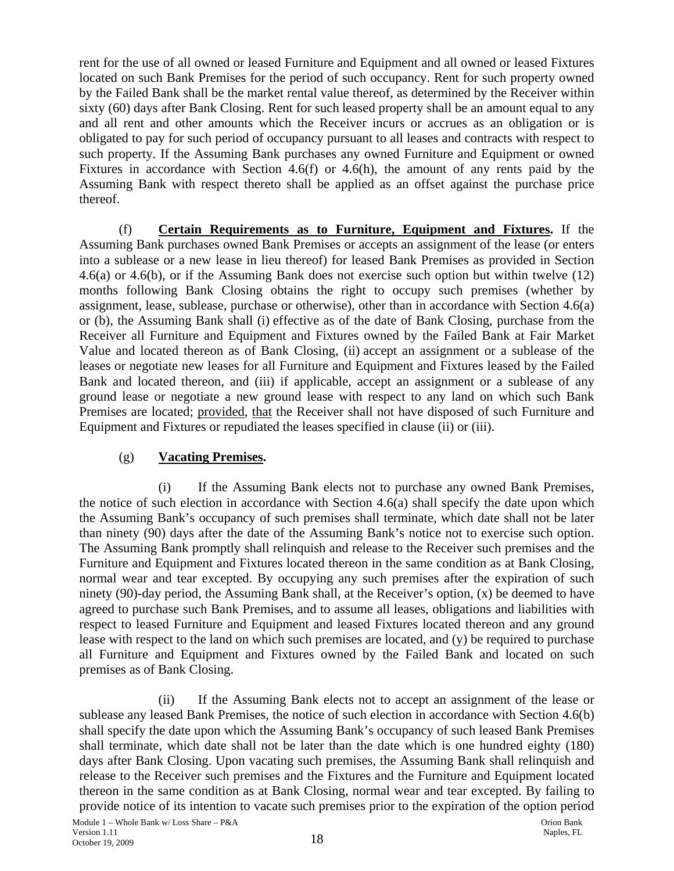rent for the use of all owned or leased Furniture and Equipment and all owned or leased Fixtures located on such Bank Premises for the period of such occupancy. Rent for such property owned by the Failed Bank shall be the market rental value thereof, as determined by the Receiver within sixty (60) days after Bank Closing. Rent for such leased property shall be an amount equal to any and all rent and other amounts which the Receiver incurs or accrues as an obligation or is obligated to pay for such period of occupancy pursuant to all leases and contracts with respect to such property. If the Assuming Bank purchases any owned Furniture and Equipment or owned Fixtures in accordance with Section 4.6(f) or 4.6(h), the amount of any rents paid by the Assuming Bank with respect thereto shall be applied as an offset against the purchase price thereof.

(f) **Certain Requirements as to Furniture, Equipment and Fixtures.** If the Assuming Bank purchases owned Bank Premises or accepts an assignment of the lease (or enters into a sublease or a new lease in lieu thereof) for leased Bank Premises as provided in Section 4.6(a) or 4.6(b), or if the Assuming Bank does not exercise such option but within twelve (12) months following Bank Closing obtains the right to occupy such premises (whether by assignment, lease, sublease, purchase or otherwise), other than in accordance with Section 4.6(a) or (b), the Assuming Bank shall (i) effective as of the date of Bank Closing, purchase from the Receiver all Furniture and Equipment and Fixtures owned by the Failed Bank at Fair Market Value and located thereon as of Bank Closing, (ii) accept an assignment or a sublease of the leases or negotiate new leases for all Furniture and Equipment and Fixtures leased by the Failed Bank and located thereon, and (iii) if applicable, accept an assignment or a sublease of any ground lease or negotiate a new ground lease with respect to any land on which such Bank Premises are located; provided, that the Receiver shall not have disposed of such Furniture and Equipment and Fixtures or repudiated the leases specified in clause (ii) or (iii).

## (g) **Vacating Premises.**

(i) If the Assuming Bank elects not to purchase any owned Bank Premises, the notice of such election in accordance with Section 4.6(a) shall specify the date upon which the Assuming Bank's occupancy of such premises shall terminate, which date shall not be later than ninety (90) days after the date of the Assuming Bank's notice not to exercise such option. The Assuming Bank promptly shall relinquish and release to the Receiver such premises and the Furniture and Equipment and Fixtures located thereon in the same condition as at Bank Closing, normal wear and tear excepted. By occupying any such premises after the expiration of such ninety (90)-day period, the Assuming Bank shall, at the Receiver's option, (x) be deemed to have agreed to purchase such Bank Premises, and to assume all leases, obligations and liabilities with respect to leased Furniture and Equipment and leased Fixtures located thereon and any ground lease with respect to the land on which such premises are located, and (y) be required to purchase all Furniture and Equipment and Fixtures owned by the Failed Bank and located on such premises as of Bank Closing.

(ii) If the Assuming Bank elects not to accept an assignment of the lease or sublease any leased Bank Premises, the notice of such election in accordance with Section 4.6(b) shall specify the date upon which the Assuming Bank's occupancy of such leased Bank Premises shall terminate, which date shall not be later than the date which is one hundred eighty (180) days after Bank Closing. Upon vacating such premises, the Assuming Bank shall relinquish and release to the Receiver such premises and the Fixtures and the Furniture and Equipment located thereon in the same condition as at Bank Closing, normal wear and tear excepted. By failing to provide notice of its intention to vacate such premises prior to the expiration of the option period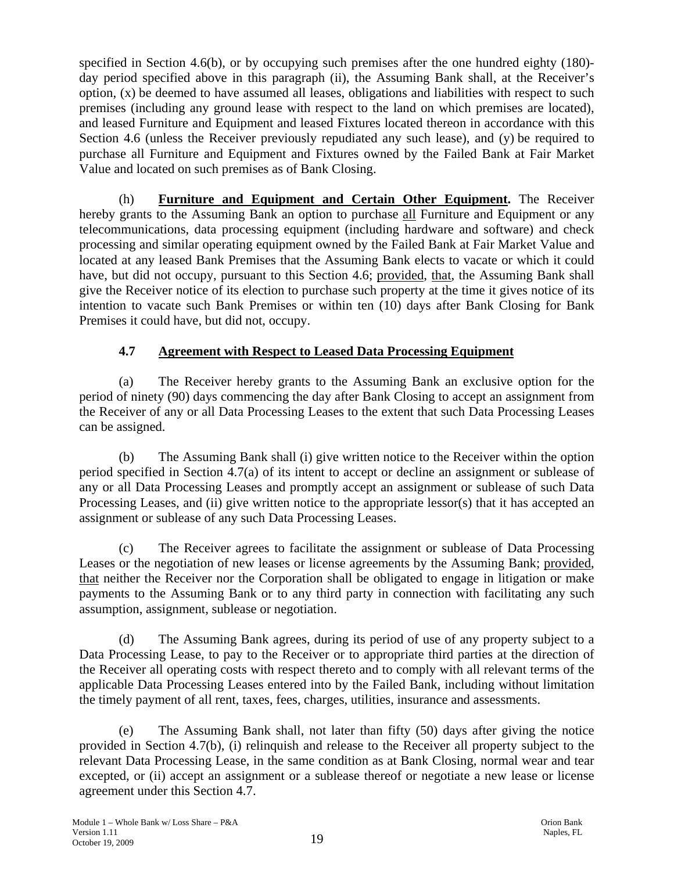specified in Section 4.6(b), or by occupying such premises after the one hundred eighty (180) day period specified above in this paragraph (ii), the Assuming Bank shall, at the Receiver's option, (x) be deemed to have assumed all leases, obligations and liabilities with respect to such premises (including any ground lease with respect to the land on which premises are located), and leased Furniture and Equipment and leased Fixtures located thereon in accordance with this Section 4.6 (unless the Receiver previously repudiated any such lease), and (y) be required to purchase all Furniture and Equipment and Fixtures owned by the Failed Bank at Fair Market Value and located on such premises as of Bank Closing.

(h) **Furniture and Equipment and Certain Other Equipment.** The Receiver hereby grants to the Assuming Bank an option to purchase all Furniture and Equipment or any telecommunications, data processing equipment (including hardware and software) and check processing and similar operating equipment owned by the Failed Bank at Fair Market Value and located at any leased Bank Premises that the Assuming Bank elects to vacate or which it could have, but did not occupy, pursuant to this Section 4.6; provided, that, the Assuming Bank shall give the Receiver notice of its election to purchase such property at the time it gives notice of its intention to vacate such Bank Premises or within ten (10) days after Bank Closing for Bank Premises it could have, but did not, occupy.

# **4.7 Agreement with Respect to Leased Data Processing Equipment**

<span id="page-22-0"></span>(a) The Receiver hereby grants to the Assuming Bank an exclusive option for the period of ninety (90) days commencing the day after Bank Closing to accept an assignment from the Receiver of any or all Data Processing Leases to the extent that such Data Processing Leases can be assigned.

(b) The Assuming Bank shall (i) give written notice to the Receiver within the option period specified in Section 4.7(a) of its intent to accept or decline an assignment or sublease of any or all Data Processing Leases and promptly accept an assignment or sublease of such Data Processing Leases, and (ii) give written notice to the appropriate lessor(s) that it has accepted an assignment or sublease of any such Data Processing Leases.

(c) The Receiver agrees to facilitate the assignment or sublease of Data Processing Leases or the negotiation of new leases or license agreements by the Assuming Bank; provided, that neither the Receiver nor the Corporation shall be obligated to engage in litigation or make payments to the Assuming Bank or to any third party in connection with facilitating any such assumption, assignment, sublease or negotiation.

(d) The Assuming Bank agrees, during its period of use of any property subject to a Data Processing Lease, to pay to the Receiver or to appropriate third parties at the direction of the Receiver all operating costs with respect thereto and to comply with all relevant terms of the applicable Data Processing Leases entered into by the Failed Bank, including without limitation the timely payment of all rent, taxes, fees, charges, utilities, insurance and assessments.

(e) The Assuming Bank shall, not later than fifty (50) days after giving the notice provided in Section 4.7(b), (i) relinquish and release to the Receiver all property subject to the relevant Data Processing Lease, in the same condition as at Bank Closing, normal wear and tear excepted, or (ii) accept an assignment or a sublease thereof or negotiate a new lease or license agreement under this Section 4.7.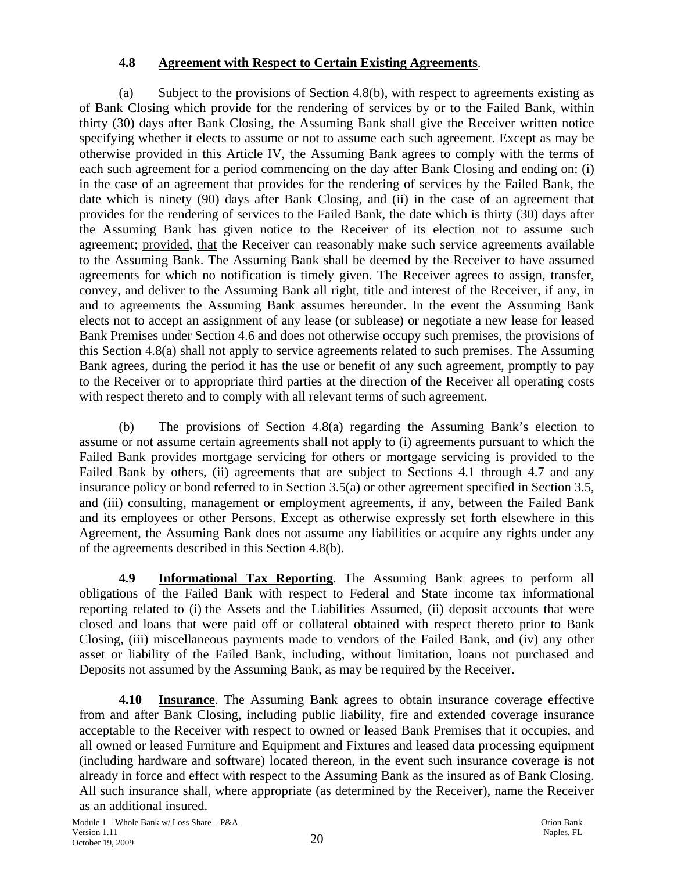### **4.8 Agreement with Respect to Certain Existing Agreements**.

(a) Subject to the provisions of Section 4.8(b), with respect to agreements existing as of Bank Closing which provide for the rendering of services by or to the Failed Bank, within thirty (30) days after Bank Closing, the Assuming Bank shall give the Receiver written notice specifying whether it elects to assume or not to assume each such agreement. Except as may be otherwise provided in this Article IV, the Assuming Bank agrees to comply with the terms of each such agreement for a period commencing on the day after Bank Closing and ending on: (i) in the case of an agreement that provides for the rendering of services by the Failed Bank, the date which is ninety (90) days after Bank Closing, and (ii) in the case of an agreement that provides for the rendering of services to the Failed Bank, the date which is thirty (30) days after the Assuming Bank has given notice to the Receiver of its election not to assume such agreement; provided, that the Receiver can reasonably make such service agreements available to the Assuming Bank. The Assuming Bank shall be deemed by the Receiver to have assumed agreements for which no notification is timely given. The Receiver agrees to assign, transfer, convey, and deliver to the Assuming Bank all right, title and interest of the Receiver, if any, in and to agreements the Assuming Bank assumes hereunder. In the event the Assuming Bank elects not to accept an assignment of any lease (or sublease) or negotiate a new lease for leased Bank Premises under Section 4.6 and does not otherwise occupy such premises, the provisions of this Section 4.8(a) shall not apply to service agreements related to such premises. The Assuming Bank agrees, during the period it has the use or benefit of any such agreement, promptly to pay to the Receiver or to appropriate third parties at the direction of the Receiver all operating costs with respect thereto and to comply with all relevant terms of such agreement.

(b) The provisions of Section 4.8(a) regarding the Assuming Bank's election to assume or not assume certain agreements shall not apply to (i) agreements pursuant to which the Failed Bank provides mortgage servicing for others or mortgage servicing is provided to the Failed Bank by others, (ii) agreements that are subject to Sections 4.1 through 4.7 and any insurance policy or bond referred to in Section 3.5(a) or other agreement specified in Section 3.5, and (iii) consulting, management or employment agreements, if any, between the Failed Bank and its employees or other Persons. Except as otherwise expressly set forth elsewhere in this Agreement, the Assuming Bank does not assume any liabilities or acquire any rights under any of the agreements described in this Section 4.8(b).

<span id="page-23-1"></span>**4.9 Informational Tax Reporting**. The Assuming Bank agrees to perform all obligations of the Failed Bank with respect to Federal and State income tax informational reporting related to (i) the Assets and the Liabilities Assumed, (ii) deposit accounts that were closed and loans that were paid off or collateral obtained with respect thereto prior to Bank Closing, (iii) miscellaneous payments made to vendors of the Failed Bank, and (iv) any other asset or liability of the Failed Bank, including, without limitation, loans not purchased and Deposits not assumed by the Assuming Bank, as may be required by the Receiver.

<span id="page-23-2"></span><span id="page-23-0"></span>**4.10 Insurance**. The Assuming Bank agrees to obtain insurance coverage effective from and after Bank Closing, including public liability, fire and extended coverage insurance acceptable to the Receiver with respect to owned or leased Bank Premises that it occupies, and all owned or leased Furniture and Equipment and Fixtures and leased data processing equipment (including hardware and software) located thereon, in the event such insurance coverage is not already in force and effect with respect to the Assuming Bank as the insured as of Bank Closing. All such insurance shall, where appropriate (as determined by the Receiver), name the Receiver as an additional insured.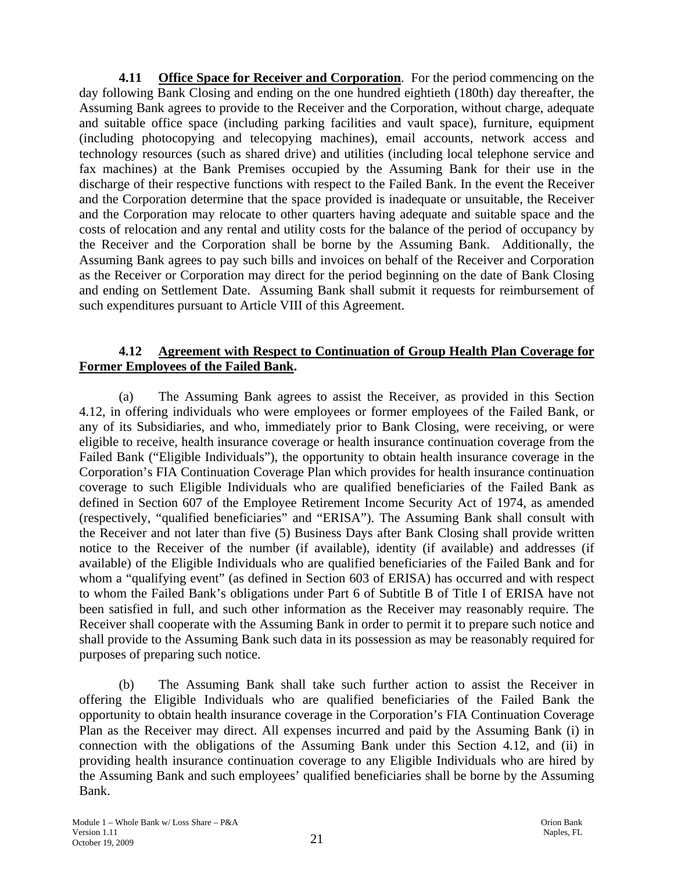<span id="page-24-0"></span> **4.11 Office Space for Receiver and Corporation**. For the period commencing on the day following Bank Closing and ending on the one hundred eightieth (180th) day thereafter, the Assuming Bank agrees to provide to the Receiver and the Corporation, without charge, adequate and suitable office space (including parking facilities and vault space), furniture, equipment (including photocopying and telecopying machines), email accounts, network access and technology resources (such as shared drive) and utilities (including local telephone service and fax machines) at the Bank Premises occupied by the Assuming Bank for their use in the discharge of their respective functions with respect to the Failed Bank. In the event the Receiver and the Corporation determine that the space provided is inadequate or unsuitable, the Receiver and the Corporation may relocate to other quarters having adequate and suitable space and the costs of relocation and any rental and utility costs for the balance of the period of occupancy by the Receiver and the Corporation shall be borne by the Assuming Bank. Additionally, the Assuming Bank agrees to pay such bills and invoices on behalf of the Receiver and Corporation as the Receiver or Corporation may direct for the period beginning on the date of Bank Closing and ending on Settlement Date. Assuming Bank shall submit it requests for reimbursement of such expenditures pursuant to Article VIII of this Agreement.

## <span id="page-24-1"></span>**4.12 Agreement with Respect to Continuation of Group Health Plan Coverage for Former Employees of the Failed Bank.**

(a) The Assuming Bank agrees to assist the Receiver, as provided in this Section 4.12, in offering individuals who were employees or former employees of the Failed Bank, or any of its Subsidiaries, and who, immediately prior to Bank Closing, were receiving, or were eligible to receive, health insurance coverage or health insurance continuation coverage from the Failed Bank ("Eligible Individuals"), the opportunity to obtain health insurance coverage in the Corporation's FIA Continuation Coverage Plan which provides for health insurance continuation coverage to such Eligible Individuals who are qualified beneficiaries of the Failed Bank as defined in Section 607 of the Employee Retirement Income Security Act of 1974, as amended (respectively, "qualified beneficiaries" and "ERISA"). The Assuming Bank shall consult with the Receiver and not later than five (5) Business Days after Bank Closing shall provide written notice to the Receiver of the number (if available), identity (if available) and addresses (if available) of the Eligible Individuals who are qualified beneficiaries of the Failed Bank and for whom a "qualifying event" (as defined in Section 603 of ERISA) has occurred and with respect to whom the Failed Bank's obligations under Part 6 of Subtitle B of Title I of ERISA have not been satisfied in full, and such other information as the Receiver may reasonably require. The Receiver shall cooperate with the Assuming Bank in order to permit it to prepare such notice and shall provide to the Assuming Bank such data in its possession as may be reasonably required for purposes of preparing such notice.

(b) The Assuming Bank shall take such further action to assist the Receiver in offering the Eligible Individuals who are qualified beneficiaries of the Failed Bank the opportunity to obtain health insurance coverage in the Corporation's FIA Continuation Coverage Plan as the Receiver may direct. All expenses incurred and paid by the Assuming Bank (i) in connection with the obligations of the Assuming Bank under this Section 4.12, and (ii) in providing health insurance continuation coverage to any Eligible Individuals who are hired by the Assuming Bank and such employees' qualified beneficiaries shall be borne by the Assuming Bank.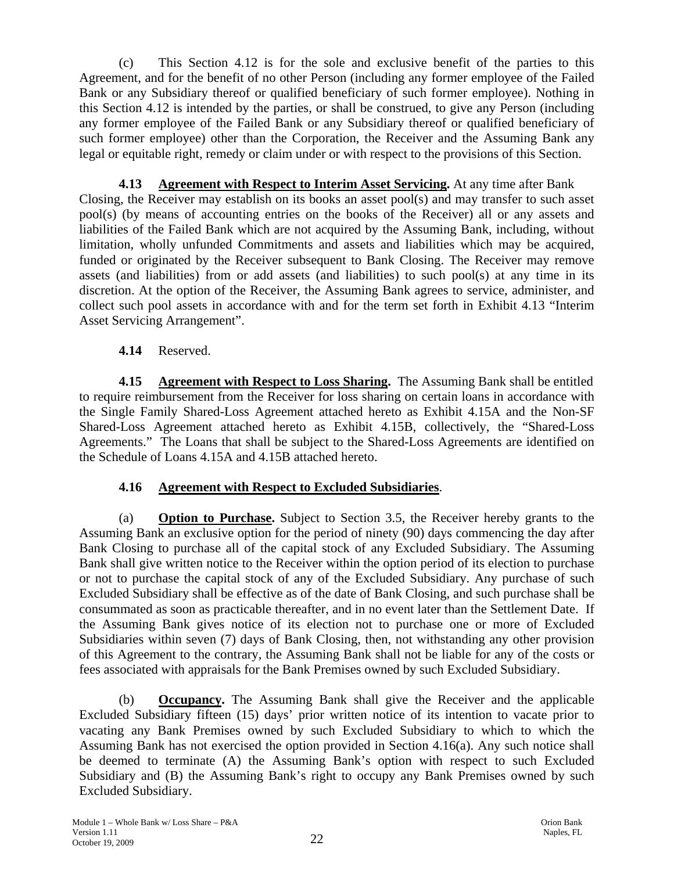(c) This Section 4.12 is for the sole and exclusive benefit of the parties to this Agreement, and for the benefit of no other Person (including any former employee of the Failed Bank or any Subsidiary thereof or qualified beneficiary of such former employee). Nothing in this Section 4.12 is intended by the parties, or shall be construed, to give any Person (including any former employee of the Failed Bank or any Subsidiary thereof or qualified beneficiary of such former employee) other than the Corporation, the Receiver and the Assuming Bank any legal or equitable right, remedy or claim under or with respect to the provisions of this Section.

<span id="page-25-0"></span>**4.13 Agreement with Respect to Interim Asset Servicing.** At any time after Bank Closing, the Receiver may establish on its books an asset pool(s) and may transfer to such asset pool(s) (by means of accounting entries on the books of the Receiver) all or any assets and liabilities of the Failed Bank which are not acquired by the Assuming Bank, including, without limitation, wholly unfunded Commitments and assets and liabilities which may be acquired, funded or originated by the Receiver subsequent to Bank Closing. The Receiver may remove assets (and liabilities) from or add assets (and liabilities) to such pool(s) at any time in its discretion. At the option of the Receiver, the Assuming Bank agrees to service, administer, and collect such pool assets in accordance with and for the term set forth in Exhibit 4.13 "Interim Asset Servicing Arrangement".

# **4.14** Reserved.

**4.15 Agreement with Respect to Loss Sharing.** The Assuming Bank shall be entitled to require reimbursement from the Receiver for loss sharing on certain loans in accordance with the Single Family Shared-Loss Agreement attached hereto as Exhibit 4.15A and the Non-SF Shared-Loss Agreement attached hereto as Exhibit 4.15B, collectively, the "Shared-Loss Agreements." The Loans that shall be subject to the Shared-Loss Agreements are identified on the Schedule of Loans 4.15A and 4.15B attached hereto.

# **4.16 Agreement with Respect to Excluded Subsidiaries**.

(a) **Option to Purchase.** Subject to Section 3.5, the Receiver hereby grants to the Assuming Bank an exclusive option for the period of ninety (90) days commencing the day after Bank Closing to purchase all of the capital stock of any Excluded Subsidiary. The Assuming Bank shall give written notice to the Receiver within the option period of its election to purchase or not to purchase the capital stock of any of the Excluded Subsidiary. Any purchase of such Excluded Subsidiary shall be effective as of the date of Bank Closing, and such purchase shall be consummated as soon as practicable thereafter, and in no event later than the Settlement Date. If the Assuming Bank gives notice of its election not to purchase one or more of Excluded Subsidiaries within seven (7) days of Bank Closing, then, not withstanding any other provision of this Agreement to the contrary, the Assuming Bank shall not be liable for any of the costs or fees associated with appraisals for the Bank Premises owned by such Excluded Subsidiary.

(b) **Occupancy.** The Assuming Bank shall give the Receiver and the applicable Excluded Subsidiary fifteen (15) days' prior written notice of its intention to vacate prior to vacating any Bank Premises owned by such Excluded Subsidiary to which to which the Assuming Bank has not exercised the option provided in Section 4.16(a). Any such notice shall be deemed to terminate (A) the Assuming Bank's option with respect to such Excluded Subsidiary and (B) the Assuming Bank's right to occupy any Bank Premises owned by such Excluded Subsidiary.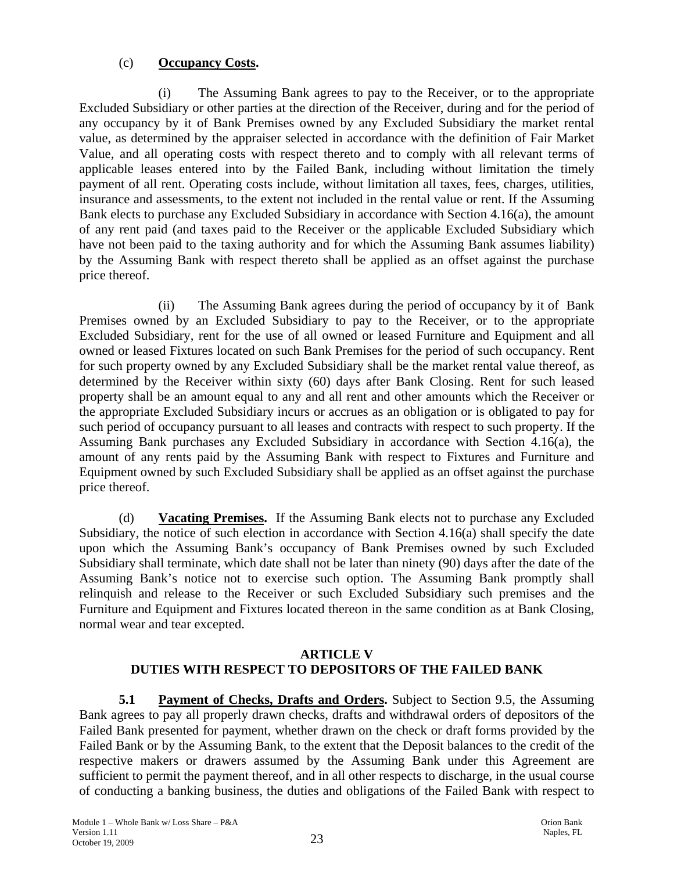## (c) **Occupancy Costs.**

(i) The Assuming Bank agrees to pay to the Receiver, or to the appropriate Excluded Subsidiary or other parties at the direction of the Receiver, during and for the period of any occupancy by it of Bank Premises owned by any Excluded Subsidiary the market rental value, as determined by the appraiser selected in accordance with the definition of Fair Market Value, and all operating costs with respect thereto and to comply with all relevant terms of applicable leases entered into by the Failed Bank, including without limitation the timely payment of all rent. Operating costs include, without limitation all taxes, fees, charges, utilities, insurance and assessments, to the extent not included in the rental value or rent. If the Assuming Bank elects to purchase any Excluded Subsidiary in accordance with Section 4.16(a), the amount of any rent paid (and taxes paid to the Receiver or the applicable Excluded Subsidiary which have not been paid to the taxing authority and for which the Assuming Bank assumes liability) by the Assuming Bank with respect thereto shall be applied as an offset against the purchase price thereof.

(ii) The Assuming Bank agrees during the period of occupancy by it of Bank Premises owned by an Excluded Subsidiary to pay to the Receiver, or to the appropriate Excluded Subsidiary, rent for the use of all owned or leased Furniture and Equipment and all owned or leased Fixtures located on such Bank Premises for the period of such occupancy. Rent for such property owned by any Excluded Subsidiary shall be the market rental value thereof, as determined by the Receiver within sixty (60) days after Bank Closing. Rent for such leased property shall be an amount equal to any and all rent and other amounts which the Receiver or the appropriate Excluded Subsidiary incurs or accrues as an obligation or is obligated to pay for such period of occupancy pursuant to all leases and contracts with respect to such property. If the Assuming Bank purchases any Excluded Subsidiary in accordance with Section 4.16(a), the amount of any rents paid by the Assuming Bank with respect to Fixtures and Furniture and Equipment owned by such Excluded Subsidiary shall be applied as an offset against the purchase price thereof.

(d) **Vacating Premises.** If the Assuming Bank elects not to purchase any Excluded Subsidiary, the notice of such election in accordance with Section 4.16(a) shall specify the date upon which the Assuming Bank's occupancy of Bank Premises owned by such Excluded Subsidiary shall terminate, which date shall not be later than ninety (90) days after the date of the Assuming Bank's notice not to exercise such option. The Assuming Bank promptly shall relinquish and release to the Receiver or such Excluded Subsidiary such premises and the Furniture and Equipment and Fixtures located thereon in the same condition as at Bank Closing, normal wear and tear excepted.

## **ARTICLE V DUTIES WITH RESPECT TO DEPOSITORS OF THE FAILED BANK**

<span id="page-26-1"></span><span id="page-26-0"></span>**5.1 Payment of Checks, Drafts and Orders.** Subject to Section 9.5, the Assuming Bank agrees to pay all properly drawn checks, drafts and withdrawal orders of depositors of the Failed Bank presented for payment, whether drawn on the check or draft forms provided by the Failed Bank or by the Assuming Bank, to the extent that the Deposit balances to the credit of the respective makers or drawers assumed by the Assuming Bank under this Agreement are sufficient to permit the payment thereof, and in all other respects to discharge, in the usual course of conducting a banking business, the duties and obligations of the Failed Bank with respect to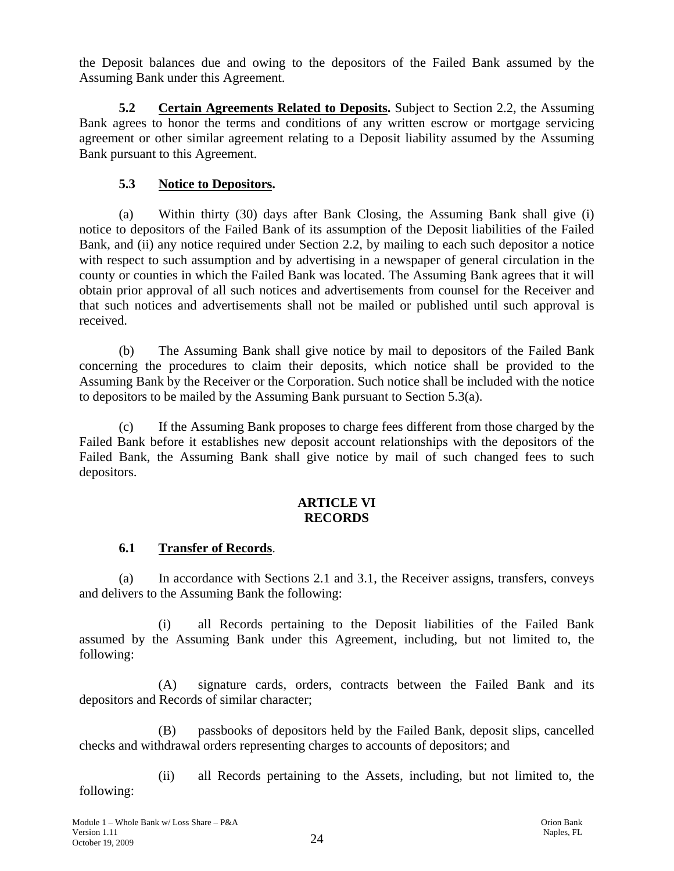the Deposit balances due and owing to the depositors of the Failed Bank assumed by the Assuming Bank under this Agreement.

<span id="page-27-0"></span>**5.2 Certain Agreements Related to Deposits.** Subject to Section 2.2, the Assuming Bank agrees to honor the terms and conditions of any written escrow or mortgage servicing agreement or other similar agreement relating to a Deposit liability assumed by the Assuming Bank pursuant to this Agreement.

## **5.3 Notice to Depositors.**

<span id="page-27-1"></span>(a) Within thirty (30) days after Bank Closing, the Assuming Bank shall give (i) notice to depositors of the Failed Bank of its assumption of the Deposit liabilities of the Failed Bank, and (ii) any notice required under Section 2.2, by mailing to each such depositor a notice with respect to such assumption and by advertising in a newspaper of general circulation in the county or counties in which the Failed Bank was located. The Assuming Bank agrees that it will obtain prior approval of all such notices and advertisements from counsel for the Receiver and that such notices and advertisements shall not be mailed or published until such approval is received.

(b) The Assuming Bank shall give notice by mail to depositors of the Failed Bank concerning the procedures to claim their deposits, which notice shall be provided to the Assuming Bank by the Receiver or the Corporation. Such notice shall be included with the notice to depositors to be mailed by the Assuming Bank pursuant to Section 5.3(a).

(c) If the Assuming Bank proposes to charge fees different from those charged by the Failed Bank before it establishes new deposit account relationships with the depositors of the Failed Bank, the Assuming Bank shall give notice by mail of such changed fees to such depositors.

#### **ARTICLE VI RECORDS**

## **6.1 Transfer of Records**.

<span id="page-27-3"></span><span id="page-27-2"></span>(a) In accordance with Sections 2.1 and 3.1, the Receiver assigns, transfers, conveys and delivers to the Assuming Bank the following:

(i) all Records pertaining to the Deposit liabilities of the Failed Bank assumed by the Assuming Bank under this Agreement, including, but not limited to, the following:

(A) signature cards, orders, contracts between the Failed Bank and its depositors and Records of similar character;

(B) passbooks of depositors held by the Failed Bank, deposit slips, cancelled checks and withdrawal orders representing charges to accounts of depositors; and

(ii) all Records pertaining to the Assets, including, but not limited to, the following: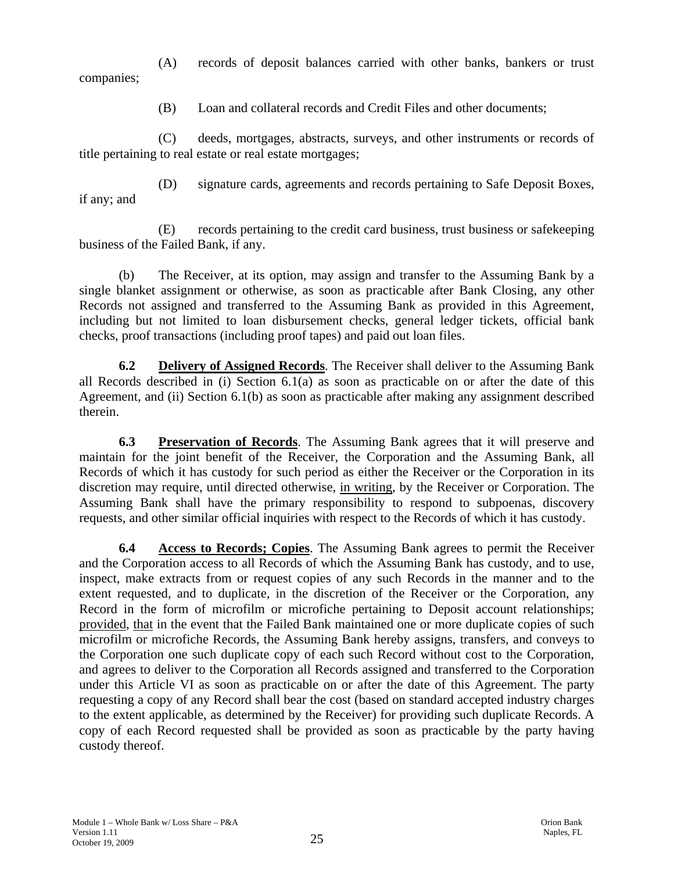(A) records of deposit balances carried with other banks, bankers or trust companies;

(B) Loan and collateral records and Credit Files and other documents;

(C) deeds, mortgages, abstracts, surveys, and other instruments or records of title pertaining to real estate or real estate mortgages;

(D) signature cards, agreements and records pertaining to Safe Deposit Boxes, if any; and

(E) records pertaining to the credit card business, trust business or safekeeping business of the Failed Bank, if any.

(b) The Receiver, at its option, may assign and transfer to the Assuming Bank by a single blanket assignment or otherwise, as soon as practicable after Bank Closing, any other Records not assigned and transferred to the Assuming Bank as provided in this Agreement, including but not limited to loan disbursement checks, general ledger tickets, official bank checks, proof transactions (including proof tapes) and paid out loan files.

<span id="page-28-0"></span>**6.2 Delivery of Assigned Records**. The Receiver shall deliver to the Assuming Bank all Records described in (i) Section 6.1(a) as soon as practicable on or after the date of this Agreement, and (ii) Section 6.1(b) as soon as practicable after making any assignment described therein.

<span id="page-28-1"></span>**6.3 Preservation of Records**. The Assuming Bank agrees that it will preserve and maintain for the joint benefit of the Receiver, the Corporation and the Assuming Bank, all Records of which it has custody for such period as either the Receiver or the Corporation in its discretion may require, until directed otherwise, in writing, by the Receiver or Corporation. The Assuming Bank shall have the primary responsibility to respond to subpoenas, discovery requests, and other similar official inquiries with respect to the Records of which it has custody.

**6.4 Access to Records; Copies**. The Assuming Bank agrees to permit the Receiver and the Corporation access to all Records of which the Assuming Bank has custody, and to use, inspect, make extracts from or request copies of any such Records in the manner and to the extent requested, and to duplicate, in the discretion of the Receiver or the Corporation, any Record in the form of microfilm or microfiche pertaining to Deposit account relationships; provided, that in the event that the Failed Bank maintained one or more duplicate copies of such microfilm or microfiche Records, the Assuming Bank hereby assigns, transfers, and conveys to the Corporation one such duplicate copy of each such Record without cost to the Corporation, and agrees to deliver to the Corporation all Records assigned and transferred to the Corporation under this Article VI as soon as practicable on or after the date of this Agreement. The party requesting a copy of any Record shall bear the cost (based on standard accepted industry charges to the extent applicable, as determined by the Receiver) for providing such duplicate Records. A copy of each Record requested shall be provided as soon as practicable by the party having custody thereof.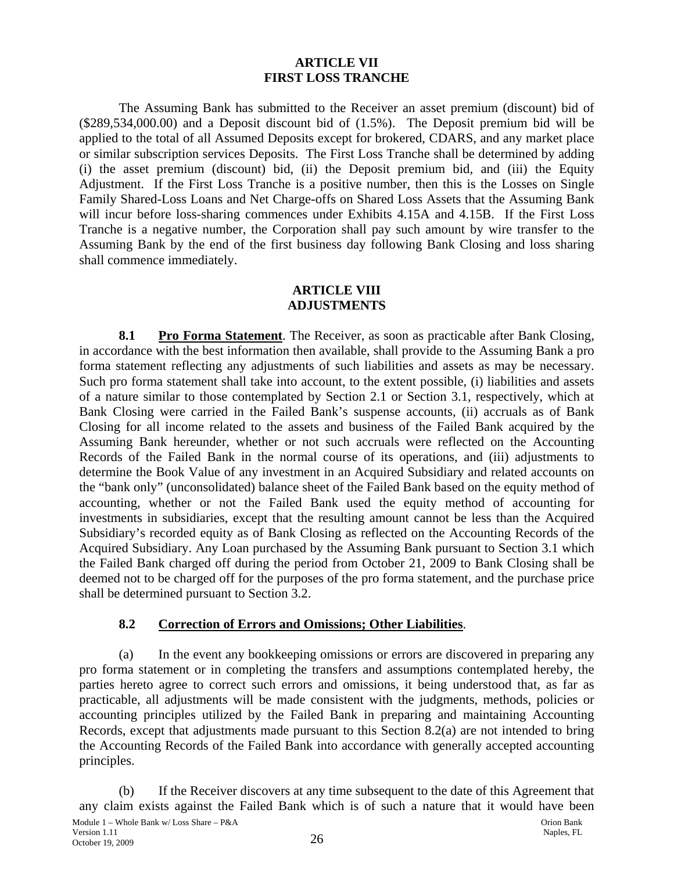#### **ARTICLE VII FIRST LOSS TRANCHE**

 The Assuming Bank has submitted to the Receiver an asset premium (discount) bid of (\$289,534,000.00) and a Deposit discount bid of (1.5%). The Deposit premium bid will be applied to the total of all Assumed Deposits except for brokered, CDARS, and any market place or similar subscription services Deposits. The First Loss Tranche shall be determined by adding (i) the asset premium (discount) bid, (ii) the Deposit premium bid, and (iii) the Equity Adjustment. If the First Loss Tranche is a positive number, then this is the Losses on Single Family Shared-Loss Loans and Net Charge-offs on Shared Loss Assets that the Assuming Bank will incur before loss-sharing commences under Exhibits 4.15A and 4.15B. If the First Loss Tranche is a negative number, the Corporation shall pay such amount by wire transfer to the Assuming Bank by the end of the first business day following Bank Closing and loss sharing shall commence immediately.

#### **ARTICLE VIII ADJUSTMENTS**

<span id="page-29-1"></span><span id="page-29-0"></span>**8.1 Pro Forma Statement**. The Receiver, as soon as practicable after Bank Closing, in accordance with the best information then available, shall provide to the Assuming Bank a pro forma statement reflecting any adjustments of such liabilities and assets as may be necessary. Such pro forma statement shall take into account, to the extent possible, (i) liabilities and assets of a nature similar to those contemplated by Section 2.1 or Section 3.1, respectively, which at Bank Closing were carried in the Failed Bank's suspense accounts, (ii) accruals as of Bank Closing for all income related to the assets and business of the Failed Bank acquired by the Assuming Bank hereunder, whether or not such accruals were reflected on the Accounting Records of the Failed Bank in the normal course of its operations, and (iii) adjustments to determine the Book Value of any investment in an Acquired Subsidiary and related accounts on the "bank only" (unconsolidated) balance sheet of the Failed Bank based on the equity method of accounting, whether or not the Failed Bank used the equity method of accounting for investments in subsidiaries, except that the resulting amount cannot be less than the Acquired Subsidiary's recorded equity as of Bank Closing as reflected on the Accounting Records of the Acquired Subsidiary. Any Loan purchased by the Assuming Bank pursuant to Section 3.1 which the Failed Bank charged off during the period from October 21, 2009 to Bank Closing shall be deemed not to be charged off for the purposes of the pro forma statement, and the purchase price shall be determined pursuant to Section 3.2.

#### **8.2 Correction of Errors and Omissions; Other Liabilities**.

(a) In the event any bookkeeping omissions or errors are discovered in preparing any pro forma statement or in completing the transfers and assumptions contemplated hereby, the parties hereto agree to correct such errors and omissions, it being understood that, as far as practicable, all adjustments will be made consistent with the judgments, methods, policies or accounting principles utilized by the Failed Bank in preparing and maintaining Accounting Records, except that adjustments made pursuant to this Section 8.2(a) are not intended to bring the Accounting Records of the Failed Bank into accordance with generally accepted accounting principles.

(b) If the Receiver discovers at any time subsequent to the date of this Agreement that any claim exists against the Failed Bank which is of such a nature that it would have been Module 1 – Whole Bank w/ Loss Share – P&A Orion Bank Version 1.11 Naples, FL Version 1.11<br>October 19, 2009 26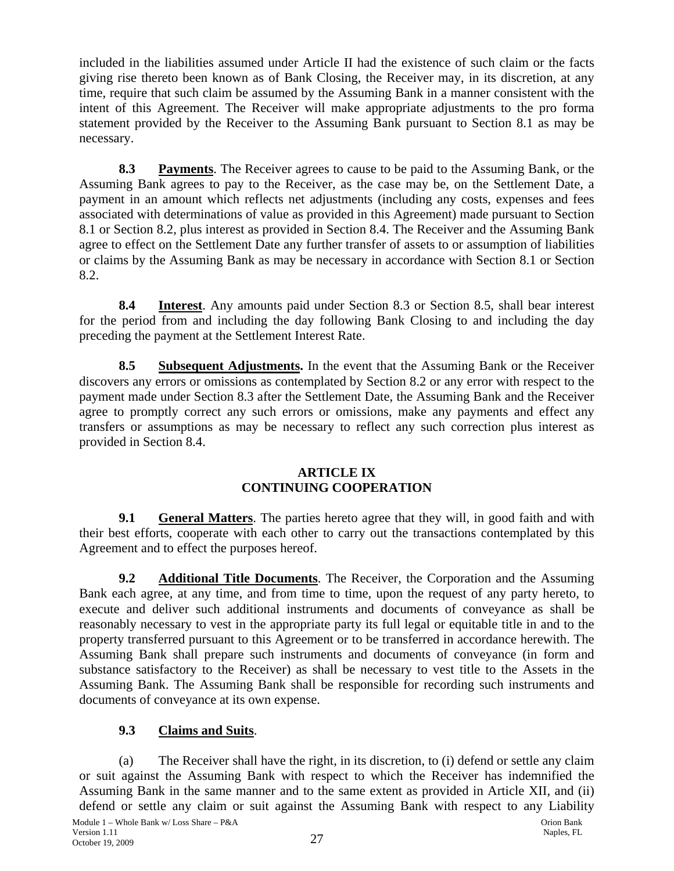included in the liabilities assumed under Article II had the existence of such claim or the facts giving rise thereto been known as of Bank Closing, the Receiver may, in its discretion, at any time, require that such claim be assumed by the Assuming Bank in a manner consistent with the intent of this Agreement. The Receiver will make appropriate adjustments to the pro forma statement provided by the Receiver to the Assuming Bank pursuant to Section 8.1 as may be necessary.

<span id="page-30-0"></span>**8.3 Payments**. The Receiver agrees to cause to be paid to the Assuming Bank, or the Assuming Bank agrees to pay to the Receiver, as the case may be, on the Settlement Date, a payment in an amount which reflects net adjustments (including any costs, expenses and fees associated with determinations of value as provided in this Agreement) made pursuant to Section 8.1 or Section 8.2, plus interest as provided in Section 8.4. The Receiver and the Assuming Bank agree to effect on the Settlement Date any further transfer of assets to or assumption of liabilities or claims by the Assuming Bank as may be necessary in accordance with Section 8.1 or Section 8.2.

<span id="page-30-1"></span>**8.4 Interest**. Any amounts paid under Section 8.3 or Section 8.5, shall bear interest for the period from and including the day following Bank Closing to and including the day preceding the payment at the Settlement Interest Rate.

<span id="page-30-2"></span>**8.5 Subsequent Adjustments.** In the event that the Assuming Bank or the Receiver discovers any errors or omissions as contemplated by Section 8.2 or any error with respect to the payment made under Section 8.3 after the Settlement Date, the Assuming Bank and the Receiver agree to promptly correct any such errors or omissions, make any payments and effect any transfers or assumptions as may be necessary to reflect any such correction plus interest as provided in Section 8.4.

## **ARTICLE IX CONTINUING COOPERATION**

<span id="page-30-4"></span><span id="page-30-3"></span>**9.1 General Matters**. The parties hereto agree that they will, in good faith and with their best efforts, cooperate with each other to carry out the transactions contemplated by this Agreement and to effect the purposes hereof.

<span id="page-30-5"></span>**9.2** Additional Title Documents. The Receiver, the Corporation and the Assuming Bank each agree, at any time, and from time to time, upon the request of any party hereto, to execute and deliver such additional instruments and documents of conveyance as shall be reasonably necessary to vest in the appropriate party its full legal or equitable title in and to the property transferred pursuant to this Agreement or to be transferred in accordance herewith. The Assuming Bank shall prepare such instruments and documents of conveyance (in form and substance satisfactory to the Receiver) as shall be necessary to vest title to the Assets in the Assuming Bank. The Assuming Bank shall be responsible for recording such instruments and documents of conveyance at its own expense.

# **9.3 Claims and Suits**.

<span id="page-30-6"></span>(a) The Receiver shall have the right, in its discretion, to (i) defend or settle any claim or suit against the Assuming Bank with respect to which the Receiver has indemnified the Assuming Bank in the same manner and to the same extent as provided in Article XII, and (ii) defend or settle any claim or suit against the Assuming Bank with respect to any Liability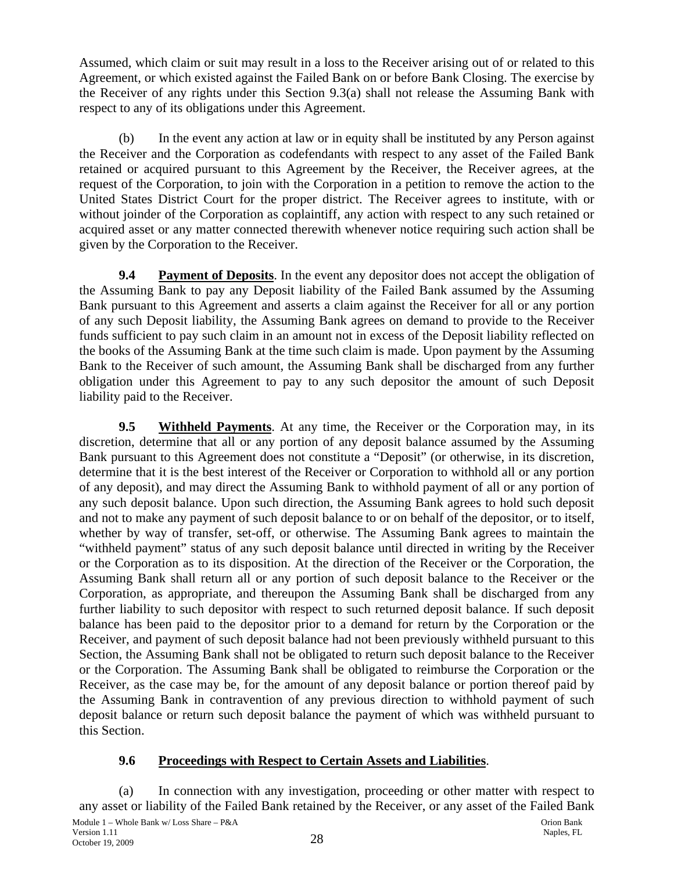Assumed, which claim or suit may result in a loss to the Receiver arising out of or related to this Agreement, or which existed against the Failed Bank on or before Bank Closing. The exercise by the Receiver of any rights under this Section 9.3(a) shall not release the Assuming Bank with respect to any of its obligations under this Agreement.

(b) In the event any action at law or in equity shall be instituted by any Person against the Receiver and the Corporation as codefendants with respect to any asset of the Failed Bank retained or acquired pursuant to this Agreement by the Receiver, the Receiver agrees, at the request of the Corporation, to join with the Corporation in a petition to remove the action to the United States District Court for the proper district. The Receiver agrees to institute, with or without joinder of the Corporation as coplaintiff, any action with respect to any such retained or acquired asset or any matter connected therewith whenever notice requiring such action shall be given by the Corporation to the Receiver.

<span id="page-31-0"></span>**9.4 Payment of Deposits**. In the event any depositor does not accept the obligation of the Assuming Bank to pay any Deposit liability of the Failed Bank assumed by the Assuming Bank pursuant to this Agreement and asserts a claim against the Receiver for all or any portion of any such Deposit liability, the Assuming Bank agrees on demand to provide to the Receiver funds sufficient to pay such claim in an amount not in excess of the Deposit liability reflected on the books of the Assuming Bank at the time such claim is made. Upon payment by the Assuming Bank to the Receiver of such amount, the Assuming Bank shall be discharged from any further obligation under this Agreement to pay to any such depositor the amount of such Deposit liability paid to the Receiver.

<span id="page-31-1"></span>**9.5 Withheld Payments**. At any time, the Receiver or the Corporation may, in its discretion, determine that all or any portion of any deposit balance assumed by the Assuming Bank pursuant to this Agreement does not constitute a "Deposit" (or otherwise, in its discretion, determine that it is the best interest of the Receiver or Corporation to withhold all or any portion of any deposit), and may direct the Assuming Bank to withhold payment of all or any portion of any such deposit balance. Upon such direction, the Assuming Bank agrees to hold such deposit and not to make any payment of such deposit balance to or on behalf of the depositor, or to itself, whether by way of transfer, set-off, or otherwise. The Assuming Bank agrees to maintain the "withheld payment" status of any such deposit balance until directed in writing by the Receiver or the Corporation as to its disposition. At the direction of the Receiver or the Corporation, the Assuming Bank shall return all or any portion of such deposit balance to the Receiver or the Corporation, as appropriate, and thereupon the Assuming Bank shall be discharged from any further liability to such depositor with respect to such returned deposit balance. If such deposit balance has been paid to the depositor prior to a demand for return by the Corporation or the Receiver, and payment of such deposit balance had not been previously withheld pursuant to this Section, the Assuming Bank shall not be obligated to return such deposit balance to the Receiver or the Corporation. The Assuming Bank shall be obligated to reimburse the Corporation or the Receiver, as the case may be, for the amount of any deposit balance or portion thereof paid by the Assuming Bank in contravention of any previous direction to withhold payment of such deposit balance or return such deposit balance the payment of which was withheld pursuant to this Section.

## **9.6 Proceedings with Respect to Certain Assets and Liabilities**.

<span id="page-31-2"></span>(a) In connection with any investigation, proceeding or other matter with respect to any asset or liability of the Failed Bank retained by the Receiver, or any asset of the Failed Bank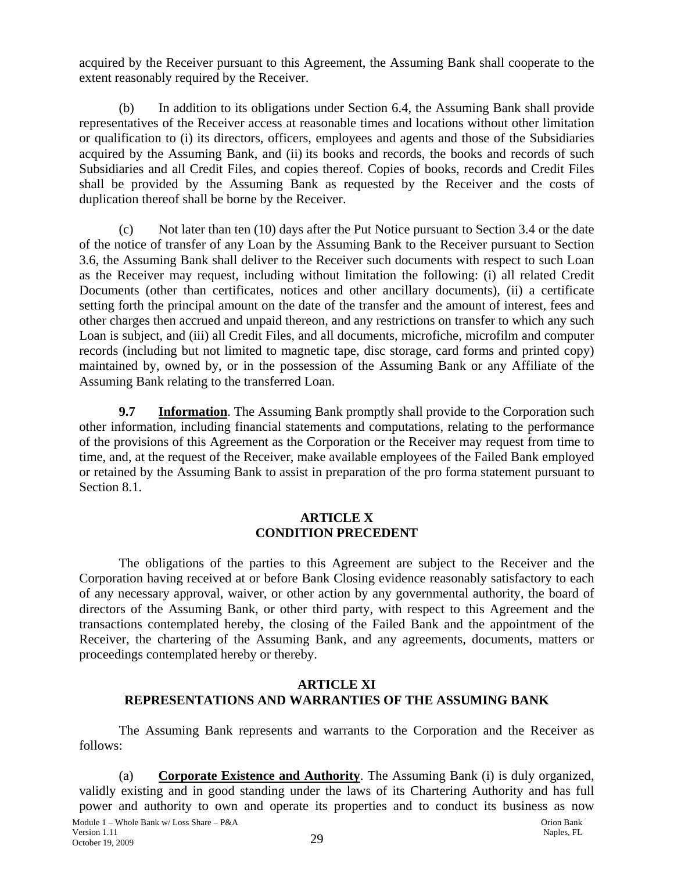acquired by the Receiver pursuant to this Agreement, the Assuming Bank shall cooperate to the extent reasonably required by the Receiver.

(b) In addition to its obligations under Section 6.4, the Assuming Bank shall provide representatives of the Receiver access at reasonable times and locations without other limitation or qualification to (i) its directors, officers, employees and agents and those of the Subsidiaries acquired by the Assuming Bank, and (ii) its books and records, the books and records of such Subsidiaries and all Credit Files, and copies thereof. Copies of books, records and Credit Files shall be provided by the Assuming Bank as requested by the Receiver and the costs of duplication thereof shall be borne by the Receiver.

(c) Not later than ten (10) days after the Put Notice pursuant to Section 3.4 or the date of the notice of transfer of any Loan by the Assuming Bank to the Receiver pursuant to Section 3.6, the Assuming Bank shall deliver to the Receiver such documents with respect to such Loan as the Receiver may request, including without limitation the following: (i) all related Credit Documents (other than certificates, notices and other ancillary documents), (ii) a certificate setting forth the principal amount on the date of the transfer and the amount of interest, fees and other charges then accrued and unpaid thereon, and any restrictions on transfer to which any such Loan is subject, and (iii) all Credit Files, and all documents, microfiche, microfilm and computer records (including but not limited to magnetic tape, disc storage, card forms and printed copy) maintained by, owned by, or in the possession of the Assuming Bank or any Affiliate of the Assuming Bank relating to the transferred Loan.

<span id="page-32-0"></span>**9.7 Information**. The Assuming Bank promptly shall provide to the Corporation such other information, including financial statements and computations, relating to the performance of the provisions of this Agreement as the Corporation or the Receiver may request from time to time, and, at the request of the Receiver, make available employees of the Failed Bank employed or retained by the Assuming Bank to assist in preparation of the pro forma statement pursuant to Section 8.1.

## **ARTICLE X CONDITION PRECEDENT**

<span id="page-32-1"></span>The obligations of the parties to this Agreement are subject to the Receiver and the Corporation having received at or before Bank Closing evidence reasonably satisfactory to each of any necessary approval, waiver, or other action by any governmental authority, the board of directors of the Assuming Bank, or other third party, with respect to this Agreement and the transactions contemplated hereby, the closing of the Failed Bank and the appointment of the Receiver, the chartering of the Assuming Bank, and any agreements, documents, matters or proceedings contemplated hereby or thereby.

## **ARTICLE XI REPRESENTATIONS AND WARRANTIES OF THE ASSUMING BANK**

<span id="page-32-2"></span>The Assuming Bank represents and warrants to the Corporation and the Receiver as follows:

(a) **Corporate Existence and Authority**. The Assuming Bank (i) is duly organized, validly existing and in good standing under the laws of its Chartering Authority and has full power and authority to own and operate its properties and to conduct its business as now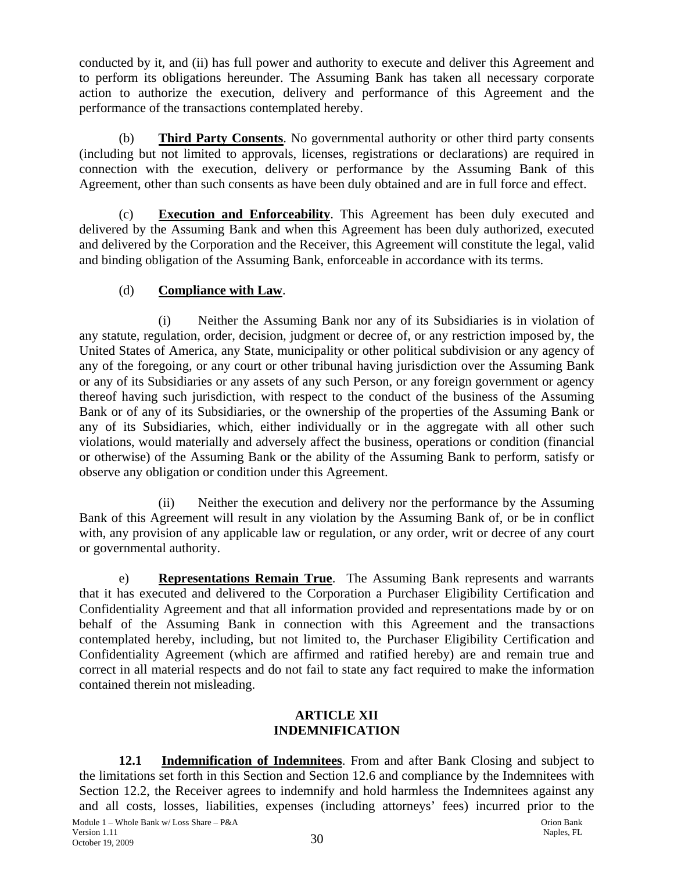conducted by it, and (ii) has full power and authority to execute and deliver this Agreement and to perform its obligations hereunder. The Assuming Bank has taken all necessary corporate action to authorize the execution, delivery and performance of this Agreement and the performance of the transactions contemplated hereby.

(b) **Third Party Consents**. No governmental authority or other third party consents (including but not limited to approvals, licenses, registrations or declarations) are required in connection with the execution, delivery or performance by the Assuming Bank of this Agreement, other than such consents as have been duly obtained and are in full force and effect.

(c) **Execution and Enforceability**. This Agreement has been duly executed and delivered by the Assuming Bank and when this Agreement has been duly authorized, executed and delivered by the Corporation and the Receiver, this Agreement will constitute the legal, valid and binding obligation of the Assuming Bank, enforceable in accordance with its terms.

# (d) **Compliance with Law**.

(i) Neither the Assuming Bank nor any of its Subsidiaries is in violation of any statute, regulation, order, decision, judgment or decree of, or any restriction imposed by, the United States of America, any State, municipality or other political subdivision or any agency of any of the foregoing, or any court or other tribunal having jurisdiction over the Assuming Bank or any of its Subsidiaries or any assets of any such Person, or any foreign government or agency thereof having such jurisdiction, with respect to the conduct of the business of the Assuming Bank or of any of its Subsidiaries, or the ownership of the properties of the Assuming Bank or any of its Subsidiaries, which, either individually or in the aggregate with all other such violations, would materially and adversely affect the business, operations or condition (financial or otherwise) of the Assuming Bank or the ability of the Assuming Bank to perform, satisfy or observe any obligation or condition under this Agreement.

(ii) Neither the execution and delivery nor the performance by the Assuming Bank of this Agreement will result in any violation by the Assuming Bank of, or be in conflict with, any provision of any applicable law or regulation, or any order, writ or decree of any court or governmental authority.

e) **Representations Remain True**. The Assuming Bank represents and warrants that it has executed and delivered to the Corporation a Purchaser Eligibility Certification and Confidentiality Agreement and that all information provided and representations made by or on behalf of the Assuming Bank in connection with this Agreement and the transactions contemplated hereby, including, but not limited to, the Purchaser Eligibility Certification and Confidentiality Agreement (which are affirmed and ratified hereby) are and remain true and correct in all material respects and do not fail to state any fact required to make the information contained therein not misleading.

## **ARTICLE XII INDEMNIFICATION**

<span id="page-33-0"></span>**12.1 Indemnification of Indemnitees**. From and after Bank Closing and subject to the limitations set forth in this Section and Section 12.6 and compliance by the Indemnitees with Section 12.2, the Receiver agrees to indemnify and hold harmless the Indemnitees against any and all costs, losses, liabilities, expenses (including attorneys' fees) incurred prior to the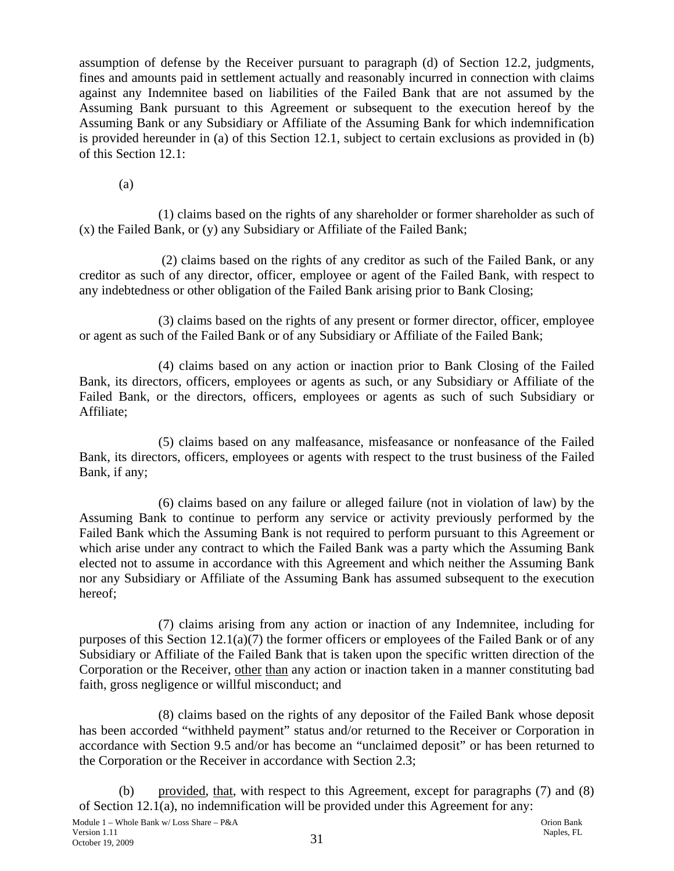assumption of defense by the Receiver pursuant to paragraph (d) of Section 12.2, judgments, fines and amounts paid in settlement actually and reasonably incurred in connection with claims against any Indemnitee based on liabilities of the Failed Bank that are not assumed by the Assuming Bank pursuant to this Agreement or subsequent to the execution hereof by the Assuming Bank or any Subsidiary or Affiliate of the Assuming Bank for which indemnification is provided hereunder in (a) of this Section 12.1, subject to certain exclusions as provided in (b) of this Section 12.1:

(a)

(1) claims based on the rights of any shareholder or former shareholder as such of (x) the Failed Bank, or (y) any Subsidiary or Affiliate of the Failed Bank;

(2) claims based on the rights of any creditor as such of the Failed Bank, or any creditor as such of any director, officer, employee or agent of the Failed Bank, with respect to any indebtedness or other obligation of the Failed Bank arising prior to Bank Closing;

(3) claims based on the rights of any present or former director, officer, employee or agent as such of the Failed Bank or of any Subsidiary or Affiliate of the Failed Bank;

(4) claims based on any action or inaction prior to Bank Closing of the Failed Bank, its directors, officers, employees or agents as such, or any Subsidiary or Affiliate of the Failed Bank, or the directors, officers, employees or agents as such of such Subsidiary or Affiliate;

(5) claims based on any malfeasance, misfeasance or nonfeasance of the Failed Bank, its directors, officers, employees or agents with respect to the trust business of the Failed Bank, if any;

(6) claims based on any failure or alleged failure (not in violation of law) by the Assuming Bank to continue to perform any service or activity previously performed by the Failed Bank which the Assuming Bank is not required to perform pursuant to this Agreement or which arise under any contract to which the Failed Bank was a party which the Assuming Bank elected not to assume in accordance with this Agreement and which neither the Assuming Bank nor any Subsidiary or Affiliate of the Assuming Bank has assumed subsequent to the execution hereof;

(7) claims arising from any action or inaction of any Indemnitee, including for purposes of this Section 12.1(a)(7) the former officers or employees of the Failed Bank or of any Subsidiary or Affiliate of the Failed Bank that is taken upon the specific written direction of the Corporation or the Receiver, other than any action or inaction taken in a manner constituting bad faith, gross negligence or willful misconduct; and

(8) claims based on the rights of any depositor of the Failed Bank whose deposit has been accorded "withheld payment" status and/or returned to the Receiver or Corporation in accordance with Section 9.5 and/or has become an "unclaimed deposit" or has been returned to the Corporation or the Receiver in accordance with Section 2.3;

(b) provided, that, with respect to this Agreement, except for paragraphs (7) and (8) of Section 12.1(a), no indemnification will be provided under this Agreement for any: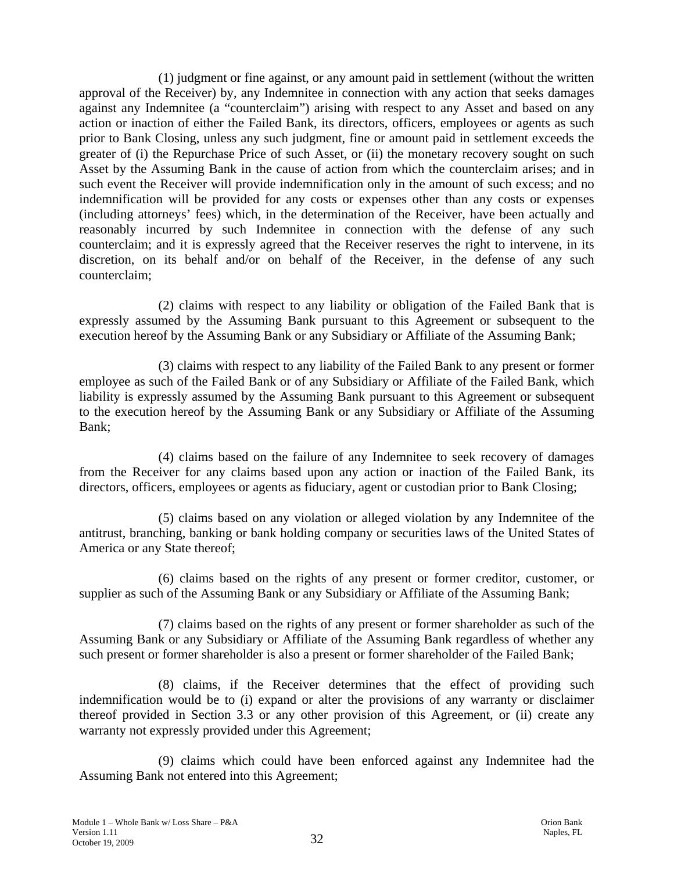(1) judgment or fine against, or any amount paid in settlement (without the written approval of the Receiver) by, any Indemnitee in connection with any action that seeks damages against any Indemnitee (a "counterclaim") arising with respect to any Asset and based on any action or inaction of either the Failed Bank, its directors, officers, employees or agents as such prior to Bank Closing, unless any such judgment, fine or amount paid in settlement exceeds the greater of (i) the Repurchase Price of such Asset, or (ii) the monetary recovery sought on such Asset by the Assuming Bank in the cause of action from which the counterclaim arises; and in such event the Receiver will provide indemnification only in the amount of such excess; and no indemnification will be provided for any costs or expenses other than any costs or expenses (including attorneys' fees) which, in the determination of the Receiver, have been actually and reasonably incurred by such Indemnitee in connection with the defense of any such counterclaim; and it is expressly agreed that the Receiver reserves the right to intervene, in its discretion, on its behalf and/or on behalf of the Receiver, in the defense of any such counterclaim;

(2) claims with respect to any liability or obligation of the Failed Bank that is expressly assumed by the Assuming Bank pursuant to this Agreement or subsequent to the execution hereof by the Assuming Bank or any Subsidiary or Affiliate of the Assuming Bank;

(3) claims with respect to any liability of the Failed Bank to any present or former employee as such of the Failed Bank or of any Subsidiary or Affiliate of the Failed Bank, which liability is expressly assumed by the Assuming Bank pursuant to this Agreement or subsequent to the execution hereof by the Assuming Bank or any Subsidiary or Affiliate of the Assuming Bank;

(4) claims based on the failure of any Indemnitee to seek recovery of damages from the Receiver for any claims based upon any action or inaction of the Failed Bank, its directors, officers, employees or agents as fiduciary, agent or custodian prior to Bank Closing;

(5) claims based on any violation or alleged violation by any Indemnitee of the antitrust, branching, banking or bank holding company or securities laws of the United States of America or any State thereof;

(6) claims based on the rights of any present or former creditor, customer, or supplier as such of the Assuming Bank or any Subsidiary or Affiliate of the Assuming Bank;

(7) claims based on the rights of any present or former shareholder as such of the Assuming Bank or any Subsidiary or Affiliate of the Assuming Bank regardless of whether any such present or former shareholder is also a present or former shareholder of the Failed Bank;

(8) claims, if the Receiver determines that the effect of providing such indemnification would be to (i) expand or alter the provisions of any warranty or disclaimer thereof provided in Section 3.3 or any other provision of this Agreement, or (ii) create any warranty not expressly provided under this Agreement;

(9) claims which could have been enforced against any Indemnitee had the Assuming Bank not entered into this Agreement;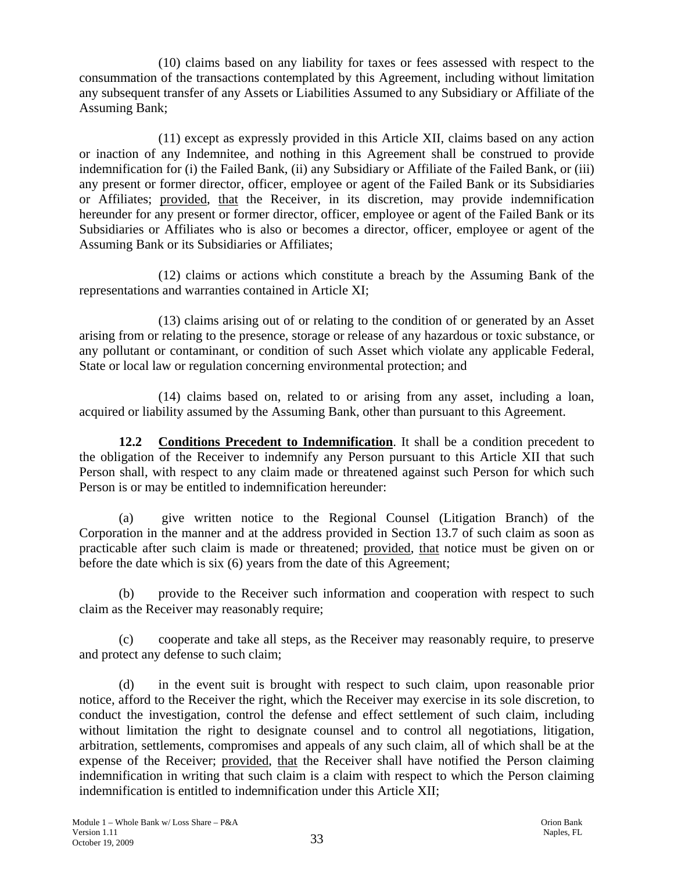(10) claims based on any liability for taxes or fees assessed with respect to the consummation of the transactions contemplated by this Agreement, including without limitation any subsequent transfer of any Assets or Liabilities Assumed to any Subsidiary or Affiliate of the Assuming Bank;

(11) except as expressly provided in this Article XII, claims based on any action or inaction of any Indemnitee, and nothing in this Agreement shall be construed to provide indemnification for (i) the Failed Bank, (ii) any Subsidiary or Affiliate of the Failed Bank, or (iii) any present or former director, officer, employee or agent of the Failed Bank or its Subsidiaries or Affiliates; provided, that the Receiver, in its discretion, may provide indemnification hereunder for any present or former director, officer, employee or agent of the Failed Bank or its Subsidiaries or Affiliates who is also or becomes a director, officer, employee or agent of the Assuming Bank or its Subsidiaries or Affiliates;

(12) claims or actions which constitute a breach by the Assuming Bank of the representations and warranties contained in Article XI;

(13) claims arising out of or relating to the condition of or generated by an Asset arising from or relating to the presence, storage or release of any hazardous or toxic substance, or any pollutant or contaminant, or condition of such Asset which violate any applicable Federal, State or local law or regulation concerning environmental protection; and

(14) claims based on, related to or arising from any asset, including a loan, acquired or liability assumed by the Assuming Bank, other than pursuant to this Agreement.

**12.2 Conditions Precedent to Indemnification**. It shall be a condition precedent to the obligation of the Receiver to indemnify any Person pursuant to this Article XII that such Person shall, with respect to any claim made or threatened against such Person for which such Person is or may be entitled to indemnification hereunder:

(a) give written notice to the Regional Counsel (Litigation Branch) of the Corporation in the manner and at the address provided in Section 13.7 of such claim as soon as practicable after such claim is made or threatened; provided, that notice must be given on or before the date which is six (6) years from the date of this Agreement;

(b) provide to the Receiver such information and cooperation with respect to such claim as the Receiver may reasonably require;

(c) cooperate and take all steps, as the Receiver may reasonably require, to preserve and protect any defense to such claim;

(d) in the event suit is brought with respect to such claim, upon reasonable prior notice, afford to the Receiver the right, which the Receiver may exercise in its sole discretion, to conduct the investigation, control the defense and effect settlement of such claim, including without limitation the right to designate counsel and to control all negotiations, litigation, arbitration, settlements, compromises and appeals of any such claim, all of which shall be at the expense of the Receiver; provided, that the Receiver shall have notified the Person claiming indemnification in writing that such claim is a claim with respect to which the Person claiming indemnification is entitled to indemnification under this Article XII;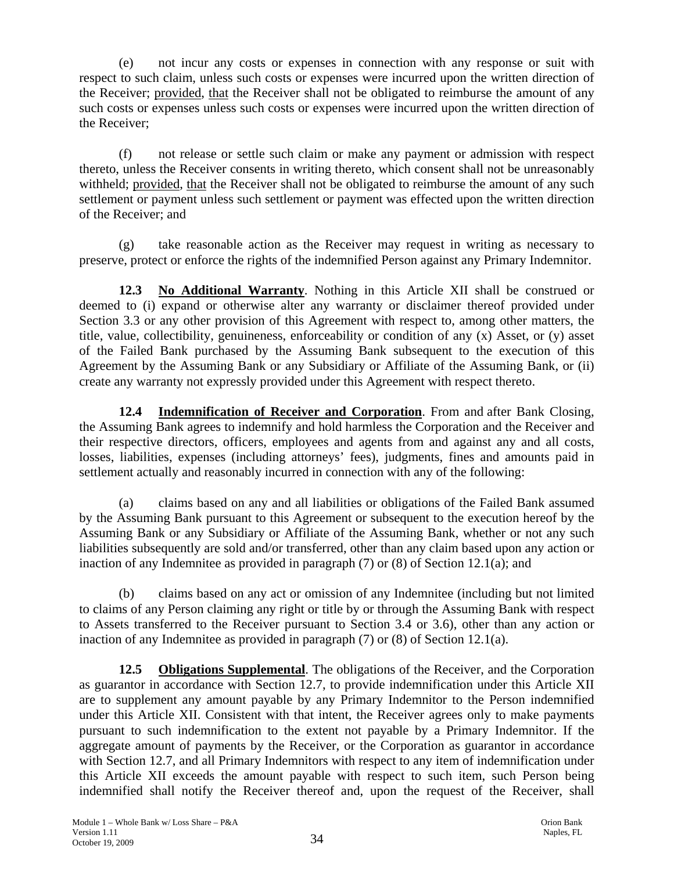(e) not incur any costs or expenses in connection with any response or suit with respect to such claim, unless such costs or expenses were incurred upon the written direction of the Receiver; provided, that the Receiver shall not be obligated to reimburse the amount of any such costs or expenses unless such costs or expenses were incurred upon the written direction of the Receiver;

(f) not release or settle such claim or make any payment or admission with respect thereto, unless the Receiver consents in writing thereto, which consent shall not be unreasonably withheld; provided, that the Receiver shall not be obligated to reimburse the amount of any such settlement or payment unless such settlement or payment was effected upon the written direction of the Receiver; and

(g) take reasonable action as the Receiver may request in writing as necessary to preserve, protect or enforce the rights of the indemnified Person against any Primary Indemnitor.

**12.3 No Additional Warranty**. Nothing in this Article XII shall be construed or deemed to (i) expand or otherwise alter any warranty or disclaimer thereof provided under Section 3.3 or any other provision of this Agreement with respect to, among other matters, the title, value, collectibility, genuineness, enforceability or condition of any (x) Asset, or (y) asset of the Failed Bank purchased by the Assuming Bank subsequent to the execution of this Agreement by the Assuming Bank or any Subsidiary or Affiliate of the Assuming Bank, or (ii) create any warranty not expressly provided under this Agreement with respect thereto.

**12.4 Indemnification of Receiver and Corporation**. From and after Bank Closing, the Assuming Bank agrees to indemnify and hold harmless the Corporation and the Receiver and their respective directors, officers, employees and agents from and against any and all costs, losses, liabilities, expenses (including attorneys' fees), judgments, fines and amounts paid in settlement actually and reasonably incurred in connection with any of the following:

(a) claims based on any and all liabilities or obligations of the Failed Bank assumed by the Assuming Bank pursuant to this Agreement or subsequent to the execution hereof by the Assuming Bank or any Subsidiary or Affiliate of the Assuming Bank, whether or not any such liabilities subsequently are sold and/or transferred, other than any claim based upon any action or inaction of any Indemnitee as provided in paragraph (7) or (8) of Section 12.1(a); and

(b) claims based on any act or omission of any Indemnitee (including but not limited to claims of any Person claiming any right or title by or through the Assuming Bank with respect to Assets transferred to the Receiver pursuant to Section 3.4 or 3.6), other than any action or inaction of any Indemnitee as provided in paragraph (7) or (8) of Section 12.1(a).

**12.5 Obligations Supplemental**. The obligations of the Receiver, and the Corporation as guarantor in accordance with Section 12.7, to provide indemnification under this Article XII are to supplement any amount payable by any Primary Indemnitor to the Person indemnified under this Article XII. Consistent with that intent, the Receiver agrees only to make payments pursuant to such indemnification to the extent not payable by a Primary Indemnitor. If the aggregate amount of payments by the Receiver, or the Corporation as guarantor in accordance with Section 12.7, and all Primary Indemnitors with respect to any item of indemnification under this Article XII exceeds the amount payable with respect to such item, such Person being indemnified shall notify the Receiver thereof and, upon the request of the Receiver, shall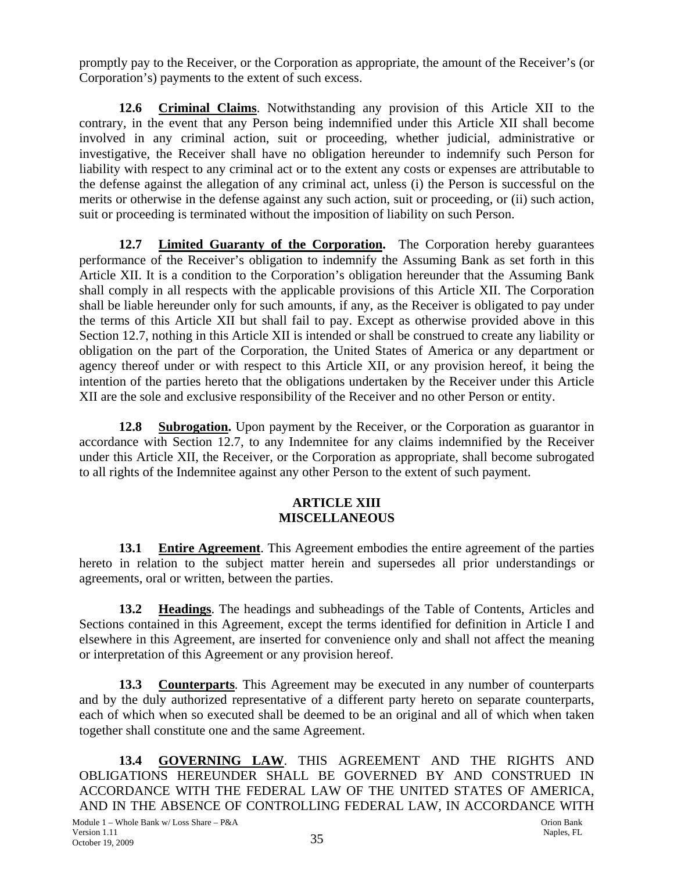promptly pay to the Receiver, or the Corporation as appropriate, the amount of the Receiver's (or Corporation's) payments to the extent of such excess.

**12.6 Criminal Claims**. Notwithstanding any provision of this Article XII to the contrary, in the event that any Person being indemnified under this Article XII shall become involved in any criminal action, suit or proceeding, whether judicial, administrative or investigative, the Receiver shall have no obligation hereunder to indemnify such Person for liability with respect to any criminal act or to the extent any costs or expenses are attributable to the defense against the allegation of any criminal act, unless (i) the Person is successful on the merits or otherwise in the defense against any such action, suit or proceeding, or (ii) such action, suit or proceeding is terminated without the imposition of liability on such Person.

**12.7 Limited Guaranty of the Corporation.** The Corporation hereby guarantees performance of the Receiver's obligation to indemnify the Assuming Bank as set forth in this Article XII. It is a condition to the Corporation's obligation hereunder that the Assuming Bank shall comply in all respects with the applicable provisions of this Article XII. The Corporation shall be liable hereunder only for such amounts, if any, as the Receiver is obligated to pay under the terms of this Article XII but shall fail to pay. Except as otherwise provided above in this Section 12.7, nothing in this Article XII is intended or shall be construed to create any liability or obligation on the part of the Corporation, the United States of America or any department or agency thereof under or with respect to this Article XII, or any provision hereof, it being the intention of the parties hereto that the obligations undertaken by the Receiver under this Article XII are the sole and exclusive responsibility of the Receiver and no other Person or entity.

**12.8 Subrogation.** Upon payment by the Receiver, or the Corporation as guarantor in accordance with Section 12.7, to any Indemnitee for any claims indemnified by the Receiver under this Article XII, the Receiver, or the Corporation as appropriate, shall become subrogated to all rights of the Indemnitee against any other Person to the extent of such payment.

## **ARTICLE XIII MISCELLANEOUS**

**13.1 Entire Agreement**. This Agreement embodies the entire agreement of the parties hereto in relation to the subject matter herein and supersedes all prior understandings or agreements, oral or written, between the parties.

**13.2 Headings**. The headings and subheadings of the Table of Contents, Articles and Sections contained in this Agreement, except the terms identified for definition in Article I and elsewhere in this Agreement, are inserted for convenience only and shall not affect the meaning or interpretation of this Agreement or any provision hereof.

**13.3 Counterparts**. This Agreement may be executed in any number of counterparts and by the duly authorized representative of a different party hereto on separate counterparts, each of which when so executed shall be deemed to be an original and all of which when taken together shall constitute one and the same Agreement.

**13.4 GOVERNING LAW**. THIS AGREEMENT AND THE RIGHTS AND OBLIGATIONS HEREUNDER SHALL BE GOVERNED BY AND CONSTRUED IN ACCORDANCE WITH THE FEDERAL LAW OF THE UNITED STATES OF AMERICA, AND IN THE ABSENCE OF CONTROLLING FEDERAL LAW, IN ACCORDANCE WITH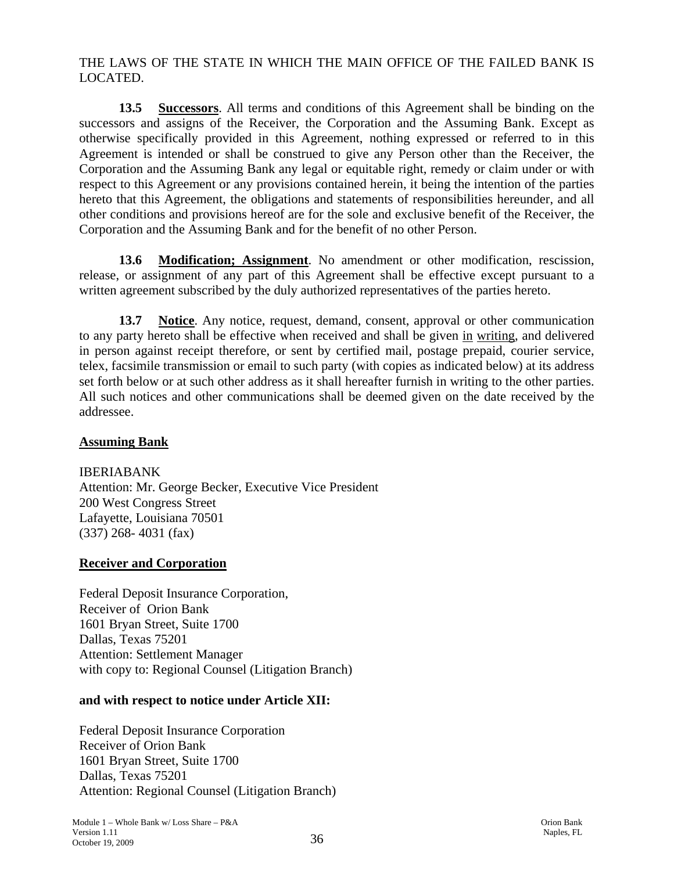THE LAWS OF THE STATE IN WHICH THE MAIN OFFICE OF THE FAILED BANK IS LOCATED.

 **13.5 Successors**. All terms and conditions of this Agreement shall be binding on the successors and assigns of the Receiver, the Corporation and the Assuming Bank. Except as otherwise specifically provided in this Agreement, nothing expressed or referred to in this Agreement is intended or shall be construed to give any Person other than the Receiver, the Corporation and the Assuming Bank any legal or equitable right, remedy or claim under or with respect to this Agreement or any provisions contained herein, it being the intention of the parties hereto that this Agreement, the obligations and statements of responsibilities hereunder, and all other conditions and provisions hereof are for the sole and exclusive benefit of the Receiver, the Corporation and the Assuming Bank and for the benefit of no other Person.

**13.6 Modification; Assignment**. No amendment or other modification, rescission, release, or assignment of any part of this Agreement shall be effective except pursuant to a written agreement subscribed by the duly authorized representatives of the parties hereto.

13.7 Notice. Any notice, request, demand, consent, approval or other communication to any party hereto shall be effective when received and shall be given in writing, and delivered in person against receipt therefore, or sent by certified mail, postage prepaid, courier service, telex, facsimile transmission or email to such party (with copies as indicated below) at its address set forth below or at such other address as it shall hereafter furnish in writing to the other parties. All such notices and other communications shall be deemed given on the date received by the addressee.

## **Assuming Bank**

IBERIABANK Attention: Mr. George Becker, Executive Vice President 200 West Congress Street Lafayette, Louisiana 70501 (337) 268- 4031 (fax)

## **Receiver and Corporation**

Federal Deposit Insurance Corporation, Receiver of Orion Bank 1601 Bryan Street, Suite 1700 Dallas, Texas 75201 Attention: Settlement Manager with copy to: Regional Counsel (Litigation Branch)

## **and with respect to notice under Article XII:**

Federal Deposit Insurance Corporation Receiver of Orion Bank 1601 Bryan Street, Suite 1700 Dallas, Texas 75201 Attention: Regional Counsel (Litigation Branch)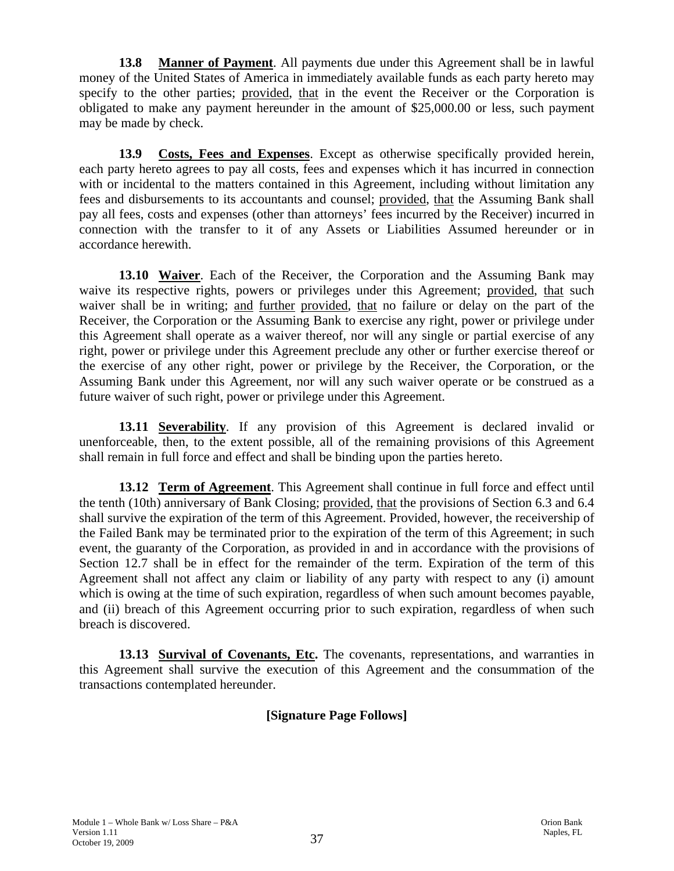**13.8 Manner of Payment**. All payments due under this Agreement shall be in lawful money of the United States of America in immediately available funds as each party hereto may specify to the other parties; provided, that in the event the Receiver or the Corporation is obligated to make any payment hereunder in the amount of \$25,000.00 or less, such payment may be made by check.

**13.9 Costs, Fees and Expenses**. Except as otherwise specifically provided herein, each party hereto agrees to pay all costs, fees and expenses which it has incurred in connection with or incidental to the matters contained in this Agreement, including without limitation any fees and disbursements to its accountants and counsel; provided, that the Assuming Bank shall pay all fees, costs and expenses (other than attorneys' fees incurred by the Receiver) incurred in connection with the transfer to it of any Assets or Liabilities Assumed hereunder or in accordance herewith.

**13.10 Waiver**. Each of the Receiver, the Corporation and the Assuming Bank may waive its respective rights, powers or privileges under this Agreement; provided, that such waiver shall be in writing; and further provided, that no failure or delay on the part of the Receiver, the Corporation or the Assuming Bank to exercise any right, power or privilege under this Agreement shall operate as a waiver thereof, nor will any single or partial exercise of any right, power or privilege under this Agreement preclude any other or further exercise thereof or the exercise of any other right, power or privilege by the Receiver, the Corporation, or the Assuming Bank under this Agreement, nor will any such waiver operate or be construed as a future waiver of such right, power or privilege under this Agreement.

**13.11 Severability**. If any provision of this Agreement is declared invalid or unenforceable, then, to the extent possible, all of the remaining provisions of this Agreement shall remain in full force and effect and shall be binding upon the parties hereto.

**13.12 Term of Agreement**. This Agreement shall continue in full force and effect until the tenth (10th) anniversary of Bank Closing; provided, that the provisions of Section 6.3 and 6.4 shall survive the expiration of the term of this Agreement. Provided, however, the receivership of the Failed Bank may be terminated prior to the expiration of the term of this Agreement; in such event, the guaranty of the Corporation, as provided in and in accordance with the provisions of Section 12.7 shall be in effect for the remainder of the term. Expiration of the term of this Agreement shall not affect any claim or liability of any party with respect to any (i) amount which is owing at the time of such expiration, regardless of when such amount becomes payable, and (ii) breach of this Agreement occurring prior to such expiration, regardless of when such breach is discovered.

**13.13 Survival of Covenants, Etc.** The covenants, representations, and warranties in this Agreement shall survive the execution of this Agreement and the consummation of the transactions contemplated hereunder.

# **[Signature Page Follows]**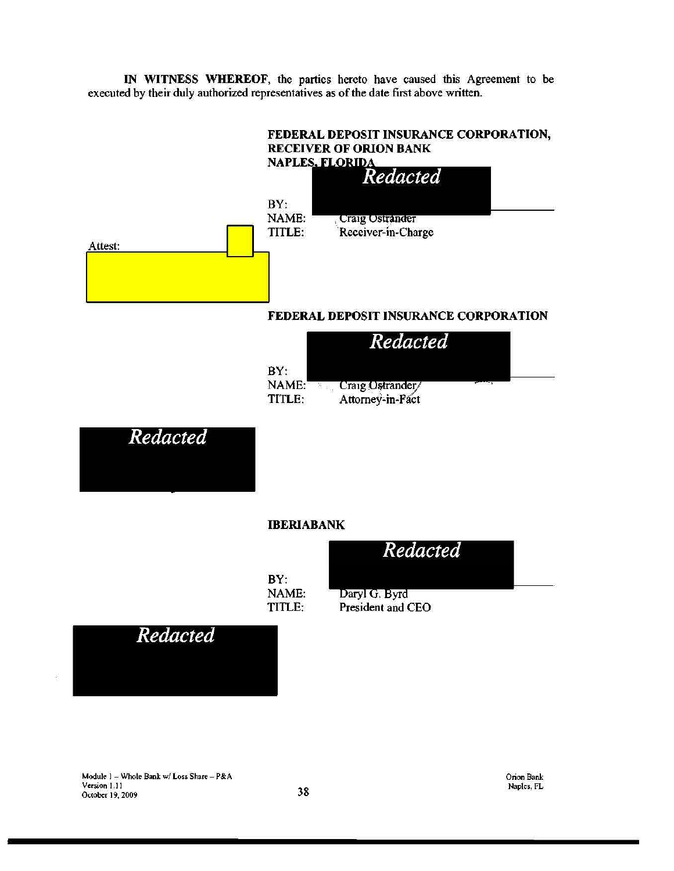IN WITNESS WHEREOF, the parties hereto have caused this Agreement to be executed by their duly authorized representatives as of the date first above written.



Module 1 - Whole Bank w/ Loss Share - P&A Version 1.11 October 19, 2009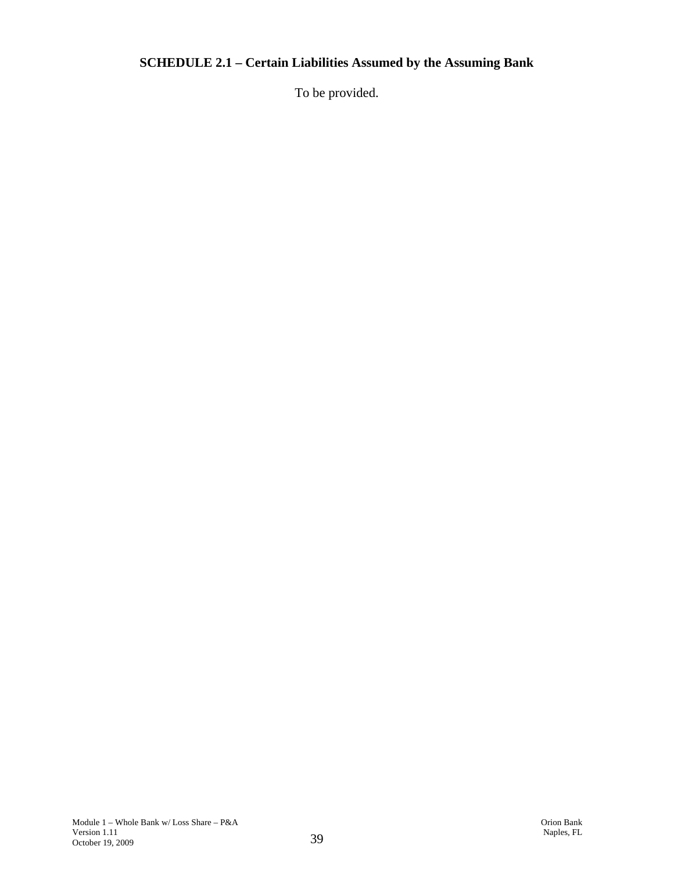# **SCHEDULE 2.1 – Certain Liabilities Assumed by the Assuming Bank**

To be provided.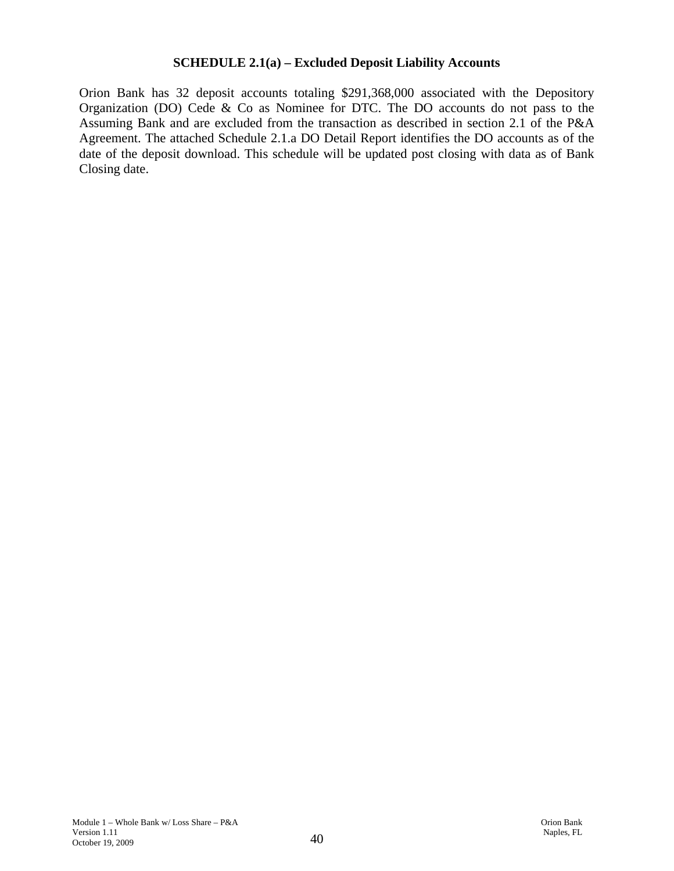#### **SCHEDULE 2.1(a) – Excluded Deposit Liability Accounts**

Orion Bank has 32 deposit accounts totaling \$291,368,000 associated with the Depository Organization (DO) Cede & Co as Nominee for DTC. The DO accounts do not pass to the Assuming Bank and are excluded from the transaction as described in section 2.1 of the P&A Agreement. The attached Schedule 2.1.a DO Detail Report identifies the DO accounts as of the date of the deposit download. This schedule will be updated post closing with data as of Bank Closing date.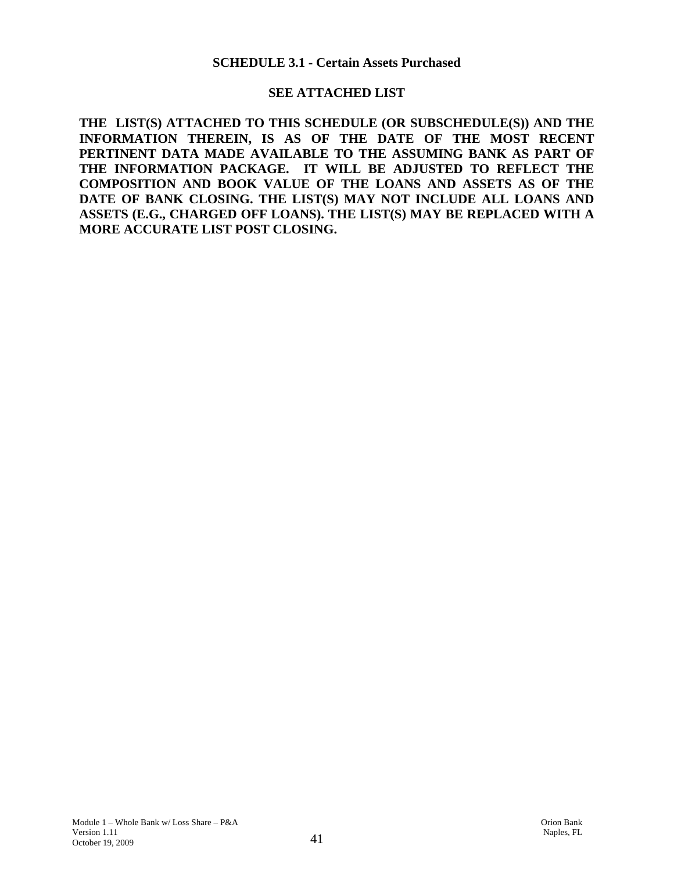#### **SEE ATTACHED LIST**

**THE LIST(S) ATTACHED TO THIS SCHEDULE (OR SUBSCHEDULE(S)) AND THE INFORMATION THEREIN, IS AS OF THE DATE OF THE MOST RECENT PERTINENT DATA MADE AVAILABLE TO THE ASSUMING BANK AS PART OF THE INFORMATION PACKAGE. IT WILL BE ADJUSTED TO REFLECT THE COMPOSITION AND BOOK VALUE OF THE LOANS AND ASSETS AS OF THE DATE OF BANK CLOSING. THE LIST(S) MAY NOT INCLUDE ALL LOANS AND ASSETS (E.G., CHARGED OFF LOANS). THE LIST(S) MAY BE REPLACED WITH A MORE ACCURATE LIST POST CLOSING.**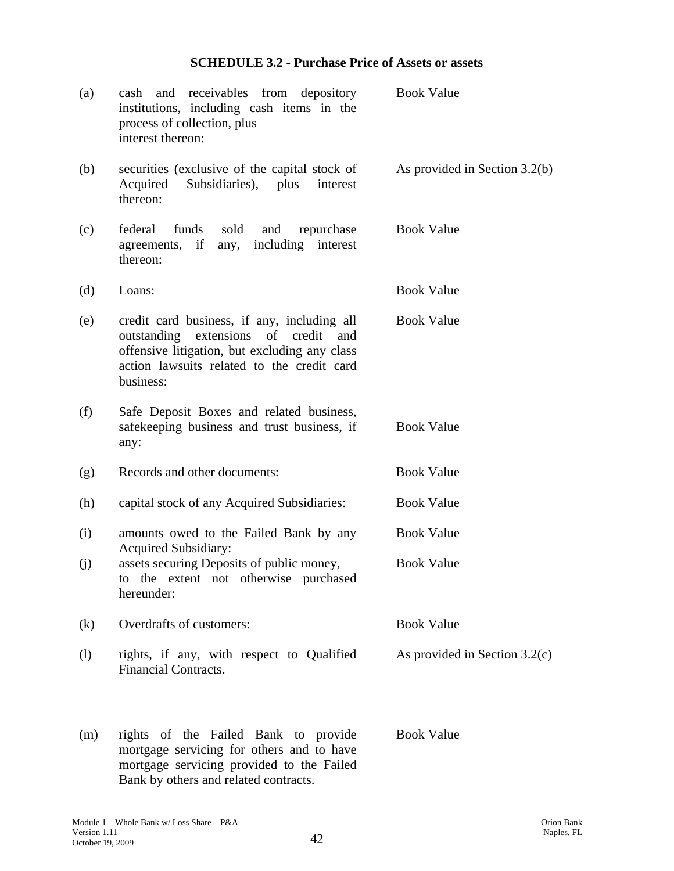# **SCHEDULE 3.2 - Purchase Price of Assets or assets**

| (a) | cash and receivables from depository<br>institutions, including cash items in the<br>process of collection, plus<br>interest thereon:                                                           | <b>Book Value</b>               |
|-----|-------------------------------------------------------------------------------------------------------------------------------------------------------------------------------------------------|---------------------------------|
| (b) | securities (exclusive of the capital stock of<br>Subsidiaries), plus<br>Acquired<br>interest<br>thereon:                                                                                        | As provided in Section $3.2(b)$ |
| (c) | sold<br>federal<br>funds<br>and<br>repurchase<br>including interest<br>agreements, if<br>any,<br>thereon:                                                                                       | <b>Book Value</b>               |
| (d) | Loans:                                                                                                                                                                                          | <b>Book Value</b>               |
| (e) | credit card business, if any, including all<br>outstanding extensions of credit and<br>offensive litigation, but excluding any class<br>action lawsuits related to the credit card<br>business: | <b>Book Value</b>               |
| (f) | Safe Deposit Boxes and related business,<br>safekeeping business and trust business, if<br>any:                                                                                                 | <b>Book Value</b>               |
| (g) | Records and other documents:                                                                                                                                                                    | <b>Book Value</b>               |
| (h) | capital stock of any Acquired Subsidiaries:                                                                                                                                                     | <b>Book Value</b>               |
| (i) | amounts owed to the Failed Bank by any                                                                                                                                                          | <b>Book Value</b>               |
| (j) | <b>Acquired Subsidiary:</b><br>assets securing Deposits of public money,<br>to the extent not otherwise purchased<br>hereunder:                                                                 | <b>Book Value</b>               |
| (k) | Overdrafts of customers:                                                                                                                                                                        | <b>Book Value</b>               |
| (1) | rights, if any, with respect to Qualified<br><b>Financial Contracts.</b>                                                                                                                        | As provided in Section $3.2(c)$ |
| (m) | rights of the Failed Bank to provide<br>mortgage servicing for others and to have<br>mortgage servicing provided to the Failed<br>Bank by others and related contracts.                         | <b>Book Value</b>               |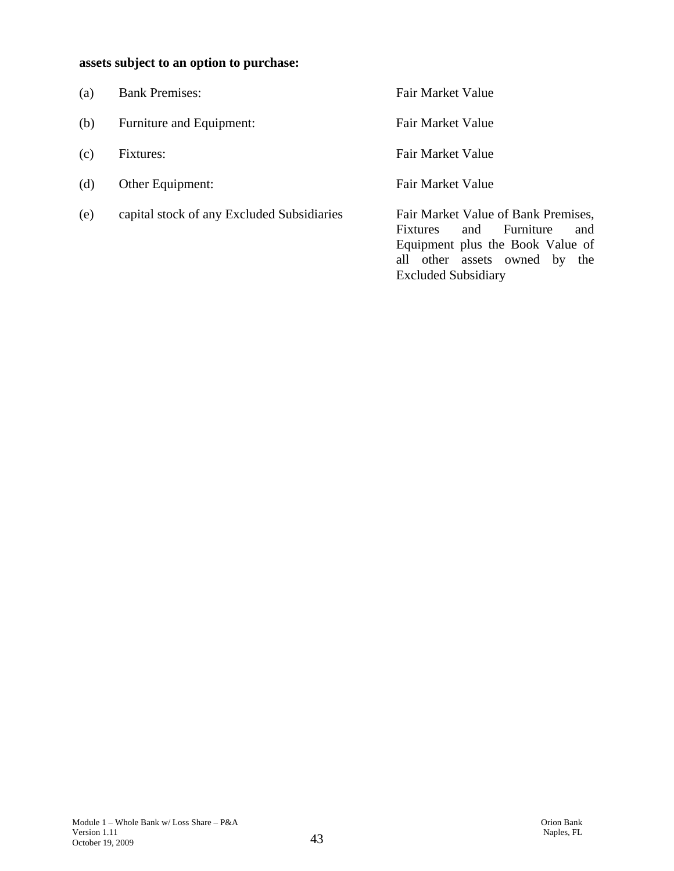# **assets subject to an option to purchase:**

| (a) | <b>Bank Premises:</b>                      | Fair Market Value                                                                                                                                                                    |
|-----|--------------------------------------------|--------------------------------------------------------------------------------------------------------------------------------------------------------------------------------------|
| (b) | Furniture and Equipment:                   | <b>Fair Market Value</b>                                                                                                                                                             |
| (c) | Fixtures:                                  | Fair Market Value                                                                                                                                                                    |
| (d) | Other Equipment:                           | Fair Market Value                                                                                                                                                                    |
| (e) | capital stock of any Excluded Subsidiaries | Fair Market Value of Bank Premises,<br>Furniture<br><b>Fixtures</b><br>and<br>and<br>Equipment plus the Book Value of<br>all other assets owned by the<br><b>Excluded Subsidiary</b> |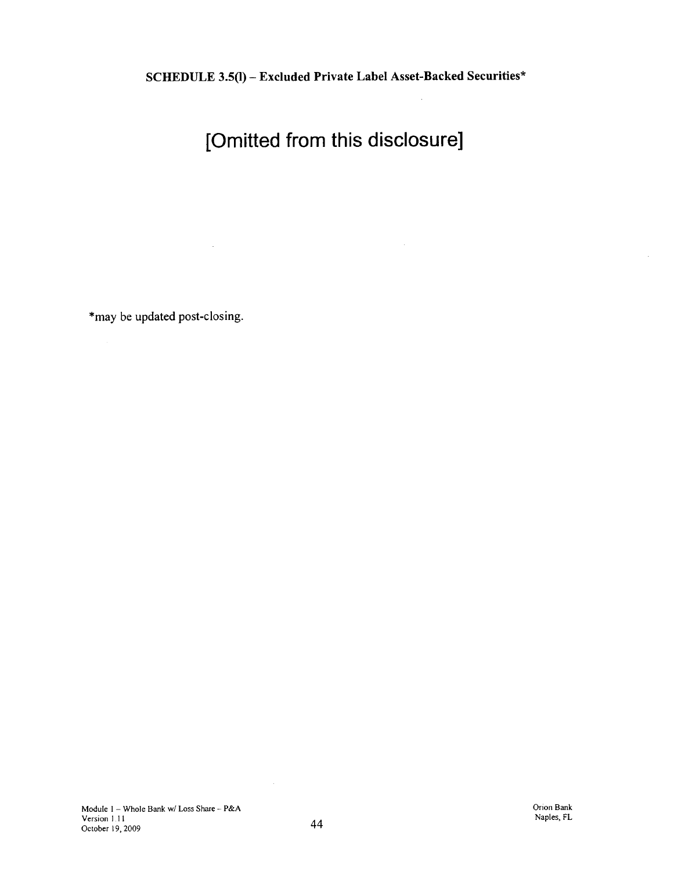SCHEDULE 3.5(1) - Excluded Private Label Asset-Backed Securities\*

 $\ddot{\phantom{0}}$ 

# (Omitted from this disclosure)

\*may be updated post-closing.

 $\mathcal{A}^{\mathcal{A}}$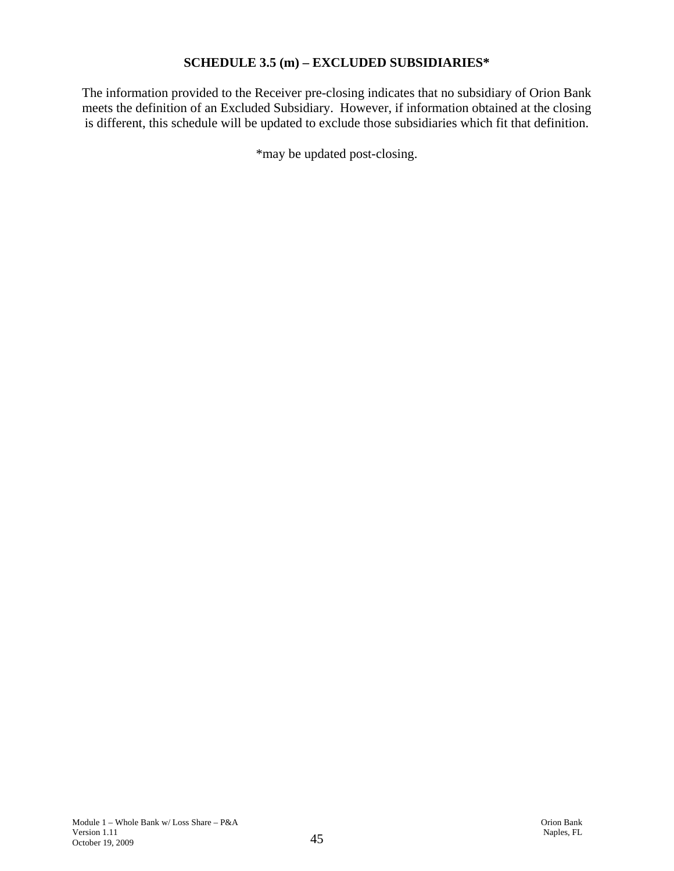## **SCHEDULE 3.5 (m) – EXCLUDED SUBSIDIARIES\***

The information provided to the Receiver pre-closing indicates that no subsidiary of Orion Bank meets the definition of an Excluded Subsidiary. However, if information obtained at the closing is different, this schedule will be updated to exclude those subsidiaries which fit that definition.

\*may be updated post-closing.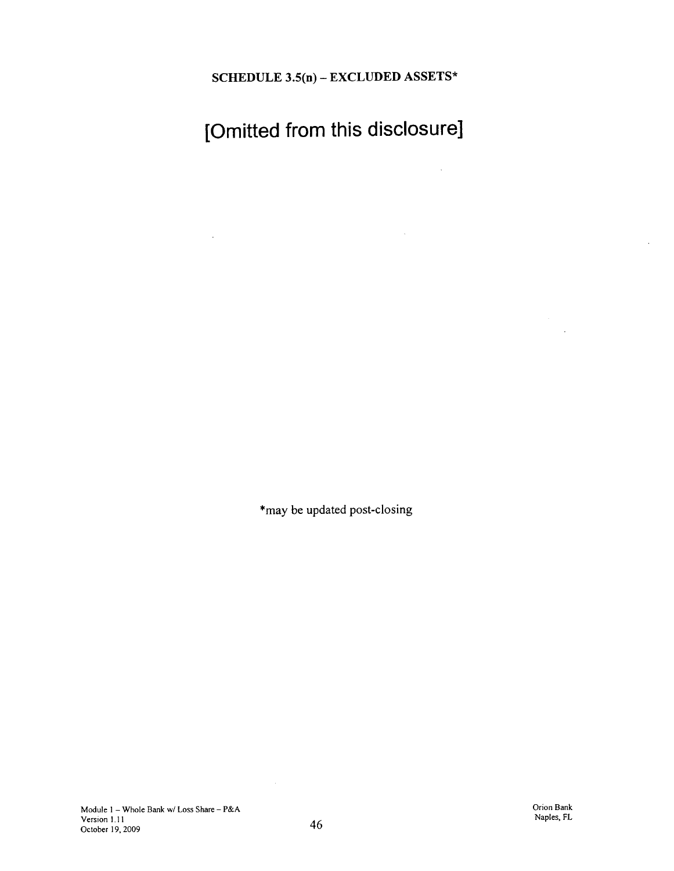# (Omitted from this disclosure)

 $\sim$ 

\*may be updated post-closing

 $\mathbf{r}$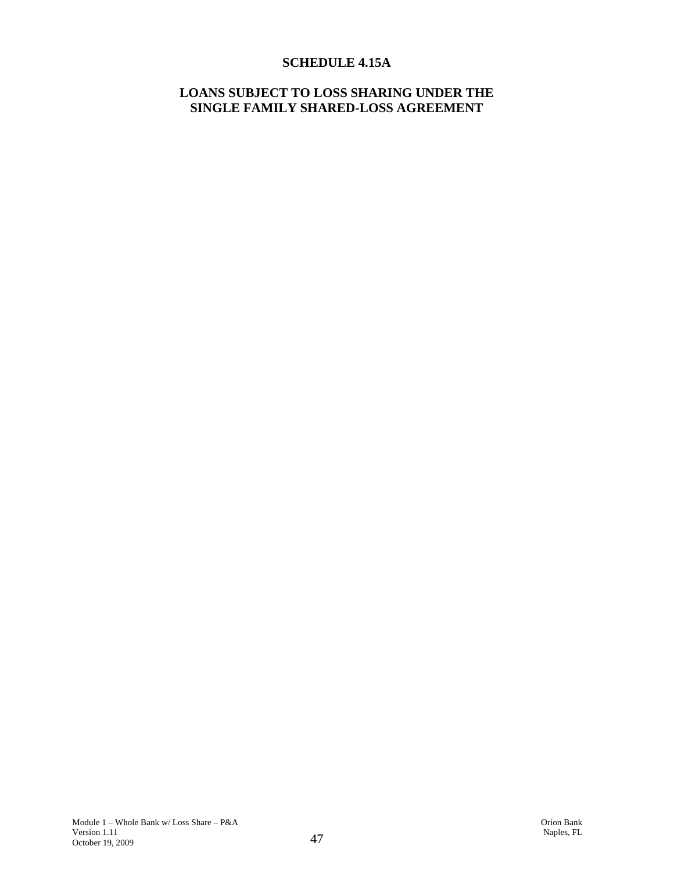#### **SCHEDULE 4.15A**

# **LOANS SUBJECT TO LOSS SHARING UNDER THE SINGLE FAMILY SHARED-LOSS AGREEMENT**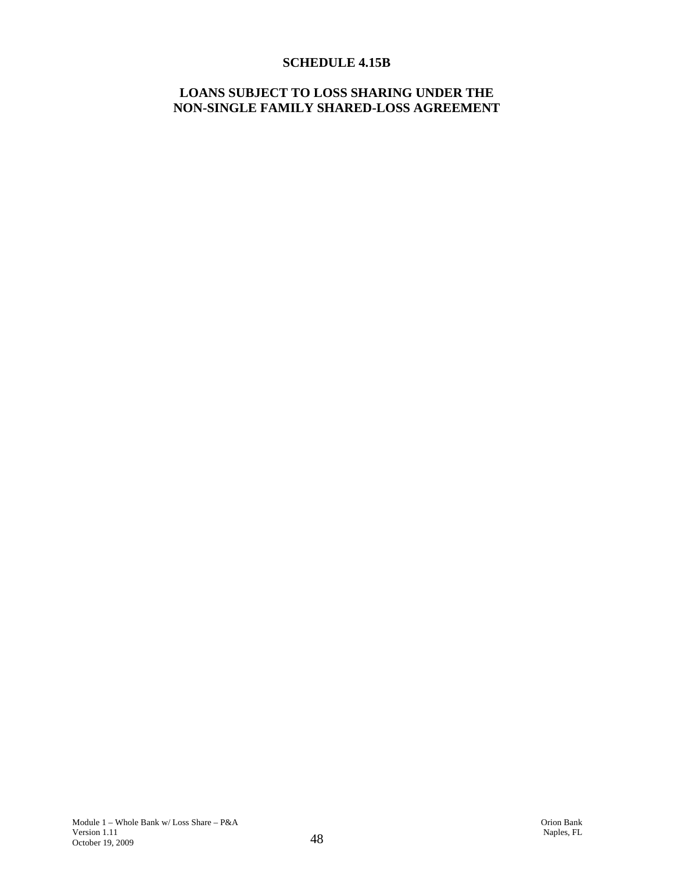#### **SCHEDULE 4.15B**

## **LOANS SUBJECT TO LOSS SHARING UNDER THE NON-SINGLE FAMILY SHARED-LOSS AGREEMENT**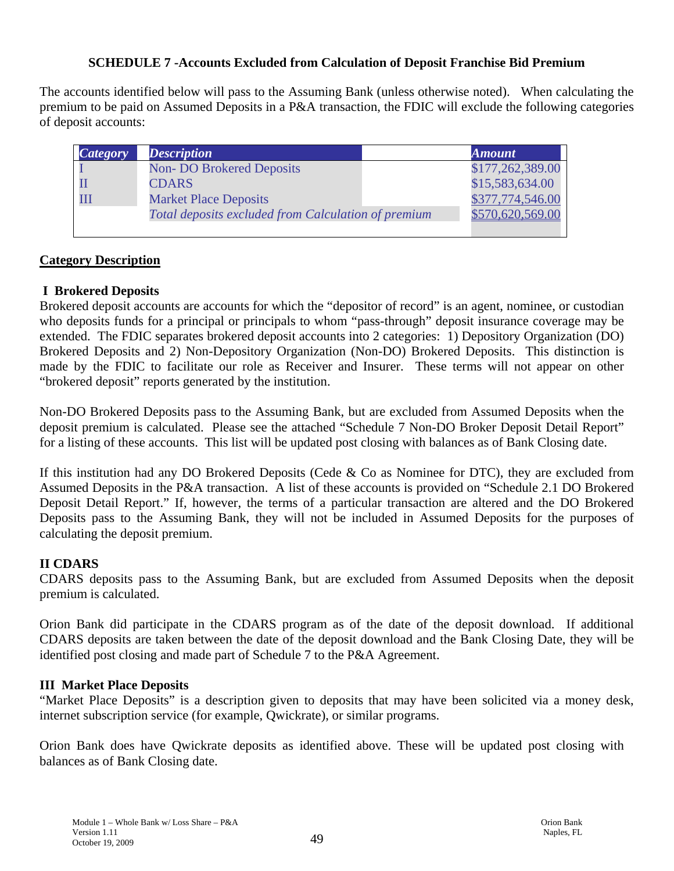## **SCHEDULE 7 -Accounts Excluded from Calculation of Deposit Franchise Bid Premium**

The accounts identified below will pass to the Assuming Bank (unless otherwise noted). When calculating the premium to be paid on Assumed Deposits in a P&A transaction, the FDIC will exclude the following categories of deposit accounts:

| <b>Category</b> | <b>Description</b>                                  | <b>Amount</b>    |
|-----------------|-----------------------------------------------------|------------------|
|                 | <b>Non-DO Brokered Deposits</b>                     | \$177,262,389.00 |
|                 | <b>CDARS</b>                                        | \$15,583,634.00  |
|                 | <b>Market Place Deposits</b>                        | \$377,774,546.00 |
|                 | Total deposits excluded from Calculation of premium | \$570,620,569.00 |
|                 |                                                     |                  |

#### **Category Description**

### **I Brokered Deposits**

Brokered deposit accounts are accounts for which the "depositor of record" is an agent, nominee, or custodian who deposits funds for a principal or principals to whom "pass-through" deposit insurance coverage may be extended. The FDIC separates brokered deposit accounts into 2 categories: 1) Depository Organization (DO) Brokered Deposits and 2) Non-Depository Organization (Non-DO) Brokered Deposits. This distinction is made by the FDIC to facilitate our role as Receiver and Insurer. These terms will not appear on other "brokered deposit" reports generated by the institution.

Non-DO Brokered Deposits pass to the Assuming Bank, but are excluded from Assumed Deposits when the deposit premium is calculated. Please see the attached "Schedule 7 Non-DO Broker Deposit Detail Report" for a listing of these accounts. This list will be updated post closing with balances as of Bank Closing date.

If this institution had any DO Brokered Deposits (Cede & Co as Nominee for DTC), they are excluded from Assumed Deposits in the P&A transaction. A list of these accounts is provided on "Schedule 2.1 DO Brokered Deposit Detail Report." If, however, the terms of a particular transaction are altered and the DO Brokered Deposits pass to the Assuming Bank, they will not be included in Assumed Deposits for the purposes of calculating the deposit premium.

#### **II CDARS**

CDARS deposits pass to the Assuming Bank, but are excluded from Assumed Deposits when the deposit premium is calculated.

Orion Bank did participate in the CDARS program as of the date of the deposit download. If additional CDARS deposits are taken between the date of the deposit download and the Bank Closing Date, they will be identified post closing and made part of Schedule 7 to the P&A Agreement.

#### **III Market Place Deposits**

"Market Place Deposits" is a description given to deposits that may have been solicited via a money desk, internet subscription service (for example, Qwickrate), or similar programs.

Orion Bank does have Qwickrate deposits as identified above. These will be updated post closing with balances as of Bank Closing date.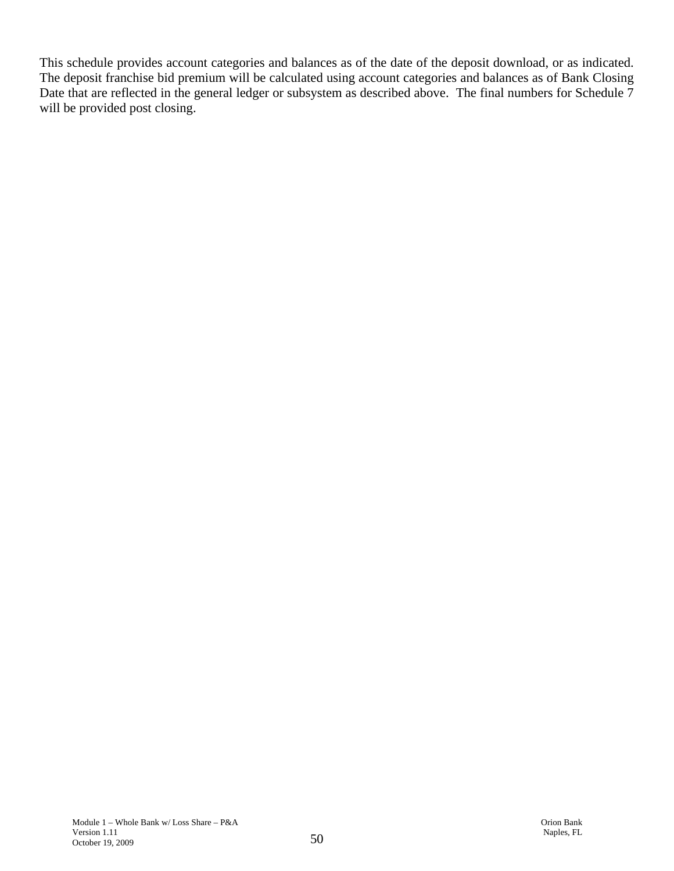This schedule provides account categories and balances as of the date of the deposit download, or as indicated. The deposit franchise bid premium will be calculated using account categories and balances as of Bank Closing Date that are reflected in the general ledger or subsystem as described above. The final numbers for Schedule 7 will be provided post closing.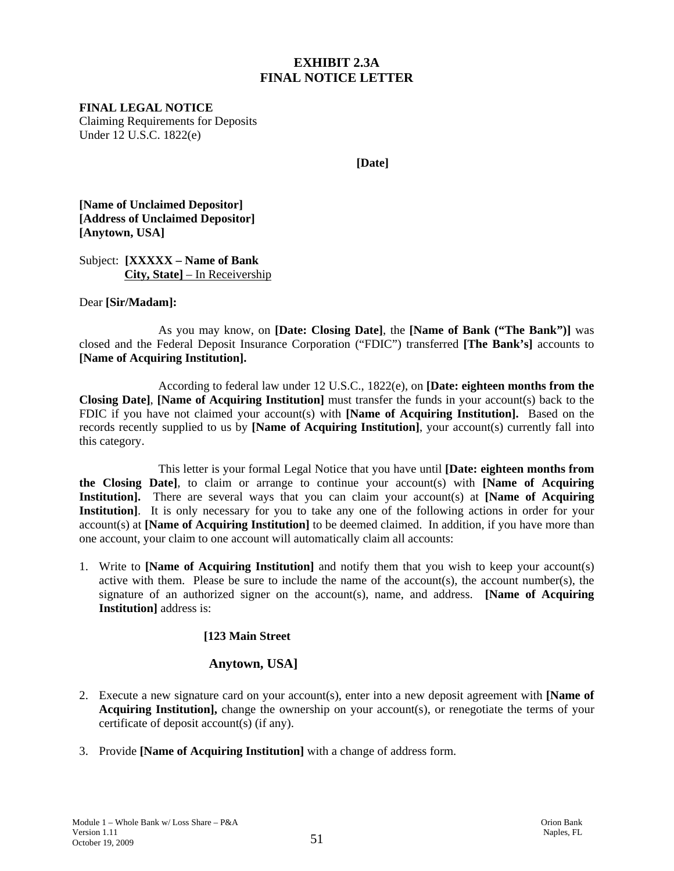## **EXHIBIT 2.3A FINAL NOTICE LETTER**

#### **FINAL LEGAL NOTICE**

Claiming Requirements for Deposits Under 12 U.S.C. 1822(e)

**[Date]** 

**[Name of Unclaimed Depositor] [Address of Unclaimed Depositor] [Anytown, USA]** 

Subject: **[XXXXX – Name of Bank City, State]** – In Receivership

Dear **[Sir/Madam]:** 

As you may know, on **[Date: Closing Date]**, the **[Name of Bank ("The Bank")]** was closed and the Federal Deposit Insurance Corporation ("FDIC") transferred **[The Bank's]** accounts to **[Name of Acquiring Institution].** 

According to federal law under 12 U.S.C., 1822(e), on **[Date: eighteen months from the Closing Date]**, **[Name of Acquiring Institution]** must transfer the funds in your account(s) back to the FDIC if you have not claimed your account(s) with **[Name of Acquiring Institution].** Based on the records recently supplied to us by **[Name of Acquiring Institution]**, your account(s) currently fall into this category.

This letter is your formal Legal Notice that you have until **[Date: eighteen months from the Closing Date]**, to claim or arrange to continue your account(s) with **[Name of Acquiring Institution].** There are several ways that you can claim your account(s) at **[Name of Acquiring Institution]**. It is only necessary for you to take any one of the following actions in order for your account(s) at **[Name of Acquiring Institution]** to be deemed claimed. In addition, if you have more than one account, your claim to one account will automatically claim all accounts:

 signature of an authorized signer on the account(s), name, and address. **[Name of Acquiring**  1. Write to **[Name of Acquiring Institution]** and notify them that you wish to keep your account(s) active with them. Please be sure to include the name of the account(s), the account number(s), the **Institution]** address is:

#### **[123 Main Street**

#### **Anytown, USA]**

- 2. Execute a new signature card on your account(s), enter into a new deposit agreement with **[Name of Acquiring Institution],** change the ownership on your account(s), or renegotiate the terms of your certificate of deposit account(s) (if any).
- 3. Provide **[Name of Acquiring Institution]** with a change of address form.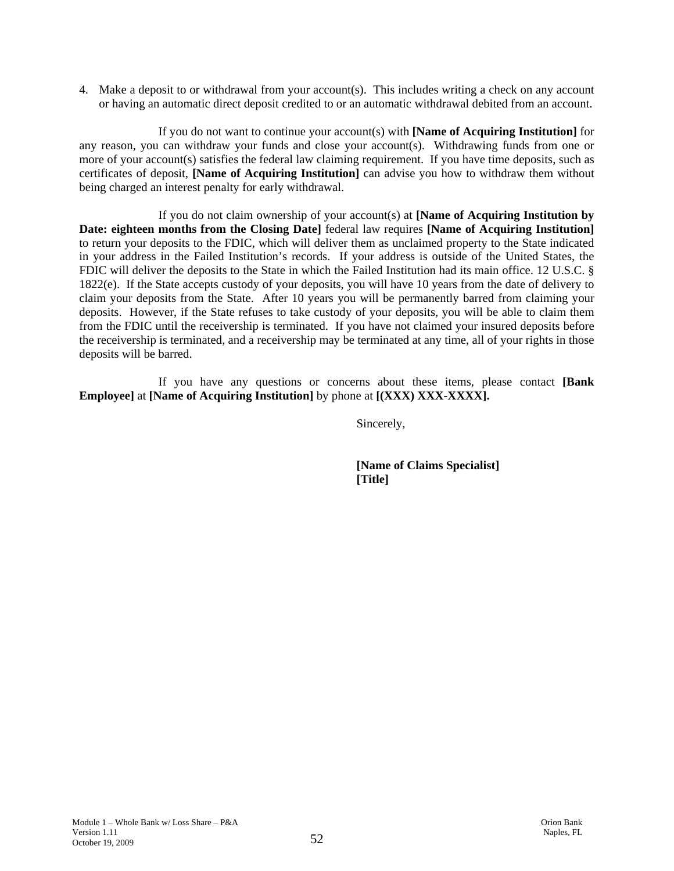4. Make a deposit to or withdrawal from your account(s). This includes writing a check on any account or having an automatic direct deposit credited to or an automatic withdrawal debited from an account.

If you do not want to continue your account(s) with **[Name of Acquiring Institution]** for any reason, you can withdraw your funds and close your account(s). Withdrawing funds from one or more of your account(s) satisfies the federal law claiming requirement. If you have time deposits, such as certificates of deposit, **[Name of Acquiring Institution]** can advise you how to withdraw them without being charged an interest penalty for early withdrawal.

If you do not claim ownership of your account(s) at **[Name of Acquiring Institution by Date: eighteen months from the Closing Date]** federal law requires **[Name of Acquiring Institution]**  to return your deposits to the FDIC, which will deliver them as unclaimed property to the State indicated in your address in the Failed Institution's records. If your address is outside of the United States, the FDIC will deliver the deposits to the State in which the Failed Institution had its main office. 12 U.S.C. § 1822(e). If the State accepts custody of your deposits, you will have 10 years from the date of delivery to claim your deposits from the State. After 10 years you will be permanently barred from claiming your deposits. However, if the State refuses to take custody of your deposits, you will be able to claim them from the FDIC until the receivership is terminated. If you have not claimed your insured deposits before the receivership is terminated, and a receivership may be terminated at any time, all of your rights in those deposits will be barred.

If you have any questions or concerns about these items, please contact **[Bank Employee]** at **[Name of Acquiring Institution]** by phone at **[(XXX) XXX-XXXX].** 

Sincerely,

**[Name of Claims Specialist] [Title]**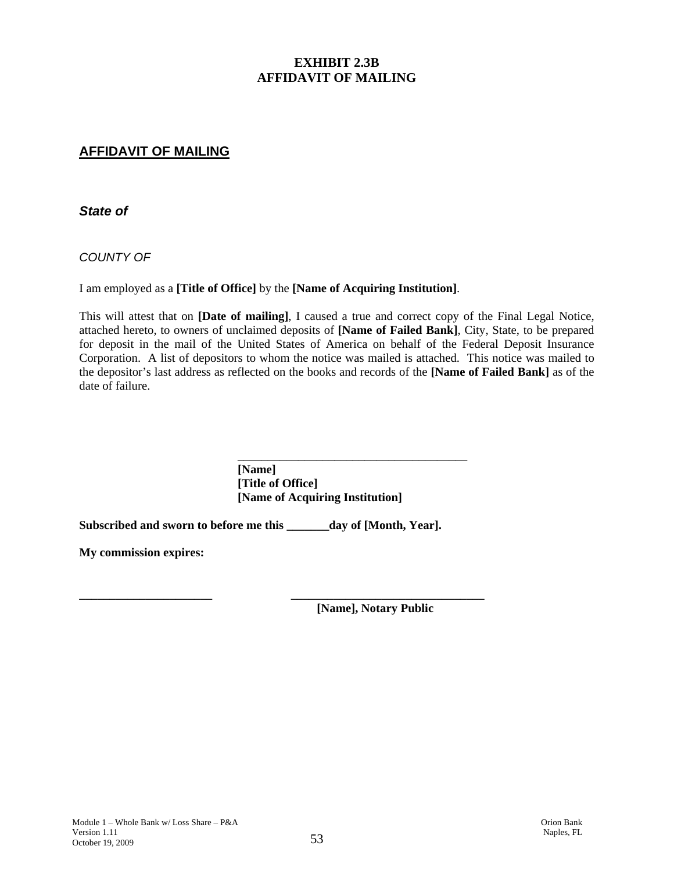## **EXHIBIT 2.3B AFFIDAVIT OF MAILING**

## **AFFIDAVIT OF MAILING**

*State of* 

*COUNTY OF* 

I am employed as a **[Title of Office]** by the **[Name of Acquiring Institution]**.

This will attest that on **[Date of mailing]**, I caused a true and correct copy of the Final Legal Notice, attached hereto, to owners of unclaimed deposits of **[Name of Failed Bank]**, City, State, to be prepared for deposit in the mail of the United States of America on behalf of the Federal Deposit Insurance Corporation. A list of depositors to whom the notice was mailed is attached. This notice was mailed to the depositor's last address as reflected on the books and records of the **[Name of Failed Bank]** as of the date of failure.

> **[Name] [Title of Office] [Name of Acquiring Institution]**

**Subscribed and sworn to before me this \_\_\_\_\_\_\_day of [Month, Year].** 

**\_\_\_\_\_\_\_\_\_\_\_\_\_\_\_\_\_\_\_\_\_\_ \_\_\_\_\_\_\_\_\_\_\_\_\_\_\_\_\_\_\_\_\_\_\_\_\_\_\_\_\_\_\_\_** 

 $\overline{\phantom{a}}$  , and the contract of the contract of the contract of the contract of the contract of the contract of the contract of the contract of the contract of the contract of the contract of the contract of the contrac

**My commission expires:** 

 **[Name], Notary Public**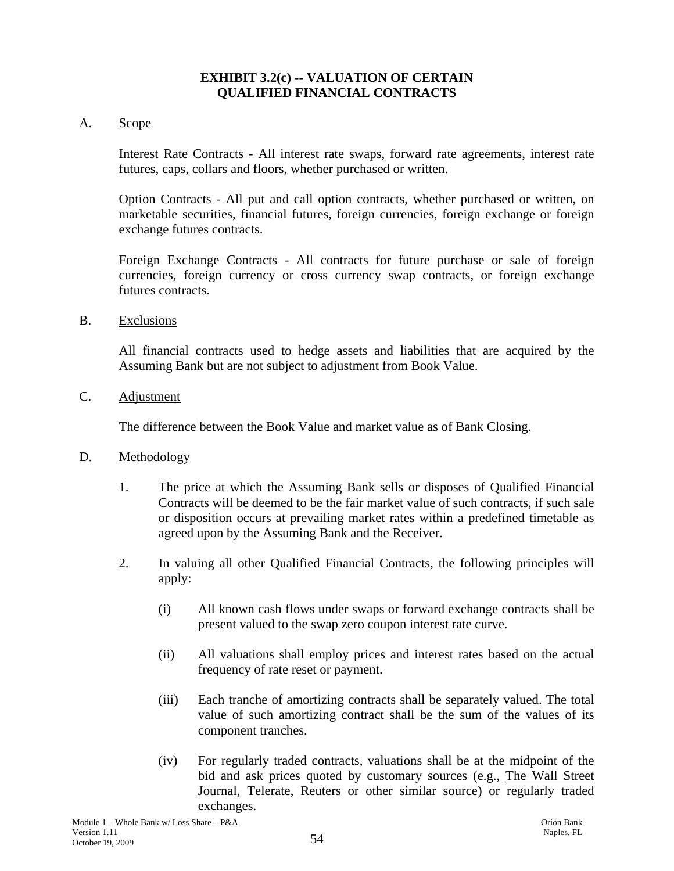## **EXHIBIT 3.2(c) -- VALUATION OF CERTAIN QUALIFIED FINANCIAL CONTRACTS**

## A. Scope

Interest Rate Contracts - All interest rate swaps, forward rate agreements, interest rate futures, caps, collars and floors, whether purchased or written.

Option Contracts - All put and call option contracts, whether purchased or written, on marketable securities, financial futures, foreign currencies, foreign exchange or foreign exchange futures contracts.

Foreign Exchange Contracts - All contracts for future purchase or sale of foreign currencies, foreign currency or cross currency swap contracts, or foreign exchange futures contracts.

B. Exclusions

All financial contracts used to hedge assets and liabilities that are acquired by the Assuming Bank but are not subject to adjustment from Book Value.

C. Adjustment

The difference between the Book Value and market value as of Bank Closing.

- D. Methodology
	- 1. The price at which the Assuming Bank sells or disposes of Qualified Financial Contracts will be deemed to be the fair market value of such contracts, if such sale or disposition occurs at prevailing market rates within a predefined timetable as agreed upon by the Assuming Bank and the Receiver.
	- 2. In valuing all other Qualified Financial Contracts, the following principles will apply:
		- (i) All known cash flows under swaps or forward exchange contracts shall be present valued to the swap zero coupon interest rate curve.
		- (ii) All valuations shall employ prices and interest rates based on the actual frequency of rate reset or payment.
		- (iii) Each tranche of amortizing contracts shall be separately valued. The total value of such amortizing contract shall be the sum of the values of its component tranches.
		- (iv) For regularly traded contracts, valuations shall be at the midpoint of the bid and ask prices quoted by customary sources (e.g., The Wall Street Journal, Telerate, Reuters or other similar source) or regularly traded exchanges.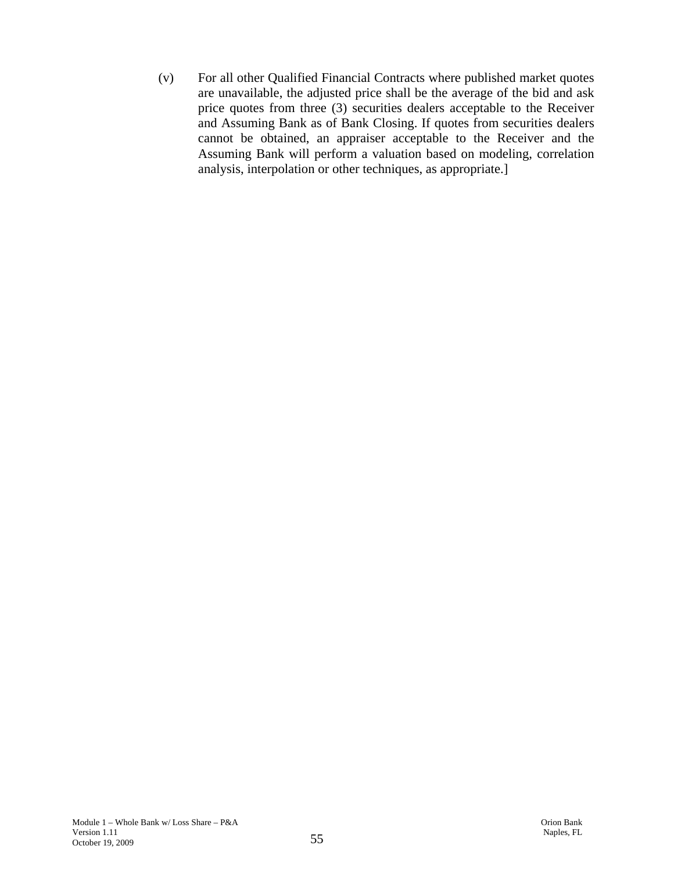(v) For all other Qualified Financial Contracts where published market quotes are unavailable, the adjusted price shall be the average of the bid and ask price quotes from three (3) securities dealers acceptable to the Receiver and Assuming Bank as of Bank Closing. If quotes from securities dealers cannot be obtained, an appraiser acceptable to the Receiver and the Assuming Bank will perform a valuation based on modeling, correlation analysis, interpolation or other techniques, as appropriate.]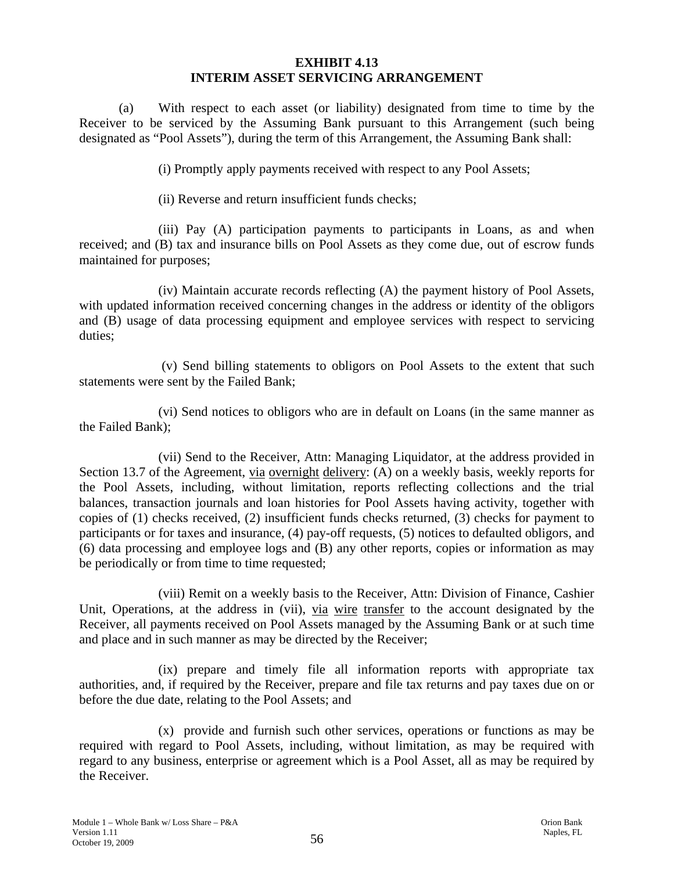### **EXHIBIT 4.13 INTERIM ASSET SERVICING ARRANGEMENT**

(a) With respect to each asset (or liability) designated from time to time by the Receiver to be serviced by the Assuming Bank pursuant to this Arrangement (such being designated as "Pool Assets"), during the term of this Arrangement, the Assuming Bank shall:

(i) Promptly apply payments received with respect to any Pool Assets;

(ii) Reverse and return insufficient funds checks;

(iii) Pay (A) participation payments to participants in Loans, as and when received; and (B) tax and insurance bills on Pool Assets as they come due, out of escrow funds maintained for purposes;

(iv) Maintain accurate records reflecting (A) the payment history of Pool Assets, with updated information received concerning changes in the address or identity of the obligors and (B) usage of data processing equipment and employee services with respect to servicing duties;

(v) Send billing statements to obligors on Pool Assets to the extent that such statements were sent by the Failed Bank;

(vi) Send notices to obligors who are in default on Loans (in the same manner as the Failed Bank);

(vii) Send to the Receiver, Attn: Managing Liquidator, at the address provided in Section 13.7 of the Agreement, via overnight delivery: (A) on a weekly basis, weekly reports for the Pool Assets, including, without limitation, reports reflecting collections and the trial balances, transaction journals and loan histories for Pool Assets having activity, together with copies of (1) checks received, (2) insufficient funds checks returned, (3) checks for payment to participants or for taxes and insurance, (4) pay-off requests, (5) notices to defaulted obligors, and (6) data processing and employee logs and (B) any other reports, copies or information as may be periodically or from time to time requested;

(viii) Remit on a weekly basis to the Receiver, Attn: Division of Finance, Cashier Unit, Operations, at the address in (vii), via wire transfer to the account designated by the Receiver, all payments received on Pool Assets managed by the Assuming Bank or at such time and place and in such manner as may be directed by the Receiver;

(ix) prepare and timely file all information reports with appropriate tax authorities, and, if required by the Receiver, prepare and file tax returns and pay taxes due on or before the due date, relating to the Pool Assets; and

(x) provide and furnish such other services, operations or functions as may be required with regard to Pool Assets, including, without limitation, as may be required with regard to any business, enterprise or agreement which is a Pool Asset, all as may be required by the Receiver.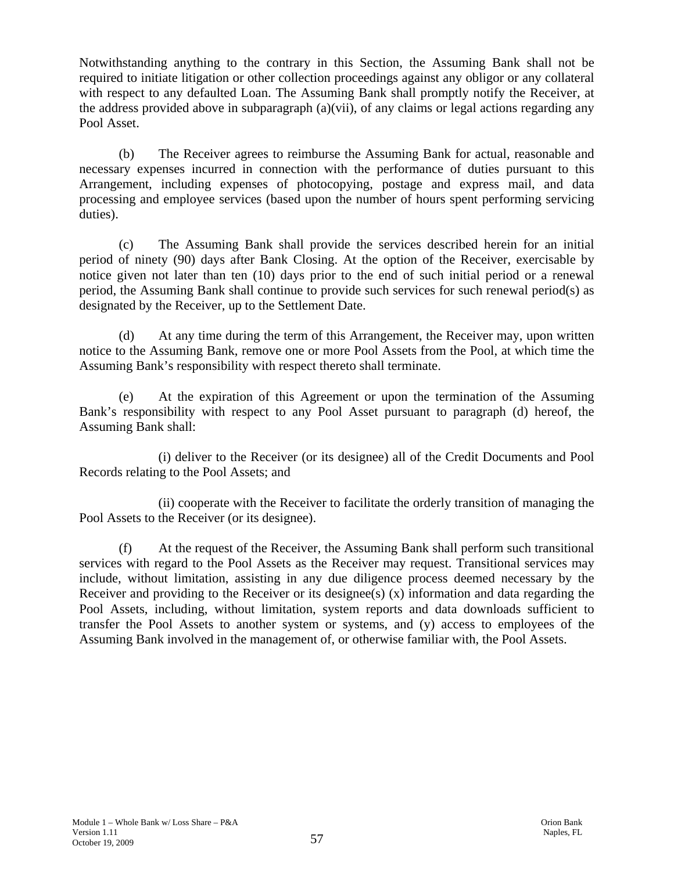Notwithstanding anything to the contrary in this Section, the Assuming Bank shall not be required to initiate litigation or other collection proceedings against any obligor or any collateral with respect to any defaulted Loan. The Assuming Bank shall promptly notify the Receiver, at the address provided above in subparagraph (a)(vii), of any claims or legal actions regarding any Pool Asset.

(b) The Receiver agrees to reimburse the Assuming Bank for actual, reasonable and necessary expenses incurred in connection with the performance of duties pursuant to this Arrangement, including expenses of photocopying, postage and express mail, and data processing and employee services (based upon the number of hours spent performing servicing duties).

(c) The Assuming Bank shall provide the services described herein for an initial period of ninety (90) days after Bank Closing. At the option of the Receiver, exercisable by notice given not later than ten (10) days prior to the end of such initial period or a renewal period, the Assuming Bank shall continue to provide such services for such renewal period(s) as designated by the Receiver, up to the Settlement Date.

(d) At any time during the term of this Arrangement, the Receiver may, upon written notice to the Assuming Bank, remove one or more Pool Assets from the Pool, at which time the Assuming Bank's responsibility with respect thereto shall terminate.

(e) At the expiration of this Agreement or upon the termination of the Assuming Bank's responsibility with respect to any Pool Asset pursuant to paragraph (d) hereof, the Assuming Bank shall:

(i) deliver to the Receiver (or its designee) all of the Credit Documents and Pool Records relating to the Pool Assets; and

(ii) cooperate with the Receiver to facilitate the orderly transition of managing the Pool Assets to the Receiver (or its designee).

(f) At the request of the Receiver, the Assuming Bank shall perform such transitional services with regard to the Pool Assets as the Receiver may request. Transitional services may include, without limitation, assisting in any due diligence process deemed necessary by the Receiver and providing to the Receiver or its designee(s) (x) information and data regarding the Pool Assets, including, without limitation, system reports and data downloads sufficient to transfer the Pool Assets to another system or systems, and (y) access to employees of the Assuming Bank involved in the management of, or otherwise familiar with, the Pool Assets.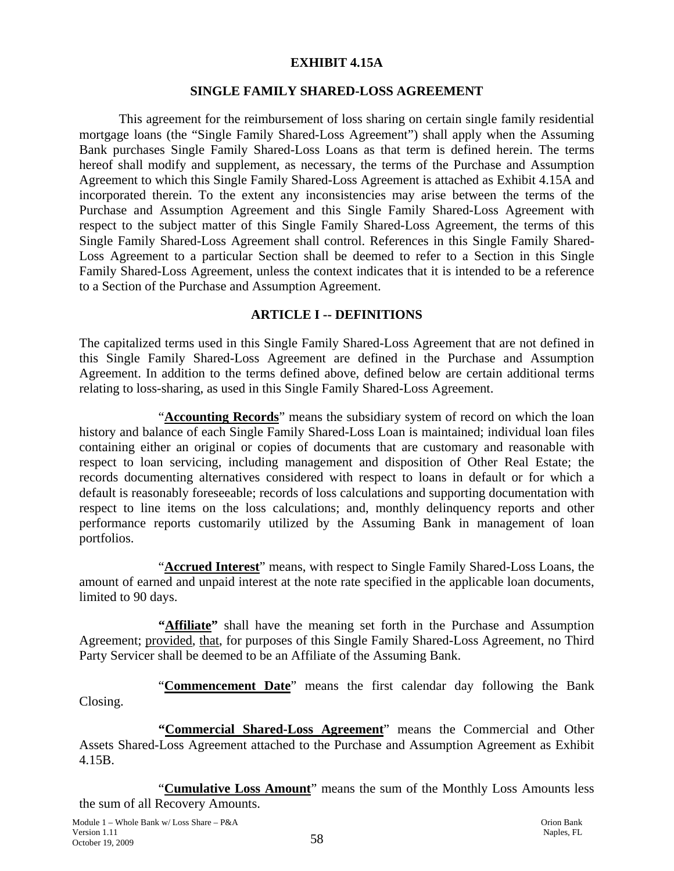#### **EXHIBIT 4.15A**

### **SINGLE FAMILY SHARED-LOSS AGREEMENT**

This agreement for the reimbursement of loss sharing on certain single family residential mortgage loans (the "Single Family Shared-Loss Agreement") shall apply when the Assuming Bank purchases Single Family Shared-Loss Loans as that term is defined herein. The terms hereof shall modify and supplement, as necessary, the terms of the Purchase and Assumption Agreement to which this Single Family Shared-Loss Agreement is attached as Exhibit 4.15A and incorporated therein. To the extent any inconsistencies may arise between the terms of the Purchase and Assumption Agreement and this Single Family Shared-Loss Agreement with respect to the subject matter of this Single Family Shared-Loss Agreement, the terms of this Single Family Shared-Loss Agreement shall control. References in this Single Family Shared-Loss Agreement to a particular Section shall be deemed to refer to a Section in this Single Family Shared-Loss Agreement, unless the context indicates that it is intended to be a reference to a Section of the Purchase and Assumption Agreement.

### **ARTICLE I -- DEFINITIONS**

The capitalized terms used in this Single Family Shared-Loss Agreement that are not defined in this Single Family Shared-Loss Agreement are defined in the Purchase and Assumption Agreement. In addition to the terms defined above, defined below are certain additional terms relating to loss-sharing, as used in this Single Family Shared-Loss Agreement.

"**Accounting Records**" means the subsidiary system of record on which the loan history and balance of each Single Family Shared-Loss Loan is maintained; individual loan files containing either an original or copies of documents that are customary and reasonable with respect to loan servicing, including management and disposition of Other Real Estate; the records documenting alternatives considered with respect to loans in default or for which a default is reasonably foreseeable; records of loss calculations and supporting documentation with respect to line items on the loss calculations; and, monthly delinquency reports and other performance reports customarily utilized by the Assuming Bank in management of loan portfolios.

"**Accrued Interest**" means, with respect to Single Family Shared-Loss Loans, the amount of earned and unpaid interest at the note rate specified in the applicable loan documents, limited to 90 days.

**"Affiliate"** shall have the meaning set forth in the Purchase and Assumption Agreement; provided, that, for purposes of this Single Family Shared-Loss Agreement, no Third Party Servicer shall be deemed to be an Affiliate of the Assuming Bank.

"**Commencement Date**" means the first calendar day following the Bank Closing.

**"Commercial Shared-Loss Agreement**" means the Commercial and Other Assets Shared-Loss Agreement attached to the Purchase and Assumption Agreement as Exhibit 4.15B.

"**Cumulative Loss Amount**" means the sum of the Monthly Loss Amounts less the sum of all Recovery Amounts.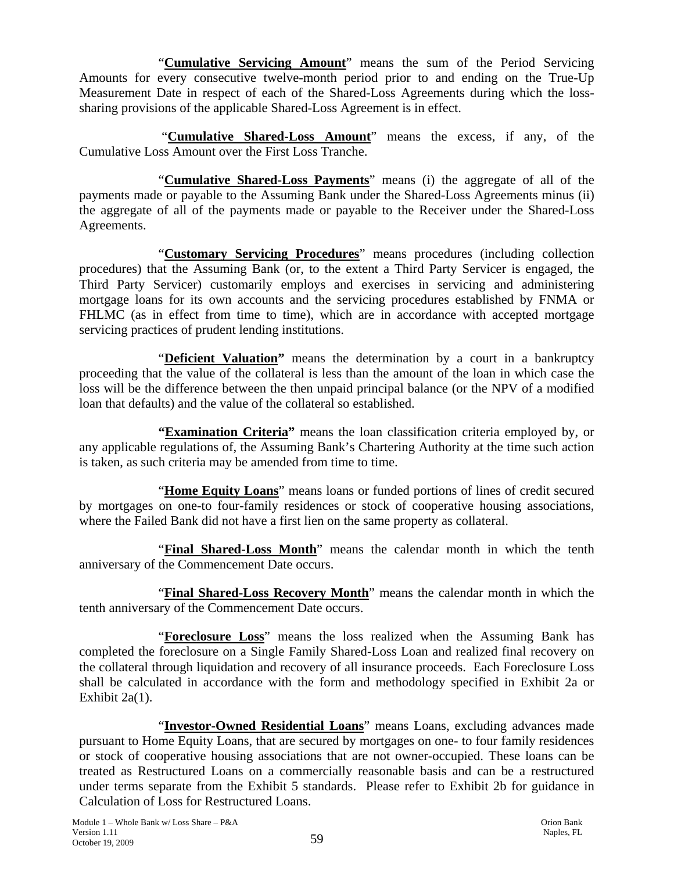"Cumulative Servicing Amount" means the sum of the Period Servicing Amounts for every consecutive twelve-month period prior to and ending on the True-Up Measurement Date in respect of each of the Shared-Loss Agreements during which the losssharing provisions of the applicable Shared-Loss Agreement is in effect.

"**Cumulative Shared-Loss Amount**" means the excess, if any, of the Cumulative Loss Amount over the First Loss Tranche.

"**Cumulative Shared-Loss Payments**" means (i) the aggregate of all of the payments made or payable to the Assuming Bank under the Shared-Loss Agreements minus (ii) the aggregate of all of the payments made or payable to the Receiver under the Shared-Loss Agreements.

"**Customary Servicing Procedures**" means procedures (including collection procedures) that the Assuming Bank (or, to the extent a Third Party Servicer is engaged, the Third Party Servicer) customarily employs and exercises in servicing and administering mortgage loans for its own accounts and the servicing procedures established by FNMA or FHLMC (as in effect from time to time), which are in accordance with accepted mortgage servicing practices of prudent lending institutions.

"**Deficient Valuation"** means the determination by a court in a bankruptcy proceeding that the value of the collateral is less than the amount of the loan in which case the loss will be the difference between the then unpaid principal balance (or the NPV of a modified loan that defaults) and the value of the collateral so established.

**"Examination Criteria"** means the loan classification criteria employed by, or any applicable regulations of, the Assuming Bank's Chartering Authority at the time such action is taken, as such criteria may be amended from time to time.

"**Home Equity Loans**" means loans or funded portions of lines of credit secured by mortgages on one-to four-family residences or stock of cooperative housing associations, where the Failed Bank did not have a first lien on the same property as collateral.

"**Final Shared-Loss Month**" means the calendar month in which the tenth anniversary of the Commencement Date occurs.

"**Final Shared-Loss Recovery Month**" means the calendar month in which the tenth anniversary of the Commencement Date occurs.

"**Foreclosure Loss**" means the loss realized when the Assuming Bank has completed the foreclosure on a Single Family Shared-Loss Loan and realized final recovery on the collateral through liquidation and recovery of all insurance proceeds. Each Foreclosure Loss shall be calculated in accordance with the form and methodology specified in Exhibit 2a or Exhibit 2a(1).

"**Investor-Owned Residential Loans**" means Loans, excluding advances made pursuant to Home Equity Loans, that are secured by mortgages on one- to four family residences or stock of cooperative housing associations that are not owner-occupied. These loans can be treated as Restructured Loans on a commercially reasonable basis and can be a restructured under terms separate from the Exhibit 5 standards. Please refer to Exhibit 2b for guidance in Calculation of Loss for Restructured Loans.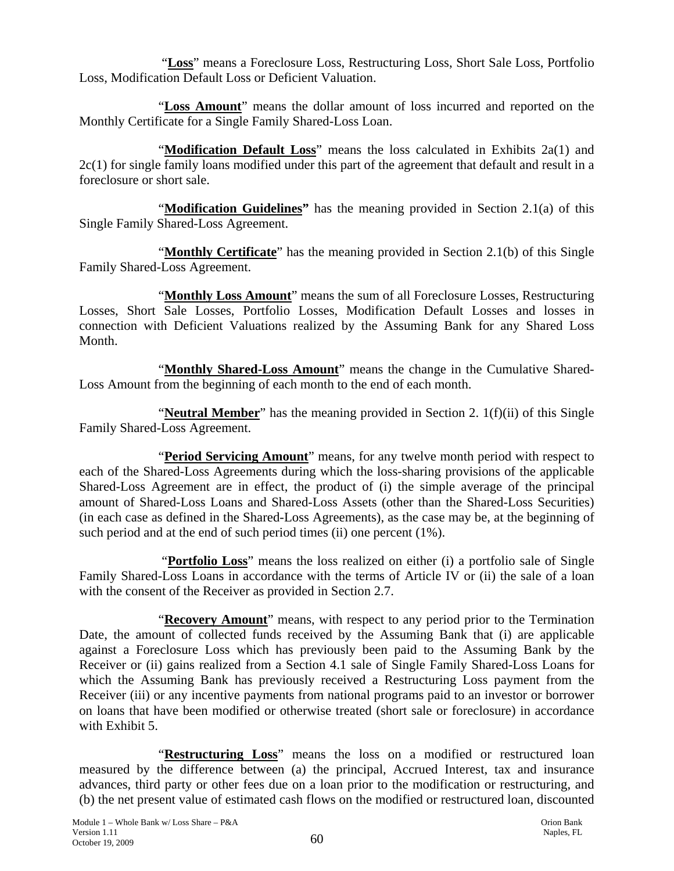"**Loss**" means a Foreclosure Loss, Restructuring Loss, Short Sale Loss, Portfolio Loss, Modification Default Loss or Deficient Valuation.

"**Loss Amount**" means the dollar amount of loss incurred and reported on the Monthly Certificate for a Single Family Shared-Loss Loan.

"**Modification Default Loss**" means the loss calculated in Exhibits 2a(1) and 2c(1) for single family loans modified under this part of the agreement that default and result in a foreclosure or short sale.

"**Modification Guidelines"** has the meaning provided in Section 2.1(a) of this Single Family Shared-Loss Agreement.

"**Monthly Certificate**" has the meaning provided in Section 2.1(b) of this Single Family Shared-Loss Agreement.

"**Monthly Loss Amount**" means the sum of all Foreclosure Losses, Restructuring Losses, Short Sale Losses, Portfolio Losses, Modification Default Losses and losses in connection with Deficient Valuations realized by the Assuming Bank for any Shared Loss Month.

"**Monthly Shared-Loss Amount**" means the change in the Cumulative Shared-Loss Amount from the beginning of each month to the end of each month.

"**Neutral Member**" has the meaning provided in Section 2. 1(f)(ii) of this Single Family Shared-Loss Agreement.

"**Period Servicing Amount**" means, for any twelve month period with respect to each of the Shared-Loss Agreements during which the loss-sharing provisions of the applicable Shared-Loss Agreement are in effect, the product of (i) the simple average of the principal amount of Shared-Loss Loans and Shared-Loss Assets (other than the Shared-Loss Securities) (in each case as defined in the Shared-Loss Agreements), as the case may be, at the beginning of such period and at the end of such period times (ii) one percent (1%).

"**Portfolio Loss**" means the loss realized on either (i) a portfolio sale of Single Family Shared-Loss Loans in accordance with the terms of Article IV or (ii) the sale of a loan with the consent of the Receiver as provided in Section 2.7.

"**Recovery Amount**" means, with respect to any period prior to the Termination Date, the amount of collected funds received by the Assuming Bank that (i) are applicable against a Foreclosure Loss which has previously been paid to the Assuming Bank by the Receiver or (ii) gains realized from a Section 4.1 sale of Single Family Shared-Loss Loans for which the Assuming Bank has previously received a Restructuring Loss payment from the Receiver (iii) or any incentive payments from national programs paid to an investor or borrower on loans that have been modified or otherwise treated (short sale or foreclosure) in accordance with Exhibit 5.

"**Restructuring Loss**" means the loss on a modified or restructured loan measured by the difference between (a) the principal, Accrued Interest, tax and insurance advances, third party or other fees due on a loan prior to the modification or restructuring, and (b) the net present value of estimated cash flows on the modified or restructured loan, discounted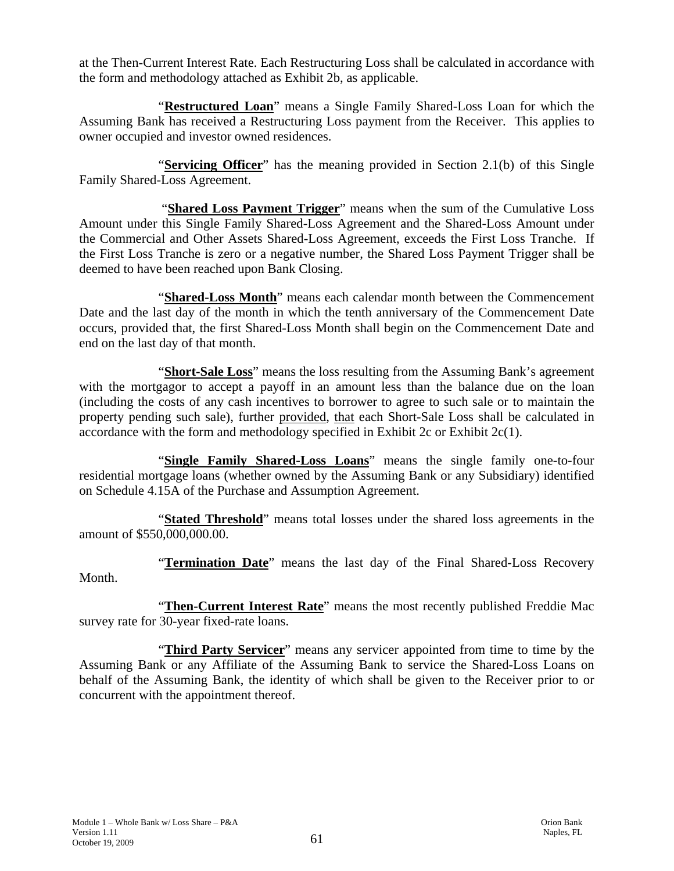at the Then-Current Interest Rate. Each Restructuring Loss shall be calculated in accordance with the form and methodology attached as Exhibit 2b, as applicable.

"**Restructured Loan**" means a Single Family Shared-Loss Loan for which the Assuming Bank has received a Restructuring Loss payment from the Receiver. This applies to owner occupied and investor owned residences.

"**Servicing Officer**" has the meaning provided in Section 2.1(b) of this Single Family Shared-Loss Agreement.

"Shared Loss Payment Trigger" means when the sum of the Cumulative Loss Amount under this Single Family Shared-Loss Agreement and the Shared-Loss Amount under the Commercial and Other Assets Shared-Loss Agreement, exceeds the First Loss Tranche. If the First Loss Tranche is zero or a negative number, the Shared Loss Payment Trigger shall be deemed to have been reached upon Bank Closing.

"**Shared-Loss Month**" means each calendar month between the Commencement Date and the last day of the month in which the tenth anniversary of the Commencement Date occurs, provided that, the first Shared-Loss Month shall begin on the Commencement Date and end on the last day of that month.

"**Short-Sale Loss**" means the loss resulting from the Assuming Bank's agreement with the mortgagor to accept a payoff in an amount less than the balance due on the loan (including the costs of any cash incentives to borrower to agree to such sale or to maintain the property pending such sale), further provided, that each Short-Sale Loss shall be calculated in accordance with the form and methodology specified in Exhibit  $2c$  or Exhibit  $2c(1)$ .

"**Single Family Shared-Loss Loans**" means the single family one-to-four residential mortgage loans (whether owned by the Assuming Bank or any Subsidiary) identified on Schedule 4.15A of the Purchase and Assumption Agreement.

"**Stated Threshold**" means total losses under the shared loss agreements in the amount of \$550,000,000.00.

"**Termination Date**" means the last day of the Final Shared-Loss Recovery Month.

"**Then-Current Interest Rate**" means the most recently published Freddie Mac survey rate for 30-year fixed-rate loans.

"**Third Party Servicer**" means any servicer appointed from time to time by the Assuming Bank or any Affiliate of the Assuming Bank to service the Shared-Loss Loans on behalf of the Assuming Bank, the identity of which shall be given to the Receiver prior to or concurrent with the appointment thereof.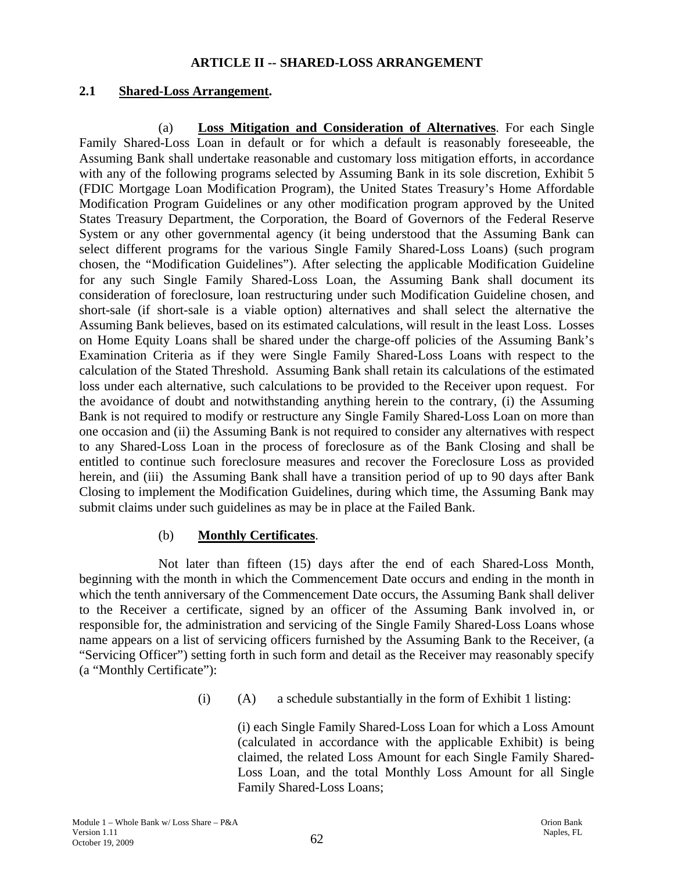#### **ARTICLE II -- SHARED-LOSS ARRANGEMENT**

#### **2.1 Shared-Loss Arrangement.**

(a) **Loss Mitigation and Consideration of Alternatives**. For each Single Family Shared-Loss Loan in default or for which a default is reasonably foreseeable, the Assuming Bank shall undertake reasonable and customary loss mitigation efforts, in accordance with any of the following programs selected by Assuming Bank in its sole discretion, Exhibit 5 (FDIC Mortgage Loan Modification Program), the United States Treasury's Home Affordable Modification Program Guidelines or any other modification program approved by the United States Treasury Department, the Corporation, the Board of Governors of the Federal Reserve System or any other governmental agency (it being understood that the Assuming Bank can select different programs for the various Single Family Shared-Loss Loans) (such program chosen, the "Modification Guidelines"). After selecting the applicable Modification Guideline for any such Single Family Shared-Loss Loan, the Assuming Bank shall document its consideration of foreclosure, loan restructuring under such Modification Guideline chosen, and short-sale (if short-sale is a viable option) alternatives and shall select the alternative the Assuming Bank believes, based on its estimated calculations, will result in the least Loss. Losses on Home Equity Loans shall be shared under the charge-off policies of the Assuming Bank's Examination Criteria as if they were Single Family Shared-Loss Loans with respect to the calculation of the Stated Threshold. Assuming Bank shall retain its calculations of the estimated loss under each alternative, such calculations to be provided to the Receiver upon request. For the avoidance of doubt and notwithstanding anything herein to the contrary, (i) the Assuming Bank is not required to modify or restructure any Single Family Shared-Loss Loan on more than one occasion and (ii) the Assuming Bank is not required to consider any alternatives with respect to any Shared-Loss Loan in the process of foreclosure as of the Bank Closing and shall be entitled to continue such foreclosure measures and recover the Foreclosure Loss as provided herein, and (iii) the Assuming Bank shall have a transition period of up to 90 days after Bank Closing to implement the Modification Guidelines, during which time, the Assuming Bank may submit claims under such guidelines as may be in place at the Failed Bank.

#### (b) **Monthly Certificates**.

Not later than fifteen (15) days after the end of each Shared-Loss Month, beginning with the month in which the Commencement Date occurs and ending in the month in which the tenth anniversary of the Commencement Date occurs, the Assuming Bank shall deliver to the Receiver a certificate, signed by an officer of the Assuming Bank involved in, or responsible for, the administration and servicing of the Single Family Shared-Loss Loans whose name appears on a list of servicing officers furnished by the Assuming Bank to the Receiver, (a "Servicing Officer") setting forth in such form and detail as the Receiver may reasonably specify (a "Monthly Certificate"):

 $(i)$  (A) a schedule substantially in the form of Exhibit 1 listing:

(i) each Single Family Shared-Loss Loan for which a Loss Amount (calculated in accordance with the applicable Exhibit) is being claimed, the related Loss Amount for each Single Family Shared-Loss Loan, and the total Monthly Loss Amount for all Single Family Shared-Loss Loans;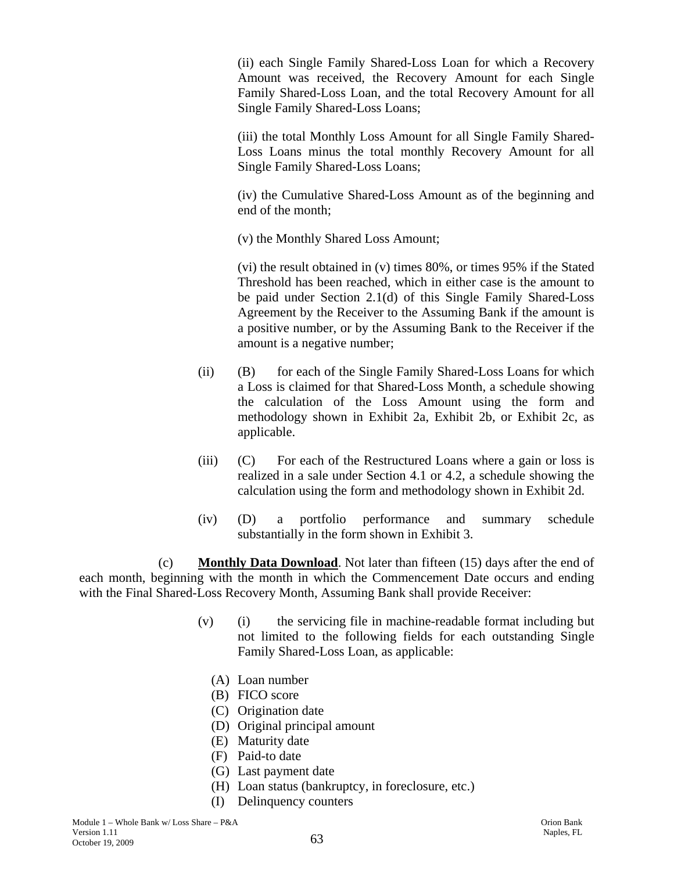(ii) each Single Family Shared-Loss Loan for which a Recovery Amount was received, the Recovery Amount for each Single Family Shared-Loss Loan, and the total Recovery Amount for all Single Family Shared-Loss Loans;

(iii) the total Monthly Loss Amount for all Single Family Shared-Loss Loans minus the total monthly Recovery Amount for all Single Family Shared-Loss Loans;

(iv) the Cumulative Shared-Loss Amount as of the beginning and end of the month;

(v) the Monthly Shared Loss Amount;

(vi) the result obtained in (v) times 80%, or times 95% if the Stated Threshold has been reached, which in either case is the amount to be paid under Section 2.1(d) of this Single Family Shared-Loss Agreement by the Receiver to the Assuming Bank if the amount is a positive number, or by the Assuming Bank to the Receiver if the amount is a negative number;

- (ii) (B) for each of the Single Family Shared-Loss Loans for which a Loss is claimed for that Shared-Loss Month, a schedule showing the calculation of the Loss Amount using the form and methodology shown in Exhibit 2a, Exhibit 2b, or Exhibit 2c, as applicable.
- (iii) (C) For each of the Restructured Loans where a gain or loss is realized in a sale under Section 4.1 or 4.2, a schedule showing the calculation using the form and methodology shown in Exhibit 2d.
- (iv) (D) a portfolio performance and summary schedule substantially in the form shown in Exhibit 3.

(c) **Monthly Data Download**. Not later than fifteen (15) days after the end of each month, beginning with the month in which the Commencement Date occurs and ending with the Final Shared-Loss Recovery Month, Assuming Bank shall provide Receiver:

- $(v)$  (i) the servicing file in machine-readable format including but not limited to the following fields for each outstanding Single Family Shared-Loss Loan, as applicable:
	- (A) Loan number
	- (B) FICO score
	- (C) Origination date
	- (D) Original principal amount
	- (E) Maturity date
	- (F) Paid-to date
	- (G) Last payment date
	- (H) Loan status (bankruptcy, in foreclosure, etc.)
	- (I) Delinquency counters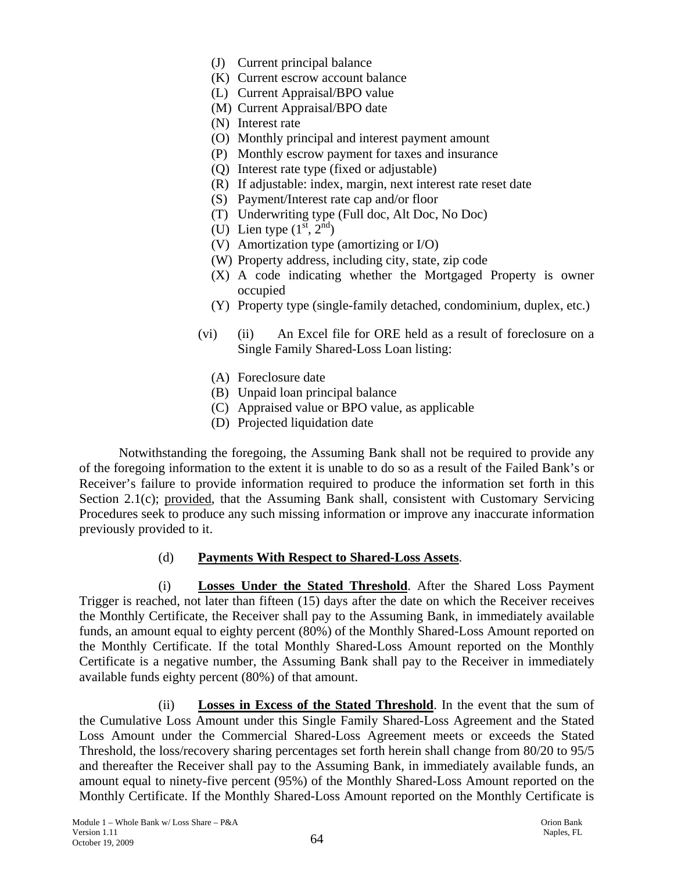- (J) Current principal balance
- (K) Current escrow account balance
- (L) Current Appraisal/BPO value
- (M) Current Appraisal/BPO date
- (N) Interest rate
- (O) Monthly principal and interest payment amount
- (P) Monthly escrow payment for taxes and insurance
- (Q) Interest rate type (fixed or adjustable)
- (R) If adjustable: index, margin, next interest rate reset date
- (S) Payment/Interest rate cap and/or floor
- (T) Underwriting type (Full doc, Alt Doc, No Doc)
- (U) Lien type  $(1<sup>st</sup>, 2<sup>nd</sup>)$
- (V) Amortization type (amortizing or I/O)
- (W) Property address, including city, state, zip code
- (X) A code indicating whether the Mortgaged Property is owner occupied
- (Y) Property type (single-family detached, condominium, duplex, etc.)
- (vi) (ii) An Excel file for ORE held as a result of foreclosure on a Single Family Shared-Loss Loan listing:
	- (A) Foreclosure date
	- (B) Unpaid loan principal balance
	- (C) Appraised value or BPO value, as applicable
	- (D) Projected liquidation date

Notwithstanding the foregoing, the Assuming Bank shall not be required to provide any of the foregoing information to the extent it is unable to do so as a result of the Failed Bank's or Receiver's failure to provide information required to produce the information set forth in this Section 2.1(c); provided, that the Assuming Bank shall, consistent with Customary Servicing Procedures seek to produce any such missing information or improve any inaccurate information previously provided to it.

## (d) **Payments With Respect to Shared-Loss Assets**.

(i) **Losses Under the Stated Threshold**. After the Shared Loss Payment Trigger is reached, not later than fifteen (15) days after the date on which the Receiver receives the Monthly Certificate, the Receiver shall pay to the Assuming Bank, in immediately available funds, an amount equal to eighty percent (80%) of the Monthly Shared-Loss Amount reported on the Monthly Certificate. If the total Monthly Shared-Loss Amount reported on the Monthly Certificate is a negative number, the Assuming Bank shall pay to the Receiver in immediately available funds eighty percent (80%) of that amount.

(ii) **Losses in Excess of the Stated Threshold**. In the event that the sum of the Cumulative Loss Amount under this Single Family Shared-Loss Agreement and the Stated Loss Amount under the Commercial Shared-Loss Agreement meets or exceeds the Stated Threshold, the loss/recovery sharing percentages set forth herein shall change from 80/20 to 95/5 and thereafter the Receiver shall pay to the Assuming Bank, in immediately available funds, an amount equal to ninety-five percent (95%) of the Monthly Shared-Loss Amount reported on the Monthly Certificate. If the Monthly Shared-Loss Amount reported on the Monthly Certificate is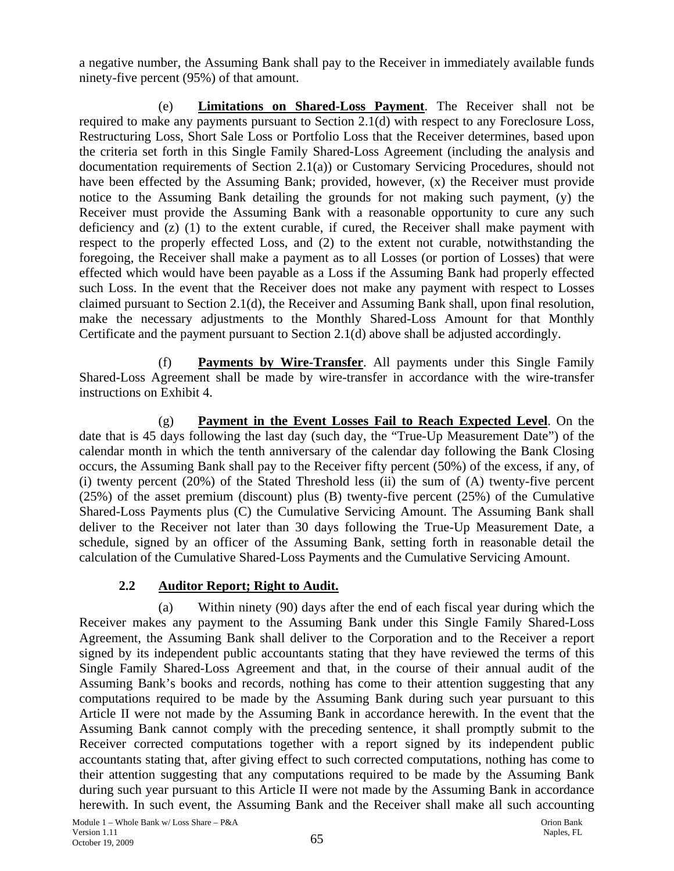a negative number, the Assuming Bank shall pay to the Receiver in immediately available funds ninety-five percent (95%) of that amount.

(e) **Limitations on Shared-Loss Payment**. The Receiver shall not be required to make any payments pursuant to Section 2.1(d) with respect to any Foreclosure Loss, Restructuring Loss, Short Sale Loss or Portfolio Loss that the Receiver determines, based upon the criteria set forth in this Single Family Shared-Loss Agreement (including the analysis and documentation requirements of Section 2.1(a)) or Customary Servicing Procedures, should not have been effected by the Assuming Bank; provided, however, (x) the Receiver must provide notice to the Assuming Bank detailing the grounds for not making such payment, (y) the Receiver must provide the Assuming Bank with a reasonable opportunity to cure any such deficiency and (z) (1) to the extent curable, if cured, the Receiver shall make payment with respect to the properly effected Loss, and (2) to the extent not curable, notwithstanding the foregoing, the Receiver shall make a payment as to all Losses (or portion of Losses) that were effected which would have been payable as a Loss if the Assuming Bank had properly effected such Loss. In the event that the Receiver does not make any payment with respect to Losses claimed pursuant to Section 2.1(d), the Receiver and Assuming Bank shall, upon final resolution, make the necessary adjustments to the Monthly Shared-Loss Amount for that Monthly Certificate and the payment pursuant to Section 2.1(d) above shall be adjusted accordingly.

(f) **Payments by Wire-Transfer**. All payments under this Single Family Shared-Loss Agreement shall be made by wire-transfer in accordance with the wire-transfer instructions on Exhibit 4.

 (g) **Payment in the Event Losses Fail to Reach Expected Level**. On the date that is 45 days following the last day (such day, the "True-Up Measurement Date") of the calendar month in which the tenth anniversary of the calendar day following the Bank Closing occurs, the Assuming Bank shall pay to the Receiver fifty percent (50%) of the excess, if any, of (i) twenty percent (20%) of the Stated Threshold less (ii) the sum of (A) twenty-five percent (25%) of the asset premium (discount) plus (B) twenty-five percent (25%) of the Cumulative Shared-Loss Payments plus (C) the Cumulative Servicing Amount. The Assuming Bank shall deliver to the Receiver not later than 30 days following the True-Up Measurement Date, a schedule, signed by an officer of the Assuming Bank, setting forth in reasonable detail the calculation of the Cumulative Shared-Loss Payments and the Cumulative Servicing Amount.

# **2.2 Auditor Report; Right to Audit.**

(a) Within ninety (90) days after the end of each fiscal year during which the Receiver makes any payment to the Assuming Bank under this Single Family Shared-Loss Agreement, the Assuming Bank shall deliver to the Corporation and to the Receiver a report signed by its independent public accountants stating that they have reviewed the terms of this Single Family Shared-Loss Agreement and that, in the course of their annual audit of the Assuming Bank's books and records, nothing has come to their attention suggesting that any computations required to be made by the Assuming Bank during such year pursuant to this Article II were not made by the Assuming Bank in accordance herewith. In the event that the Assuming Bank cannot comply with the preceding sentence, it shall promptly submit to the Receiver corrected computations together with a report signed by its independent public accountants stating that, after giving effect to such corrected computations, nothing has come to their attention suggesting that any computations required to be made by the Assuming Bank during such year pursuant to this Article II were not made by the Assuming Bank in accordance herewith. In such event, the Assuming Bank and the Receiver shall make all such accounting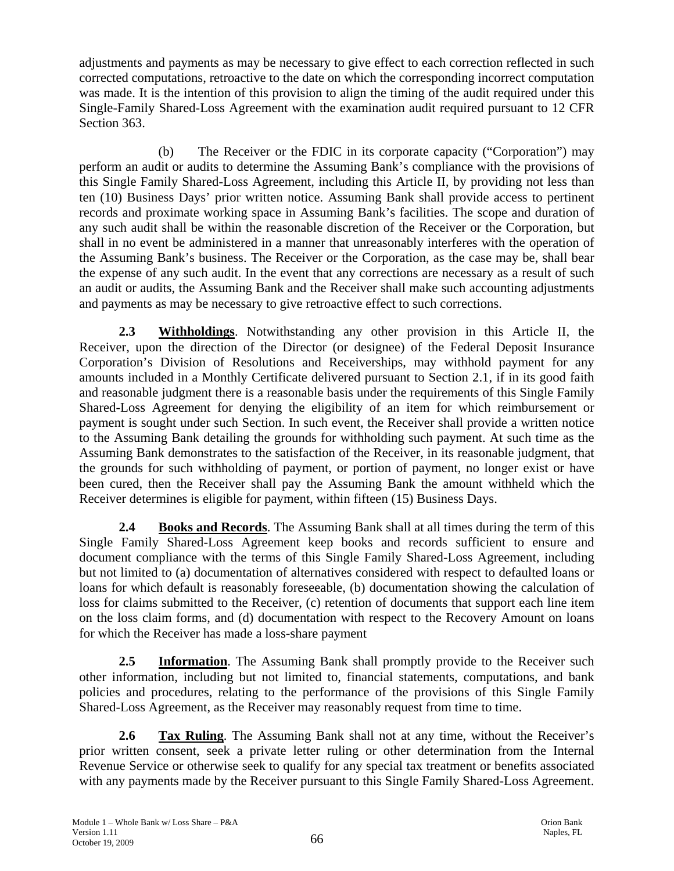adjustments and payments as may be necessary to give effect to each correction reflected in such corrected computations, retroactive to the date on which the corresponding incorrect computation was made. It is the intention of this provision to align the timing of the audit required under this Single-Family Shared-Loss Agreement with the examination audit required pursuant to 12 CFR Section 363.

(b) The Receiver or the FDIC in its corporate capacity ("Corporation") may perform an audit or audits to determine the Assuming Bank's compliance with the provisions of this Single Family Shared-Loss Agreement, including this Article II, by providing not less than ten (10) Business Days' prior written notice. Assuming Bank shall provide access to pertinent records and proximate working space in Assuming Bank's facilities. The scope and duration of any such audit shall be within the reasonable discretion of the Receiver or the Corporation, but shall in no event be administered in a manner that unreasonably interferes with the operation of the Assuming Bank's business. The Receiver or the Corporation, as the case may be, shall bear the expense of any such audit. In the event that any corrections are necessary as a result of such an audit or audits, the Assuming Bank and the Receiver shall make such accounting adjustments and payments as may be necessary to give retroactive effect to such corrections.

**2.3 Withholdings**. Notwithstanding any other provision in this Article II, the Receiver, upon the direction of the Director (or designee) of the Federal Deposit Insurance Corporation's Division of Resolutions and Receiverships, may withhold payment for any amounts included in a Monthly Certificate delivered pursuant to Section 2.1, if in its good faith and reasonable judgment there is a reasonable basis under the requirements of this Single Family Shared-Loss Agreement for denying the eligibility of an item for which reimbursement or payment is sought under such Section. In such event, the Receiver shall provide a written notice to the Assuming Bank detailing the grounds for withholding such payment. At such time as the Assuming Bank demonstrates to the satisfaction of the Receiver, in its reasonable judgment, that the grounds for such withholding of payment, or portion of payment, no longer exist or have been cured, then the Receiver shall pay the Assuming Bank the amount withheld which the Receiver determines is eligible for payment, within fifteen (15) Business Days.

**2.4 Books and Records**. The Assuming Bank shall at all times during the term of this Single Family Shared-Loss Agreement keep books and records sufficient to ensure and document compliance with the terms of this Single Family Shared-Loss Agreement, including but not limited to (a) documentation of alternatives considered with respect to defaulted loans or loans for which default is reasonably foreseeable, (b) documentation showing the calculation of loss for claims submitted to the Receiver, (c) retention of documents that support each line item on the loss claim forms, and (d) documentation with respect to the Recovery Amount on loans for which the Receiver has made a loss-share payment

**2.5 Information**. The Assuming Bank shall promptly provide to the Receiver such other information, including but not limited to, financial statements, computations, and bank policies and procedures, relating to the performance of the provisions of this Single Family Shared-Loss Agreement, as the Receiver may reasonably request from time to time.

**2.6 Tax Ruling**. The Assuming Bank shall not at any time, without the Receiver's prior written consent, seek a private letter ruling or other determination from the Internal Revenue Service or otherwise seek to qualify for any special tax treatment or benefits associated with any payments made by the Receiver pursuant to this Single Family Shared-Loss Agreement.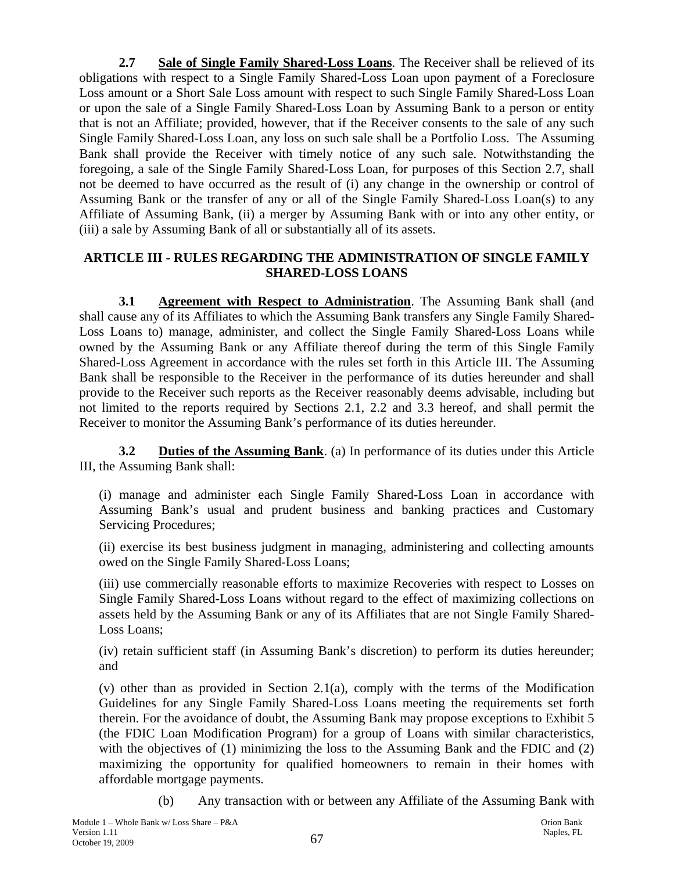**2.7 Sale of Single Family Shared-Loss Loans**. The Receiver shall be relieved of its obligations with respect to a Single Family Shared-Loss Loan upon payment of a Foreclosure Loss amount or a Short Sale Loss amount with respect to such Single Family Shared-Loss Loan or upon the sale of a Single Family Shared-Loss Loan by Assuming Bank to a person or entity that is not an Affiliate; provided, however, that if the Receiver consents to the sale of any such Single Family Shared-Loss Loan, any loss on such sale shall be a Portfolio Loss. The Assuming Bank shall provide the Receiver with timely notice of any such sale. Notwithstanding the foregoing, a sale of the Single Family Shared-Loss Loan, for purposes of this Section 2.7, shall not be deemed to have occurred as the result of (i) any change in the ownership or control of Assuming Bank or the transfer of any or all of the Single Family Shared-Loss Loan(s) to any Affiliate of Assuming Bank, (ii) a merger by Assuming Bank with or into any other entity, or (iii) a sale by Assuming Bank of all or substantially all of its assets.

## **ARTICLE III - RULES REGARDING THE ADMINISTRATION OF SINGLE FAMILY SHARED-LOSS LOANS**

**3.1 Agreement with Respect to Administration**. The Assuming Bank shall (and shall cause any of its Affiliates to which the Assuming Bank transfers any Single Family Shared-Loss Loans to) manage, administer, and collect the Single Family Shared-Loss Loans while owned by the Assuming Bank or any Affiliate thereof during the term of this Single Family Shared-Loss Agreement in accordance with the rules set forth in this Article III. The Assuming Bank shall be responsible to the Receiver in the performance of its duties hereunder and shall provide to the Receiver such reports as the Receiver reasonably deems advisable, including but not limited to the reports required by Sections 2.1, 2.2 and 3.3 hereof, and shall permit the Receiver to monitor the Assuming Bank's performance of its duties hereunder.

**3.2 Duties of the Assuming Bank**. (a) In performance of its duties under this Article III, the Assuming Bank shall:

(i) manage and administer each Single Family Shared-Loss Loan in accordance with Assuming Bank's usual and prudent business and banking practices and Customary Servicing Procedures;

(ii) exercise its best business judgment in managing, administering and collecting amounts owed on the Single Family Shared-Loss Loans;

(iii) use commercially reasonable efforts to maximize Recoveries with respect to Losses on Single Family Shared-Loss Loans without regard to the effect of maximizing collections on assets held by the Assuming Bank or any of its Affiliates that are not Single Family Shared-Loss Loans;

(iv) retain sufficient staff (in Assuming Bank's discretion) to perform its duties hereunder; and

(v) other than as provided in Section 2.1(a), comply with the terms of the Modification Guidelines for any Single Family Shared-Loss Loans meeting the requirements set forth therein. For the avoidance of doubt, the Assuming Bank may propose exceptions to Exhibit 5 (the FDIC Loan Modification Program) for a group of Loans with similar characteristics, with the objectives of (1) minimizing the loss to the Assuming Bank and the FDIC and (2) maximizing the opportunity for qualified homeowners to remain in their homes with affordable mortgage payments.

(b) Any transaction with or between any Affiliate of the Assuming Bank with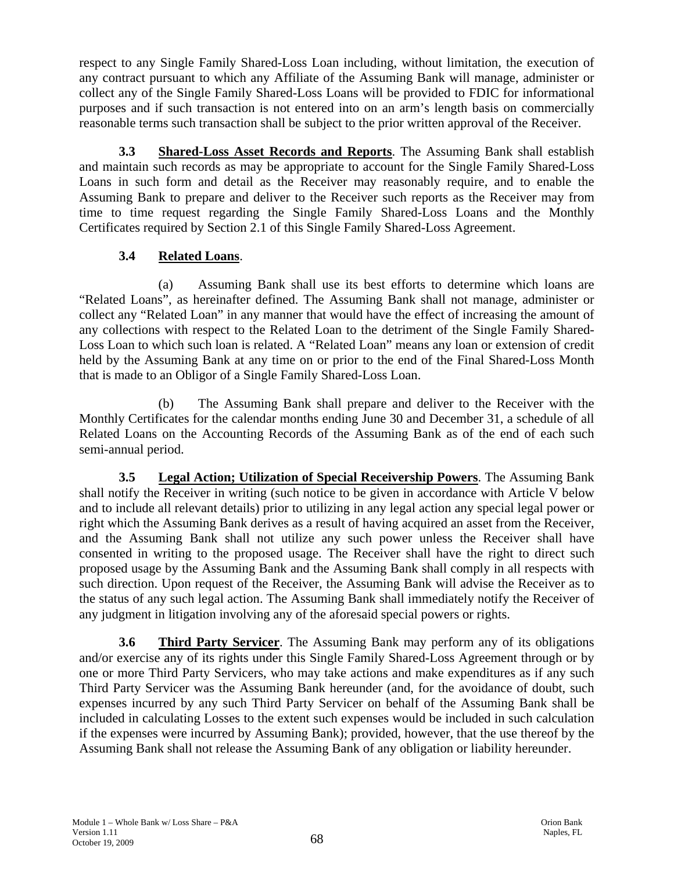respect to any Single Family Shared-Loss Loan including, without limitation, the execution of any contract pursuant to which any Affiliate of the Assuming Bank will manage, administer or collect any of the Single Family Shared-Loss Loans will be provided to FDIC for informational purposes and if such transaction is not entered into on an arm's length basis on commercially reasonable terms such transaction shall be subject to the prior written approval of the Receiver.

**3.3 Shared-Loss Asset Records and Reports**. The Assuming Bank shall establish and maintain such records as may be appropriate to account for the Single Family Shared-Loss Loans in such form and detail as the Receiver may reasonably require, and to enable the Assuming Bank to prepare and deliver to the Receiver such reports as the Receiver may from time to time request regarding the Single Family Shared-Loss Loans and the Monthly Certificates required by Section 2.1 of this Single Family Shared-Loss Agreement.

# **3.4 Related Loans**.

(a) Assuming Bank shall use its best efforts to determine which loans are "Related Loans", as hereinafter defined. The Assuming Bank shall not manage, administer or collect any "Related Loan" in any manner that would have the effect of increasing the amount of any collections with respect to the Related Loan to the detriment of the Single Family Shared-Loss Loan to which such loan is related. A "Related Loan" means any loan or extension of credit held by the Assuming Bank at any time on or prior to the end of the Final Shared-Loss Month that is made to an Obligor of a Single Family Shared-Loss Loan.

(b) The Assuming Bank shall prepare and deliver to the Receiver with the Monthly Certificates for the calendar months ending June 30 and December 31, a schedule of all Related Loans on the Accounting Records of the Assuming Bank as of the end of each such semi-annual period.

**3.5 Legal Action; Utilization of Special Receivership Powers**. The Assuming Bank shall notify the Receiver in writing (such notice to be given in accordance with Article V below and to include all relevant details) prior to utilizing in any legal action any special legal power or right which the Assuming Bank derives as a result of having acquired an asset from the Receiver, and the Assuming Bank shall not utilize any such power unless the Receiver shall have consented in writing to the proposed usage. The Receiver shall have the right to direct such proposed usage by the Assuming Bank and the Assuming Bank shall comply in all respects with such direction. Upon request of the Receiver, the Assuming Bank will advise the Receiver as to the status of any such legal action. The Assuming Bank shall immediately notify the Receiver of any judgment in litigation involving any of the aforesaid special powers or rights.

**3.6 Third Party Servicer**. The Assuming Bank may perform any of its obligations and/or exercise any of its rights under this Single Family Shared-Loss Agreement through or by one or more Third Party Servicers, who may take actions and make expenditures as if any such Third Party Servicer was the Assuming Bank hereunder (and, for the avoidance of doubt, such expenses incurred by any such Third Party Servicer on behalf of the Assuming Bank shall be included in calculating Losses to the extent such expenses would be included in such calculation if the expenses were incurred by Assuming Bank); provided, however, that the use thereof by the Assuming Bank shall not release the Assuming Bank of any obligation or liability hereunder.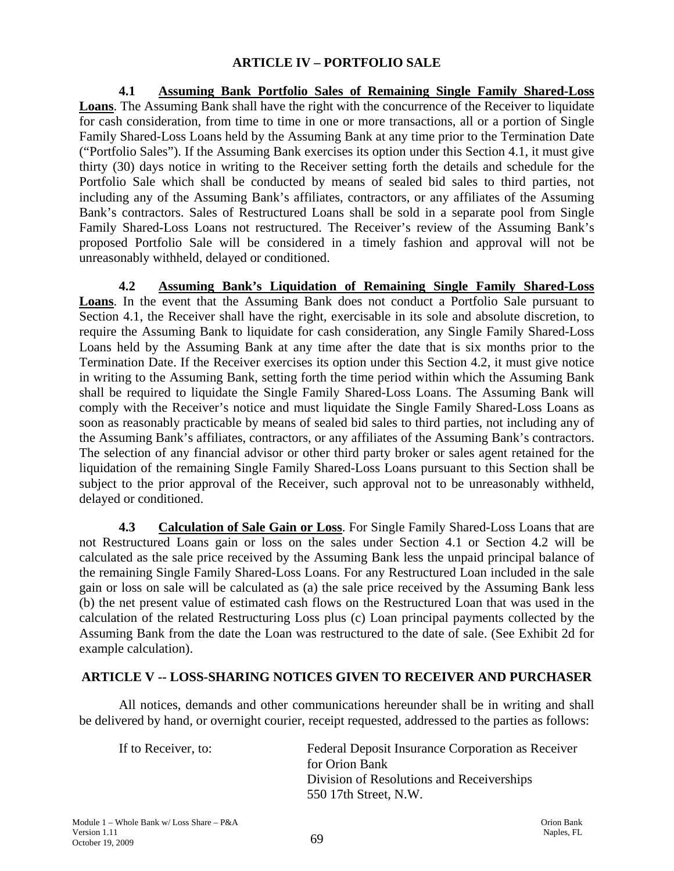## **ARTICLE IV – PORTFOLIO SALE**

**4.1 Assuming Bank Portfolio Sales of Remaining Single Family Shared-Loss Loans**. The Assuming Bank shall have the right with the concurrence of the Receiver to liquidate for cash consideration, from time to time in one or more transactions, all or a portion of Single Family Shared-Loss Loans held by the Assuming Bank at any time prior to the Termination Date ("Portfolio Sales"). If the Assuming Bank exercises its option under this Section 4.1, it must give thirty (30) days notice in writing to the Receiver setting forth the details and schedule for the Portfolio Sale which shall be conducted by means of sealed bid sales to third parties, not including any of the Assuming Bank's affiliates, contractors, or any affiliates of the Assuming Bank's contractors. Sales of Restructured Loans shall be sold in a separate pool from Single Family Shared-Loss Loans not restructured. The Receiver's review of the Assuming Bank's proposed Portfolio Sale will be considered in a timely fashion and approval will not be unreasonably withheld, delayed or conditioned.

**4.2 Assuming Bank's Liquidation of Remaining Single Family Shared-Loss Loans**. In the event that the Assuming Bank does not conduct a Portfolio Sale pursuant to Section 4.1, the Receiver shall have the right, exercisable in its sole and absolute discretion, to require the Assuming Bank to liquidate for cash consideration, any Single Family Shared-Loss Loans held by the Assuming Bank at any time after the date that is six months prior to the Termination Date. If the Receiver exercises its option under this Section 4.2, it must give notice in writing to the Assuming Bank, setting forth the time period within which the Assuming Bank shall be required to liquidate the Single Family Shared-Loss Loans. The Assuming Bank will comply with the Receiver's notice and must liquidate the Single Family Shared-Loss Loans as soon as reasonably practicable by means of sealed bid sales to third parties, not including any of the Assuming Bank's affiliates, contractors, or any affiliates of the Assuming Bank's contractors. The selection of any financial advisor or other third party broker or sales agent retained for the liquidation of the remaining Single Family Shared-Loss Loans pursuant to this Section shall be subject to the prior approval of the Receiver, such approval not to be unreasonably withheld, delayed or conditioned.

**4.3 Calculation of Sale Gain or Loss**. For Single Family Shared-Loss Loans that are not Restructured Loans gain or loss on the sales under Section 4.1 or Section 4.2 will be calculated as the sale price received by the Assuming Bank less the unpaid principal balance of the remaining Single Family Shared-Loss Loans. For any Restructured Loan included in the sale gain or loss on sale will be calculated as (a) the sale price received by the Assuming Bank less (b) the net present value of estimated cash flows on the Restructured Loan that was used in the calculation of the related Restructuring Loss plus (c) Loan principal payments collected by the Assuming Bank from the date the Loan was restructured to the date of sale. (See Exhibit 2d for example calculation).

### **ARTICLE V -- LOSS-SHARING NOTICES GIVEN TO RECEIVER AND PURCHASER**

All notices, demands and other communications hereunder shall be in writing and shall be delivered by hand, or overnight courier, receipt requested, addressed to the parties as follows:

| If to Receiver, to: | Federal Deposit Insurance Corporation as Receiver |
|---------------------|---------------------------------------------------|
|                     | for Orion Bank                                    |
|                     | Division of Resolutions and Receiverships         |
|                     | 550 17th Street, N.W.                             |
|                     |                                                   |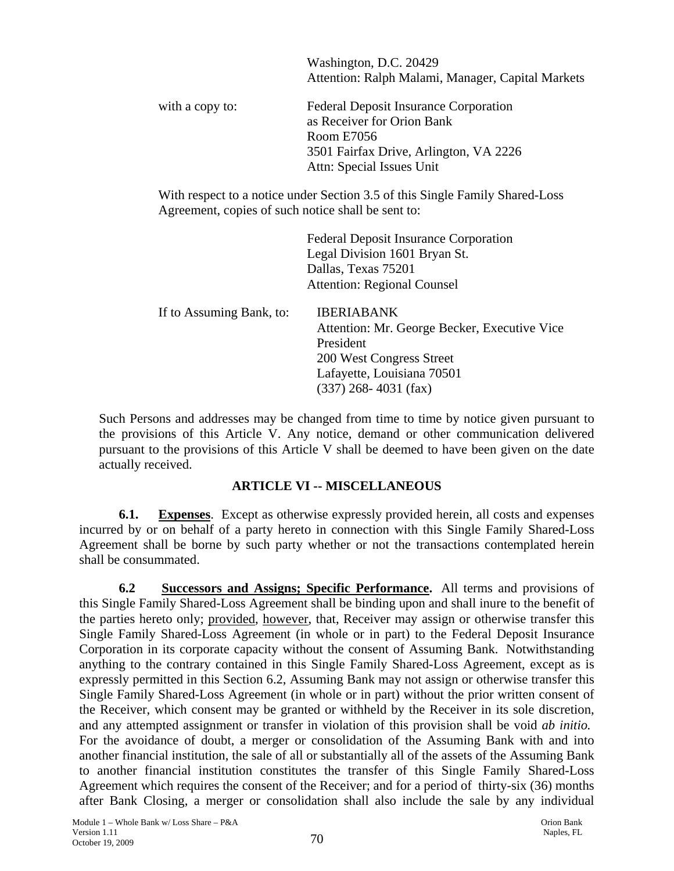|                 | Washington, D.C. 20429                                                                                                             |
|-----------------|------------------------------------------------------------------------------------------------------------------------------------|
|                 | Attention: Ralph Malami, Manager, Capital Markets                                                                                  |
| with a copy to: | <b>Federal Deposit Insurance Corporation</b>                                                                                       |
|                 | as Receiver for Orion Bank                                                                                                         |
|                 | Room E7056                                                                                                                         |
|                 | 3501 Fairfax Drive, Arlington, VA 2226                                                                                             |
|                 | Attn: Special Issues Unit                                                                                                          |
|                 | With respect to a notice under Section 3.5 of this Single Family Shared-Loss<br>Agreement, copies of such notice shall be sent to: |
|                 | <b>Federal Deposit Insurance Corporation</b>                                                                                       |
|                 | Legal Division 1601 Bryan St.                                                                                                      |
|                 | Dallas, Texas 75201                                                                                                                |

Attention: Regional Counsel

| If to Assuming Bank, to: | <b>IBERIABANK</b><br>Attention: Mr. George Becker, Executive Vice<br>President<br>200 West Congress Street<br>Lafayette, Louisiana 70501<br>$(337)$ 268-4031 (fax) |
|--------------------------|--------------------------------------------------------------------------------------------------------------------------------------------------------------------|
|--------------------------|--------------------------------------------------------------------------------------------------------------------------------------------------------------------|

Such Persons and addresses may be changed from time to time by notice given pursuant to the provisions of this Article V. Any notice, demand or other communication delivered pursuant to the provisions of this Article V shall be deemed to have been given on the date actually received.

## **ARTICLE VI -- MISCELLANEOUS**

**6.1. Expenses**. Except as otherwise expressly provided herein, all costs and expenses incurred by or on behalf of a party hereto in connection with this Single Family Shared-Loss Agreement shall be borne by such party whether or not the transactions contemplated herein shall be consummated.

**6.2 Successors and Assigns; Specific Performance.** All terms and provisions of this Single Family Shared-Loss Agreement shall be binding upon and shall inure to the benefit of the parties hereto only; provided, however, that, Receiver may assign or otherwise transfer this Single Family Shared-Loss Agreement (in whole or in part) to the Federal Deposit Insurance Corporation in its corporate capacity without the consent of Assuming Bank. Notwithstanding anything to the contrary contained in this Single Family Shared-Loss Agreement, except as is expressly permitted in this Section 6.2, Assuming Bank may not assign or otherwise transfer this Single Family Shared-Loss Agreement (in whole or in part) without the prior written consent of the Receiver, which consent may be granted or withheld by the Receiver in its sole discretion, and any attempted assignment or transfer in violation of this provision shall be void *ab initio.*  For the avoidance of doubt, a merger or consolidation of the Assuming Bank with and into another financial institution, the sale of all or substantially all of the assets of the Assuming Bank to another financial institution constitutes the transfer of this Single Family Shared-Loss Agreement which requires the consent of the Receiver; and for a period of thirty-six (36) months after Bank Closing, a merger or consolidation shall also include the sale by any individual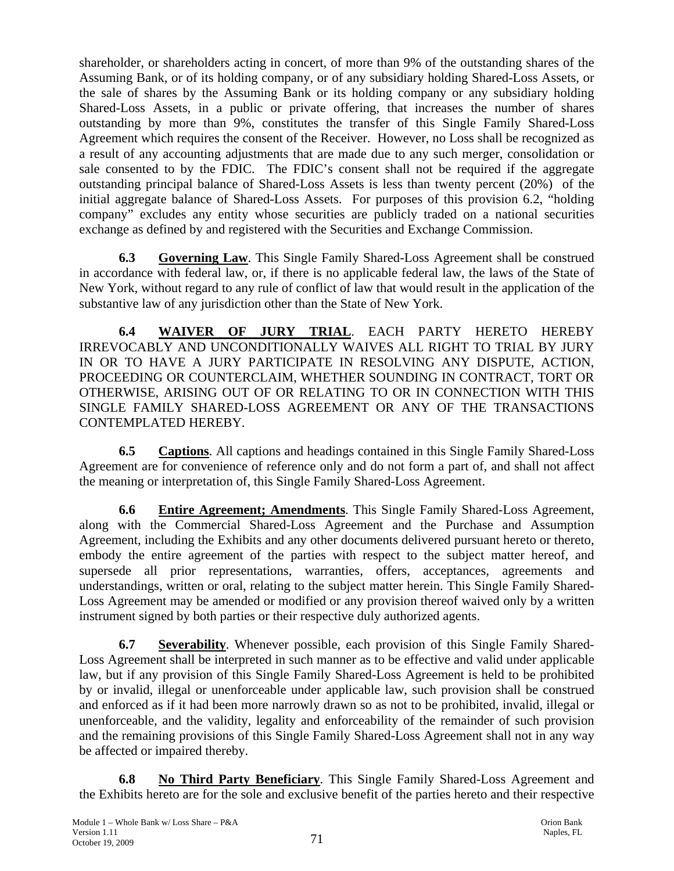shareholder, or shareholders acting in concert, of more than 9% of the outstanding shares of the Assuming Bank, or of its holding company, or of any subsidiary holding Shared-Loss Assets, or the sale of shares by the Assuming Bank or its holding company or any subsidiary holding Shared-Loss Assets, in a public or private offering, that increases the number of shares outstanding by more than 9%, constitutes the transfer of this Single Family Shared-Loss Agreement which requires the consent of the Receiver. However, no Loss shall be recognized as a result of any accounting adjustments that are made due to any such merger, consolidation or sale consented to by the FDIC. The FDIC's consent shall not be required if the aggregate outstanding principal balance of Shared-Loss Assets is less than twenty percent (20%) of the initial aggregate balance of Shared-Loss Assets. For purposes of this provision 6.2, "holding company" excludes any entity whose securities are publicly traded on a national securities exchange as defined by and registered with the Securities and Exchange Commission.

**6.3 Governing Law**. This Single Family Shared-Loss Agreement shall be construed in accordance with federal law, or, if there is no applicable federal law, the laws of the State of New York, without regard to any rule of conflict of law that would result in the application of the substantive law of any jurisdiction other than the State of New York.

**6.4 WAIVER OF JURY TRIAL**. EACH PARTY HERETO HEREBY IRREVOCABLY AND UNCONDITIONALLY WAIVES ALL RIGHT TO TRIAL BY JURY IN OR TO HAVE A JURY PARTICIPATE IN RESOLVING ANY DISPUTE, ACTION, PROCEEDING OR COUNTERCLAIM, WHETHER SOUNDING IN CONTRACT, TORT OR OTHERWISE, ARISING OUT OF OR RELATING TO OR IN CONNECTION WITH THIS SINGLE FAMILY SHARED-LOSS AGREEMENT OR ANY OF THE TRANSACTIONS CONTEMPLATED HEREBY.

**6.5 Captions**. All captions and headings contained in this Single Family Shared-Loss Agreement are for convenience of reference only and do not form a part of, and shall not affect the meaning or interpretation of, this Single Family Shared-Loss Agreement.

**6.6 Entire Agreement; Amendments**. This Single Family Shared-Loss Agreement, along with the Commercial Shared-Loss Agreement and the Purchase and Assumption Agreement, including the Exhibits and any other documents delivered pursuant hereto or thereto, embody the entire agreement of the parties with respect to the subject matter hereof, and supersede all prior representations, warranties, offers, acceptances, agreements and understandings, written or oral, relating to the subject matter herein. This Single Family Shared-Loss Agreement may be amended or modified or any provision thereof waived only by a written instrument signed by both parties or their respective duly authorized agents.

**6.7 Severability**. Whenever possible, each provision of this Single Family Shared-Loss Agreement shall be interpreted in such manner as to be effective and valid under applicable law, but if any provision of this Single Family Shared-Loss Agreement is held to be prohibited by or invalid, illegal or unenforceable under applicable law, such provision shall be construed and enforced as if it had been more narrowly drawn so as not to be prohibited, invalid, illegal or unenforceable, and the validity, legality and enforceability of the remainder of such provision and the remaining provisions of this Single Family Shared-Loss Agreement shall not in any way be affected or impaired thereby.

**6.8 No Third Party Beneficiary**. This Single Family Shared-Loss Agreement and the Exhibits hereto are for the sole and exclusive benefit of the parties hereto and their respective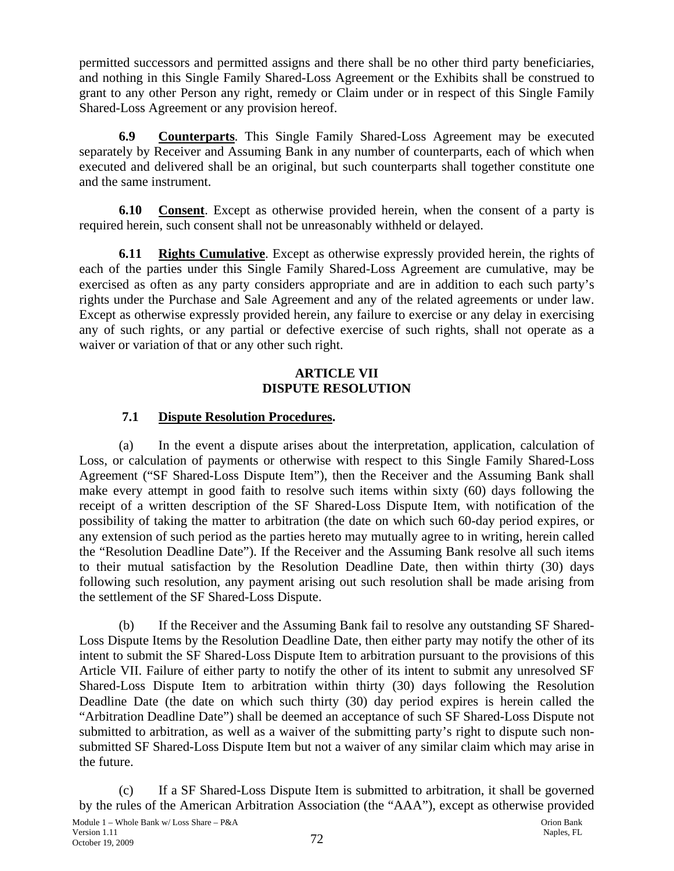permitted successors and permitted assigns and there shall be no other third party beneficiaries, and nothing in this Single Family Shared-Loss Agreement or the Exhibits shall be construed to grant to any other Person any right, remedy or Claim under or in respect of this Single Family Shared-Loss Agreement or any provision hereof.

**6.9 Counterparts**. This Single Family Shared-Loss Agreement may be executed separately by Receiver and Assuming Bank in any number of counterparts, each of which when executed and delivered shall be an original, but such counterparts shall together constitute one and the same instrument.

**6.10 Consent**. Except as otherwise provided herein, when the consent of a party is required herein, such consent shall not be unreasonably withheld or delayed.

**6.11 Rights Cumulative**. Except as otherwise expressly provided herein, the rights of each of the parties under this Single Family Shared-Loss Agreement are cumulative, may be exercised as often as any party considers appropriate and are in addition to each such party's rights under the Purchase and Sale Agreement and any of the related agreements or under law. Except as otherwise expressly provided herein, any failure to exercise or any delay in exercising any of such rights, or any partial or defective exercise of such rights, shall not operate as a waiver or variation of that or any other such right.

## **ARTICLE VII DISPUTE RESOLUTION**

# **7.1 Dispute Resolution Procedures.**

(a) In the event a dispute arises about the interpretation, application, calculation of Loss, or calculation of payments or otherwise with respect to this Single Family Shared-Loss Agreement ("SF Shared-Loss Dispute Item"), then the Receiver and the Assuming Bank shall make every attempt in good faith to resolve such items within sixty (60) days following the receipt of a written description of the SF Shared-Loss Dispute Item, with notification of the possibility of taking the matter to arbitration (the date on which such 60-day period expires, or any extension of such period as the parties hereto may mutually agree to in writing, herein called the "Resolution Deadline Date"). If the Receiver and the Assuming Bank resolve all such items to their mutual satisfaction by the Resolution Deadline Date, then within thirty (30) days following such resolution, any payment arising out such resolution shall be made arising from the settlement of the SF Shared-Loss Dispute.

(b) If the Receiver and the Assuming Bank fail to resolve any outstanding SF Shared-Loss Dispute Items by the Resolution Deadline Date, then either party may notify the other of its intent to submit the SF Shared-Loss Dispute Item to arbitration pursuant to the provisions of this Article VII. Failure of either party to notify the other of its intent to submit any unresolved SF Shared-Loss Dispute Item to arbitration within thirty (30) days following the Resolution Deadline Date (the date on which such thirty (30) day period expires is herein called the "Arbitration Deadline Date") shall be deemed an acceptance of such SF Shared-Loss Dispute not submitted to arbitration, as well as a waiver of the submitting party's right to dispute such nonsubmitted SF Shared-Loss Dispute Item but not a waiver of any similar claim which may arise in the future.

(c) If a SF Shared-Loss Dispute Item is submitted to arbitration, it shall be governed by the rules of the American Arbitration Association (the "AAA"), except as otherwise provided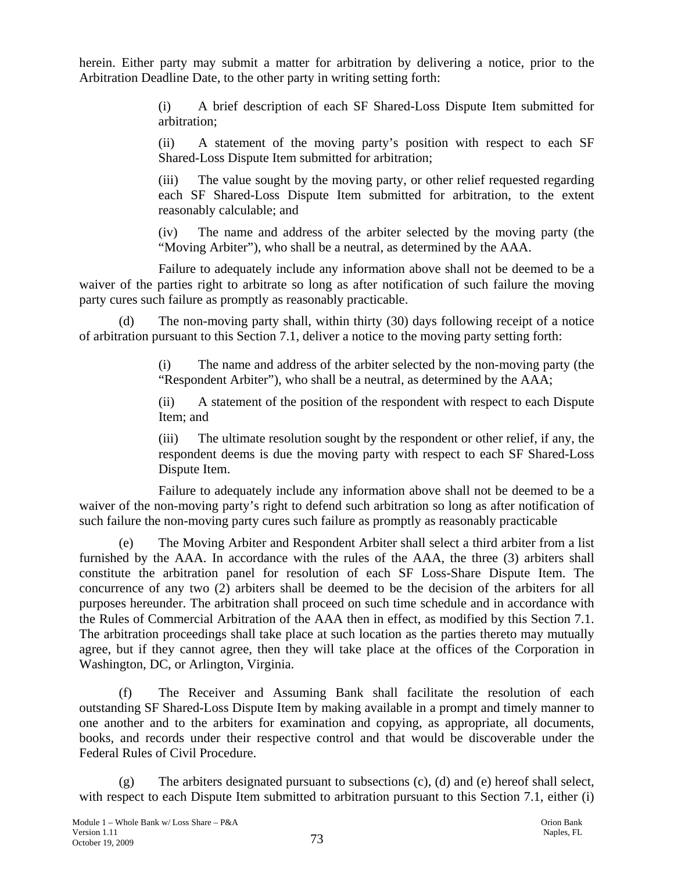herein. Either party may submit a matter for arbitration by delivering a notice, prior to the Arbitration Deadline Date, to the other party in writing setting forth:

> (i) A brief description of each SF Shared-Loss Dispute Item submitted for arbitration;

> (ii) A statement of the moving party's position with respect to each SF Shared-Loss Dispute Item submitted for arbitration;

> (iii) The value sought by the moving party, or other relief requested regarding each SF Shared-Loss Dispute Item submitted for arbitration, to the extent reasonably calculable; and

> (iv) The name and address of the arbiter selected by the moving party (the "Moving Arbiter"), who shall be a neutral, as determined by the AAA.

Failure to adequately include any information above shall not be deemed to be a waiver of the parties right to arbitrate so long as after notification of such failure the moving party cures such failure as promptly as reasonably practicable.

(d) The non-moving party shall, within thirty (30) days following receipt of a notice of arbitration pursuant to this Section 7.1, deliver a notice to the moving party setting forth:

> (i) The name and address of the arbiter selected by the non-moving party (the "Respondent Arbiter"), who shall be a neutral, as determined by the AAA;

> (ii) A statement of the position of the respondent with respect to each Dispute Item; and

> (iii) The ultimate resolution sought by the respondent or other relief, if any, the respondent deems is due the moving party with respect to each SF Shared-Loss Dispute Item.

Failure to adequately include any information above shall not be deemed to be a waiver of the non-moving party's right to defend such arbitration so long as after notification of such failure the non-moving party cures such failure as promptly as reasonably practicable

(e) The Moving Arbiter and Respondent Arbiter shall select a third arbiter from a list furnished by the AAA. In accordance with the rules of the AAA, the three (3) arbiters shall constitute the arbitration panel for resolution of each SF Loss-Share Dispute Item. The concurrence of any two (2) arbiters shall be deemed to be the decision of the arbiters for all purposes hereunder. The arbitration shall proceed on such time schedule and in accordance with the Rules of Commercial Arbitration of the AAA then in effect, as modified by this Section 7.1. The arbitration proceedings shall take place at such location as the parties thereto may mutually agree, but if they cannot agree, then they will take place at the offices of the Corporation in Washington, DC, or Arlington, Virginia.

(f) The Receiver and Assuming Bank shall facilitate the resolution of each outstanding SF Shared-Loss Dispute Item by making available in a prompt and timely manner to one another and to the arbiters for examination and copying, as appropriate, all documents, books, and records under their respective control and that would be discoverable under the Federal Rules of Civil Procedure.

 $(g)$  The arbiters designated pursuant to subsections  $(c)$ ,  $(d)$  and  $(e)$  hereof shall select, with respect to each Dispute Item submitted to arbitration pursuant to this Section 7.1, either (i)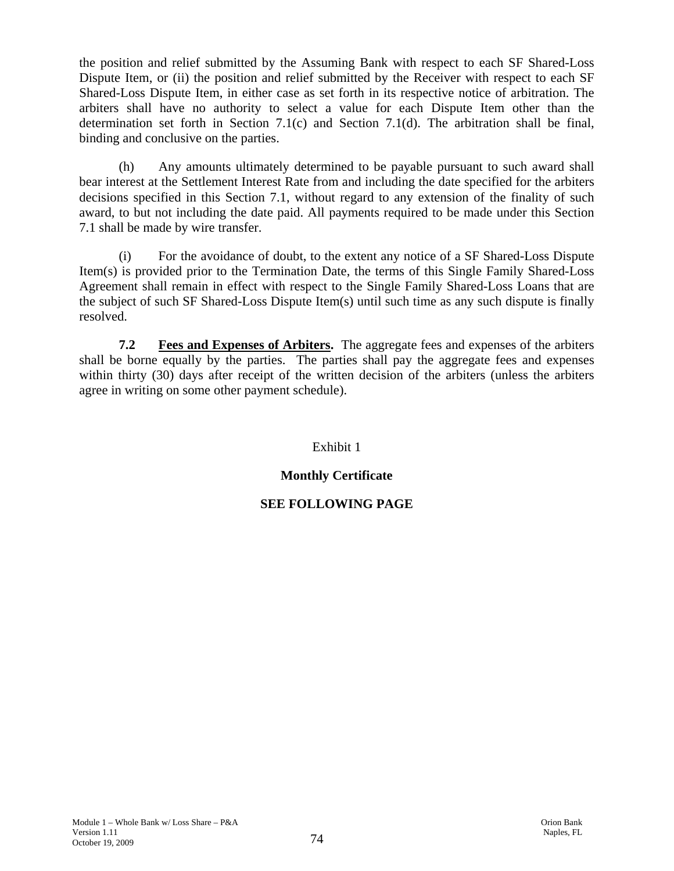the position and relief submitted by the Assuming Bank with respect to each SF Shared-Loss Dispute Item, or (ii) the position and relief submitted by the Receiver with respect to each SF Shared-Loss Dispute Item, in either case as set forth in its respective notice of arbitration. The arbiters shall have no authority to select a value for each Dispute Item other than the determination set forth in Section 7.1(c) and Section 7.1(d). The arbitration shall be final, binding and conclusive on the parties.

(h) Any amounts ultimately determined to be payable pursuant to such award shall bear interest at the Settlement Interest Rate from and including the date specified for the arbiters decisions specified in this Section 7.1, without regard to any extension of the finality of such award, to but not including the date paid. All payments required to be made under this Section 7.1 shall be made by wire transfer.

(i) For the avoidance of doubt, to the extent any notice of a SF Shared-Loss Dispute Item(s) is provided prior to the Termination Date, the terms of this Single Family Shared-Loss Agreement shall remain in effect with respect to the Single Family Shared-Loss Loans that are the subject of such SF Shared-Loss Dispute Item(s) until such time as any such dispute is finally resolved.

**7.2 Fees and Expenses of Arbiters.** The aggregate fees and expenses of the arbiters shall be borne equally by the parties. The parties shall pay the aggregate fees and expenses within thirty (30) days after receipt of the written decision of the arbiters (unless the arbiters agree in writing on some other payment schedule).

# Exhibit 1

# **Monthly Certificate**

# **SEE FOLLOWING PAGE**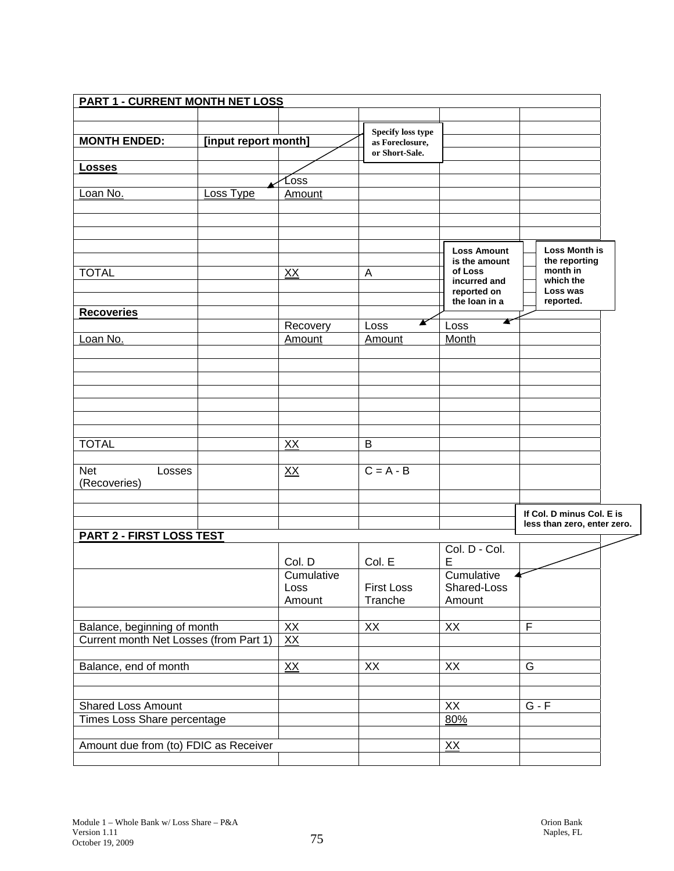| PART 1 - CURRENT MONTH NET LOSS        |                      |                 |                                             |                             |                             |
|----------------------------------------|----------------------|-----------------|---------------------------------------------|-----------------------------|-----------------------------|
|                                        |                      |                 |                                             |                             |                             |
| <b>MONTH ENDED:</b>                    | [input report month] |                 | <b>Specify loss type</b><br>as Foreclosure, |                             |                             |
|                                        |                      |                 | or Short-Sale.                              |                             |                             |
| <b>Losses</b>                          |                      |                 |                                             |                             |                             |
|                                        |                      | Loss            |                                             |                             |                             |
| Loan No.                               | Loss Type            | Amount          |                                             |                             |                             |
|                                        |                      |                 |                                             |                             |                             |
|                                        |                      |                 |                                             |                             |                             |
|                                        |                      |                 |                                             |                             |                             |
|                                        |                      |                 |                                             | <b>Loss Amount</b>          | <b>Loss Month is</b>        |
|                                        |                      |                 |                                             | is the amount               | the reporting               |
| <b>TOTAL</b>                           |                      | XX              | A                                           | of Loss                     | month in                    |
|                                        |                      |                 |                                             | incurred and<br>reported on | which the<br>Loss was       |
|                                        |                      |                 |                                             | the loan in a               | reported.                   |
| <b>Recoveries</b>                      |                      |                 |                                             |                             |                             |
|                                        |                      | Recovery        | K<br>Loss                                   | Ŧ<br>Loss                   |                             |
| Loan No.                               |                      | Amount          | Amount                                      | Month                       |                             |
|                                        |                      |                 |                                             |                             |                             |
|                                        |                      |                 |                                             |                             |                             |
|                                        |                      |                 |                                             |                             |                             |
|                                        |                      |                 |                                             |                             |                             |
|                                        |                      |                 |                                             |                             |                             |
|                                        |                      |                 |                                             |                             |                             |
|                                        |                      |                 |                                             |                             |                             |
| <b>TOTAL</b>                           |                      | XX              | B                                           |                             |                             |
|                                        |                      |                 |                                             |                             |                             |
| <b>Net</b><br>Losses                   |                      | XX              | $C = A - B$                                 |                             |                             |
| (Recoveries)                           |                      |                 |                                             |                             |                             |
|                                        |                      |                 |                                             |                             |                             |
|                                        |                      |                 |                                             |                             | If Col. D minus Col. E is   |
|                                        |                      |                 |                                             |                             | less than zero, enter zero. |
| <b>PART 2 - FIRST LOSS TEST</b>        |                      |                 |                                             |                             |                             |
|                                        |                      | Col. D          | Col. E                                      | Col. D - Col.<br>E          |                             |
|                                        |                      | Cumulative      |                                             | Cumulative                  |                             |
|                                        |                      | Loss            | <b>First Loss</b>                           | Shared-Loss                 |                             |
|                                        |                      | Amount          | Tranche                                     | Amount                      |                             |
|                                        |                      |                 |                                             |                             |                             |
| Balance, beginning of month            |                      | XX              | XX                                          | XX                          | F                           |
| Current month Net Losses (from Part 1) |                      | $\overline{XX}$ |                                             |                             |                             |
|                                        |                      |                 |                                             |                             |                             |
| Balance, end of month                  |                      | $\overline{XX}$ | XX                                          | XX                          | G                           |
|                                        |                      |                 |                                             |                             |                             |
|                                        |                      |                 |                                             |                             |                             |
| <b>Shared Loss Amount</b>              |                      |                 |                                             | XX                          | $G - F$                     |
| Times Loss Share percentage            |                      |                 |                                             | 80%                         |                             |
|                                        |                      |                 |                                             |                             |                             |
| Amount due from (to) FDIC as Receiver  |                      |                 |                                             | XX                          |                             |
|                                        |                      |                 |                                             |                             |                             |
|                                        |                      |                 |                                             |                             |                             |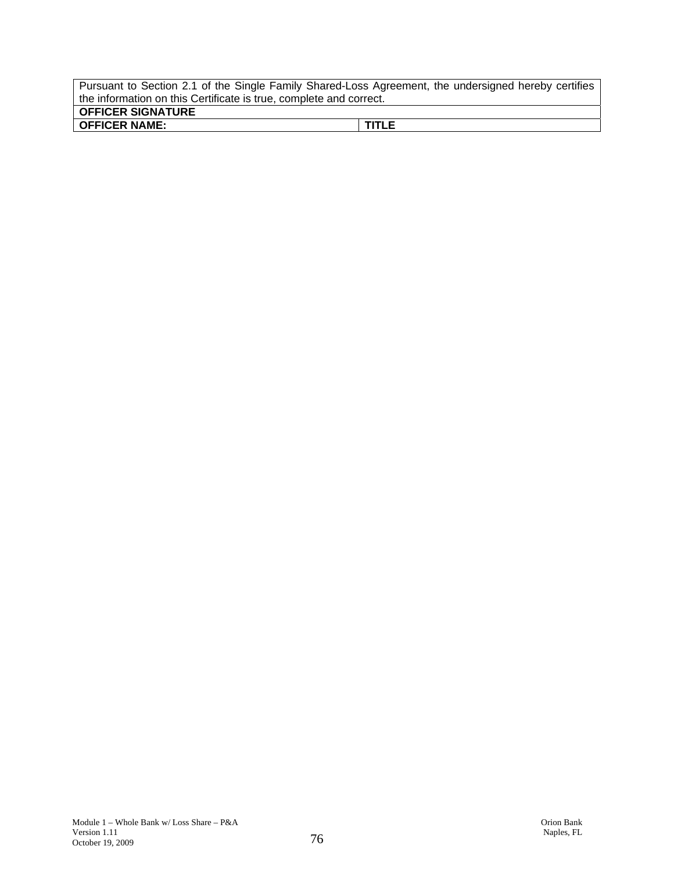| Pursuant to Section 2.1 of the Single Family Shared-Loss Agreement, the undersigned hereby certifies |              |
|------------------------------------------------------------------------------------------------------|--------------|
| the information on this Certificate is true, complete and correct.                                   |              |
| <b>OFFICER SIGNATURE</b>                                                                             |              |
| <b>OFFICER NAME:</b>                                                                                 | <b>TITLE</b> |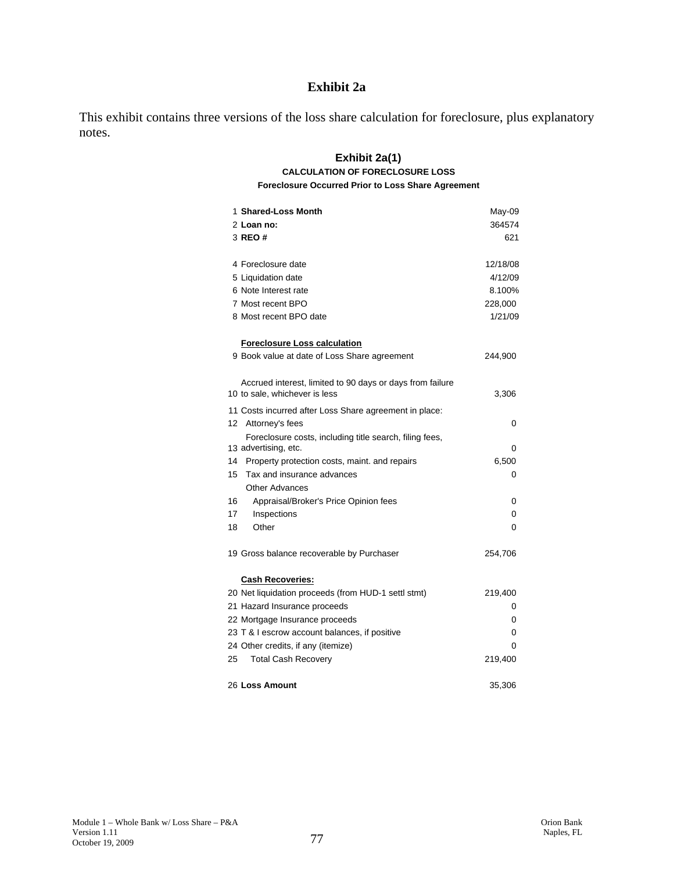## **Exhibit 2a**

This exhibit contains three versions of the loss share calculation for foreclosure, plus explanatory notes.

#### **Exhibit 2a(1) CALCULATION OF FORECLOSURE LOSS Foreclosure Occurred Prior to Loss Share Agreement**

|    | 1 Shared-Loss Month<br>2 Loan no:<br>3 REO #              | May-09<br>364574<br>621 |
|----|-----------------------------------------------------------|-------------------------|
|    | 4 Foreclosure date                                        | 12/18/08                |
|    | 5 Liquidation date                                        | 4/12/09                 |
|    | 6 Note Interest rate                                      | 8.100%                  |
|    | 7 Most recent BPO                                         | 228,000                 |
|    | 8 Most recent BPO date                                    | 1/21/09                 |
|    | <b>Foreclosure Loss calculation</b>                       |                         |
|    | 9 Book value at date of Loss Share agreement              | 244,900                 |
|    | Accrued interest, limited to 90 days or days from failure |                         |
|    | 10 to sale, whichever is less                             | 3,306                   |
|    | 11 Costs incurred after Loss Share agreement in place:    |                         |
| 12 | Attorney's fees                                           | 0                       |
|    | Foreclosure costs, including title search, filing fees,   |                         |
|    | 13 advertising, etc.                                      | 0                       |
| 14 | Property protection costs, maint. and repairs             | 6,500                   |
| 15 | Tax and insurance advances                                | 0                       |
|    | Other Advances                                            |                         |
| 16 | Appraisal/Broker's Price Opinion fees                     | 0                       |
| 17 | Inspections                                               | 0                       |
| 18 | Other                                                     | 0                       |
|    | 19 Gross balance recoverable by Purchaser                 | 254,706                 |
|    | <b>Cash Recoveries:</b>                                   |                         |
|    | 20 Net liquidation proceeds (from HUD-1 settl stmt)       | 219,400                 |
|    | 21 Hazard Insurance proceeds                              | 0                       |
|    | 22 Mortgage Insurance proceeds                            | 0                       |
|    | 23 T & I escrow account balances, if positive             | 0                       |
|    | 24 Other credits, if any (itemize)                        | 0                       |
| 25 | <b>Total Cash Recovery</b>                                | 219,400                 |
|    | 26 Loss Amount                                            | 35,306                  |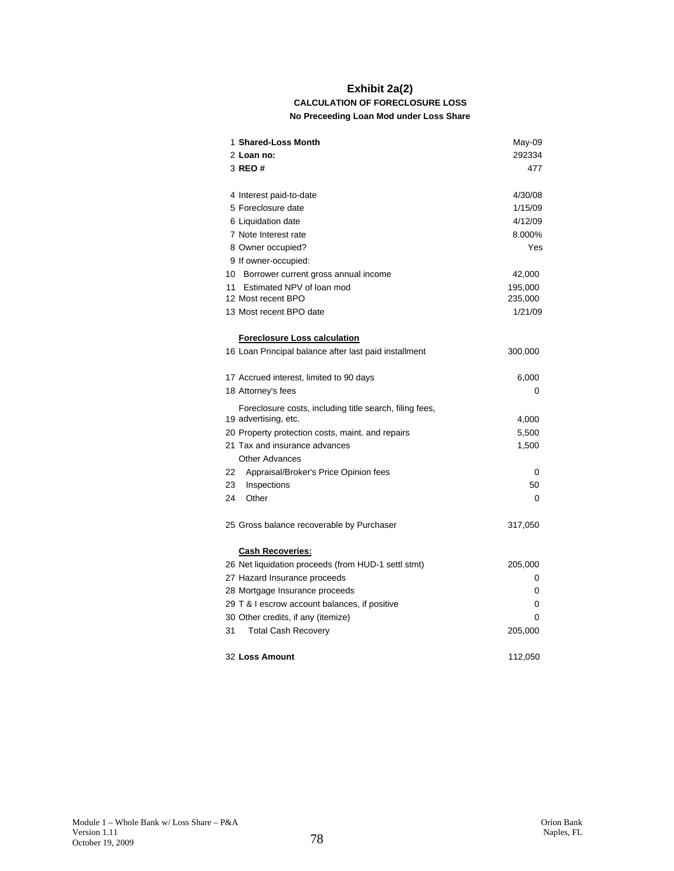#### **Exhibit 2a(2)**

#### **CALCULATION OF FORECLOSURE LOSS**

#### **No Preceeding Loan Mod under Loss Share**

| 1 Shared-Loss Month                                                             | May-09   |
|---------------------------------------------------------------------------------|----------|
| 2 Loan no:                                                                      | 292334   |
| 3 REO #                                                                         | 477      |
| 4 Interest paid-to-date                                                         | 4/30/08  |
| 5 Foreclosure date                                                              | 1/15/09  |
| 6 Liquidation date                                                              | 4/12/09  |
| 7 Note Interest rate                                                            | 8.000%   |
| 8 Owner occupied?                                                               | Yes      |
| 9 If owner-occupied:                                                            |          |
| Borrower current gross annual income<br>10                                      | 42,000   |
| 11<br>Estimated NPV of loan mod                                                 | 195,000  |
| 12 Most recent BPO                                                              | 235,000  |
| 13 Most recent BPO date                                                         | 1/21/09  |
| <b>Foreclosure Loss calculation</b>                                             |          |
| 16 Loan Principal balance after last paid installment                           | 300,000  |
| 17 Accrued interest, limited to 90 days                                         | 6,000    |
| 18 Attorney's fees                                                              | 0        |
| Foreclosure costs, including title search, filing fees,<br>19 advertising, etc. | 4,000    |
| 20 Property protection costs, maint. and repairs                                | 5,500    |
| 21 Tax and insurance advances                                                   | 1,500    |
| <b>Other Advances</b>                                                           |          |
| 22<br>Appraisal/Broker's Price Opinion fees                                     | 0        |
| 23<br>Inspections                                                               | 50       |
| 24<br>Other                                                                     | $\Omega$ |
| 25 Gross balance recoverable by Purchaser                                       | 317,050  |
| <b>Cash Recoveries:</b>                                                         |          |
| 26 Net liquidation proceeds (from HUD-1 settl stmt)                             | 205,000  |
| 27 Hazard Insurance proceeds                                                    | 0        |
| 28 Mortgage Insurance proceeds                                                  | 0        |
| 29 T & I escrow account balances, if positive                                   | 0        |
| 30 Other credits, if any (itemize)                                              | 0        |
| 31<br><b>Total Cash Recovery</b>                                                | 205,000  |
| 32 Loss Amount                                                                  | 112,050  |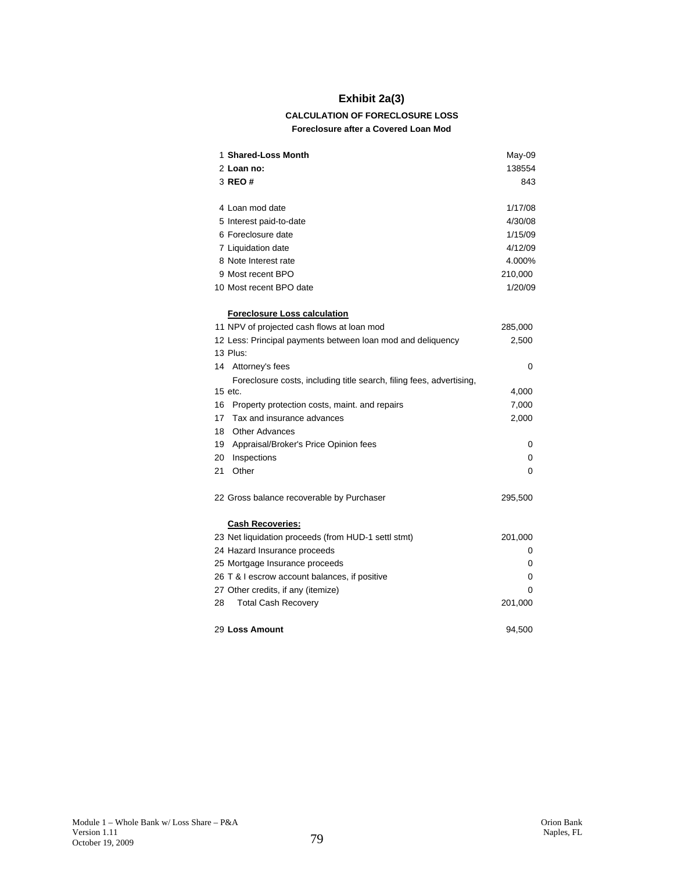## **Exhibit 2a(3)**

#### **CALCULATION OF FORECLOSURE LOSS Foreclosure after a Covered Loan Mod**

| 1 Shared-Loss Month                                                  | May-09   |
|----------------------------------------------------------------------|----------|
| 2 Loan no:                                                           | 138554   |
| 3 REO #                                                              | 843      |
|                                                                      |          |
| 4 Loan mod date                                                      | 1/17/08  |
| 5 Interest paid-to-date                                              | 4/30/08  |
| 6 Foreclosure date                                                   | 1/15/09  |
| 7 Liquidation date                                                   | 4/12/09  |
| 8 Note Interest rate                                                 | 4.000%   |
| 9 Most recent BPO                                                    | 210,000  |
| 10 Most recent BPO date                                              | 1/20/09  |
|                                                                      |          |
| <b>Foreclosure Loss calculation</b>                                  |          |
| 11 NPV of projected cash flows at loan mod                           | 285,000  |
| 12 Less: Principal payments between loan mod and deliquency          | 2,500    |
| 13 Plus:                                                             |          |
| 14<br>Attorney's fees                                                | 0        |
| Foreclosure costs, including title search, filing fees, advertising, |          |
| 15 etc.                                                              | 4,000    |
| 16<br>Property protection costs, maint. and repairs                  | 7,000    |
| 17<br>Tax and insurance advances                                     | 2,000    |
| 18<br><b>Other Advances</b>                                          |          |
| 19<br>Appraisal/Broker's Price Opinion fees                          | 0        |
| 20<br>Inspections                                                    | 0        |
| 21<br>Other                                                          | $\Omega$ |
|                                                                      |          |
| 22 Gross balance recoverable by Purchaser                            | 295,500  |
|                                                                      |          |
| <b>Cash Recoveries:</b>                                              |          |
| 23 Net liquidation proceeds (from HUD-1 settl stmt)                  | 201,000  |
| 24 Hazard Insurance proceeds                                         | 0        |
| 25 Mortgage Insurance proceeds                                       | 0        |
| 26 T & I escrow account balances, if positive                        | 0        |
| 27 Other credits, if any (itemize)                                   | 0        |
| 28<br><b>Total Cash Recovery</b>                                     | 201,000  |
|                                                                      |          |
| 29 Loss Amount                                                       | 94,500   |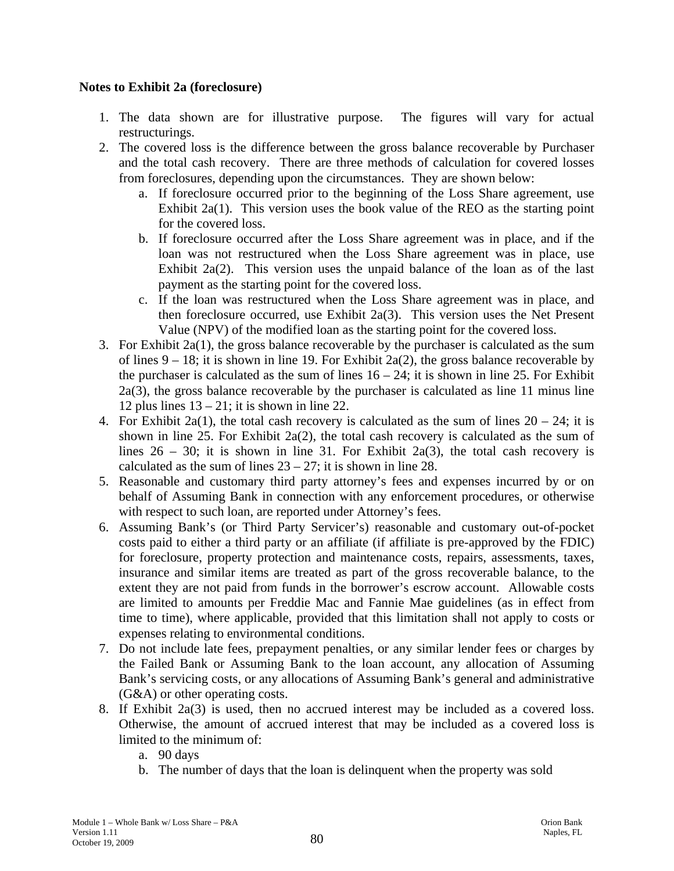## **Notes to Exhibit 2a (foreclosure)**

- 1. The data shown are for illustrative purpose. The figures will vary for actual restructurings.
- 2. The covered loss is the difference between the gross balance recoverable by Purchaser and the total cash recovery. There are three methods of calculation for covered losses from foreclosures, depending upon the circumstances. They are shown below:
	- a. If foreclosure occurred prior to the beginning of the Loss Share agreement, use Exhibit  $2a(1)$ . This version uses the book value of the REO as the starting point for the covered loss.
	- b. If foreclosure occurred after the Loss Share agreement was in place, and if the loan was not restructured when the Loss Share agreement was in place, use Exhibit 2a(2). This version uses the unpaid balance of the loan as of the last payment as the starting point for the covered loss.
	- c. If the loan was restructured when the Loss Share agreement was in place, and then foreclosure occurred, use Exhibit 2a(3). This version uses the Net Present Value (NPV) of the modified loan as the starting point for the covered loss.
- 3. For Exhibit  $2a(1)$ , the gross balance recoverable by the purchaser is calculated as the sum of lines  $9 - 18$ ; it is shown in line 19. For Exhibit 2a(2), the gross balance recoverable by the purchaser is calculated as the sum of lines  $16 - 24$ ; it is shown in line 25. For Exhibit 2a(3), the gross balance recoverable by the purchaser is calculated as line 11 minus line 12 plus lines  $13 - 21$ ; it is shown in line 22.
- 4. For Exhibit 2a(1), the total cash recovery is calculated as the sum of lines  $20 24$ ; it is shown in line 25. For Exhibit 2a(2), the total cash recovery is calculated as the sum of lines  $26 - 30$ ; it is shown in line 31. For Exhibit 2a(3), the total cash recovery is calculated as the sum of lines  $23 - 27$ ; it is shown in line 28.
- 5. Reasonable and customary third party attorney's fees and expenses incurred by or on behalf of Assuming Bank in connection with any enforcement procedures, or otherwise with respect to such loan, are reported under Attorney's fees.
- 6. Assuming Bank's (or Third Party Servicer's) reasonable and customary out-of-pocket costs paid to either a third party or an affiliate (if affiliate is pre-approved by the FDIC) for foreclosure, property protection and maintenance costs, repairs, assessments, taxes, insurance and similar items are treated as part of the gross recoverable balance, to the extent they are not paid from funds in the borrower's escrow account. Allowable costs are limited to amounts per Freddie Mac and Fannie Mae guidelines (as in effect from time to time), where applicable, provided that this limitation shall not apply to costs or expenses relating to environmental conditions.
- 7. Do not include late fees, prepayment penalties, or any similar lender fees or charges by the Failed Bank or Assuming Bank to the loan account, any allocation of Assuming Bank's servicing costs, or any allocations of Assuming Bank's general and administrative (G&A) or other operating costs.
- 8. If Exhibit  $2a(3)$  is used, then no accrued interest may be included as a covered loss. Otherwise, the amount of accrued interest that may be included as a covered loss is limited to the minimum of:
	- a. 90 days
	- b. The number of days that the loan is delinguent when the property was sold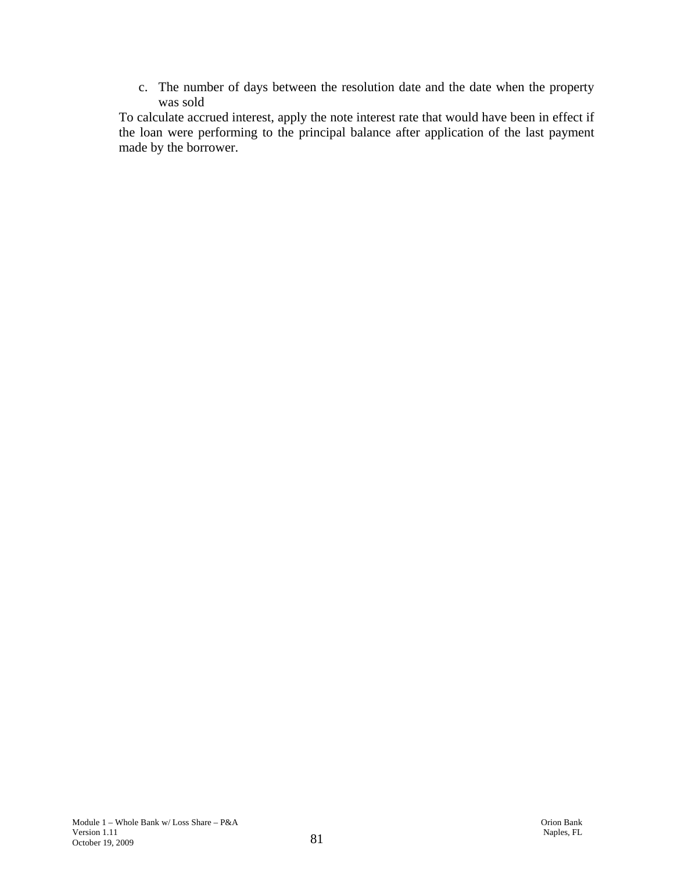c. The number of days between the resolution date and the date when the property was sold

To calculate accrued interest, apply the note interest rate that would have been in effect if the loan were performing to the principal balance after application of the last payment made by the borrower.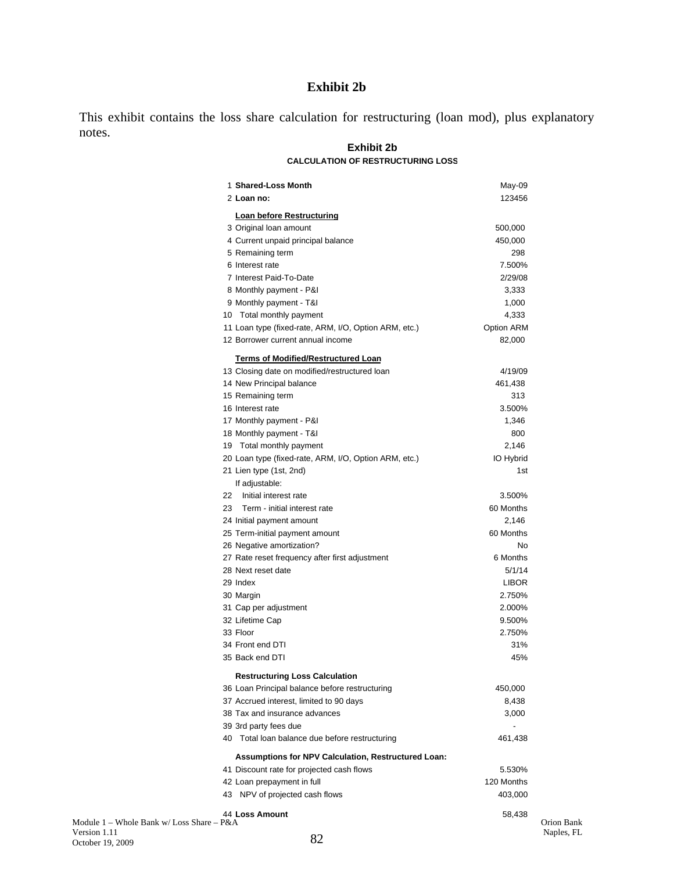# **Exhibit 2b**

This exhibit contains the loss share calculation for restructuring (loan mod), plus explanatory notes.

#### **Exhibit 2b CALCULATION OF RESTRUCTURING LOSS**

|                                           | 1 Shared-Loss Month                                   | May-09            |            |
|-------------------------------------------|-------------------------------------------------------|-------------------|------------|
|                                           | 2 Loan no:                                            | 123456            |            |
|                                           | Loan before Restructuring                             |                   |            |
|                                           | 3 Original loan amount                                | 500,000           |            |
|                                           | 4 Current unpaid principal balance                    | 450,000           |            |
|                                           | 5 Remaining term                                      | 298               |            |
|                                           | 6 Interest rate                                       | 7.500%            |            |
|                                           | 7 Interest Paid-To-Date                               | 2/29/08           |            |
|                                           | 8 Monthly payment - P&I                               | 3,333             |            |
|                                           | 9 Monthly payment - T&I                               | 1,000             |            |
|                                           | 10 Total monthly payment                              | 4,333             |            |
|                                           | 11 Loan type (fixed-rate, ARM, I/O, Option ARM, etc.) | <b>Option ARM</b> |            |
|                                           | 12 Borrower current annual income                     | 82,000            |            |
|                                           | <b>Terms of Modified/Restructured Loan</b>            |                   |            |
|                                           | 13 Closing date on modified/restructured loan         | 4/19/09           |            |
|                                           | 14 New Principal balance                              | 461,438           |            |
|                                           | 15 Remaining term                                     | 313               |            |
|                                           | 16 Interest rate                                      | 3.500%            |            |
|                                           | 17 Monthly payment - P&I                              | 1,346             |            |
|                                           | 18 Monthly payment - T&I                              | 800               |            |
|                                           | 19 Total monthly payment                              | 2,146             |            |
|                                           | 20 Loan type (fixed-rate, ARM, I/O, Option ARM, etc.) | IO Hybrid         |            |
|                                           | 21 Lien type (1st, 2nd)                               | 1st               |            |
|                                           | If adjustable:                                        |                   |            |
|                                           | 22<br>Initial interest rate                           | 3.500%            |            |
|                                           | 23<br>Term - initial interest rate                    | 60 Months         |            |
|                                           | 24 Initial payment amount                             | 2,146             |            |
|                                           | 25 Term-initial payment amount                        | 60 Months         |            |
|                                           | 26 Negative amortization?                             | No                |            |
|                                           | 27 Rate reset frequency after first adjustment        | 6 Months          |            |
|                                           | 28 Next reset date                                    | 5/1/14            |            |
|                                           | 29 Index                                              | <b>LIBOR</b>      |            |
|                                           | 30 Margin                                             | 2.750%            |            |
|                                           | 31 Cap per adjustment                                 | 2.000%            |            |
|                                           | 32 Lifetime Cap                                       | 9.500%            |            |
|                                           | 33 Floor                                              | 2.750%            |            |
|                                           | 34 Front end DTI                                      | 31%               |            |
|                                           | 35 Back end DTI                                       | 45%               |            |
|                                           | <b>Restructuring Loss Calculation</b>                 |                   |            |
|                                           | 36 Loan Principal balance before restructuring        | 450,000           |            |
|                                           | 37 Accrued interest, limited to 90 days               | 8,438             |            |
|                                           | 38 Tax and insurance advances                         | 3,000             |            |
|                                           | 39 3rd party fees due                                 |                   |            |
|                                           | 40 Total loan balance due before restructuring        | 461,438           |            |
|                                           | Assumptions for NPV Calculation, Restructured Loan:   |                   |            |
|                                           | 41 Discount rate for projected cash flows             | 5.530%            |            |
|                                           | 42 Loan prepayment in full                            | 120 Months        |            |
|                                           | 43 NPV of projected cash flows                        | 403,000           |            |
| Module 1 – Whole Bank w/ Loss Share – P&A | 44 Loss Amount                                        | 58,438            | Orion Bank |
|                                           |                                                       |                   |            |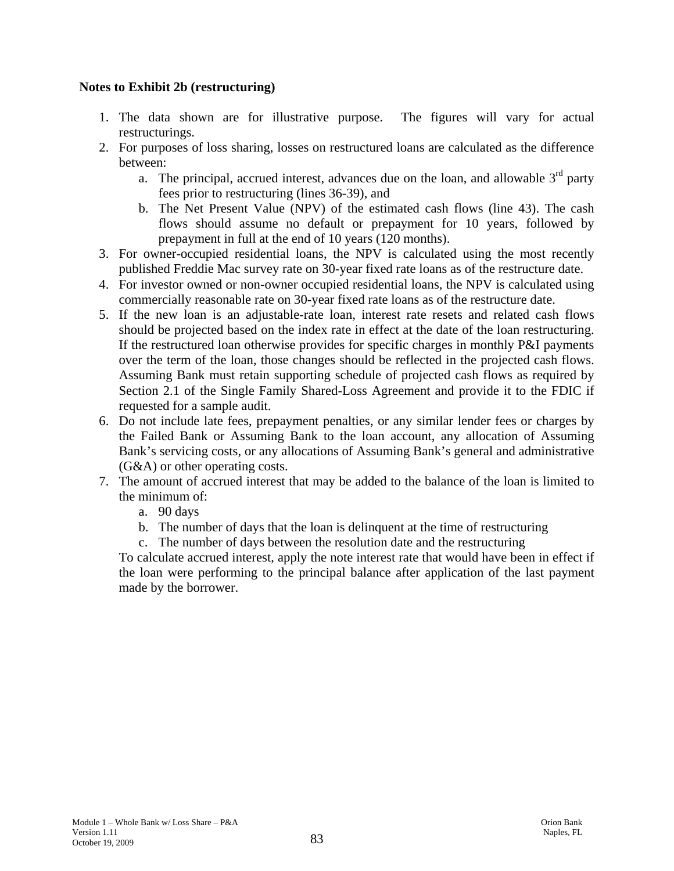## **Notes to Exhibit 2b (restructuring)**

- 1. The data shown are for illustrative purpose. The figures will vary for actual restructurings.
- 2. For purposes of loss sharing, losses on restructured loans are calculated as the difference between:
	- a. The principal, accrued interest, advances due on the loan, and allowable  $3<sup>rd</sup>$  party fees prior to restructuring (lines 36-39), and
	- b. The Net Present Value (NPV) of the estimated cash flows (line 43). The cash flows should assume no default or prepayment for 10 years, followed by prepayment in full at the end of 10 years (120 months).
- 3. For owner-occupied residential loans, the NPV is calculated using the most recently published Freddie Mac survey rate on 30-year fixed rate loans as of the restructure date.
- 4. For investor owned or non-owner occupied residential loans, the NPV is calculated using commercially reasonable rate on 30-year fixed rate loans as of the restructure date.
- 5. If the new loan is an adjustable-rate loan, interest rate resets and related cash flows should be projected based on the index rate in effect at the date of the loan restructuring. If the restructured loan otherwise provides for specific charges in monthly P&I payments over the term of the loan, those changes should be reflected in the projected cash flows. Assuming Bank must retain supporting schedule of projected cash flows as required by Section 2.1 of the Single Family Shared-Loss Agreement and provide it to the FDIC if requested for a sample audit.
- 6. Do not include late fees, prepayment penalties, or any similar lender fees or charges by the Failed Bank or Assuming Bank to the loan account, any allocation of Assuming Bank's servicing costs, or any allocations of Assuming Bank's general and administrative (G&A) or other operating costs.
- 7. The amount of accrued interest that may be added to the balance of the loan is limited to the minimum of:
	- a. 90 days
	- b. The number of days that the loan is delinquent at the time of restructuring
	- c. The number of days between the resolution date and the restructuring

To calculate accrued interest, apply the note interest rate that would have been in effect if the loan were performing to the principal balance after application of the last payment made by the borrower.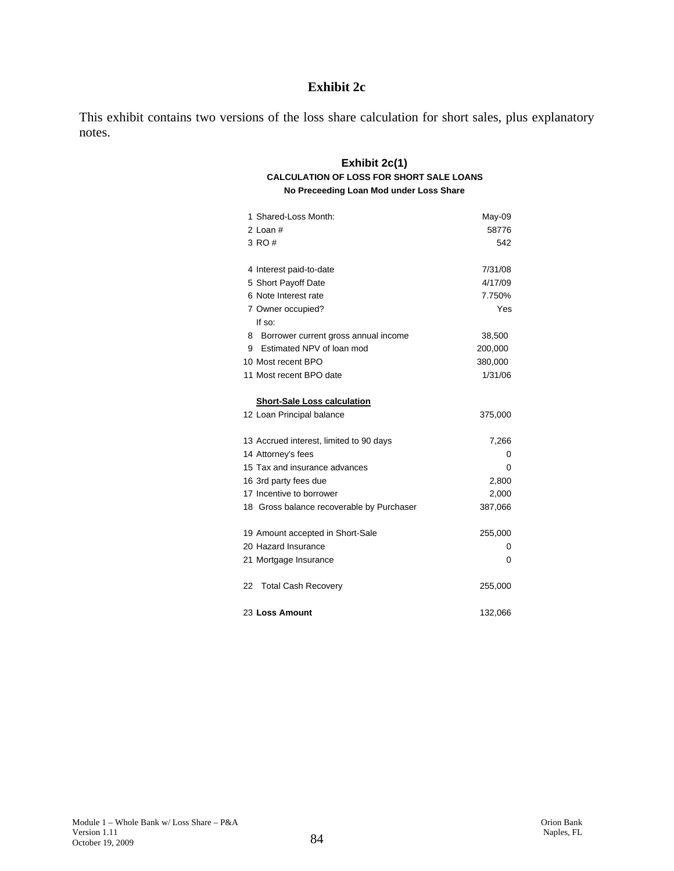## **Exhibit 2c**

This exhibit contains two versions of the loss share calculation for short sales, plus explanatory notes.

#### **Exhibit 2c(1) CALCULATION OF LOSS FOR SHORT SALE LOANS No Preceeding Loan Mod under Loss Share**

| 1 Shared-Loss Month:<br>2 Loan #<br>3 RO #                                                                                                                                                       | May-09<br>58776<br>542                       |
|--------------------------------------------------------------------------------------------------------------------------------------------------------------------------------------------------|----------------------------------------------|
| 4 Interest paid-to-date<br>5 Short Payoff Date                                                                                                                                                   | 7/31/08<br>4/17/09                           |
| 6 Note Interest rate<br>7 Owner occupied?<br>If so:                                                                                                                                              | 7.750%<br>Yes                                |
| Borrower current gross annual income<br>8<br>Estimated NPV of loan mod<br>9<br>10 Most recent BPO<br>11 Most recent BPO date                                                                     | 38,500<br>200,000<br>380,000<br>1/31/06      |
| <b>Short-Sale Loss calculation</b><br>12 Loan Principal balance                                                                                                                                  | 375,000                                      |
| 13 Accrued interest, limited to 90 days<br>14 Attorney's fees<br>15 Tax and insurance advances<br>16 3rd party fees due<br>17 Incentive to borrower<br>18 Gross balance recoverable by Purchaser | 7,266<br>0<br>0<br>2,800<br>2,000<br>387,066 |
| 19 Amount accepted in Short-Sale<br>20 Hazard Insurance<br>21 Mortgage Insurance                                                                                                                 | 255,000<br>0<br>0                            |
| 22 Total Cash Recovery                                                                                                                                                                           | 255,000                                      |
| 23 Loss Amount                                                                                                                                                                                   | 132,066                                      |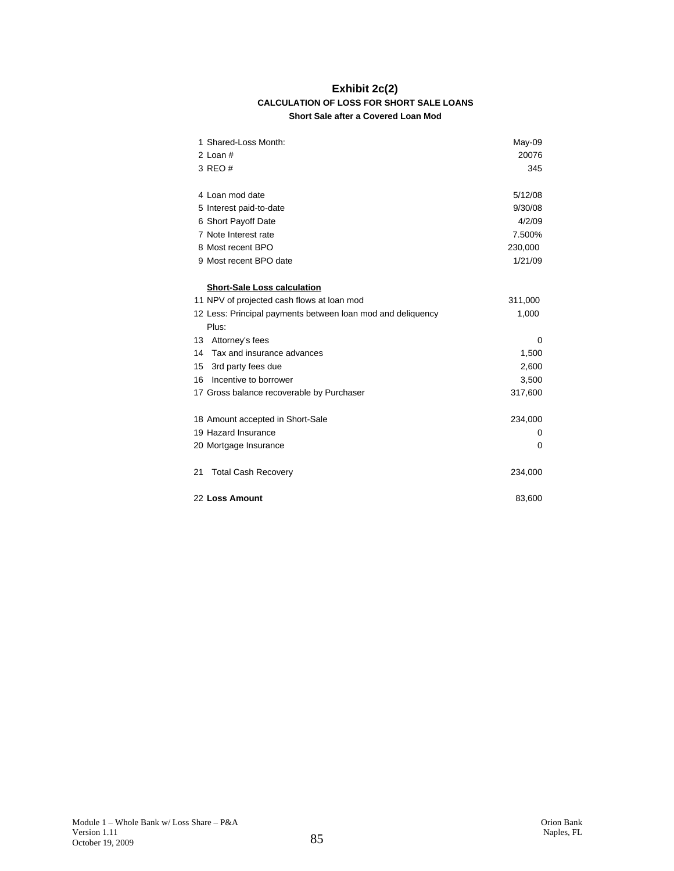#### **Exhibit 2c(2) CALCULATION OF LOSS FOR SHORT SALE LOANS Short Sale after a Covered Loan Mod**

| 1 Shared-Loss Month:                                        | May-09  |
|-------------------------------------------------------------|---------|
| 2 Loan $#$                                                  | 20076   |
| 3 REO #                                                     | 345     |
|                                                             |         |
| 4 Loan mod date                                             | 5/12/08 |
| 5 Interest paid-to-date                                     | 9/30/08 |
| 6 Short Payoff Date                                         | 4/2/09  |
| 7 Note Interest rate                                        | 7.500%  |
| 8 Most recent BPO                                           | 230,000 |
| 9 Most recent BPO date                                      | 1/21/09 |
|                                                             |         |
| <b>Short-Sale Loss calculation</b>                          |         |
| 11 NPV of projected cash flows at loan mod                  | 311,000 |
| 12 Less: Principal payments between loan mod and deliquency | 1,000   |
| Plus:                                                       |         |
| Attorney's fees<br>13                                       | 0       |
| Tax and insurance advances<br>14                            | 1,500   |
| 3rd party fees due<br>15                                    | 2,600   |
| Incentive to borrower<br>16                                 | 3,500   |
| 17 Gross balance recoverable by Purchaser                   | 317,600 |
|                                                             |         |
| 18 Amount accepted in Short-Sale                            | 234,000 |
| 19 Hazard Insurance                                         | 0       |
| 20 Mortgage Insurance                                       | 0       |
|                                                             |         |
| <b>Total Cash Recovery</b><br>21                            | 234,000 |
|                                                             |         |
| 22 Loss Amount                                              | 83,600  |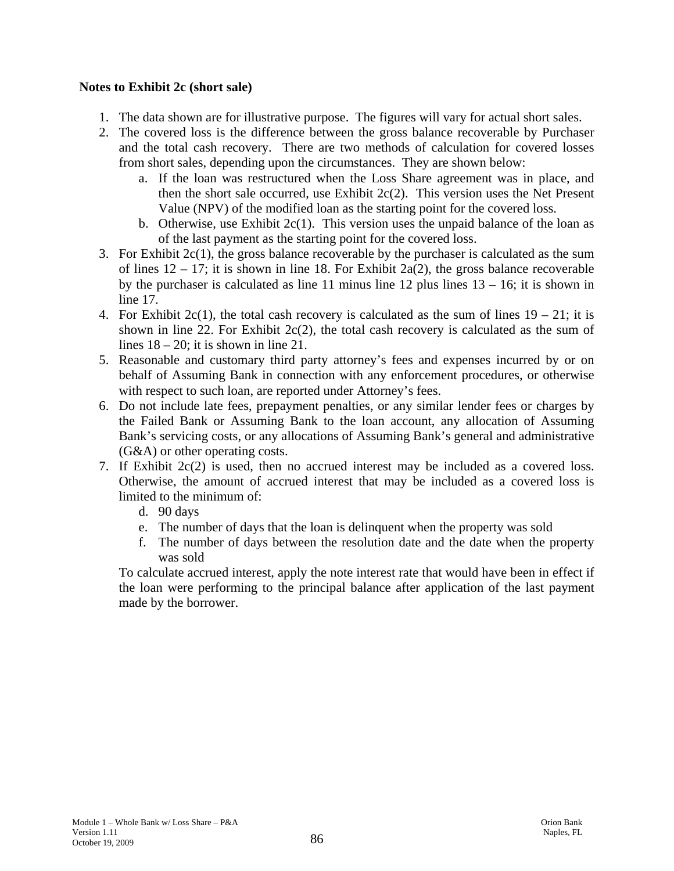## **Notes to Exhibit 2c (short sale)**

- 1. The data shown are for illustrative purpose. The figures will vary for actual short sales.
- 2. The covered loss is the difference between the gross balance recoverable by Purchaser and the total cash recovery. There are two methods of calculation for covered losses from short sales, depending upon the circumstances. They are shown below:
	- a. If the loan was restructured when the Loss Share agreement was in place, and then the short sale occurred, use Exhibit  $2c(2)$ . This version uses the Net Present Value (NPV) of the modified loan as the starting point for the covered loss.
	- b. Otherwise, use Exhibit  $2c(1)$ . This version uses the unpaid balance of the loan as of the last payment as the starting point for the covered loss.
- 3. For Exhibit  $2c(1)$ , the gross balance recoverable by the purchaser is calculated as the sum of lines  $12 - 17$ ; it is shown in line 18. For Exhibit 2a(2), the gross balance recoverable by the purchaser is calculated as line 11 minus line  $12$  plus lines  $13 - 16$ ; it is shown in line 17.
- 4. For Exhibit 2c(1), the total cash recovery is calculated as the sum of lines  $19 21$ ; it is shown in line 22. For Exhibit  $2c(2)$ , the total cash recovery is calculated as the sum of lines  $18 - 20$ ; it is shown in line 21.
- 5. Reasonable and customary third party attorney's fees and expenses incurred by or on behalf of Assuming Bank in connection with any enforcement procedures, or otherwise with respect to such loan, are reported under Attorney's fees.
- 6. Do not include late fees, prepayment penalties, or any similar lender fees or charges by the Failed Bank or Assuming Bank to the loan account, any allocation of Assuming Bank's servicing costs, or any allocations of Assuming Bank's general and administrative (G&A) or other operating costs.
- 7. If Exhibit  $2c(2)$  is used, then no accrued interest may be included as a covered loss. Otherwise, the amount of accrued interest that may be included as a covered loss is limited to the minimum of:
	- d.  $90 \text{ days}$
	- e. The number of days that the loan is delinquent when the property was sold
	- f. The number of days between the resolution date and the date when the property was sold

To calculate accrued interest, apply the note interest rate that would have been in effect if the loan were performing to the principal balance after application of the last payment made by the borrower.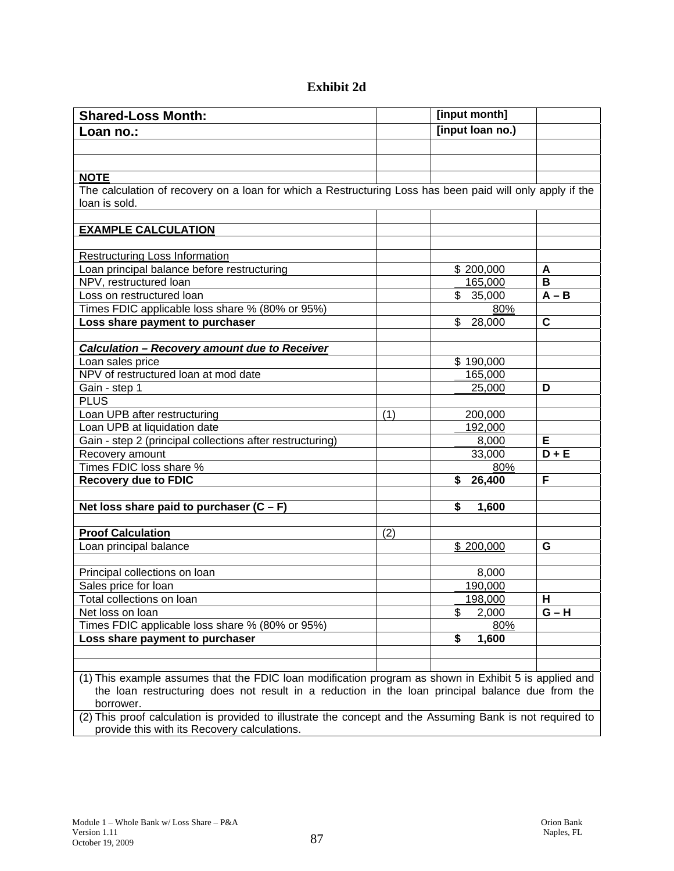# **Exhibit 2d**

| <b>Shared-Loss Month:</b>                                                                                     |     | [input month]    |                    |
|---------------------------------------------------------------------------------------------------------------|-----|------------------|--------------------|
| Loan no.:                                                                                                     |     | [input loan no.) |                    |
|                                                                                                               |     |                  |                    |
|                                                                                                               |     |                  |                    |
| <b>NOTE</b>                                                                                                   |     |                  |                    |
| The calculation of recovery on a loan for which a Restructuring Loss has been paid will only apply if the     |     |                  |                    |
| loan is sold.                                                                                                 |     |                  |                    |
|                                                                                                               |     |                  |                    |
| <b>EXAMPLE CALCULATION</b>                                                                                    |     |                  |                    |
|                                                                                                               |     |                  |                    |
| <b>Restructuring Loss Information</b>                                                                         |     |                  |                    |
| Loan principal balance before restructuring                                                                   |     | \$200,000        | A                  |
| NPV, restructured loan                                                                                        |     | 165,000          | B                  |
| Loss on restructured loan                                                                                     |     | \$35,000         | $\overline{A} - B$ |
| Times FDIC applicable loss share % (80% or 95%)                                                               |     | 80%              |                    |
| Loss share payment to purchaser                                                                               |     | \$28,000         | $\mathbf C$        |
|                                                                                                               |     |                  |                    |
| Calculation - Recovery amount due to Receiver                                                                 |     |                  |                    |
| Loan sales price                                                                                              |     | \$190,000        |                    |
| NPV of restructured loan at mod date                                                                          |     | 165,000          |                    |
| Gain - step 1<br><b>PLUS</b>                                                                                  |     | 25,000           | D                  |
| Loan UPB after restructuring                                                                                  | (1) | 200,000          |                    |
| Loan UPB at liquidation date                                                                                  |     | 192,000          |                    |
| Gain - step 2 (principal collections after restructuring)                                                     |     | 8,000            | Е                  |
| Recovery amount                                                                                               |     | 33,000           | $D + E$            |
| Times FDIC loss share %                                                                                       |     | 80%              |                    |
| <b>Recovery due to FDIC</b>                                                                                   |     | \$26,400         | F                  |
|                                                                                                               |     |                  |                    |
| Net loss share paid to purchaser $(C - F)$                                                                    |     | \$<br>1,600      |                    |
|                                                                                                               |     |                  |                    |
| <b>Proof Calculation</b>                                                                                      | (2) |                  |                    |
| Loan principal balance                                                                                        |     | \$200,000        | G                  |
|                                                                                                               |     |                  |                    |
| Principal collections on loan                                                                                 |     | 8,000            |                    |
| Sales price for loan                                                                                          |     | 190,000          |                    |
| Total collections on loan                                                                                     |     | 198,000          | H                  |
| Net loss on loan                                                                                              |     | \$<br>2,000      | $G - H$            |
| Times FDIC applicable loss share % (80% or 95%)                                                               |     | 80%              |                    |
| Loss share payment to purchaser                                                                               |     | 1,600<br>\$      |                    |
|                                                                                                               |     |                  |                    |
|                                                                                                               |     |                  |                    |
| (1) This example assumes that the FDIC loan modification program as shown in Exhibit 5 is applied and         |     |                  |                    |
| the loan restructuring does not result in a reduction in the loan principal balance due from the<br>borrower. |     |                  |                    |
| (2) This proof calculation is provided to illustrate the concept and the Assuming Bank is not required to     |     |                  |                    |
| provide this with its Recovery calculations.                                                                  |     |                  |                    |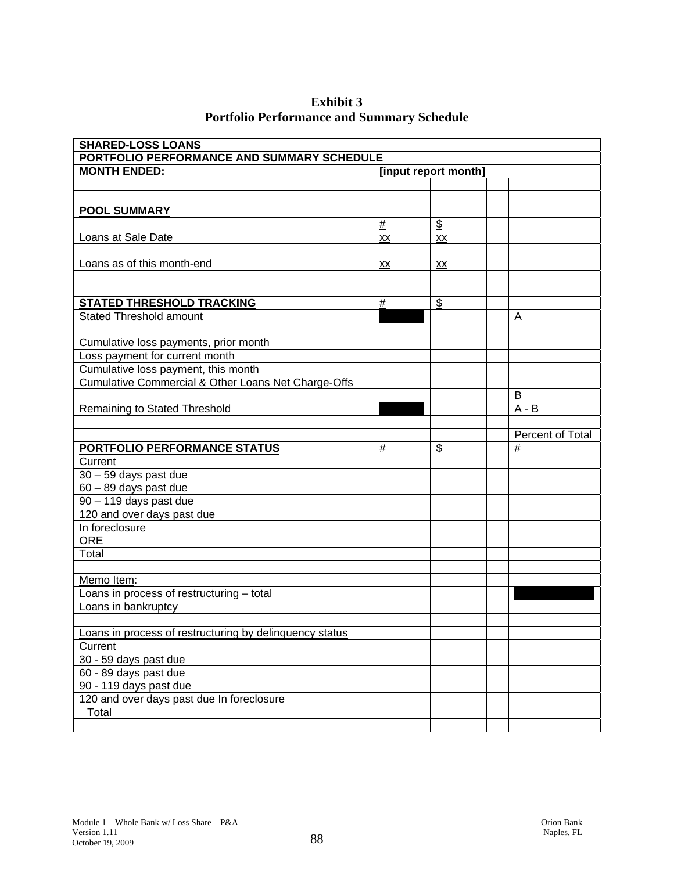| <b>SHARED-LOSS LOANS</b>                                           |                      |               |                  |  |  |
|--------------------------------------------------------------------|----------------------|---------------|------------------|--|--|
| PORTFOLIO PERFORMANCE AND SUMMARY SCHEDULE                         |                      |               |                  |  |  |
| <b>MONTH ENDED:</b>                                                | [input report month] |               |                  |  |  |
|                                                                    |                      |               |                  |  |  |
|                                                                    |                      |               |                  |  |  |
| <b>POOL SUMMARY</b>                                                |                      |               |                  |  |  |
|                                                                    | $\#$                 | \$            |                  |  |  |
| Loans at Sale Date                                                 | XX                   | XХ            |                  |  |  |
|                                                                    |                      |               |                  |  |  |
| Loans as of this month-end                                         | XX                   | XX            |                  |  |  |
|                                                                    |                      |               |                  |  |  |
|                                                                    |                      |               |                  |  |  |
| <b>STATED THRESHOLD TRACKING</b><br><b>Stated Threshold amount</b> | $\#$                 | $\frac{2}{2}$ |                  |  |  |
|                                                                    |                      |               | A                |  |  |
| Cumulative loss payments, prior month                              |                      |               |                  |  |  |
| Loss payment for current month                                     |                      |               |                  |  |  |
| Cumulative loss payment, this month                                |                      |               |                  |  |  |
| Cumulative Commercial & Other Loans Net Charge-Offs                |                      |               |                  |  |  |
|                                                                    |                      |               | B                |  |  |
| Remaining to Stated Threshold                                      |                      |               | $A - B$          |  |  |
|                                                                    |                      |               |                  |  |  |
|                                                                    |                      |               | Percent of Total |  |  |
| <b>PORTFOLIO PERFORMANCE STATUS</b>                                | $\#$                 | \$            | $\#$             |  |  |
| Current                                                            |                      |               |                  |  |  |
| $30 - 59$ days past due                                            |                      |               |                  |  |  |
| $60 - 89$ days past due                                            |                      |               |                  |  |  |
| $90 - 119$ days past due                                           |                      |               |                  |  |  |
| 120 and over days past due                                         |                      |               |                  |  |  |
| In foreclosure                                                     |                      |               |                  |  |  |
| <b>ORE</b>                                                         |                      |               |                  |  |  |
| Total                                                              |                      |               |                  |  |  |
|                                                                    |                      |               |                  |  |  |
| Memo Item:                                                         |                      |               |                  |  |  |
| Loans in process of restructuring - total                          |                      |               |                  |  |  |
| Loans in bankruptcy                                                |                      |               |                  |  |  |
|                                                                    |                      |               |                  |  |  |
| Loans in process of restructuring by delinquency status            |                      |               |                  |  |  |
| Current                                                            |                      |               |                  |  |  |
| 30 - 59 days past due                                              |                      |               |                  |  |  |
| 60 - 89 days past due                                              |                      |               |                  |  |  |
| 90 - 119 days past due                                             |                      |               |                  |  |  |
| 120 and over days past due In foreclosure                          |                      |               |                  |  |  |
| Total                                                              |                      |               |                  |  |  |
|                                                                    |                      |               |                  |  |  |

**Exhibit 3 Portfolio Performance and Summary Schedule**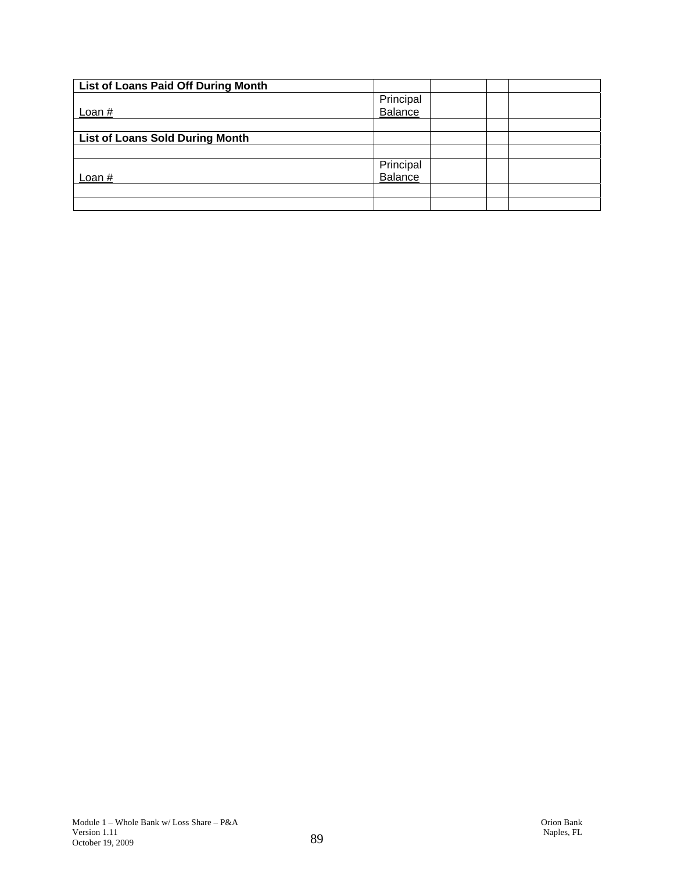| List of Loans Paid Off During Month    |                |  |  |
|----------------------------------------|----------------|--|--|
|                                        | Principal      |  |  |
| Loan $#$                               | <b>Balance</b> |  |  |
|                                        |                |  |  |
| <b>List of Loans Sold During Month</b> |                |  |  |
|                                        |                |  |  |
|                                        | Principal      |  |  |
| Loan $#$                               | Balance        |  |  |
|                                        |                |  |  |
|                                        |                |  |  |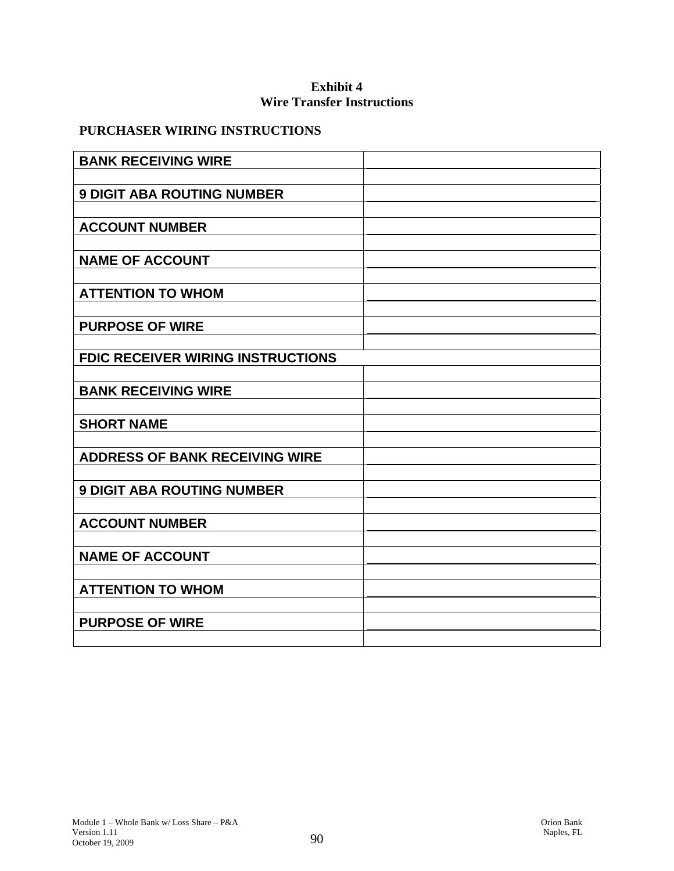## **Exhibit 4 Wire Transfer Instructions**

# **PURCHASER WIRING INSTRUCTIONS**

| <b>BANK RECEIVING WIRE</b>               |  |
|------------------------------------------|--|
|                                          |  |
| <b>9 DIGIT ABA ROUTING NUMBER</b>        |  |
|                                          |  |
| <b>ACCOUNT NUMBER</b>                    |  |
|                                          |  |
| <b>NAME OF ACCOUNT</b>                   |  |
| <b>ATTENTION TO WHOM</b>                 |  |
|                                          |  |
| <b>PURPOSE OF WIRE</b>                   |  |
|                                          |  |
| <b>FDIC RECEIVER WIRING INSTRUCTIONS</b> |  |
|                                          |  |
| <b>BANK RECEIVING WIRE</b>               |  |
|                                          |  |
| <b>SHORT NAME</b>                        |  |
| <b>ADDRESS OF BANK RECEIVING WIRE</b>    |  |
|                                          |  |
| <b>9 DIGIT ABA ROUTING NUMBER</b>        |  |
|                                          |  |
| <b>ACCOUNT NUMBER</b>                    |  |
|                                          |  |
| <b>NAME OF ACCOUNT</b>                   |  |
|                                          |  |
| <b>ATTENTION TO WHOM</b>                 |  |
|                                          |  |
| <b>PURPOSE OF WIRE</b>                   |  |
|                                          |  |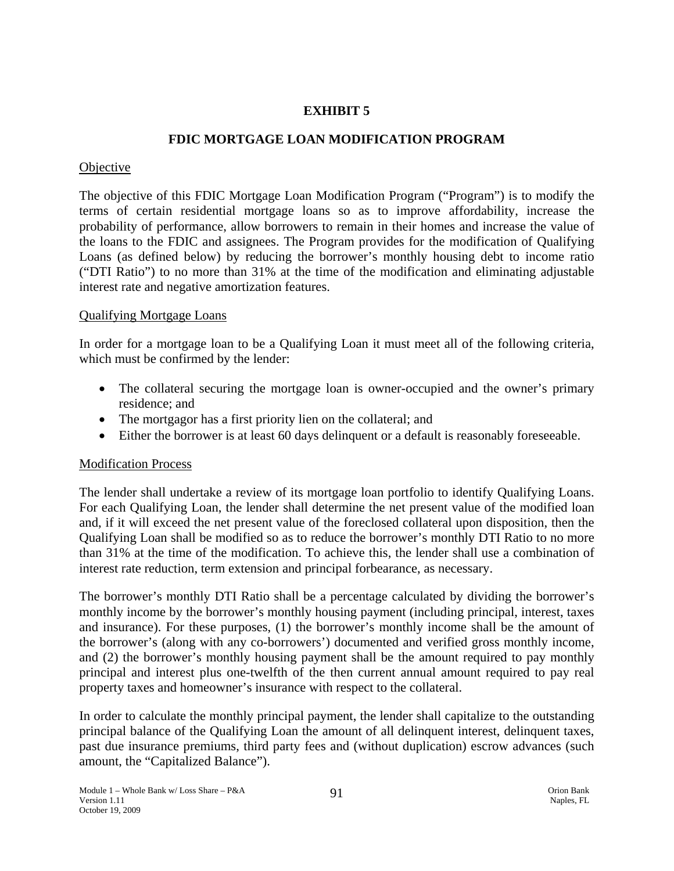## **EXHIBIT 5**

# **FDIC MORTGAGE LOAN MODIFICATION PROGRAM**

## **Objective**

The objective of this FDIC Mortgage Loan Modification Program ("Program") is to modify the terms of certain residential mortgage loans so as to improve affordability, increase the probability of performance, allow borrowers to remain in their homes and increase the value of the loans to the FDIC and assignees. The Program provides for the modification of Qualifying Loans (as defined below) by reducing the borrower's monthly housing debt to income ratio ("DTI Ratio") to no more than 31% at the time of the modification and eliminating adjustable interest rate and negative amortization features.

### Qualifying Mortgage Loans

In order for a mortgage loan to be a Qualifying Loan it must meet all of the following criteria, which must be confirmed by the lender:

- The collateral securing the mortgage loan is owner-occupied and the owner's primary residence; and
- The mortgagor has a first priority lien on the collateral; and
- Either the borrower is at least 60 days delinquent or a default is reasonably foreseeable.

## Modification Process

The lender shall undertake a review of its mortgage loan portfolio to identify Qualifying Loans. For each Qualifying Loan, the lender shall determine the net present value of the modified loan and, if it will exceed the net present value of the foreclosed collateral upon disposition, then the Qualifying Loan shall be modified so as to reduce the borrower's monthly DTI Ratio to no more than 31% at the time of the modification. To achieve this, the lender shall use a combination of interest rate reduction, term extension and principal forbearance, as necessary.

The borrower's monthly DTI Ratio shall be a percentage calculated by dividing the borrower's monthly income by the borrower's monthly housing payment (including principal, interest, taxes and insurance). For these purposes, (1) the borrower's monthly income shall be the amount of the borrower's (along with any co-borrowers') documented and verified gross monthly income, and (2) the borrower's monthly housing payment shall be the amount required to pay monthly principal and interest plus one-twelfth of the then current annual amount required to pay real property taxes and homeowner's insurance with respect to the collateral.

In order to calculate the monthly principal payment, the lender shall capitalize to the outstanding principal balance of the Qualifying Loan the amount of all delinquent interest, delinquent taxes, past due insurance premiums, third party fees and (without duplication) escrow advances (such amount, the "Capitalized Balance").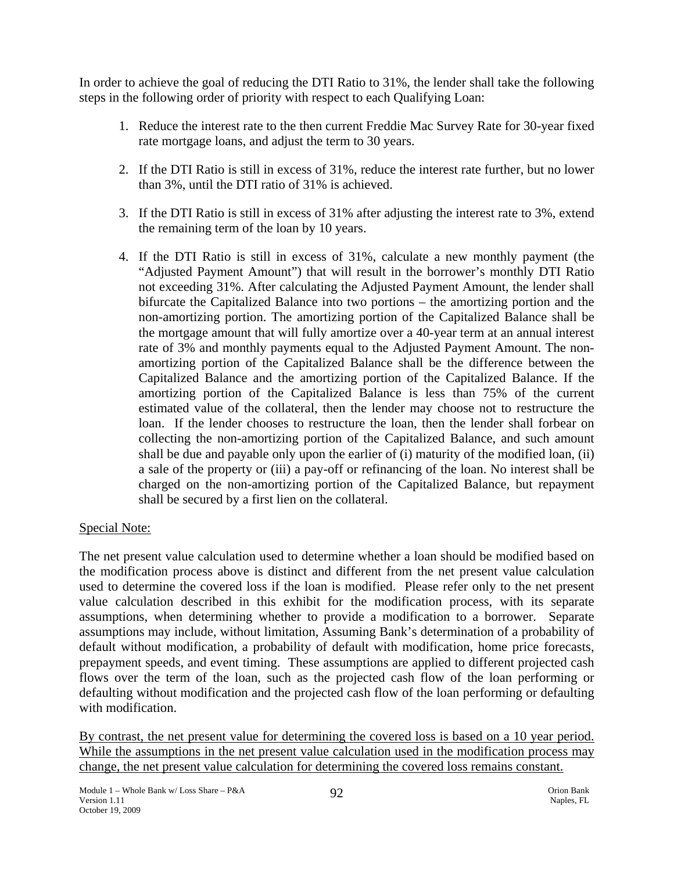In order to achieve the goal of reducing the DTI Ratio to 31%, the lender shall take the following steps in the following order of priority with respect to each Qualifying Loan:

- 1. Reduce the interest rate to the then current Freddie Mac Survey Rate for 30-year fixed rate mortgage loans, and adjust the term to 30 years.
- 2. If the DTI Ratio is still in excess of 31%, reduce the interest rate further, but no lower than 3%, until the DTI ratio of 31% is achieved.
- 3. If the DTI Ratio is still in excess of 31% after adjusting the interest rate to 3%, extend the remaining term of the loan by 10 years.
- 4. If the DTI Ratio is still in excess of 31%, calculate a new monthly payment (the "Adjusted Payment Amount") that will result in the borrower's monthly DTI Ratio not exceeding 31%. After calculating the Adjusted Payment Amount, the lender shall bifurcate the Capitalized Balance into two portions – the amortizing portion and the non-amortizing portion. The amortizing portion of the Capitalized Balance shall be the mortgage amount that will fully amortize over a 40-year term at an annual interest rate of 3% and monthly payments equal to the Adjusted Payment Amount. The nonamortizing portion of the Capitalized Balance shall be the difference between the Capitalized Balance and the amortizing portion of the Capitalized Balance. If the amortizing portion of the Capitalized Balance is less than 75% of the current estimated value of the collateral, then the lender may choose not to restructure the loan. If the lender chooses to restructure the loan, then the lender shall forbear on collecting the non-amortizing portion of the Capitalized Balance, and such amount shall be due and payable only upon the earlier of (i) maturity of the modified loan, (ii) a sale of the property or (iii) a pay-off or refinancing of the loan. No interest shall be charged on the non-amortizing portion of the Capitalized Balance, but repayment shall be secured by a first lien on the collateral.

## Special Note:

The net present value calculation used to determine whether a loan should be modified based on the modification process above is distinct and different from the net present value calculation used to determine the covered loss if the loan is modified. Please refer only to the net present value calculation described in this exhibit for the modification process, with its separate assumptions, when determining whether to provide a modification to a borrower. Separate assumptions may include, without limitation, Assuming Bank's determination of a probability of default without modification, a probability of default with modification, home price forecasts, prepayment speeds, and event timing. These assumptions are applied to different projected cash flows over the term of the loan, such as the projected cash flow of the loan performing or defaulting without modification and the projected cash flow of the loan performing or defaulting with modification.

change, the net present value calculation for determining the covered loss remains constant.<br>
Module 1 – Whole Bank w/ Loss Share – P&A Orion Bank 92 Orion Bank Naples, FL By contrast, the net present value for determining the covered loss is based on a 10 year period. While the assumptions in the net present value calculation used in the modification process may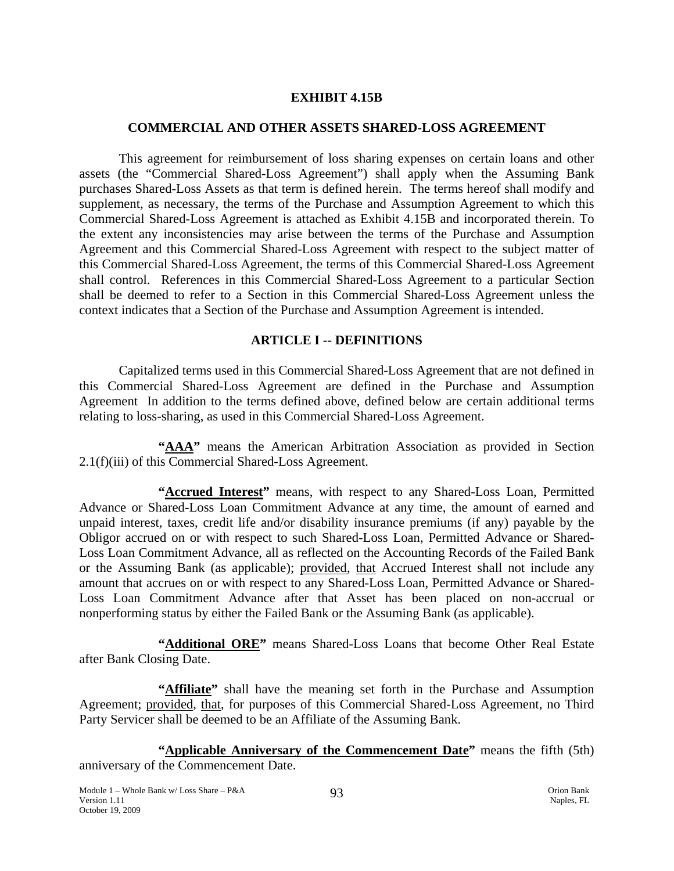### **EXHIBIT 4.15B**

### **COMMERCIAL AND OTHER ASSETS SHARED-LOSS AGREEMENT**

This agreement for reimbursement of loss sharing expenses on certain loans and other assets (the "Commercial Shared-Loss Agreement") shall apply when the Assuming Bank purchases Shared-Loss Assets as that term is defined herein. The terms hereof shall modify and supplement, as necessary, the terms of the Purchase and Assumption Agreement to which this Commercial Shared-Loss Agreement is attached as Exhibit 4.15B and incorporated therein. To the extent any inconsistencies may arise between the terms of the Purchase and Assumption Agreement and this Commercial Shared-Loss Agreement with respect to the subject matter of this Commercial Shared-Loss Agreement, the terms of this Commercial Shared-Loss Agreement shall control. References in this Commercial Shared-Loss Agreement to a particular Section shall be deemed to refer to a Section in this Commercial Shared-Loss Agreement unless the context indicates that a Section of the Purchase and Assumption Agreement is intended.

### **ARTICLE I -- DEFINITIONS**

Capitalized terms used in this Commercial Shared-Loss Agreement that are not defined in this Commercial Shared-Loss Agreement are defined in the Purchase and Assumption Agreement In addition to the terms defined above, defined below are certain additional terms relating to loss-sharing, as used in this Commercial Shared-Loss Agreement.

"AAA" means the American Arbitration Association as provided in Section 2.1(f)(iii) of this Commercial Shared-Loss Agreement.

**"Accrued Interest"** means, with respect to any Shared-Loss Loan, Permitted Advance or Shared-Loss Loan Commitment Advance at any time, the amount of earned and unpaid interest, taxes, credit life and/or disability insurance premiums (if any) payable by the Obligor accrued on or with respect to such Shared-Loss Loan, Permitted Advance or Shared-Loss Loan Commitment Advance, all as reflected on the Accounting Records of the Failed Bank or the Assuming Bank (as applicable); provided, that Accrued Interest shall not include any amount that accrues on or with respect to any Shared-Loss Loan, Permitted Advance or Shared-Loss Loan Commitment Advance after that Asset has been placed on non-accrual or nonperforming status by either the Failed Bank or the Assuming Bank (as applicable).

"**Additional ORE**" means Shared-Loss Loans that become Other Real Estate after Bank Closing Date.

"**Affiliate**" shall have the meaning set forth in the Purchase and Assumption Agreement; provided, that, for purposes of this Commercial Shared-Loss Agreement, no Third Party Servicer shall be deemed to be an Affiliate of the Assuming Bank.

**Examplicable Anniversary of the Commencement Date**" means the fifth (5th) anniversary of the Commencement Date.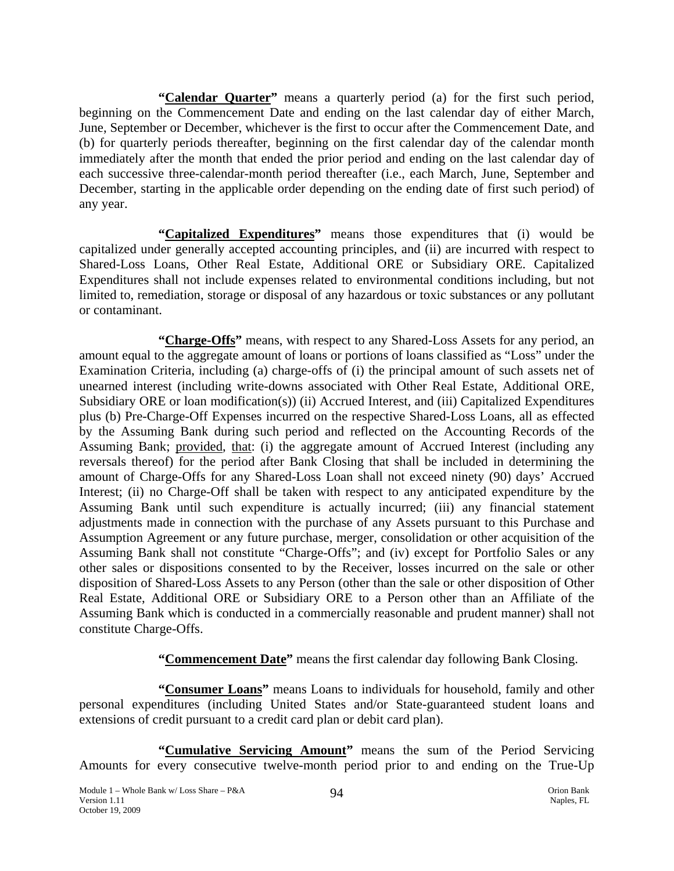"Calendar Quarter" means a quarterly period (a) for the first such period, beginning on the Commencement Date and ending on the last calendar day of either March, June, September or December, whichever is the first to occur after the Commencement Date, and (b) for quarterly periods thereafter, beginning on the first calendar day of the calendar month immediately after the month that ended the prior period and ending on the last calendar day of each successive three-calendar-month period thereafter (i.e., each March, June, September and December, starting in the applicable order depending on the ending date of first such period) of any year.

**"Capitalized Expenditures"** means those expenditures that (i) would be capitalized under generally accepted accounting principles, and (ii) are incurred with respect to Shared-Loss Loans, Other Real Estate, Additional ORE or Subsidiary ORE. Capitalized Expenditures shall not include expenses related to environmental conditions including, but not limited to, remediation, storage or disposal of any hazardous or toxic substances or any pollutant or contaminant.

**"Charge-Offs"** means, with respect to any Shared-Loss Assets for any period, an amount equal to the aggregate amount of loans or portions of loans classified as "Loss" under the Examination Criteria, including (a) charge-offs of (i) the principal amount of such assets net of unearned interest (including write-downs associated with Other Real Estate, Additional ORE, Subsidiary ORE or loan modification(s)) (ii) Accrued Interest, and (iii) Capitalized Expenditures plus (b) Pre-Charge-Off Expenses incurred on the respective Shared-Loss Loans, all as effected by the Assuming Bank during such period and reflected on the Accounting Records of the Assuming Bank; provided, that: (i) the aggregate amount of Accrued Interest (including any reversals thereof) for the period after Bank Closing that shall be included in determining the amount of Charge-Offs for any Shared-Loss Loan shall not exceed ninety (90) days' Accrued Interest; (ii) no Charge-Off shall be taken with respect to any anticipated expenditure by the Assuming Bank until such expenditure is actually incurred; (iii) any financial statement adjustments made in connection with the purchase of any Assets pursuant to this Purchase and Assumption Agreement or any future purchase, merger, consolidation or other acquisition of the Assuming Bank shall not constitute "Charge-Offs"; and (iv) except for Portfolio Sales or any other sales or dispositions consented to by the Receiver, losses incurred on the sale or other disposition of Shared-Loss Assets to any Person (other than the sale or other disposition of Other Real Estate, Additional ORE or Subsidiary ORE to a Person other than an Affiliate of the Assuming Bank which is conducted in a commercially reasonable and prudent manner) shall not constitute Charge-Offs.

**"Commencement Date"** means the first calendar day following Bank Closing.

**"Consumer Loans"** means Loans to individuals for household, family and other personal expenditures (including United States and/or State-guaranteed student loans and extensions of credit pursuant to a credit card plan or debit card plan).

**"Cumulative Servicing Amount"** means the sum of the Period Servicing Amounts for every consecutive twelve-month period prior to and ending on the True-Up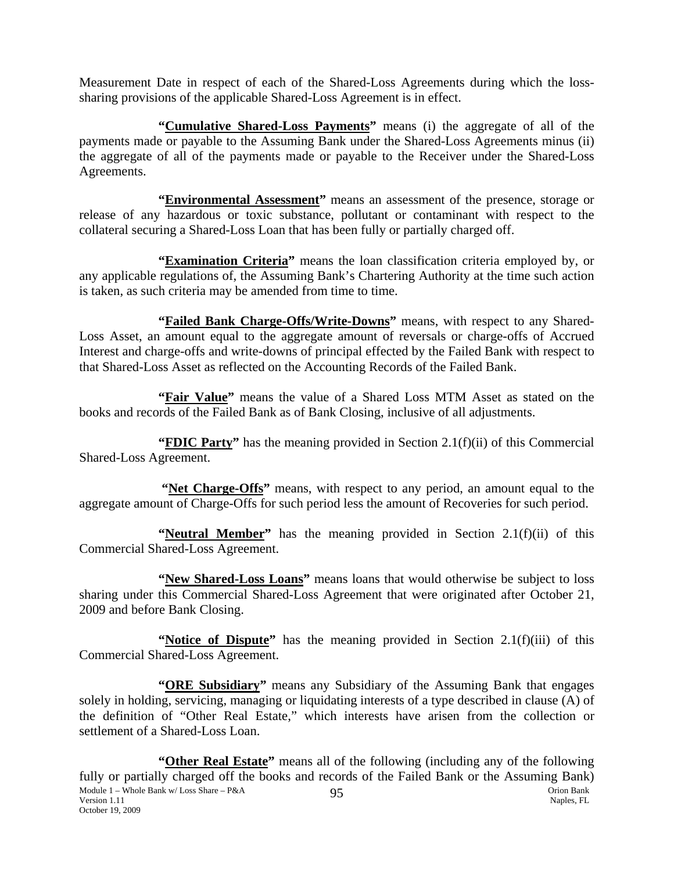Measurement Date in respect of each of the Shared-Loss Agreements during which the losssharing provisions of the applicable Shared-Loss Agreement is in effect.

**"Cumulative Shared-Loss Payments"** means (i) the aggregate of all of the payments made or payable to the Assuming Bank under the Shared-Loss Agreements minus (ii) the aggregate of all of the payments made or payable to the Receiver under the Shared-Loss Agreements.

**"Environmental Assessment"** means an assessment of the presence, storage or release of any hazardous or toxic substance, pollutant or contaminant with respect to the collateral securing a Shared-Loss Loan that has been fully or partially charged off.

**"Examination Criteria"** means the loan classification criteria employed by, or any applicable regulations of, the Assuming Bank's Chartering Authority at the time such action is taken, as such criteria may be amended from time to time.

**"Failed Bank Charge-Offs/Write-Downs"** means, with respect to any Shared-Loss Asset, an amount equal to the aggregate amount of reversals or charge-offs of Accrued Interest and charge-offs and write-downs of principal effected by the Failed Bank with respect to that Shared-Loss Asset as reflected on the Accounting Records of the Failed Bank.

**"Fair Value"** means the value of a Shared Loss MTM Asset as stated on the books and records of the Failed Bank as of Bank Closing, inclusive of all adjustments.

**"FDIC Party"** has the meaning provided in Section 2.1(f)(ii) of this Commercial Shared-Loss Agreement.

**"Net Charge-Offs"** means, with respect to any period, an amount equal to the aggregate amount of Charge-Offs for such period less the amount of Recoveries for such period.

 Commercial Shared-Loss Agreement. "Neutral Member" has the meaning provided in Section 2.1(f)(ii) of this

**"New Shared-Loss Loans"** means loans that would otherwise be subject to loss sharing under this Commercial Shared-Loss Agreement that were originated after October 21, 2009 and before Bank Closing.

**"Notice of Dispute"** has the meaning provided in Section 2.1(f)(iii) of this Commercial Shared-Loss Agreement.

**"ORE Subsidiary"** means any Subsidiary of the Assuming Bank that engages solely in holding, servicing, managing or liquidating interests of a type described in clause (A) of the definition of "Other Real Estate," which interests have arisen from the collection or settlement of a Shared-Loss Loan.

**"Other Real Estate"** means all of the following (including any of the following fully or partially charged off the books and records of the Failed Bank or the Assuming Bank) Module 1 – Whole Bank w/ Loss Share – P&A  $\overline{95}$  95  $\overline{95}$  Orion Bank 1.11 Naples, FL October 19, 2009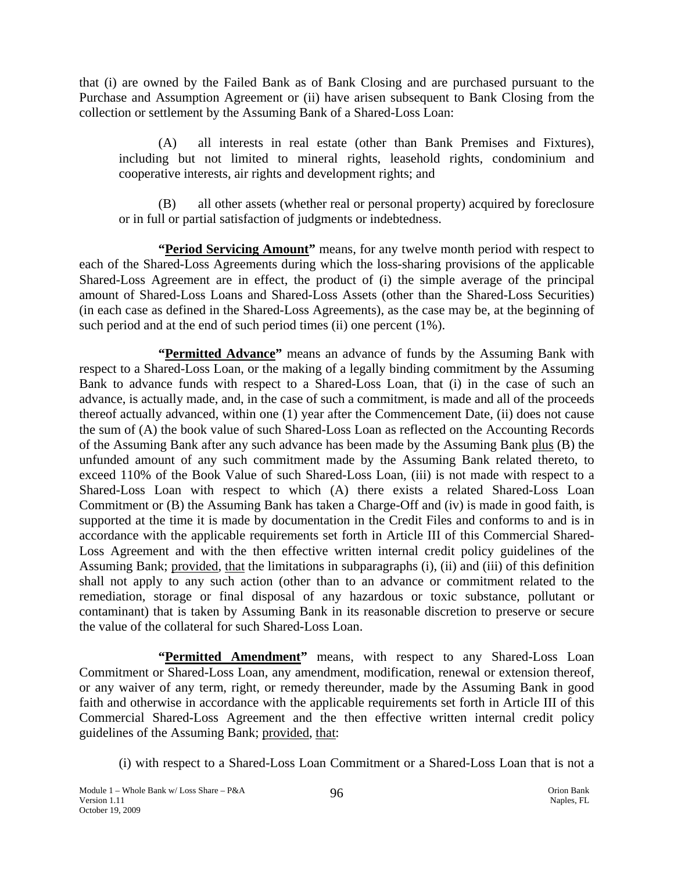that (i) are owned by the Failed Bank as of Bank Closing and are purchased pursuant to the Purchase and Assumption Agreement or (ii) have arisen subsequent to Bank Closing from the collection or settlement by the Assuming Bank of a Shared-Loss Loan:

(A) all interests in real estate (other than Bank Premises and Fixtures), including but not limited to mineral rights, leasehold rights, condominium and cooperative interests, air rights and development rights; and

(B) all other assets (whether real or personal property) acquired by foreclosure or in full or partial satisfaction of judgments or indebtedness.

**"Period Servicing Amount"** means, for any twelve month period with respect to each of the Shared-Loss Agreements during which the loss-sharing provisions of the applicable Shared-Loss Agreement are in effect, the product of (i) the simple average of the principal amount of Shared-Loss Loans and Shared-Loss Assets (other than the Shared-Loss Securities) (in each case as defined in the Shared-Loss Agreements), as the case may be, at the beginning of such period and at the end of such period times (ii) one percent (1%).

**"Permitted Advance"** means an advance of funds by the Assuming Bank with respect to a Shared-Loss Loan, or the making of a legally binding commitment by the Assuming Bank to advance funds with respect to a Shared-Loss Loan, that (i) in the case of such an advance, is actually made, and, in the case of such a commitment, is made and all of the proceeds thereof actually advanced, within one (1) year after the Commencement Date, (ii) does not cause the sum of (A) the book value of such Shared-Loss Loan as reflected on the Accounting Records of the Assuming Bank after any such advance has been made by the Assuming Bank plus (B) the unfunded amount of any such commitment made by the Assuming Bank related thereto, to exceed 110% of the Book Value of such Shared-Loss Loan, (iii) is not made with respect to a Shared-Loss Loan with respect to which (A) there exists a related Shared-Loss Loan Commitment or (B) the Assuming Bank has taken a Charge-Off and (iv) is made in good faith, is supported at the time it is made by documentation in the Credit Files and conforms to and is in accordance with the applicable requirements set forth in Article III of this Commercial Shared-Loss Agreement and with the then effective written internal credit policy guidelines of the Assuming Bank; provided, that the limitations in subparagraphs (i), (ii) and (iii) of this definition shall not apply to any such action (other than to an advance or commitment related to the remediation, storage or final disposal of any hazardous or toxic substance, pollutant or contaminant) that is taken by Assuming Bank in its reasonable discretion to preserve or secure the value of the collateral for such Shared-Loss Loan.

"Permitted Amendment" means, with respect to any Shared-Loss Loan Commitment or Shared-Loss Loan, any amendment, modification, renewal or extension thereof, or any waiver of any term, right, or remedy thereunder, made by the Assuming Bank in good faith and otherwise in accordance with the applicable requirements set forth in Article III of this Commercial Shared-Loss Agreement and the then effective written internal credit policy guidelines of the Assuming Bank; provided, that:

(i) with respect to a Shared-Loss Loan Commitment or a Shared-Loss Loan that is not a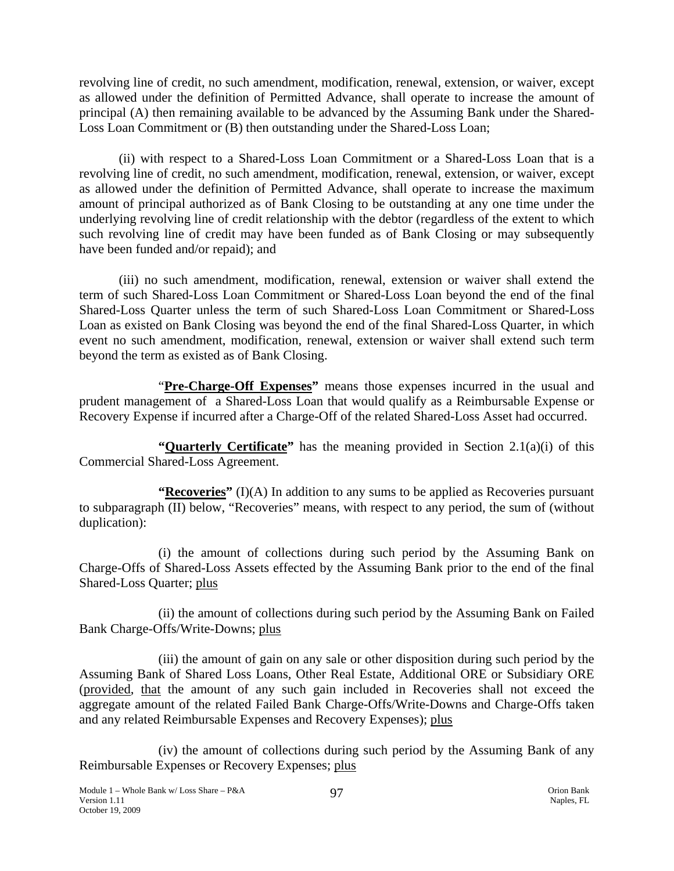revolving line of credit, no such amendment, modification, renewal, extension, or waiver, except as allowed under the definition of Permitted Advance, shall operate to increase the amount of principal (A) then remaining available to be advanced by the Assuming Bank under the Shared-Loss Loan Commitment or (B) then outstanding under the Shared-Loss Loan;

(ii) with respect to a Shared-Loss Loan Commitment or a Shared-Loss Loan that is a revolving line of credit, no such amendment, modification, renewal, extension, or waiver, except as allowed under the definition of Permitted Advance, shall operate to increase the maximum amount of principal authorized as of Bank Closing to be outstanding at any one time under the underlying revolving line of credit relationship with the debtor (regardless of the extent to which such revolving line of credit may have been funded as of Bank Closing or may subsequently have been funded and/or repaid); and

(iii) no such amendment, modification, renewal, extension or waiver shall extend the term of such Shared-Loss Loan Commitment or Shared-Loss Loan beyond the end of the final Shared-Loss Quarter unless the term of such Shared-Loss Loan Commitment or Shared-Loss Loan as existed on Bank Closing was beyond the end of the final Shared-Loss Quarter, in which event no such amendment, modification, renewal, extension or waiver shall extend such term beyond the term as existed as of Bank Closing.

"**Pre-Charge-Off Expenses**" means those expenses incurred in the usual and prudent management of a Shared-Loss Loan that would qualify as a Reimbursable Expense or Recovery Expense if incurred after a Charge-Off of the related Shared-Loss Asset had occurred.

**"Quarterly Certificate"** has the meaning provided in Section 2.1(a)(i) of this Commercial Shared-Loss Agreement.

**"Recoveries"** (I)(A) In addition to any sums to be applied as Recoveries pursuant to subparagraph (II) below, "Recoveries" means, with respect to any period, the sum of (without duplication):

**Shared-Loss Quarter; plus** (i) the amount of collections during such period by the Assuming Bank on Charge-Offs of Shared-Loss Assets effected by the Assuming Bank prior to the end of the final

(ii) the amount of collections during such period by the Assuming Bank on Failed Bank Charge-Offs/Write-Downs; plus

(iii) the amount of gain on any sale or other disposition during such period by the Assuming Bank of Shared Loss Loans, Other Real Estate, Additional ORE or Subsidiary ORE (provided, that the amount of any such gain included in Recoveries shall not exceed the aggregate amount of the related Failed Bank Charge-Offs/Write-Downs and Charge-Offs taken and any related Reimbursable Expenses and Recovery Expenses); plus

(iv) the amount of collections during such period by the Assuming Bank of any Reimbursable Expenses or Recovery Expenses; plus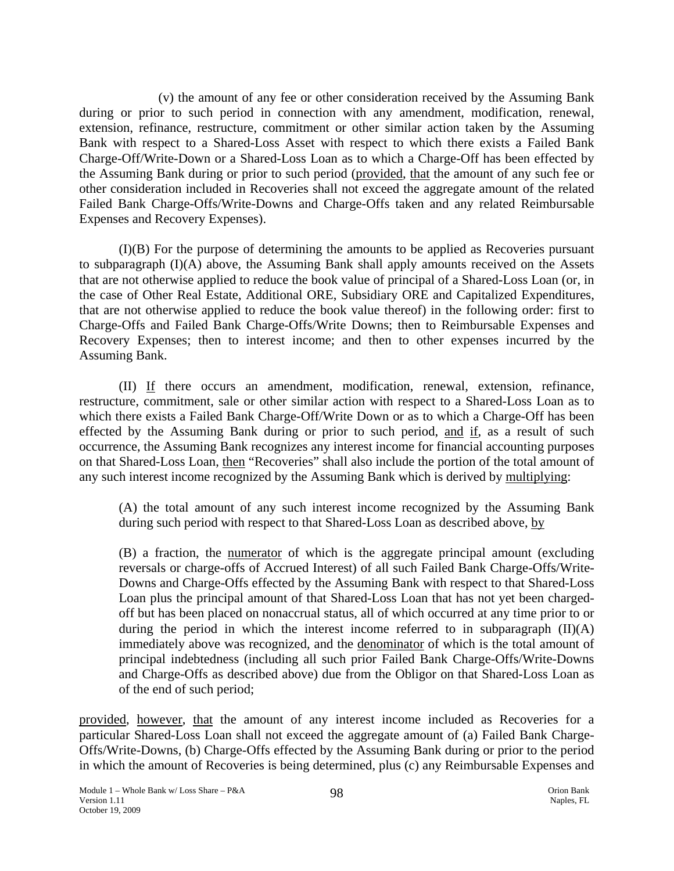(v) the amount of any fee or other consideration received by the Assuming Bank during or prior to such period in connection with any amendment, modification, renewal, extension, refinance, restructure, commitment or other similar action taken by the Assuming Bank with respect to a Shared-Loss Asset with respect to which there exists a Failed Bank Charge-Off/Write-Down or a Shared-Loss Loan as to which a Charge-Off has been effected by the Assuming Bank during or prior to such period (provided, that the amount of any such fee or other consideration included in Recoveries shall not exceed the aggregate amount of the related Failed Bank Charge-Offs/Write-Downs and Charge-Offs taken and any related Reimbursable Expenses and Recovery Expenses).

(I)(B) For the purpose of determining the amounts to be applied as Recoveries pursuant to subparagraph (I)(A) above, the Assuming Bank shall apply amounts received on the Assets that are not otherwise applied to reduce the book value of principal of a Shared-Loss Loan (or, in the case of Other Real Estate, Additional ORE, Subsidiary ORE and Capitalized Expenditures, that are not otherwise applied to reduce the book value thereof) in the following order: first to Charge-Offs and Failed Bank Charge-Offs/Write Downs; then to Reimbursable Expenses and Recovery Expenses; then to interest income; and then to other expenses incurred by the Assuming Bank.

(II) If there occurs an amendment, modification, renewal, extension, refinance, restructure, commitment, sale or other similar action with respect to a Shared-Loss Loan as to which there exists a Failed Bank Charge-Off/Write Down or as to which a Charge-Off has been effected by the Assuming Bank during or prior to such period, and if, as a result of such occurrence, the Assuming Bank recognizes any interest income for financial accounting purposes on that Shared-Loss Loan, then "Recoveries" shall also include the portion of the total amount of any such interest income recognized by the Assuming Bank which is derived by multiplying:

(A) the total amount of any such interest income recognized by the Assuming Bank during such period with respect to that Shared-Loss Loan as described above, by

(B) a fraction, the numerator of which is the aggregate principal amount (excluding reversals or charge-offs of Accrued Interest) of all such Failed Bank Charge-Offs/Write-Downs and Charge-Offs effected by the Assuming Bank with respect to that Shared-Loss Loan plus the principal amount of that Shared-Loss Loan that has not yet been chargedoff but has been placed on nonaccrual status, all of which occurred at any time prior to or during the period in which the interest income referred to in subparagraph (II)(A) immediately above was recognized, and the denominator of which is the total amount of principal indebtedness (including all such prior Failed Bank Charge-Offs/Write-Downs and Charge-Offs as described above) due from the Obligor on that Shared-Loss Loan as of the end of such period;

provided, however, that the amount of any interest income included as Recoveries for a particular Shared-Loss Loan shall not exceed the aggregate amount of (a) Failed Bank Charge-Offs/Write-Downs, (b) Charge-Offs effected by the Assuming Bank during or prior to the period in which the amount of Recoveries is being determined, plus (c) any Reimbursable Expenses and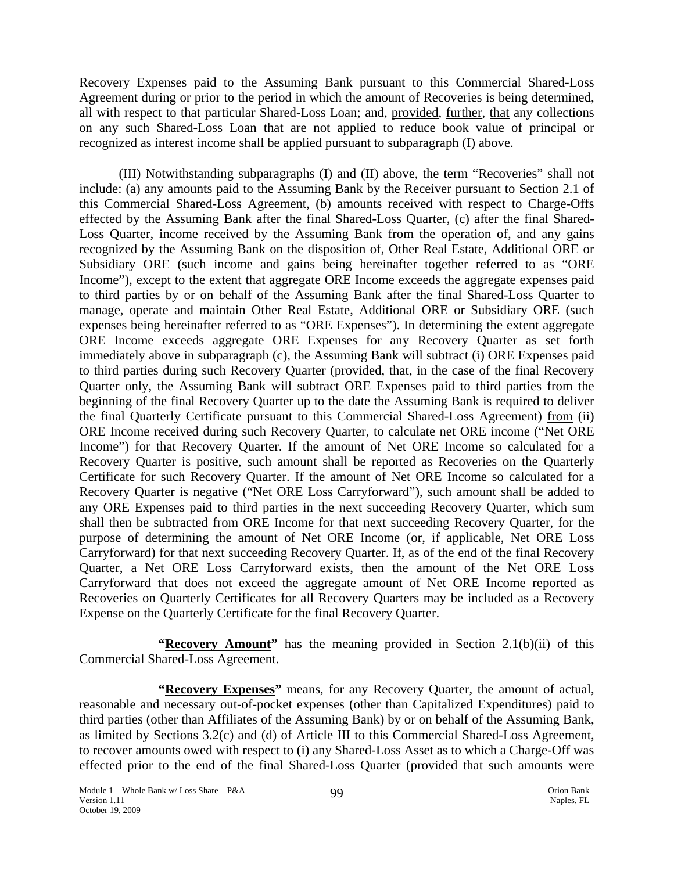Recovery Expenses paid to the Assuming Bank pursuant to this Commercial Shared-Loss Agreement during or prior to the period in which the amount of Recoveries is being determined, all with respect to that particular Shared-Loss Loan; and, provided, further, that any collections on any such Shared-Loss Loan that are not applied to reduce book value of principal or recognized as interest income shall be applied pursuant to subparagraph (I) above.

(III) Notwithstanding subparagraphs (I) and (II) above, the term "Recoveries" shall not include: (a) any amounts paid to the Assuming Bank by the Receiver pursuant to Section 2.1 of this Commercial Shared-Loss Agreement, (b) amounts received with respect to Charge-Offs effected by the Assuming Bank after the final Shared-Loss Quarter, (c) after the final Shared-Loss Quarter, income received by the Assuming Bank from the operation of, and any gains recognized by the Assuming Bank on the disposition of, Other Real Estate, Additional ORE or Subsidiary ORE (such income and gains being hereinafter together referred to as "ORE Income"), except to the extent that aggregate ORE Income exceeds the aggregate expenses paid to third parties by or on behalf of the Assuming Bank after the final Shared-Loss Quarter to manage, operate and maintain Other Real Estate, Additional ORE or Subsidiary ORE (such expenses being hereinafter referred to as "ORE Expenses"). In determining the extent aggregate ORE Income exceeds aggregate ORE Expenses for any Recovery Quarter as set forth immediately above in subparagraph (c), the Assuming Bank will subtract (i) ORE Expenses paid to third parties during such Recovery Quarter (provided, that, in the case of the final Recovery Quarter only, the Assuming Bank will subtract ORE Expenses paid to third parties from the beginning of the final Recovery Quarter up to the date the Assuming Bank is required to deliver the final Quarterly Certificate pursuant to this Commercial Shared-Loss Agreement) from (ii) ORE Income received during such Recovery Quarter, to calculate net ORE income ("Net ORE Income") for that Recovery Quarter. If the amount of Net ORE Income so calculated for a Recovery Quarter is positive, such amount shall be reported as Recoveries on the Quarterly Certificate for such Recovery Quarter. If the amount of Net ORE Income so calculated for a Recovery Quarter is negative ("Net ORE Loss Carryforward"), such amount shall be added to any ORE Expenses paid to third parties in the next succeeding Recovery Quarter, which sum shall then be subtracted from ORE Income for that next succeeding Recovery Quarter, for the purpose of determining the amount of Net ORE Income (or, if applicable, Net ORE Loss Carryforward) for that next succeeding Recovery Quarter. If, as of the end of the final Recovery Quarter, a Net ORE Loss Carryforward exists, then the amount of the Net ORE Loss Carryforward that does not exceed the aggregate amount of Net ORE Income reported as Recoveries on Quarterly Certificates for all Recovery Quarters may be included as a Recovery Expense on the Quarterly Certificate for the final Recovery Quarter.

**"Recovery Amount"** has the meaning provided in Section 2.1(b)(ii) of this Commercial Shared-Loss Agreement.

**"Recovery Expenses"** means, for any Recovery Quarter, the amount of actual, reasonable and necessary out-of-pocket expenses (other than Capitalized Expenditures) paid to third parties (other than Affiliates of the Assuming Bank) by or on behalf of the Assuming Bank, as limited by Sections 3.2(c) and (d) of Article III to this Commercial Shared-Loss Agreement, to recover amounts owed with respect to (i) any Shared-Loss Asset as to which a Charge-Off was effected prior to the end of the final Shared-Loss Quarter (provided that such amounts were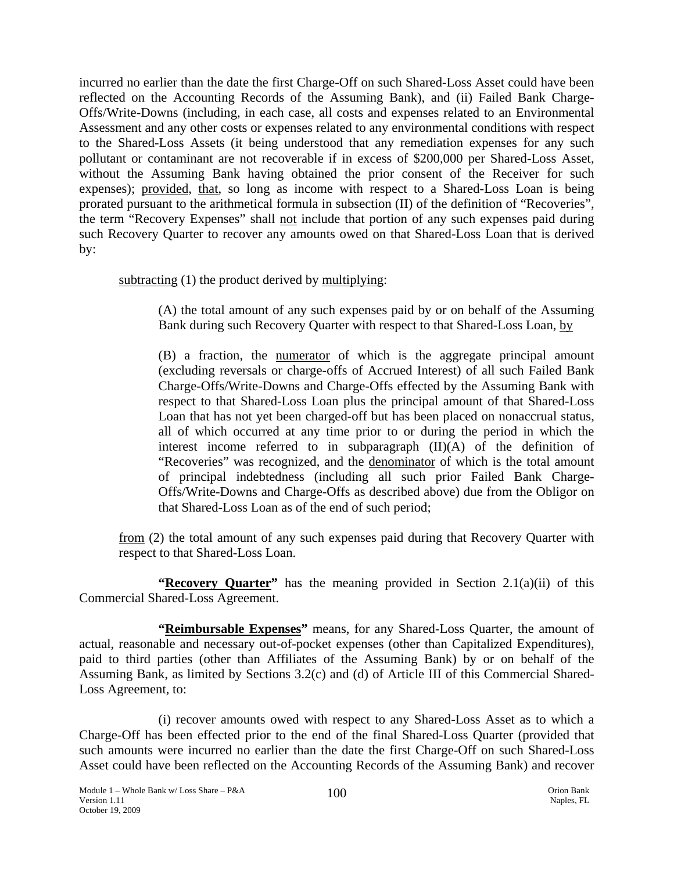incurred no earlier than the date the first Charge-Off on such Shared-Loss Asset could have been reflected on the Accounting Records of the Assuming Bank), and (ii) Failed Bank Charge-Offs/Write-Downs (including, in each case, all costs and expenses related to an Environmental Assessment and any other costs or expenses related to any environmental conditions with respect to the Shared-Loss Assets (it being understood that any remediation expenses for any such pollutant or contaminant are not recoverable if in excess of \$200,000 per Shared-Loss Asset, without the Assuming Bank having obtained the prior consent of the Receiver for such expenses); provided, that, so long as income with respect to a Shared-Loss Loan is being prorated pursuant to the arithmetical formula in subsection (II) of the definition of "Recoveries", the term "Recovery Expenses" shall not include that portion of any such expenses paid during such Recovery Quarter to recover any amounts owed on that Shared-Loss Loan that is derived by:

subtracting (1) the product derived by multiplying:

(A) the total amount of any such expenses paid by or on behalf of the Assuming Bank during such Recovery Quarter with respect to that Shared-Loss Loan, by

(B) a fraction, the numerator of which is the aggregate principal amount (excluding reversals or charge-offs of Accrued Interest) of all such Failed Bank Charge-Offs/Write-Downs and Charge-Offs effected by the Assuming Bank with respect to that Shared-Loss Loan plus the principal amount of that Shared-Loss Loan that has not yet been charged-off but has been placed on nonaccrual status, all of which occurred at any time prior to or during the period in which the interest income referred to in subparagraph (II)(A) of the definition of "Recoveries" was recognized, and the denominator of which is the total amount of principal indebtedness (including all such prior Failed Bank Charge-Offs/Write-Downs and Charge-Offs as described above) due from the Obligor on that Shared-Loss Loan as of the end of such period;

from (2) the total amount of any such expenses paid during that Recovery Quarter with respect to that Shared-Loss Loan.

**"Recovery Quarter"** has the meaning provided in Section 2.1(a)(ii) of this Commercial Shared-Loss Agreement.

**"Reimbursable Expenses"** means, for any Shared-Loss Quarter, the amount of actual, reasonable and necessary out-of-pocket expenses (other than Capitalized Expenditures), paid to third parties (other than Affiliates of the Assuming Bank) by or on behalf of the Assuming Bank, as limited by Sections 3.2(c) and (d) of Article III of this Commercial Shared-Loss Agreement, to:

(i) recover amounts owed with respect to any Shared-Loss Asset as to which a Charge-Off has been effected prior to the end of the final Shared-Loss Quarter (provided that such amounts were incurred no earlier than the date the first Charge-Off on such Shared-Loss Asset could have been reflected on the Accounting Records of the Assuming Bank) and recover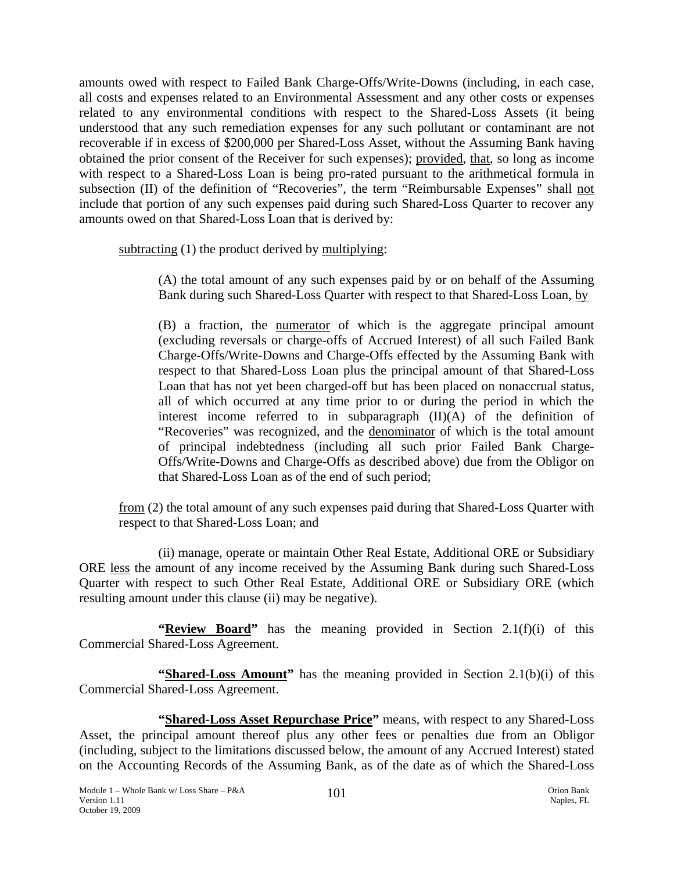amounts owed with respect to Failed Bank Charge-Offs/Write-Downs (including, in each case, all costs and expenses related to an Environmental Assessment and any other costs or expenses related to any environmental conditions with respect to the Shared-Loss Assets (it being understood that any such remediation expenses for any such pollutant or contaminant are not recoverable if in excess of \$200,000 per Shared-Loss Asset, without the Assuming Bank having obtained the prior consent of the Receiver for such expenses); provided, that, so long as income with respect to a Shared-Loss Loan is being pro-rated pursuant to the arithmetical formula in subsection (II) of the definition of "Recoveries", the term "Reimbursable Expenses" shall not include that portion of any such expenses paid during such Shared-Loss Quarter to recover any amounts owed on that Shared-Loss Loan that is derived by:

subtracting (1) the product derived by multiplying:

(A) the total amount of any such expenses paid by or on behalf of the Assuming Bank during such Shared-Loss Quarter with respect to that Shared-Loss Loan, by

(B) a fraction, the numerator of which is the aggregate principal amount (excluding reversals or charge-offs of Accrued Interest) of all such Failed Bank Charge-Offs/Write-Downs and Charge-Offs effected by the Assuming Bank with respect to that Shared-Loss Loan plus the principal amount of that Shared-Loss Loan that has not yet been charged-off but has been placed on nonaccrual status, all of which occurred at any time prior to or during the period in which the interest income referred to in subparagraph (II)(A) of the definition of "Recoveries" was recognized, and the denominator of which is the total amount of principal indebtedness (including all such prior Failed Bank Charge-Offs/Write-Downs and Charge-Offs as described above) due from the Obligor on that Shared-Loss Loan as of the end of such period;

from (2) the total amount of any such expenses paid during that Shared-Loss Quarter with respect to that Shared-Loss Loan; and

(ii) manage, operate or maintain Other Real Estate, Additional ORE or Subsidiary ORE less the amount of any income received by the Assuming Bank during such Shared-Loss Quarter with respect to such Other Real Estate, Additional ORE or Subsidiary ORE (which resulting amount under this clause (ii) may be negative).

**"Review Board"** has the meaning provided in Section 2.1(f)(i) of this Commercial Shared-Loss Agreement.

**"Shared-Loss Amount"** has the meaning provided in Section 2.1(b)(i) of this Commercial Shared-Loss Agreement.

**"Shared-Loss Asset Repurchase Price"** means, with respect to any Shared-Loss Asset, the principal amount thereof plus any other fees or penalties due from an Obligor (including, subject to the limitations discussed below, the amount of any Accrued Interest) stated on the Accounting Records of the Assuming Bank, as of the date as of which the Shared-Loss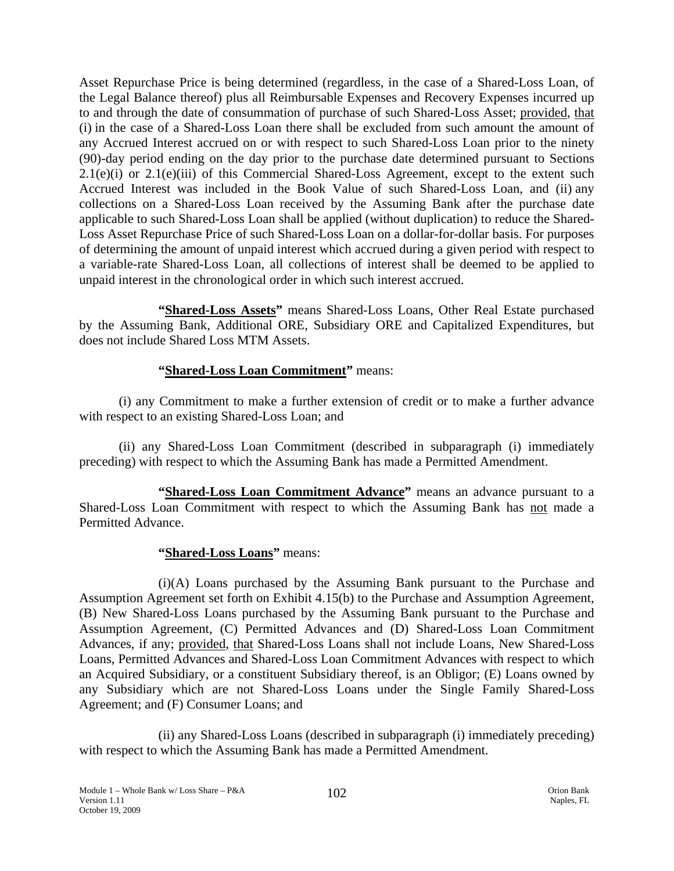Asset Repurchase Price is being determined (regardless, in the case of a Shared-Loss Loan, of the Legal Balance thereof) plus all Reimbursable Expenses and Recovery Expenses incurred up to and through the date of consummation of purchase of such Shared-Loss Asset; provided, that (i) in the case of a Shared-Loss Loan there shall be excluded from such amount the amount of any Accrued Interest accrued on or with respect to such Shared-Loss Loan prior to the ninety (90)-day period ending on the day prior to the purchase date determined pursuant to Sections  $2.1(e)(i)$  or  $2.1(e)(iii)$  of this Commercial Shared-Loss Agreement, except to the extent such Accrued Interest was included in the Book Value of such Shared-Loss Loan, and (ii) any collections on a Shared-Loss Loan received by the Assuming Bank after the purchase date applicable to such Shared-Loss Loan shall be applied (without duplication) to reduce the Shared-Loss Asset Repurchase Price of such Shared-Loss Loan on a dollar-for-dollar basis. For purposes of determining the amount of unpaid interest which accrued during a given period with respect to a variable-rate Shared-Loss Loan, all collections of interest shall be deemed to be applied to unpaid interest in the chronological order in which such interest accrued.

**"Shared-Loss Assets"** means Shared-Loss Loans, Other Real Estate purchased by the Assuming Bank, Additional ORE, Subsidiary ORE and Capitalized Expenditures, but does not include Shared Loss MTM Assets.

## "Shared-Loss Loan Commitment" means:

(i) any Commitment to make a further extension of credit or to make a further advance with respect to an existing Shared-Loss Loan; and

(ii) any Shared-Loss Loan Commitment (described in subparagraph (i) immediately preceding) with respect to which the Assuming Bank has made a Permitted Amendment.

"Shared-Loss Loan Commitment Advance" means an advance pursuant to a Shared-Loss Loan Commitment with respect to which the Assuming Bank has not made a Permitted Advance.

### **"Shared-Loss Loans"** means:

(i)(A) Loans purchased by the Assuming Bank pursuant to the Purchase and Assumption Agreement set forth on Exhibit 4.15(b) to the Purchase and Assumption Agreement, (B) New Shared-Loss Loans purchased by the Assuming Bank pursuant to the Purchase and Assumption Agreement, (C) Permitted Advances and (D) Shared-Loss Loan Commitment Advances, if any; provided, that Shared-Loss Loans shall not include Loans, New Shared-Loss Loans, Permitted Advances and Shared-Loss Loan Commitment Advances with respect to which an Acquired Subsidiary, or a constituent Subsidiary thereof, is an Obligor; (E) Loans owned by any Subsidiary which are not Shared-Loss Loans under the Single Family Shared-Loss Agreement; and (F) Consumer Loans; and

(ii) any Shared-Loss Loans (described in subparagraph (i) immediately preceding) with respect to which the Assuming Bank has made a Permitted Amendment.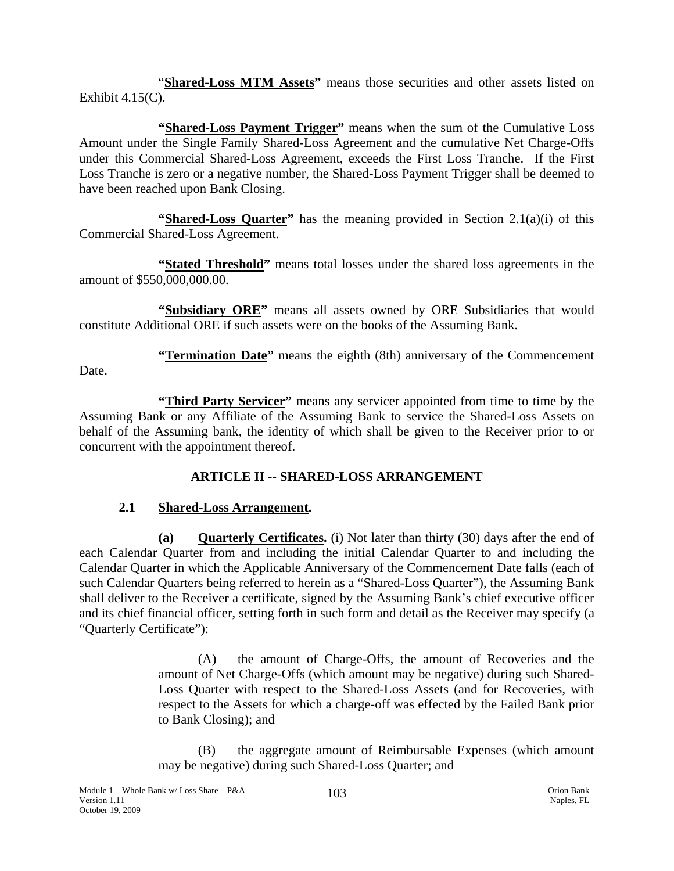"**Shared-Loss MTM Assets"** means those securities and other assets listed on Exhibit  $4.15(C)$ .

**"Shared-Loss Payment Trigger"** means when the sum of the Cumulative Loss Amount under the Single Family Shared-Loss Agreement and the cumulative Net Charge-Offs under this Commercial Shared-Loss Agreement, exceeds the First Loss Tranche. If the First Loss Tranche is zero or a negative number, the Shared-Loss Payment Trigger shall be deemed to have been reached upon Bank Closing.

**"Shared-Loss Quarter"** has the meaning provided in Section 2.1(a)(i) of this Commercial Shared-Loss Agreement.

**"Stated Threshold"** means total losses under the shared loss agreements in the amount of \$550,000,000.00.

**"Subsidiary ORE"** means all assets owned by ORE Subsidiaries that would constitute Additional ORE if such assets were on the books of the Assuming Bank.

**"Termination Date"** means the eighth (8th) anniversary of the Commencement

Date.

**"Third Party Servicer"** means any servicer appointed from time to time by the Assuming Bank or any Affiliate of the Assuming Bank to service the Shared-Loss Assets on behalf of the Assuming bank, the identity of which shall be given to the Receiver prior to or concurrent with the appointment thereof.

# **ARTICLE II** -- **SHARED-LOSS ARRANGEMENT**

## **2.1 Shared-Loss Arrangement.**

**(a) Quarterly Certificates.** (i) Not later than thirty (30) days after the end of each Calendar Quarter from and including the initial Calendar Quarter to and including the Calendar Quarter in which the Applicable Anniversary of the Commencement Date falls (each of such Calendar Quarters being referred to herein as a "Shared-Loss Quarter"), the Assuming Bank shall deliver to the Receiver a certificate, signed by the Assuming Bank's chief executive officer and its chief financial officer, setting forth in such form and detail as the Receiver may specify (a "Quarterly Certificate"):

> (A) the amount of Charge-Offs, the amount of Recoveries and the amount of Net Charge-Offs (which amount may be negative) during such Shared-Loss Quarter with respect to the Shared-Loss Assets (and for Recoveries, with respect to the Assets for which a charge-off was effected by the Failed Bank prior to Bank Closing); and

> (B) the aggregate amount of Reimbursable Expenses (which amount may be negative) during such Shared-Loss Quarter; and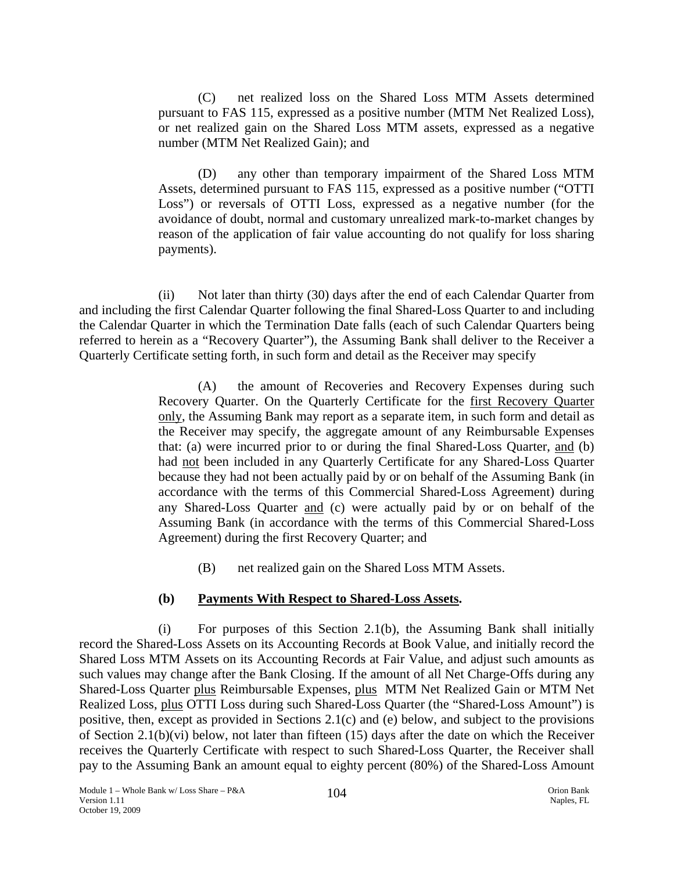(C) net realized loss on the Shared Loss MTM Assets determined pursuant to FAS 115, expressed as a positive number (MTM Net Realized Loss), or net realized gain on the Shared Loss MTM assets, expressed as a negative number (MTM Net Realized Gain); and

(D) any other than temporary impairment of the Shared Loss MTM Assets, determined pursuant to FAS 115, expressed as a positive number ("OTTI Loss") or reversals of OTTI Loss, expressed as a negative number (for the avoidance of doubt, normal and customary unrealized mark-to-market changes by reason of the application of fair value accounting do not qualify for loss sharing payments).

(ii) Not later than thirty (30) days after the end of each Calendar Quarter from and including the first Calendar Quarter following the final Shared-Loss Quarter to and including the Calendar Quarter in which the Termination Date falls (each of such Calendar Quarters being referred to herein as a "Recovery Quarter"), the Assuming Bank shall deliver to the Receiver a Quarterly Certificate setting forth, in such form and detail as the Receiver may specify

> (A) the amount of Recoveries and Recovery Expenses during such Recovery Quarter. On the Quarterly Certificate for the first Recovery Quarter only, the Assuming Bank may report as a separate item, in such form and detail as the Receiver may specify, the aggregate amount of any Reimbursable Expenses that: (a) were incurred prior to or during the final Shared-Loss Quarter, and (b) had not been included in any Quarterly Certificate for any Shared-Loss Quarter because they had not been actually paid by or on behalf of the Assuming Bank (in accordance with the terms of this Commercial Shared-Loss Agreement) during any Shared-Loss Quarter and (c) were actually paid by or on behalf of the Assuming Bank (in accordance with the terms of this Commercial Shared-Loss Agreement) during the first Recovery Quarter; and

(B) net realized gain on the Shared Loss MTM Assets.

# **(b) Payments With Respect to Shared-Loss Assets.**

(i) For purposes of this Section 2.1(b), the Assuming Bank shall initially record the Shared-Loss Assets on its Accounting Records at Book Value, and initially record the Shared Loss MTM Assets on its Accounting Records at Fair Value, and adjust such amounts as such values may change after the Bank Closing. If the amount of all Net Charge-Offs during any Shared-Loss Quarter plus Reimbursable Expenses, plus MTM Net Realized Gain or MTM Net Realized Loss, plus OTTI Loss during such Shared-Loss Quarter (the "Shared-Loss Amount") is positive, then, except as provided in Sections 2.1(c) and (e) below, and subject to the provisions of Section 2.1(b)(vi) below, not later than fifteen (15) days after the date on which the Receiver receives the Quarterly Certificate with respect to such Shared-Loss Quarter, the Receiver shall pay to the Assuming Bank an amount equal to eighty percent (80%) of the Shared-Loss Amount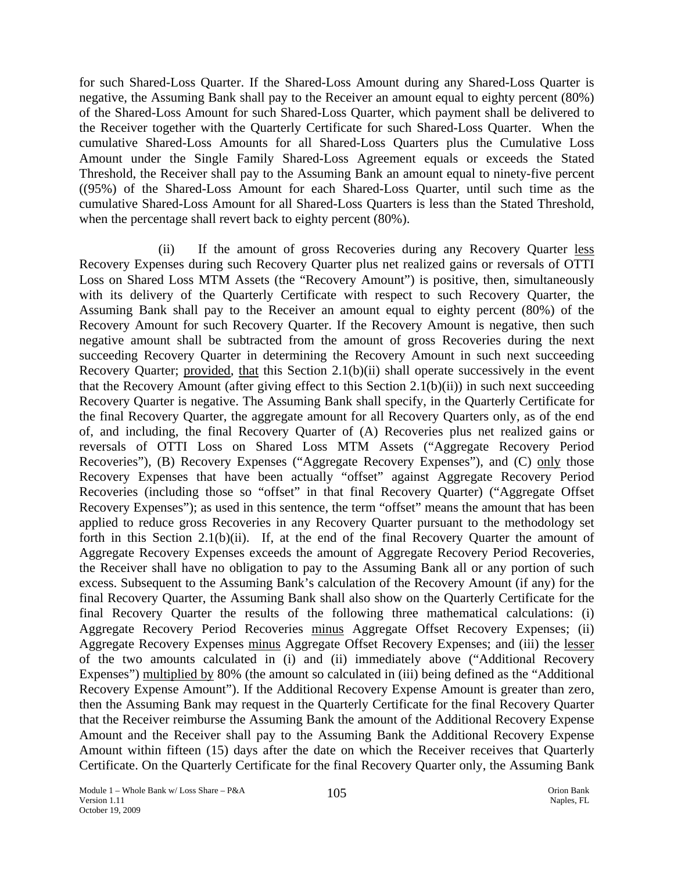for such Shared-Loss Quarter. If the Shared-Loss Amount during any Shared-Loss Quarter is negative, the Assuming Bank shall pay to the Receiver an amount equal to eighty percent (80%) of the Shared-Loss Amount for such Shared-Loss Quarter, which payment shall be delivered to the Receiver together with the Quarterly Certificate for such Shared-Loss Quarter. When the cumulative Shared-Loss Amounts for all Shared-Loss Quarters plus the Cumulative Loss Amount under the Single Family Shared-Loss Agreement equals or exceeds the Stated Threshold, the Receiver shall pay to the Assuming Bank an amount equal to ninety-five percent ((95%) of the Shared-Loss Amount for each Shared-Loss Quarter, until such time as the cumulative Shared-Loss Amount for all Shared-Loss Quarters is less than the Stated Threshold, when the percentage shall revert back to eighty percent (80%).

(ii) If the amount of gross Recoveries during any Recovery Quarter less Recovery Expenses during such Recovery Quarter plus net realized gains or reversals of OTTI Loss on Shared Loss MTM Assets (the "Recovery Amount") is positive, then, simultaneously with its delivery of the Quarterly Certificate with respect to such Recovery Quarter, the Assuming Bank shall pay to the Receiver an amount equal to eighty percent (80%) of the Recovery Amount for such Recovery Quarter. If the Recovery Amount is negative, then such negative amount shall be subtracted from the amount of gross Recoveries during the next succeeding Recovery Quarter in determining the Recovery Amount in such next succeeding Recovery Quarter; provided, that this Section 2.1(b)(ii) shall operate successively in the event that the Recovery Amount (after giving effect to this Section 2.1(b)(ii)) in such next succeeding Recovery Quarter is negative. The Assuming Bank shall specify, in the Quarterly Certificate for the final Recovery Quarter, the aggregate amount for all Recovery Quarters only, as of the end of, and including, the final Recovery Quarter of (A) Recoveries plus net realized gains or reversals of OTTI Loss on Shared Loss MTM Assets ("Aggregate Recovery Period Recoveries"), (B) Recovery Expenses ("Aggregate Recovery Expenses"), and (C) only those Recovery Expenses that have been actually "offset" against Aggregate Recovery Period Recoveries (including those so "offset" in that final Recovery Quarter) ("Aggregate Offset Recovery Expenses"); as used in this sentence, the term "offset" means the amount that has been applied to reduce gross Recoveries in any Recovery Quarter pursuant to the methodology set forth in this Section 2.1(b)(ii). If, at the end of the final Recovery Quarter the amount of Aggregate Recovery Expenses exceeds the amount of Aggregate Recovery Period Recoveries, the Receiver shall have no obligation to pay to the Assuming Bank all or any portion of such excess. Subsequent to the Assuming Bank's calculation of the Recovery Amount (if any) for the final Recovery Quarter, the Assuming Bank shall also show on the Quarterly Certificate for the final Recovery Quarter the results of the following three mathematical calculations: (i) Aggregate Recovery Period Recoveries minus Aggregate Offset Recovery Expenses; (ii) Aggregate Recovery Expenses minus Aggregate Offset Recovery Expenses; and (iii) the lesser of the two amounts calculated in (i) and (ii) immediately above ("Additional Recovery Expenses") multiplied by 80% (the amount so calculated in (iii) being defined as the "Additional Recovery Expense Amount"). If the Additional Recovery Expense Amount is greater than zero, then the Assuming Bank may request in the Quarterly Certificate for the final Recovery Quarter that the Receiver reimburse the Assuming Bank the amount of the Additional Recovery Expense Amount and the Receiver shall pay to the Assuming Bank the Additional Recovery Expense Amount within fifteen (15) days after the date on which the Receiver receives that Quarterly Certificate. On the Quarterly Certificate for the final Recovery Quarter only, the Assuming Bank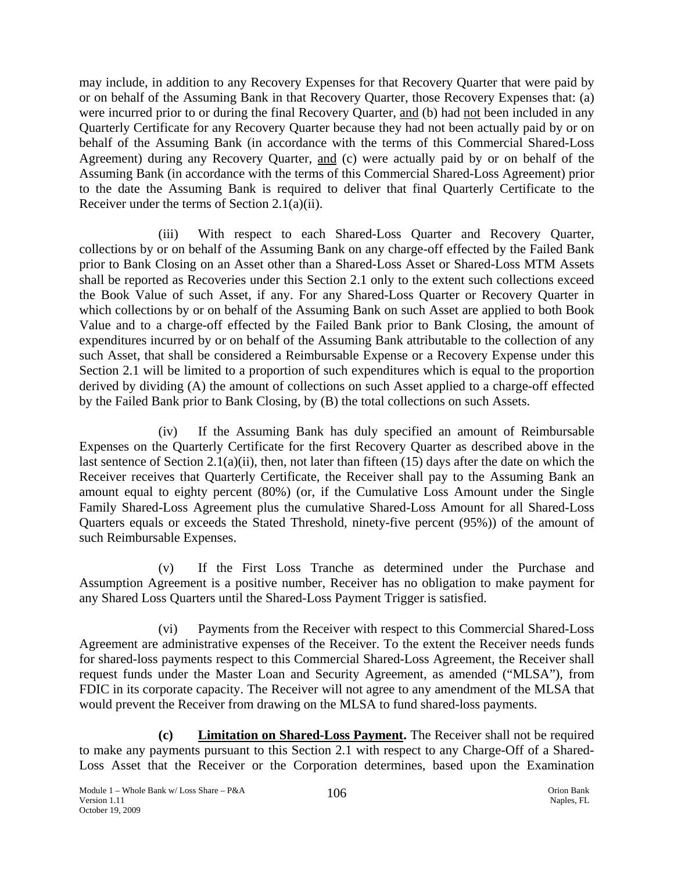may include, in addition to any Recovery Expenses for that Recovery Quarter that were paid by or on behalf of the Assuming Bank in that Recovery Quarter, those Recovery Expenses that: (a) were incurred prior to or during the final Recovery Quarter, and (b) had not been included in any Quarterly Certificate for any Recovery Quarter because they had not been actually paid by or on behalf of the Assuming Bank (in accordance with the terms of this Commercial Shared-Loss Agreement) during any Recovery Quarter, and (c) were actually paid by or on behalf of the Assuming Bank (in accordance with the terms of this Commercial Shared-Loss Agreement) prior to the date the Assuming Bank is required to deliver that final Quarterly Certificate to the Receiver under the terms of Section 2.1(a)(ii).

(iii) With respect to each Shared-Loss Quarter and Recovery Quarter, collections by or on behalf of the Assuming Bank on any charge-off effected by the Failed Bank prior to Bank Closing on an Asset other than a Shared-Loss Asset or Shared-Loss MTM Assets shall be reported as Recoveries under this Section 2.1 only to the extent such collections exceed the Book Value of such Asset, if any. For any Shared-Loss Quarter or Recovery Quarter in which collections by or on behalf of the Assuming Bank on such Asset are applied to both Book Value and to a charge-off effected by the Failed Bank prior to Bank Closing, the amount of expenditures incurred by or on behalf of the Assuming Bank attributable to the collection of any such Asset, that shall be considered a Reimbursable Expense or a Recovery Expense under this Section 2.1 will be limited to a proportion of such expenditures which is equal to the proportion derived by dividing (A) the amount of collections on such Asset applied to a charge-off effected by the Failed Bank prior to Bank Closing, by (B) the total collections on such Assets.

(iv) If the Assuming Bank has duly specified an amount of Reimbursable Expenses on the Quarterly Certificate for the first Recovery Quarter as described above in the last sentence of Section 2.1(a)(ii), then, not later than fifteen  $(15)$  days after the date on which the Receiver receives that Quarterly Certificate, the Receiver shall pay to the Assuming Bank an amount equal to eighty percent (80%) (or, if the Cumulative Loss Amount under the Single Family Shared-Loss Agreement plus the cumulative Shared-Loss Amount for all Shared-Loss Quarters equals or exceeds the Stated Threshold, ninety-five percent (95%)) of the amount of such Reimbursable Expenses.

(v) If the First Loss Tranche as determined under the Purchase and Assumption Agreement is a positive number, Receiver has no obligation to make payment for any Shared Loss Quarters until the Shared-Loss Payment Trigger is satisfied.

(vi) Payments from the Receiver with respect to this Commercial Shared-Loss Agreement are administrative expenses of the Receiver. To the extent the Receiver needs funds for shared-loss payments respect to this Commercial Shared-Loss Agreement, the Receiver shall request funds under the Master Loan and Security Agreement, as amended ("MLSA"), from FDIC in its corporate capacity. The Receiver will not agree to any amendment of the MLSA that would prevent the Receiver from drawing on the MLSA to fund shared-loss payments.

**(c) Limitation on Shared-Loss Payment.** The Receiver shall not be required to make any payments pursuant to this Section 2.1 with respect to any Charge-Off of a Shared-Loss Asset that the Receiver or the Corporation determines, based upon the Examination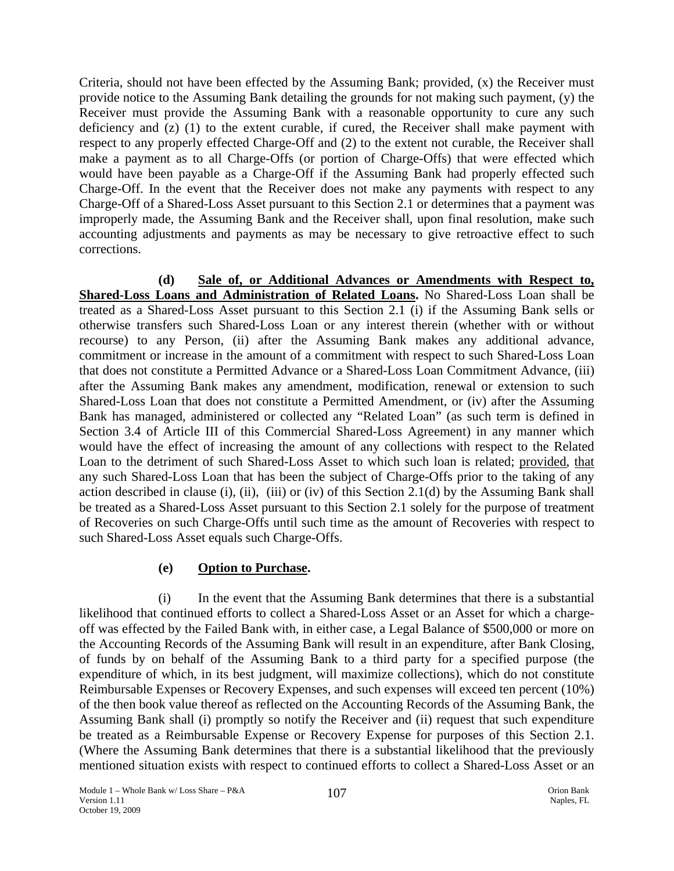Criteria, should not have been effected by the Assuming Bank; provided, (x) the Receiver must provide notice to the Assuming Bank detailing the grounds for not making such payment, (y) the Receiver must provide the Assuming Bank with a reasonable opportunity to cure any such deficiency and  $(z)$  (1) to the extent curable, if cured, the Receiver shall make payment with respect to any properly effected Charge-Off and (2) to the extent not curable, the Receiver shall make a payment as to all Charge-Offs (or portion of Charge-Offs) that were effected which would have been payable as a Charge-Off if the Assuming Bank had properly effected such Charge-Off. In the event that the Receiver does not make any payments with respect to any Charge-Off of a Shared-Loss Asset pursuant to this Section 2.1 or determines that a payment was improperly made, the Assuming Bank and the Receiver shall, upon final resolution, make such accounting adjustments and payments as may be necessary to give retroactive effect to such corrections.

Loan to the detriment of such Shared-Loss Asset to which such loan is related; provided, that **(d) Sale of, or Additional Advances or Amendments with Respect to, Shared-Loss Loans and Administration of Related Loans.** No Shared-Loss Loan shall be treated as a Shared-Loss Asset pursuant to this Section 2.1 (i) if the Assuming Bank sells or otherwise transfers such Shared-Loss Loan or any interest therein (whether with or without recourse) to any Person, (ii) after the Assuming Bank makes any additional advance, commitment or increase in the amount of a commitment with respect to such Shared-Loss Loan that does not constitute a Permitted Advance or a Shared-Loss Loan Commitment Advance, (iii) after the Assuming Bank makes any amendment, modification, renewal or extension to such Shared-Loss Loan that does not constitute a Permitted Amendment, or (iv) after the Assuming Bank has managed, administered or collected any "Related Loan" (as such term is defined in Section 3.4 of Article III of this Commercial Shared-Loss Agreement) in any manner which would have the effect of increasing the amount of any collections with respect to the Related any such Shared-Loss Loan that has been the subject of Charge-Offs prior to the taking of any action described in clause (i), (ii), (iii) or (iv) of this Section 2.1(d) by the Assuming Bank shall be treated as a Shared-Loss Asset pursuant to this Section 2.1 solely for the purpose of treatment of Recoveries on such Charge-Offs until such time as the amount of Recoveries with respect to such Shared-Loss Asset equals such Charge-Offs.

## **(e) Option to Purchase.**

(i) In the event that the Assuming Bank determines that there is a substantial likelihood that continued efforts to collect a Shared-Loss Asset or an Asset for which a chargeoff was effected by the Failed Bank with, in either case, a Legal Balance of \$500,000 or more on the Accounting Records of the Assuming Bank will result in an expenditure, after Bank Closing, of funds by on behalf of the Assuming Bank to a third party for a specified purpose (the expenditure of which, in its best judgment, will maximize collections), which do not constitute Reimbursable Expenses or Recovery Expenses, and such expenses will exceed ten percent (10%) of the then book value thereof as reflected on the Accounting Records of the Assuming Bank, the Assuming Bank shall (i) promptly so notify the Receiver and (ii) request that such expenditure be treated as a Reimbursable Expense or Recovery Expense for purposes of this Section 2.1. (Where the Assuming Bank determines that there is a substantial likelihood that the previously mentioned situation exists with respect to continued efforts to collect a Shared-Loss Asset or an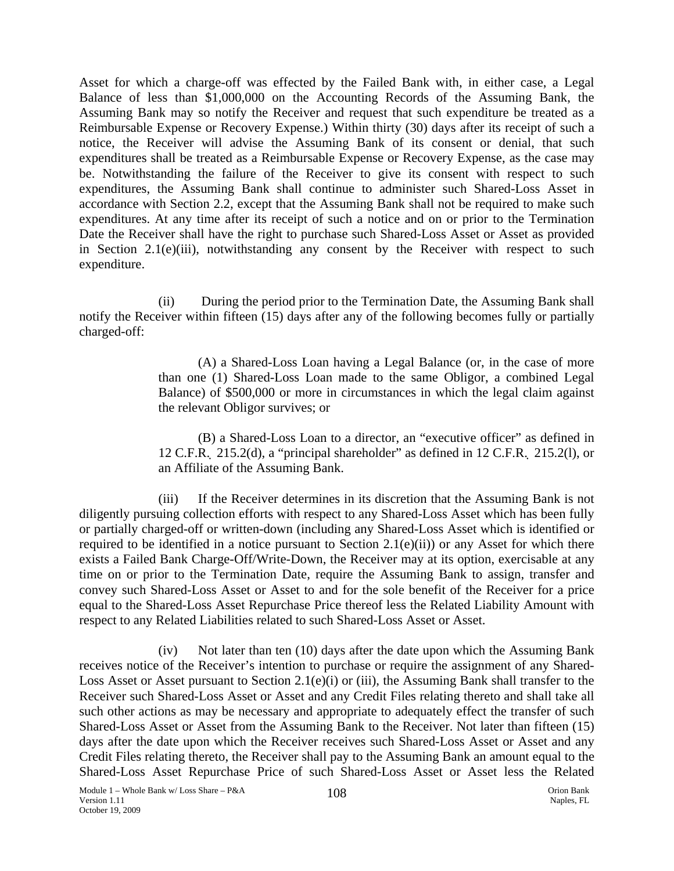Asset for which a charge-off was effected by the Failed Bank with, in either case, a Legal Balance of less than \$1,000,000 on the Accounting Records of the Assuming Bank, the Assuming Bank may so notify the Receiver and request that such expenditure be treated as a Reimbursable Expense or Recovery Expense.) Within thirty (30) days after its receipt of such a notice, the Receiver will advise the Assuming Bank of its consent or denial, that such expenditures shall be treated as a Reimbursable Expense or Recovery Expense, as the case may be. Notwithstanding the failure of the Receiver to give its consent with respect to such expenditures, the Assuming Bank shall continue to administer such Shared-Loss Asset in accordance with Section 2.2, except that the Assuming Bank shall not be required to make such expenditures. At any time after its receipt of such a notice and on or prior to the Termination Date the Receiver shall have the right to purchase such Shared-Loss Asset or Asset as provided in Section 2.1(e)(iii), notwithstanding any consent by the Receiver with respect to such expenditure.

(ii) During the period prior to the Termination Date, the Assuming Bank shall notify the Receiver within fifteen (15) days after any of the following becomes fully or partially charged-off:

> (A) a Shared-Loss Loan having a Legal Balance (or, in the case of more than one (1) Shared-Loss Loan made to the same Obligor, a combined Legal Balance) of \$500,000 or more in circumstances in which the legal claim against the relevant Obligor survives; or

> (B) a Shared-Loss Loan to a director, an "executive officer" as defined in 12 C.F.R. 215.2(d), a "principal shareholder" as defined in 12 C.F.R. 215.2(l), or an Affiliate of the Assuming Bank.

(iii) If the Receiver determines in its discretion that the Assuming Bank is not diligently pursuing collection efforts with respect to any Shared-Loss Asset which has been fully or partially charged-off or written-down (including any Shared-Loss Asset which is identified or required to be identified in a notice pursuant to Section  $2.1(e)(ii)$  or any Asset for which there exists a Failed Bank Charge-Off/Write-Down, the Receiver may at its option, exercisable at any time on or prior to the Termination Date, require the Assuming Bank to assign, transfer and convey such Shared-Loss Asset or Asset to and for the sole benefit of the Receiver for a price equal to the Shared-Loss Asset Repurchase Price thereof less the Related Liability Amount with respect to any Related Liabilities related to such Shared-Loss Asset or Asset.

(iv) Not later than ten (10) days after the date upon which the Assuming Bank receives notice of the Receiver's intention to purchase or require the assignment of any Shared-Loss Asset or Asset pursuant to Section 2.1(e)(i) or (iii), the Assuming Bank shall transfer to the Receiver such Shared-Loss Asset or Asset and any Credit Files relating thereto and shall take all such other actions as may be necessary and appropriate to adequately effect the transfer of such Shared-Loss Asset or Asset from the Assuming Bank to the Receiver. Not later than fifteen (15) days after the date upon which the Receiver receives such Shared-Loss Asset or Asset and any Credit Files relating thereto, the Receiver shall pay to the Assuming Bank an amount equal to the Shared-Loss Asset Repurchase Price of such Shared-Loss Asset or Asset less the Related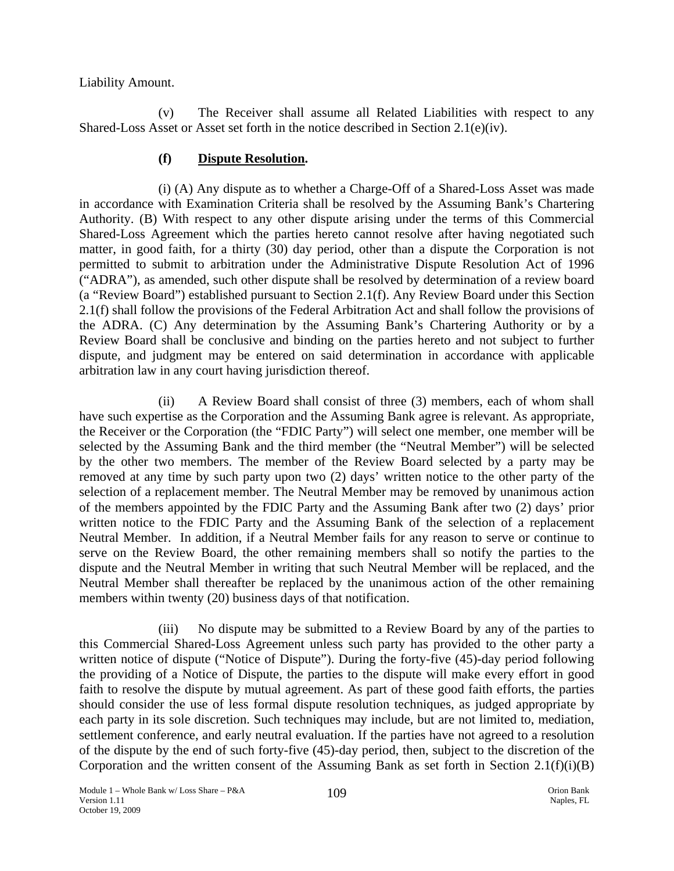Liability Amount.

(v) The Receiver shall assume all Related Liabilities with respect to any Shared-Loss Asset or Asset set forth in the notice described in Section 2.1(e)(iv).

#### **(f) Dispute Resolution.**

(i) (A) Any dispute as to whether a Charge-Off of a Shared-Loss Asset was made in accordance with Examination Criteria shall be resolved by the Assuming Bank's Chartering Authority. (B) With respect to any other dispute arising under the terms of this Commercial Shared-Loss Agreement which the parties hereto cannot resolve after having negotiated such matter, in good faith, for a thirty (30) day period, other than a dispute the Corporation is not permitted to submit to arbitration under the Administrative Dispute Resolution Act of 1996 ("ADRA"), as amended, such other dispute shall be resolved by determination of a review board (a "Review Board") established pursuant to Section 2.1(f). Any Review Board under this Section 2.1(f) shall follow the provisions of the Federal Arbitration Act and shall follow the provisions of the ADRA. (C) Any determination by the Assuming Bank's Chartering Authority or by a Review Board shall be conclusive and binding on the parties hereto and not subject to further dispute, and judgment may be entered on said determination in accordance with applicable arbitration law in any court having jurisdiction thereof.

(ii) A Review Board shall consist of three (3) members, each of whom shall have such expertise as the Corporation and the Assuming Bank agree is relevant. As appropriate, the Receiver or the Corporation (the "FDIC Party") will select one member, one member will be selected by the Assuming Bank and the third member (the "Neutral Member") will be selected by the other two members. The member of the Review Board selected by a party may be removed at any time by such party upon two (2) days' written notice to the other party of the selection of a replacement member. The Neutral Member may be removed by unanimous action of the members appointed by the FDIC Party and the Assuming Bank after two (2) days' prior written notice to the FDIC Party and the Assuming Bank of the selection of a replacement Neutral Member. In addition, if a Neutral Member fails for any reason to serve or continue to serve on the Review Board, the other remaining members shall so notify the parties to the dispute and the Neutral Member in writing that such Neutral Member will be replaced, and the Neutral Member shall thereafter be replaced by the unanimous action of the other remaining members within twenty (20) business days of that notification.

(iii) No dispute may be submitted to a Review Board by any of the parties to this Commercial Shared-Loss Agreement unless such party has provided to the other party a written notice of dispute ("Notice of Dispute"). During the forty-five (45)-day period following the providing of a Notice of Dispute, the parties to the dispute will make every effort in good faith to resolve the dispute by mutual agreement. As part of these good faith efforts, the parties should consider the use of less formal dispute resolution techniques, as judged appropriate by each party in its sole discretion. Such techniques may include, but are not limited to, mediation, settlement conference, and early neutral evaluation. If the parties have not agreed to a resolution of the dispute by the end of such forty-five (45)-day period, then, subject to the discretion of the Corporation and the written consent of the Assuming Bank as set forth in Section  $2.1(f)(i)(B)$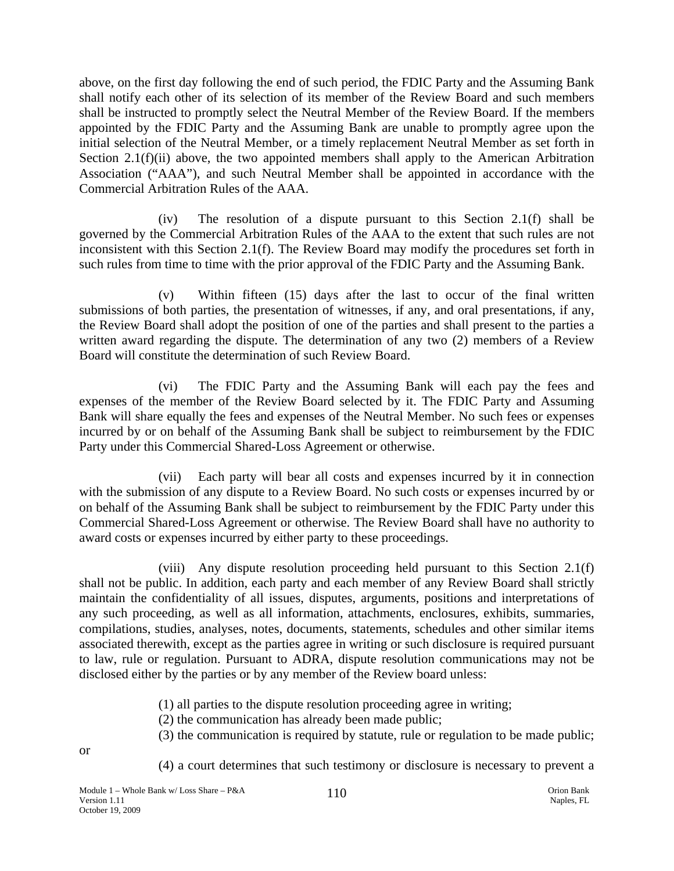above, on the first day following the end of such period, the FDIC Party and the Assuming Bank shall notify each other of its selection of its member of the Review Board and such members shall be instructed to promptly select the Neutral Member of the Review Board. If the members appointed by the FDIC Party and the Assuming Bank are unable to promptly agree upon the initial selection of the Neutral Member, or a timely replacement Neutral Member as set forth in Section 2.1(f)(ii) above, the two appointed members shall apply to the American Arbitration Association ("AAA"), and such Neutral Member shall be appointed in accordance with the Commercial Arbitration Rules of the AAA.

(iv) The resolution of a dispute pursuant to this Section 2.1(f) shall be governed by the Commercial Arbitration Rules of the AAA to the extent that such rules are not inconsistent with this Section 2.1(f). The Review Board may modify the procedures set forth in such rules from time to time with the prior approval of the FDIC Party and the Assuming Bank.

(v) Within fifteen (15) days after the last to occur of the final written submissions of both parties, the presentation of witnesses, if any, and oral presentations, if any, the Review Board shall adopt the position of one of the parties and shall present to the parties a written award regarding the dispute. The determination of any two (2) members of a Review Board will constitute the determination of such Review Board.

(vi) The FDIC Party and the Assuming Bank will each pay the fees and expenses of the member of the Review Board selected by it. The FDIC Party and Assuming Bank will share equally the fees and expenses of the Neutral Member. No such fees or expenses incurred by or on behalf of the Assuming Bank shall be subject to reimbursement by the FDIC Party under this Commercial Shared-Loss Agreement or otherwise.

(vii) Each party will bear all costs and expenses incurred by it in connection with the submission of any dispute to a Review Board. No such costs or expenses incurred by or on behalf of the Assuming Bank shall be subject to reimbursement by the FDIC Party under this Commercial Shared-Loss Agreement or otherwise. The Review Board shall have no authority to award costs or expenses incurred by either party to these proceedings.

(viii) Any dispute resolution proceeding held pursuant to this Section 2.1(f) shall not be public. In addition, each party and each member of any Review Board shall strictly maintain the confidentiality of all issues, disputes, arguments, positions and interpretations of any such proceeding, as well as all information, attachments, enclosures, exhibits, summaries, compilations, studies, analyses, notes, documents, statements, schedules and other similar items associated therewith, except as the parties agree in writing or such disclosure is required pursuant to law, rule or regulation. Pursuant to ADRA, dispute resolution communications may not be disclosed either by the parties or by any member of the Review board unless:

(1) all parties to the dispute resolution proceeding agree in writing;

- (2) the communication has already been made public;
- (3) the communication is required by statute, rule or regulation to be made public;

or

(4) a court determines that such testimony or disclosure is necessary to prevent a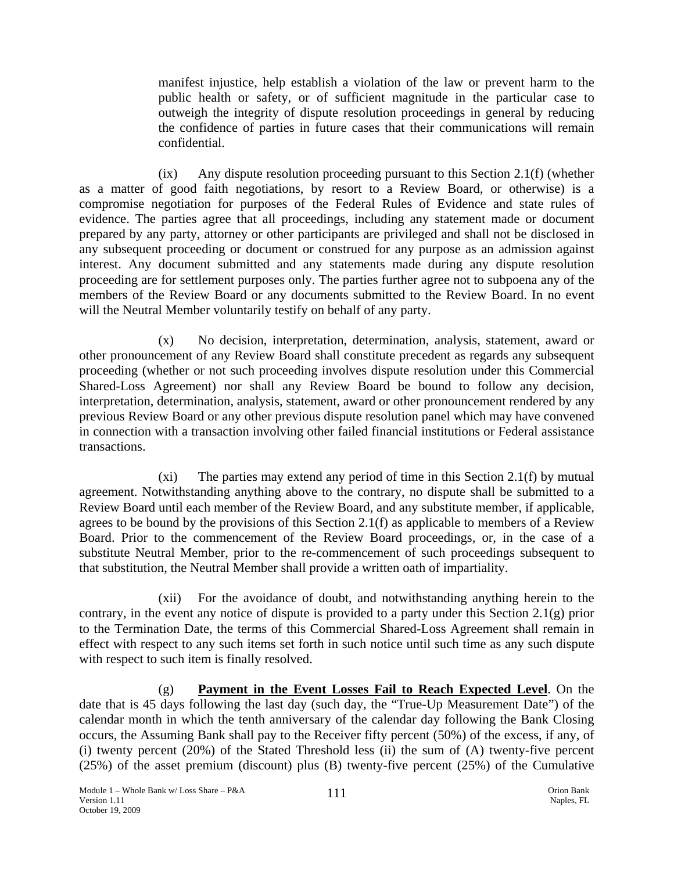manifest injustice, help establish a violation of the law or prevent harm to the public health or safety, or of sufficient magnitude in the particular case to outweigh the integrity of dispute resolution proceedings in general by reducing the confidence of parties in future cases that their communications will remain confidential.

(ix) Any dispute resolution proceeding pursuant to this Section 2.1(f) (whether as a matter of good faith negotiations, by resort to a Review Board, or otherwise) is a compromise negotiation for purposes of the Federal Rules of Evidence and state rules of evidence. The parties agree that all proceedings, including any statement made or document prepared by any party, attorney or other participants are privileged and shall not be disclosed in any subsequent proceeding or document or construed for any purpose as an admission against interest. Any document submitted and any statements made during any dispute resolution proceeding are for settlement purposes only. The parties further agree not to subpoena any of the members of the Review Board or any documents submitted to the Review Board. In no event will the Neutral Member voluntarily testify on behalf of any party.

(x) No decision, interpretation, determination, analysis, statement, award or other pronouncement of any Review Board shall constitute precedent as regards any subsequent proceeding (whether or not such proceeding involves dispute resolution under this Commercial Shared-Loss Agreement) nor shall any Review Board be bound to follow any decision, interpretation, determination, analysis, statement, award or other pronouncement rendered by any previous Review Board or any other previous dispute resolution panel which may have convened in connection with a transaction involving other failed financial institutions or Federal assistance transactions.

(xi) The parties may extend any period of time in this Section 2.1(f) by mutual agreement. Notwithstanding anything above to the contrary, no dispute shall be submitted to a Review Board until each member of the Review Board, and any substitute member, if applicable, agrees to be bound by the provisions of this Section 2.1(f) as applicable to members of a Review Board. Prior to the commencement of the Review Board proceedings, or, in the case of a substitute Neutral Member, prior to the re-commencement of such proceedings subsequent to that substitution, the Neutral Member shall provide a written oath of impartiality.

(xii) For the avoidance of doubt, and notwithstanding anything herein to the contrary, in the event any notice of dispute is provided to a party under this Section 2.1(g) prior to the Termination Date, the terms of this Commercial Shared-Loss Agreement shall remain in effect with respect to any such items set forth in such notice until such time as any such dispute with respect to such item is finally resolved.

 (g) **Payment in the Event Losses Fail to Reach Expected Level**. On the date that is 45 days following the last day (such day, the "True-Up Measurement Date") of the calendar month in which the tenth anniversary of the calendar day following the Bank Closing occurs, the Assuming Bank shall pay to the Receiver fifty percent (50%) of the excess, if any, of (i) twenty percent (20%) of the Stated Threshold less (ii) the sum of (A) twenty-five percent (25%) of the asset premium (discount) plus (B) twenty-five percent (25%) of the Cumulative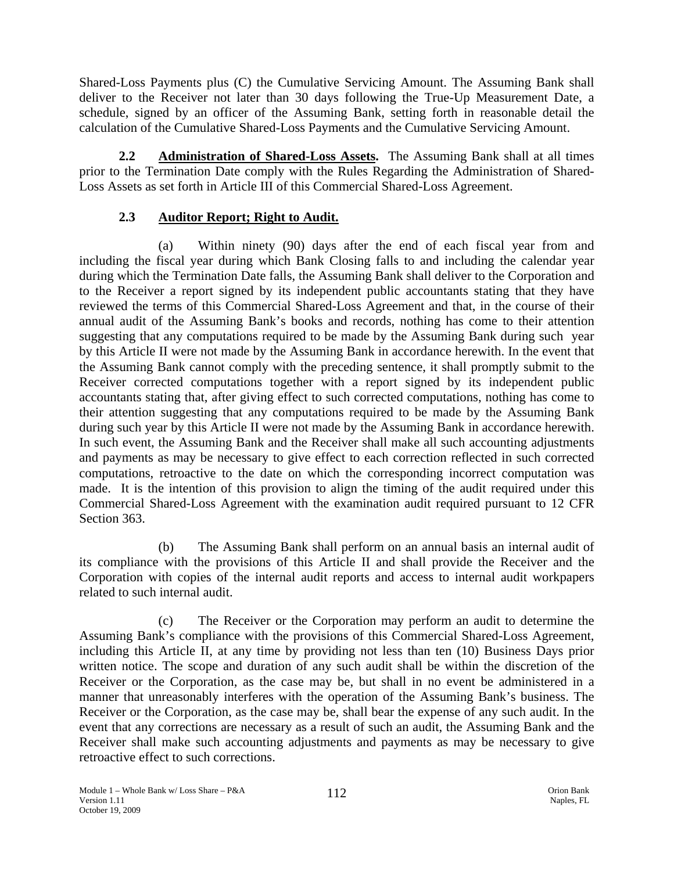Shared-Loss Payments plus (C) the Cumulative Servicing Amount. The Assuming Bank shall deliver to the Receiver not later than 30 days following the True-Up Measurement Date, a schedule, signed by an officer of the Assuming Bank, setting forth in reasonable detail the calculation of the Cumulative Shared-Loss Payments and the Cumulative Servicing Amount.

**2.2 Administration of Shared-Loss Assets.** The Assuming Bank shall at all times prior to the Termination Date comply with the Rules Regarding the Administration of Shared-Loss Assets as set forth in Article III of this Commercial Shared-Loss Agreement.

### **2.3 Auditor Report; Right to Audit.**

(a) Within ninety (90) days after the end of each fiscal year from and including the fiscal year during which Bank Closing falls to and including the calendar year during which the Termination Date falls, the Assuming Bank shall deliver to the Corporation and to the Receiver a report signed by its independent public accountants stating that they have reviewed the terms of this Commercial Shared-Loss Agreement and that, in the course of their annual audit of the Assuming Bank's books and records, nothing has come to their attention suggesting that any computations required to be made by the Assuming Bank during such year by this Article II were not made by the Assuming Bank in accordance herewith. In the event that the Assuming Bank cannot comply with the preceding sentence, it shall promptly submit to the Receiver corrected computations together with a report signed by its independent public accountants stating that, after giving effect to such corrected computations, nothing has come to their attention suggesting that any computations required to be made by the Assuming Bank during such year by this Article II were not made by the Assuming Bank in accordance herewith. In such event, the Assuming Bank and the Receiver shall make all such accounting adjustments and payments as may be necessary to give effect to each correction reflected in such corrected computations, retroactive to the date on which the corresponding incorrect computation was made. It is the intention of this provision to align the timing of the audit required under this Commercial Shared-Loss Agreement with the examination audit required pursuant to 12 CFR Section 363.

(b) The Assuming Bank shall perform on an annual basis an internal audit of its compliance with the provisions of this Article II and shall provide the Receiver and the Corporation with copies of the internal audit reports and access to internal audit workpapers related to such internal audit.

(c) The Receiver or the Corporation may perform an audit to determine the Assuming Bank's compliance with the provisions of this Commercial Shared-Loss Agreement, including this Article II, at any time by providing not less than ten (10) Business Days prior written notice. The scope and duration of any such audit shall be within the discretion of the Receiver or the Corporation, as the case may be, but shall in no event be administered in a manner that unreasonably interferes with the operation of the Assuming Bank's business. The Receiver or the Corporation, as the case may be, shall bear the expense of any such audit. In the event that any corrections are necessary as a result of such an audit, the Assuming Bank and the Receiver shall make such accounting adjustments and payments as may be necessary to give retroactive effect to such corrections.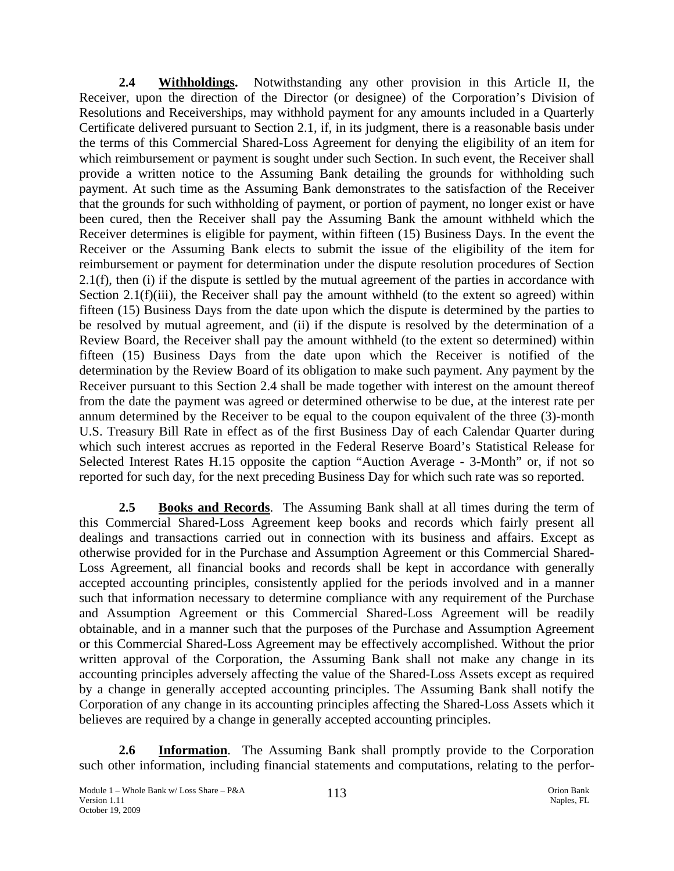**2.4 Withholdings.** Notwithstanding any other provision in this Article II, the Receiver, upon the direction of the Director (or designee) of the Corporation's Division of Resolutions and Receiverships, may withhold payment for any amounts included in a Quarterly Certificate delivered pursuant to Section 2.1, if, in its judgment, there is a reasonable basis under the terms of this Commercial Shared-Loss Agreement for denying the eligibility of an item for which reimbursement or payment is sought under such Section. In such event, the Receiver shall provide a written notice to the Assuming Bank detailing the grounds for withholding such payment. At such time as the Assuming Bank demonstrates to the satisfaction of the Receiver that the grounds for such withholding of payment, or portion of payment, no longer exist or have been cured, then the Receiver shall pay the Assuming Bank the amount withheld which the Receiver determines is eligible for payment, within fifteen (15) Business Days. In the event the Receiver or the Assuming Bank elects to submit the issue of the eligibility of the item for reimbursement or payment for determination under the dispute resolution procedures of Section 2.1(f), then (i) if the dispute is settled by the mutual agreement of the parties in accordance with Section 2.1(f)(iii), the Receiver shall pay the amount withheld (to the extent so agreed) within fifteen (15) Business Days from the date upon which the dispute is determined by the parties to be resolved by mutual agreement, and (ii) if the dispute is resolved by the determination of a Review Board, the Receiver shall pay the amount withheld (to the extent so determined) within fifteen (15) Business Days from the date upon which the Receiver is notified of the determination by the Review Board of its obligation to make such payment. Any payment by the Receiver pursuant to this Section 2.4 shall be made together with interest on the amount thereof from the date the payment was agreed or determined otherwise to be due, at the interest rate per annum determined by the Receiver to be equal to the coupon equivalent of the three (3)-month U.S. Treasury Bill Rate in effect as of the first Business Day of each Calendar Quarter during which such interest accrues as reported in the Federal Reserve Board's Statistical Release for Selected Interest Rates H.15 opposite the caption "Auction Average - 3-Month" or, if not so reported for such day, for the next preceding Business Day for which such rate was so reported.

**2.5 Books and Records**. The Assuming Bank shall at all times during the term of this Commercial Shared-Loss Agreement keep books and records which fairly present all dealings and transactions carried out in connection with its business and affairs. Except as otherwise provided for in the Purchase and Assumption Agreement or this Commercial Shared-Loss Agreement, all financial books and records shall be kept in accordance with generally accepted accounting principles, consistently applied for the periods involved and in a manner such that information necessary to determine compliance with any requirement of the Purchase and Assumption Agreement or this Commercial Shared-Loss Agreement will be readily obtainable, and in a manner such that the purposes of the Purchase and Assumption Agreement or this Commercial Shared-Loss Agreement may be effectively accomplished. Without the prior written approval of the Corporation, the Assuming Bank shall not make any change in its accounting principles adversely affecting the value of the Shared-Loss Assets except as required by a change in generally accepted accounting principles. The Assuming Bank shall notify the Corporation of any change in its accounting principles affecting the Shared-Loss Assets which it believes are required by a change in generally accepted accounting principles.

**2.6 Information**. The Assuming Bank shall promptly provide to the Corporation such other information, including financial statements and computations, relating to the perfor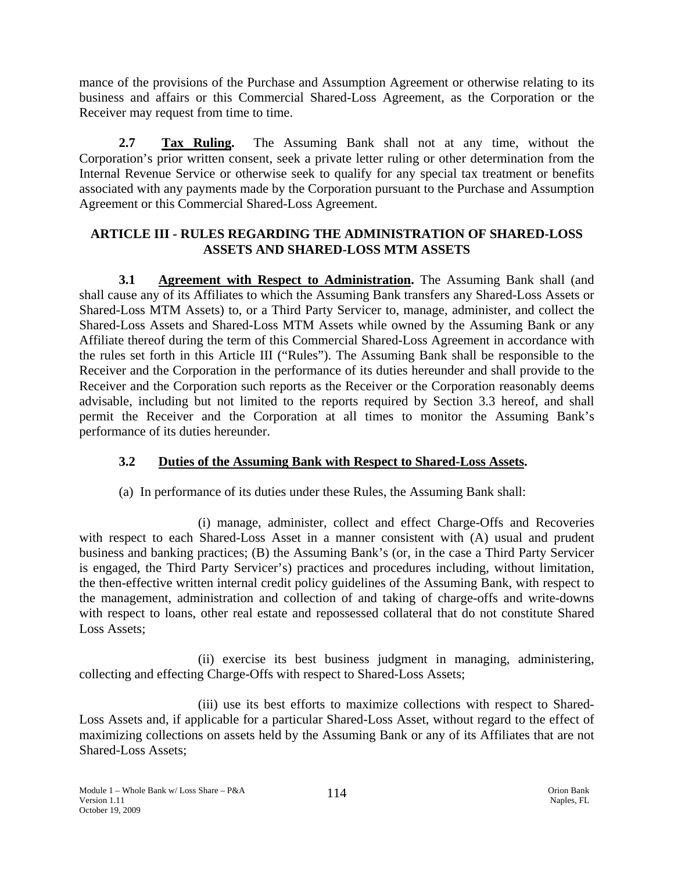mance of the provisions of the Purchase and Assumption Agreement or otherwise relating to its business and affairs or this Commercial Shared-Loss Agreement, as the Corporation or the Receiver may request from time to time.

**2.7 Tax Ruling.** The Assuming Bank shall not at any time, without the Corporation's prior written consent, seek a private letter ruling or other determination from the Internal Revenue Service or otherwise seek to qualify for any special tax treatment or benefits associated with any payments made by the Corporation pursuant to the Purchase and Assumption Agreement or this Commercial Shared-Loss Agreement.

#### **ARTICLE III - RULES REGARDING THE ADMINISTRATION OF SHARED-LOSS ASSETS AND SHARED-LOSS MTM ASSETS**

**3.1 Agreement with Respect to Administration.** The Assuming Bank shall (and shall cause any of its Affiliates to which the Assuming Bank transfers any Shared-Loss Assets or Shared-Loss MTM Assets) to, or a Third Party Servicer to, manage, administer, and collect the Shared-Loss Assets and Shared-Loss MTM Assets while owned by the Assuming Bank or any Affiliate thereof during the term of this Commercial Shared-Loss Agreement in accordance with the rules set forth in this Article III ("Rules"). The Assuming Bank shall be responsible to the Receiver and the Corporation in the performance of its duties hereunder and shall provide to the Receiver and the Corporation such reports as the Receiver or the Corporation reasonably deems advisable, including but not limited to the reports required by Section 3.3 hereof, and shall permit the Receiver and the Corporation at all times to monitor the Assuming Bank's performance of its duties hereunder.

## **3.2 Duties of the Assuming Bank with Respect to Shared-Loss Assets.**

(a) In performance of its duties under these Rules, the Assuming Bank shall:

(i) manage, administer, collect and effect Charge-Offs and Recoveries with respect to each Shared-Loss Asset in a manner consistent with (A) usual and prudent business and banking practices; (B) the Assuming Bank's (or, in the case a Third Party Servicer is engaged, the Third Party Servicer's) practices and procedures including, without limitation, the then-effective written internal credit policy guidelines of the Assuming Bank, with respect to the management, administration and collection of and taking of charge-offs and write-downs with respect to loans, other real estate and repossessed collateral that do not constitute Shared Loss Assets;

(ii) exercise its best business judgment in managing, administering, collecting and effecting Charge-Offs with respect to Shared-Loss Assets;

(iii) use its best efforts to maximize collections with respect to Shared-Loss Assets and, if applicable for a particular Shared-Loss Asset, without regard to the effect of maximizing collections on assets held by the Assuming Bank or any of its Affiliates that are not Shared-Loss Assets;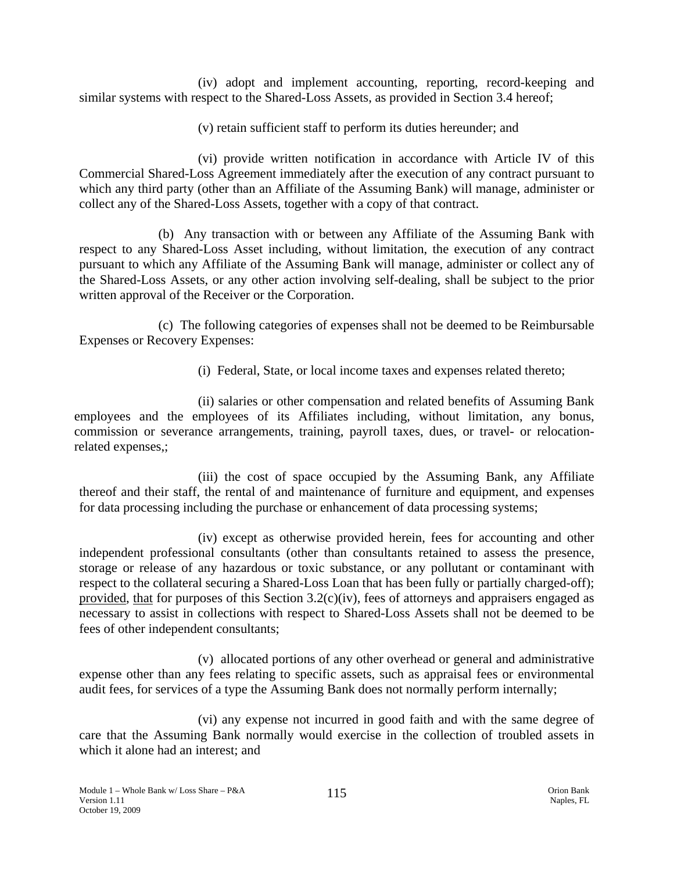(iv) adopt and implement accounting, reporting, record-keeping and similar systems with respect to the Shared-Loss Assets, as provided in Section 3.4 hereof;

(v) retain sufficient staff to perform its duties hereunder; and

(vi) provide written notification in accordance with Article IV of this Commercial Shared-Loss Agreement immediately after the execution of any contract pursuant to which any third party (other than an Affiliate of the Assuming Bank) will manage, administer or collect any of the Shared-Loss Assets, together with a copy of that contract.

(b) Any transaction with or between any Affiliate of the Assuming Bank with respect to any Shared-Loss Asset including, without limitation, the execution of any contract pursuant to which any Affiliate of the Assuming Bank will manage, administer or collect any of the Shared-Loss Assets, or any other action involving self-dealing, shall be subject to the prior written approval of the Receiver or the Corporation.

(c) The following categories of expenses shall not be deemed to be Reimbursable Expenses or Recovery Expenses:

(i) Federal, State, or local income taxes and expenses related thereto;

(ii) salaries or other compensation and related benefits of Assuming Bank employees and the employees of its Affiliates including, without limitation, any bonus, commission or severance arrangements, training, payroll taxes, dues, or travel- or relocationrelated expenses,;

(iii) the cost of space occupied by the Assuming Bank, any Affiliate thereof and their staff, the rental of and maintenance of furniture and equipment, and expenses for data processing including the purchase or enhancement of data processing systems;

(iv) except as otherwise provided herein, fees for accounting and other independent professional consultants (other than consultants retained to assess the presence, storage or release of any hazardous or toxic substance, or any pollutant or contaminant with respect to the collateral securing a Shared-Loss Loan that has been fully or partially charged-off); provided, that for purposes of this Section 3.2(c)(iv), fees of attorneys and appraisers engaged as necessary to assist in collections with respect to Shared-Loss Assets shall not be deemed to be fees of other independent consultants;

(v) allocated portions of any other overhead or general and administrative expense other than any fees relating to specific assets, such as appraisal fees or environmental audit fees, for services of a type the Assuming Bank does not normally perform internally;

(vi) any expense not incurred in good faith and with the same degree of care that the Assuming Bank normally would exercise in the collection of troubled assets in which it alone had an interest; and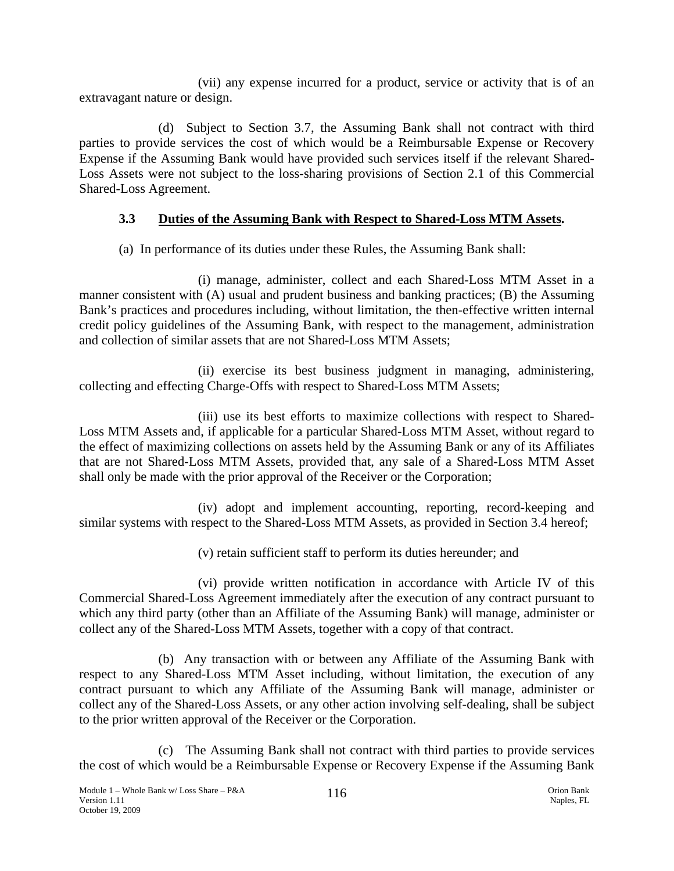(vii) any expense incurred for a product, service or activity that is of an extravagant nature or design.

(d) Subject to Section 3.7, the Assuming Bank shall not contract with third parties to provide services the cost of which would be a Reimbursable Expense or Recovery Expense if the Assuming Bank would have provided such services itself if the relevant Shared-Loss Assets were not subject to the loss-sharing provisions of Section 2.1 of this Commercial Shared-Loss Agreement.

#### **3.3 Duties of the Assuming Bank with Respect to Shared-Loss MTM Assets.**

(a) In performance of its duties under these Rules, the Assuming Bank shall:

(i) manage, administer, collect and each Shared-Loss MTM Asset in a manner consistent with  $(A)$  usual and prudent business and banking practices;  $(B)$  the Assuming Bank's practices and procedures including, without limitation, the then-effective written internal credit policy guidelines of the Assuming Bank, with respect to the management, administration and collection of similar assets that are not Shared-Loss MTM Assets;

(ii) exercise its best business judgment in managing, administering, collecting and effecting Charge-Offs with respect to Shared-Loss MTM Assets;

(iii) use its best efforts to maximize collections with respect to Shared-Loss MTM Assets and, if applicable for a particular Shared-Loss MTM Asset, without regard to the effect of maximizing collections on assets held by the Assuming Bank or any of its Affiliates that are not Shared-Loss MTM Assets, provided that, any sale of a Shared-Loss MTM Asset shall only be made with the prior approval of the Receiver or the Corporation;

(iv) adopt and implement accounting, reporting, record-keeping and similar systems with respect to the Shared-Loss MTM Assets, as provided in Section 3.4 hereof;

(v) retain sufficient staff to perform its duties hereunder; and

(vi) provide written notification in accordance with Article IV of this Commercial Shared-Loss Agreement immediately after the execution of any contract pursuant to which any third party (other than an Affiliate of the Assuming Bank) will manage, administer or collect any of the Shared-Loss MTM Assets, together with a copy of that contract.

(b) Any transaction with or between any Affiliate of the Assuming Bank with respect to any Shared-Loss MTM Asset including, without limitation, the execution of any contract pursuant to which any Affiliate of the Assuming Bank will manage, administer or collect any of the Shared-Loss Assets, or any other action involving self-dealing, shall be subject to the prior written approval of the Receiver or the Corporation.

(c) The Assuming Bank shall not contract with third parties to provide services the cost of which would be a Reimbursable Expense or Recovery Expense if the Assuming Bank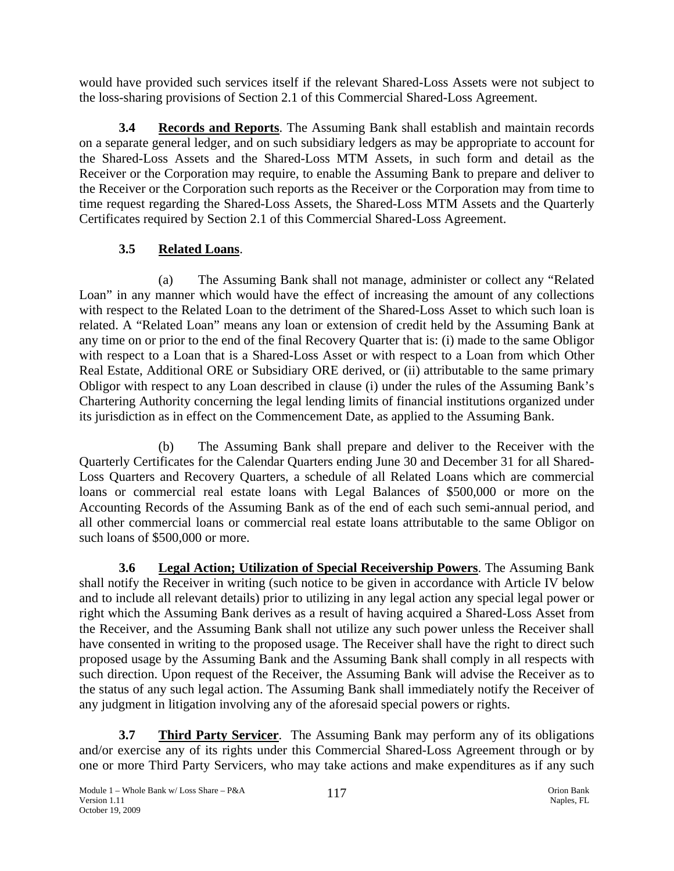would have provided such services itself if the relevant Shared-Loss Assets were not subject to the loss-sharing provisions of Section 2.1 of this Commercial Shared-Loss Agreement.

**3.4 Records and Reports**. The Assuming Bank shall establish and maintain records on a separate general ledger, and on such subsidiary ledgers as may be appropriate to account for the Shared-Loss Assets and the Shared-Loss MTM Assets, in such form and detail as the Receiver or the Corporation may require, to enable the Assuming Bank to prepare and deliver to the Receiver or the Corporation such reports as the Receiver or the Corporation may from time to time request regarding the Shared-Loss Assets, the Shared-Loss MTM Assets and the Quarterly Certificates required by Section 2.1 of this Commercial Shared-Loss Agreement.

# **3.5 Related Loans**.

(a) The Assuming Bank shall not manage, administer or collect any "Related Loan" in any manner which would have the effect of increasing the amount of any collections with respect to the Related Loan to the detriment of the Shared-Loss Asset to which such loan is related. A "Related Loan" means any loan or extension of credit held by the Assuming Bank at any time on or prior to the end of the final Recovery Quarter that is: (i) made to the same Obligor with respect to a Loan that is a Shared-Loss Asset or with respect to a Loan from which Other Real Estate, Additional ORE or Subsidiary ORE derived, or (ii) attributable to the same primary Obligor with respect to any Loan described in clause (i) under the rules of the Assuming Bank's Chartering Authority concerning the legal lending limits of financial institutions organized under its jurisdiction as in effect on the Commencement Date, as applied to the Assuming Bank.

(b) The Assuming Bank shall prepare and deliver to the Receiver with the Quarterly Certificates for the Calendar Quarters ending June 30 and December 31 for all Shared-Loss Quarters and Recovery Quarters, a schedule of all Related Loans which are commercial loans or commercial real estate loans with Legal Balances of \$500,000 or more on the Accounting Records of the Assuming Bank as of the end of each such semi-annual period, and all other commercial loans or commercial real estate loans attributable to the same Obligor on such loans of \$500,000 or more.

**3.6 Legal Action; Utilization of Special Receivership Powers**. The Assuming Bank shall notify the Receiver in writing (such notice to be given in accordance with Article IV below and to include all relevant details) prior to utilizing in any legal action any special legal power or right which the Assuming Bank derives as a result of having acquired a Shared-Loss Asset from the Receiver, and the Assuming Bank shall not utilize any such power unless the Receiver shall have consented in writing to the proposed usage. The Receiver shall have the right to direct such proposed usage by the Assuming Bank and the Assuming Bank shall comply in all respects with such direction. Upon request of the Receiver, the Assuming Bank will advise the Receiver as to the status of any such legal action. The Assuming Bank shall immediately notify the Receiver of any judgment in litigation involving any of the aforesaid special powers or rights.

**3.7 Third Party Servicer**. The Assuming Bank may perform any of its obligations and/or exercise any of its rights under this Commercial Shared-Loss Agreement through or by one or more Third Party Servicers, who may take actions and make expenditures as if any such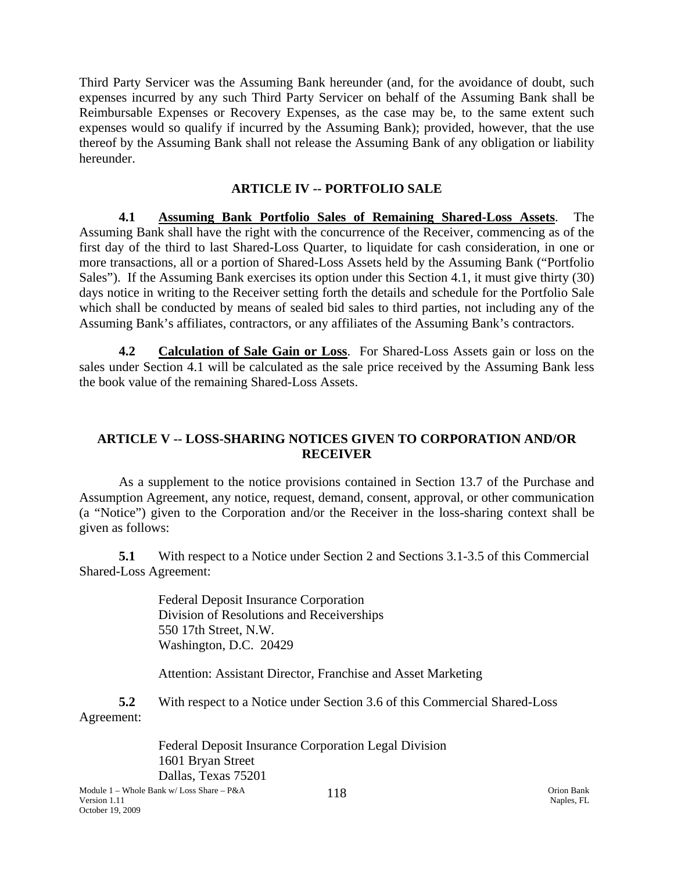Third Party Servicer was the Assuming Bank hereunder (and, for the avoidance of doubt, such expenses incurred by any such Third Party Servicer on behalf of the Assuming Bank shall be Reimbursable Expenses or Recovery Expenses, as the case may be, to the same extent such expenses would so qualify if incurred by the Assuming Bank); provided, however, that the use thereof by the Assuming Bank shall not release the Assuming Bank of any obligation or liability hereunder.

#### **ARTICLE IV -- PORTFOLIO SALE**

**4.1 Assuming Bank Portfolio Sales of Remaining Shared-Loss Assets**. The Assuming Bank shall have the right with the concurrence of the Receiver, commencing as of the first day of the third to last Shared-Loss Quarter, to liquidate for cash consideration, in one or more transactions, all or a portion of Shared-Loss Assets held by the Assuming Bank ("Portfolio Sales"). If the Assuming Bank exercises its option under this Section 4.1, it must give thirty (30) days notice in writing to the Receiver setting forth the details and schedule for the Portfolio Sale which shall be conducted by means of sealed bid sales to third parties, not including any of the Assuming Bank's affiliates, contractors, or any affiliates of the Assuming Bank's contractors.

**4.2 Calculation of Sale Gain or Loss**. For Shared-Loss Assets gain or loss on the sales under Section 4.1 will be calculated as the sale price received by the Assuming Bank less the book value of the remaining Shared-Loss Assets.

## **ARTICLE V -- LOSS-SHARING NOTICES GIVEN TO CORPORATION AND/OR RECEIVER**

As a supplement to the notice provisions contained in Section 13.7 of the Purchase and Assumption Agreement, any notice, request, demand, consent, approval, or other communication (a "Notice") given to the Corporation and/or the Receiver in the loss-sharing context shall be given as follows:

**5.1** With respect to a Notice under Section 2 and Sections 3.1-3.5 of this Commercial Shared-Loss Agreement:

> Federal Deposit Insurance Corporation Division of Resolutions and Receiverships 550 17th Street, N.W. Washington, D.C. 20429

Attention: Assistant Director, Franchise and Asset Marketing

**5.2** With respect to a Notice under Section 3.6 of this Commercial Shared-Loss Agreement:

> Federal Deposit Insurance Corporation Legal Division 1601 Bryan Street Dallas, Texas 75201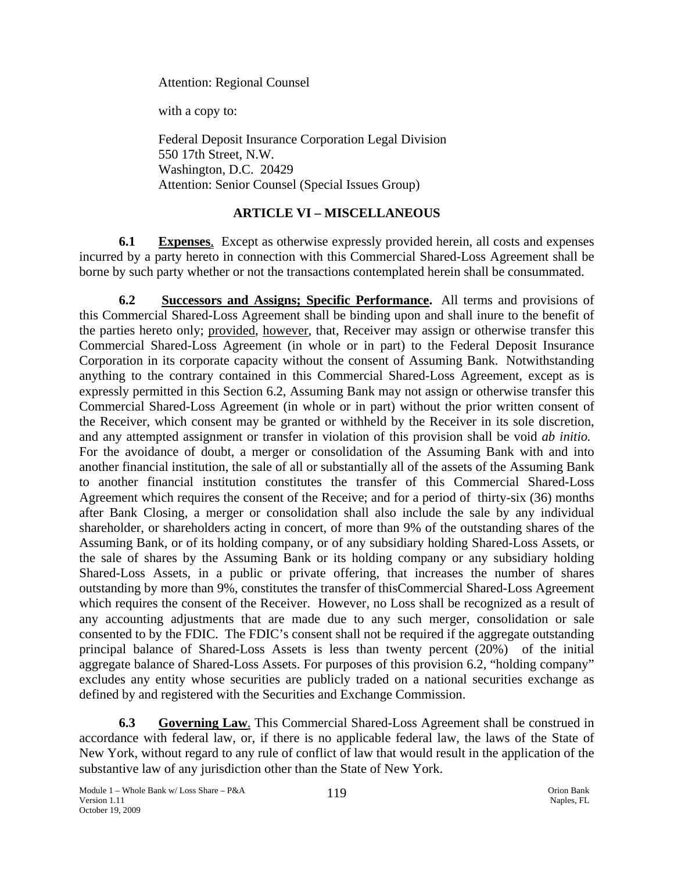Attention: Regional Counsel

with a copy to:

Federal Deposit Insurance Corporation Legal Division 550 17th Street, N.W. Washington, D.C. 20429 Attention: Senior Counsel (Special Issues Group)

## **ARTICLE VI – MISCELLANEOUS**

**6.1 Expenses.** Except as otherwise expressly provided herein, all costs and expenses incurred by a party hereto in connection with this Commercial Shared-Loss Agreement shall be borne by such party whether or not the transactions contemplated herein shall be consummated.

**6.2 Successors and Assigns; Specific Performance.** All terms and provisions of this Commercial Shared-Loss Agreement shall be binding upon and shall inure to the benefit of the parties hereto only; provided, however, that, Receiver may assign or otherwise transfer this Commercial Shared-Loss Agreement (in whole or in part) to the Federal Deposit Insurance Corporation in its corporate capacity without the consent of Assuming Bank. Notwithstanding anything to the contrary contained in this Commercial Shared-Loss Agreement, except as is expressly permitted in this Section 6.2, Assuming Bank may not assign or otherwise transfer this Commercial Shared-Loss Agreement (in whole or in part) without the prior written consent of the Receiver, which consent may be granted or withheld by the Receiver in its sole discretion, and any attempted assignment or transfer in violation of this provision shall be void *ab initio.*  For the avoidance of doubt, a merger or consolidation of the Assuming Bank with and into another financial institution, the sale of all or substantially all of the assets of the Assuming Bank to another financial institution constitutes the transfer of this Commercial Shared-Loss Agreement which requires the consent of the Receive; and for a period of thirty-six (36) months after Bank Closing, a merger or consolidation shall also include the sale by any individual shareholder, or shareholders acting in concert, of more than 9% of the outstanding shares of the Assuming Bank, or of its holding company, or of any subsidiary holding Shared-Loss Assets, or the sale of shares by the Assuming Bank or its holding company or any subsidiary holding Shared-Loss Assets, in a public or private offering, that increases the number of shares outstanding by more than 9%, constitutes the transfer of thisCommercial Shared-Loss Agreement which requires the consent of the Receiver. However, no Loss shall be recognized as a result of any accounting adjustments that are made due to any such merger, consolidation or sale consented to by the FDIC. The FDIC's consent shall not be required if the aggregate outstanding principal balance of Shared-Loss Assets is less than twenty percent (20%) of the initial aggregate balance of Shared-Loss Assets. For purposes of this provision 6.2, "holding company" excludes any entity whose securities are publicly traded on a national securities exchange as defined by and registered with the Securities and Exchange Commission.

**6.3** Governing Law. This Commercial Shared-Loss Agreement shall be construed in accordance with federal law, or, if there is no applicable federal law, the laws of the State of New York, without regard to any rule of conflict of law that would result in the application of the substantive law of any jurisdiction other than the State of New York.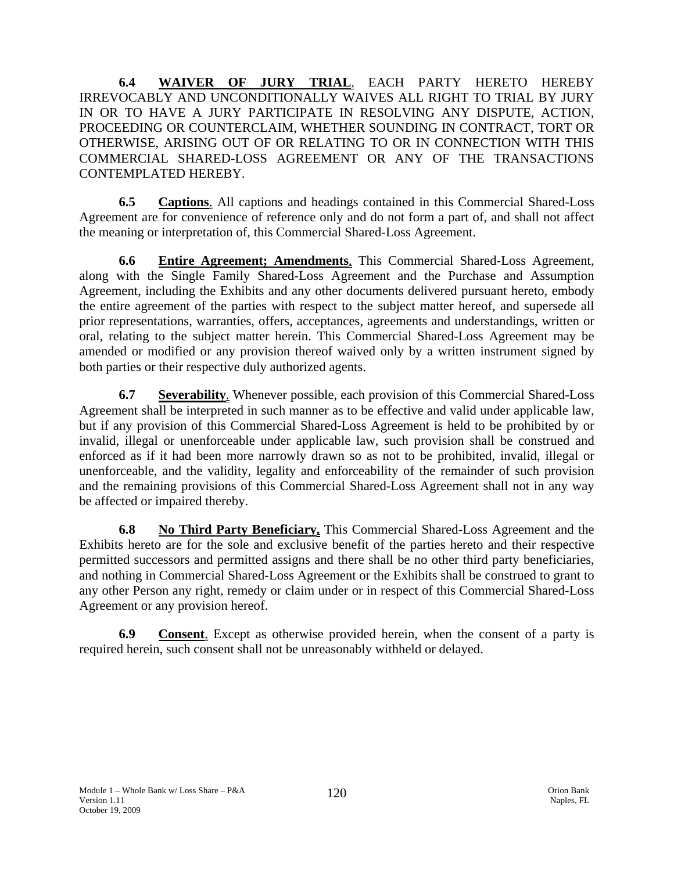**6.4 WAIVER OF JURY TRIAL**. EACH PARTY HERETO HEREBY IRREVOCABLY AND UNCONDITIONALLY WAIVES ALL RIGHT TO TRIAL BY JURY IN OR TO HAVE A JURY PARTICIPATE IN RESOLVING ANY DISPUTE, ACTION, PROCEEDING OR COUNTERCLAIM, WHETHER SOUNDING IN CONTRACT, TORT OR OTHERWISE, ARISING OUT OF OR RELATING TO OR IN CONNECTION WITH THIS COMMERCIAL SHARED-LOSS AGREEMENT OR ANY OF THE TRANSACTIONS CONTEMPLATED HEREBY.

**6.5 Captions**. All captions and headings contained in this Commercial Shared-Loss Agreement are for convenience of reference only and do not form a part of, and shall not affect the meaning or interpretation of, this Commercial Shared-Loss Agreement.

**6.6 Entire Agreement; Amendments**. This Commercial Shared-Loss Agreement, along with the Single Family Shared-Loss Agreement and the Purchase and Assumption Agreement, including the Exhibits and any other documents delivered pursuant hereto, embody the entire agreement of the parties with respect to the subject matter hereof, and supersede all prior representations, warranties, offers, acceptances, agreements and understandings, written or oral, relating to the subject matter herein. This Commercial Shared-Loss Agreement may be amended or modified or any provision thereof waived only by a written instrument signed by both parties or their respective duly authorized agents.

**6.7 Severability**. Whenever possible, each provision of this Commercial Shared-Loss Agreement shall be interpreted in such manner as to be effective and valid under applicable law, but if any provision of this Commercial Shared-Loss Agreement is held to be prohibited by or invalid, illegal or unenforceable under applicable law, such provision shall be construed and enforced as if it had been more narrowly drawn so as not to be prohibited, invalid, illegal or unenforceable, and the validity, legality and enforceability of the remainder of such provision and the remaining provisions of this Commercial Shared-Loss Agreement shall not in any way be affected or impaired thereby.

**6.8 No Third Party Beneficiary.** This Commercial Shared-Loss Agreement and the Exhibits hereto are for the sole and exclusive benefit of the parties hereto and their respective permitted successors and permitted assigns and there shall be no other third party beneficiaries, and nothing in Commercial Shared-Loss Agreement or the Exhibits shall be construed to grant to any other Person any right, remedy or claim under or in respect of this Commercial Shared-Loss Agreement or any provision hereof.

**6.9** Consent. Except as otherwise provided herein, when the consent of a party is required herein, such consent shall not be unreasonably withheld or delayed.